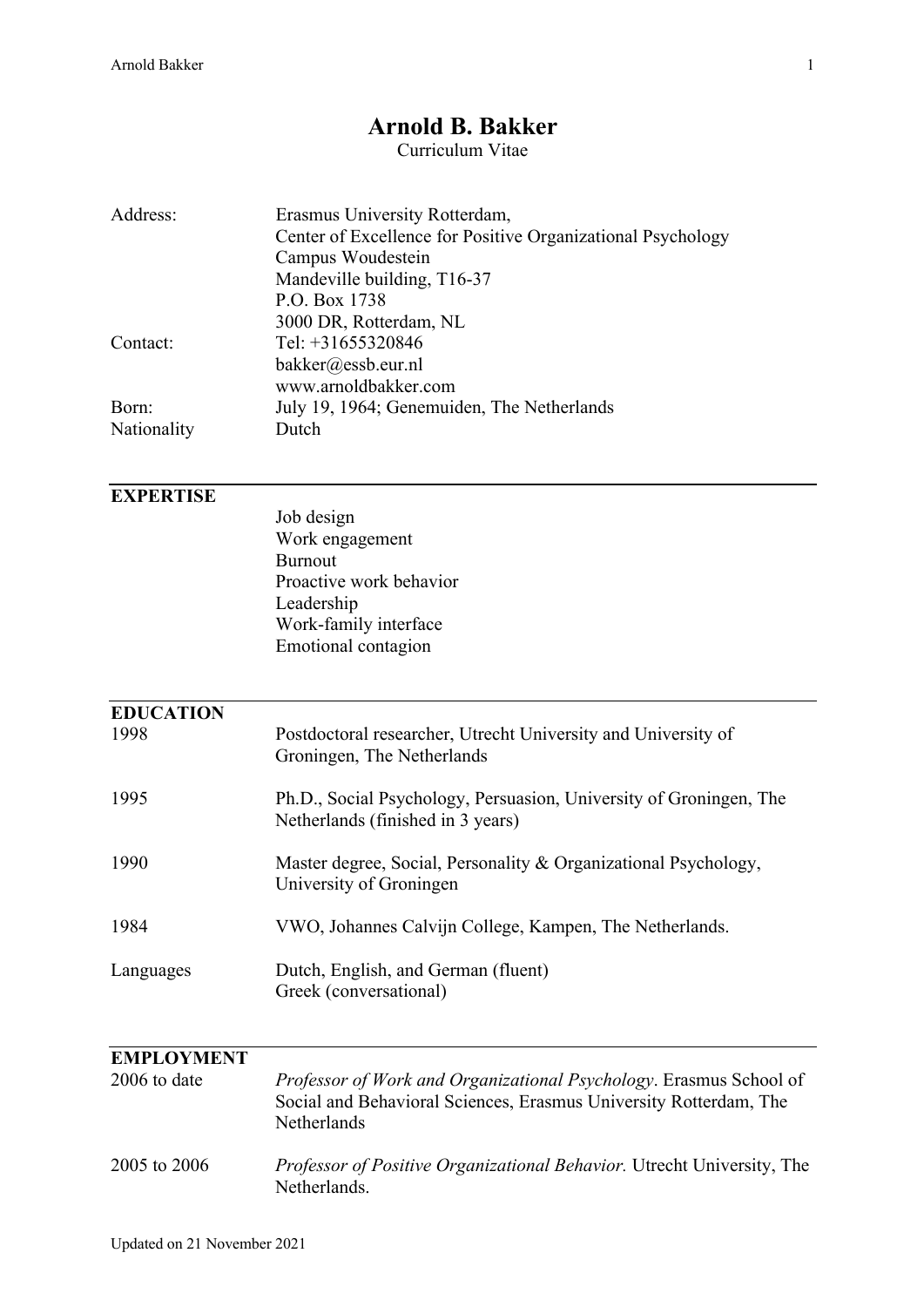## **Arnold B. Bakker**

Curriculum Vitae

| Address:                          | Erasmus University Rotterdam,<br>Center of Excellence for Positive Organizational Psychology<br>Campus Woudestein<br>Mandeville building, T16-37<br>P.O. Box 1738 |
|-----------------------------------|-------------------------------------------------------------------------------------------------------------------------------------------------------------------|
| Contact:                          | 3000 DR, Rotterdam, NL<br>Tel: $+31655320846$<br>bakker@essb.eur.nl<br>www.arnoldbakker.com                                                                       |
| Born:<br>Nationality              | July 19, 1964; Genemuiden, The Netherlands<br>Dutch                                                                                                               |
| <b>EXPERTISE</b>                  | Job design<br>Work engagement<br><b>Burnout</b><br>Proactive work behavior<br>Leadership<br>Work-family interface<br>Emotional contagion                          |
| <b>EDUCATION</b><br>1998          | Postdoctoral researcher, Utrecht University and University of                                                                                                     |
| 1995                              | Groningen, The Netherlands<br>Ph.D., Social Psychology, Persuasion, University of Groningen, The<br>Netherlands (finished in 3 years)                             |
| 1990                              | Master degree, Social, Personality & Organizational Psychology,<br>University of Groningen                                                                        |
| 1984                              | VWO, Johannes Calvijn College, Kampen, The Netherlands.                                                                                                           |
| Languages                         | Dutch, English, and German (fluent)<br>Greek (conversational)                                                                                                     |
| <b>EMPLOYMENT</b><br>2006 to date | Professor of Work and Organizational Psychology. Erasmus School of<br>Social and Behavioral Sciences, Erasmus University Rotterdam, The<br>Netherlands            |
| 2005 to 2006                      | Professor of Positive Organizational Behavior. Utrecht University, The<br>Netherlands.                                                                            |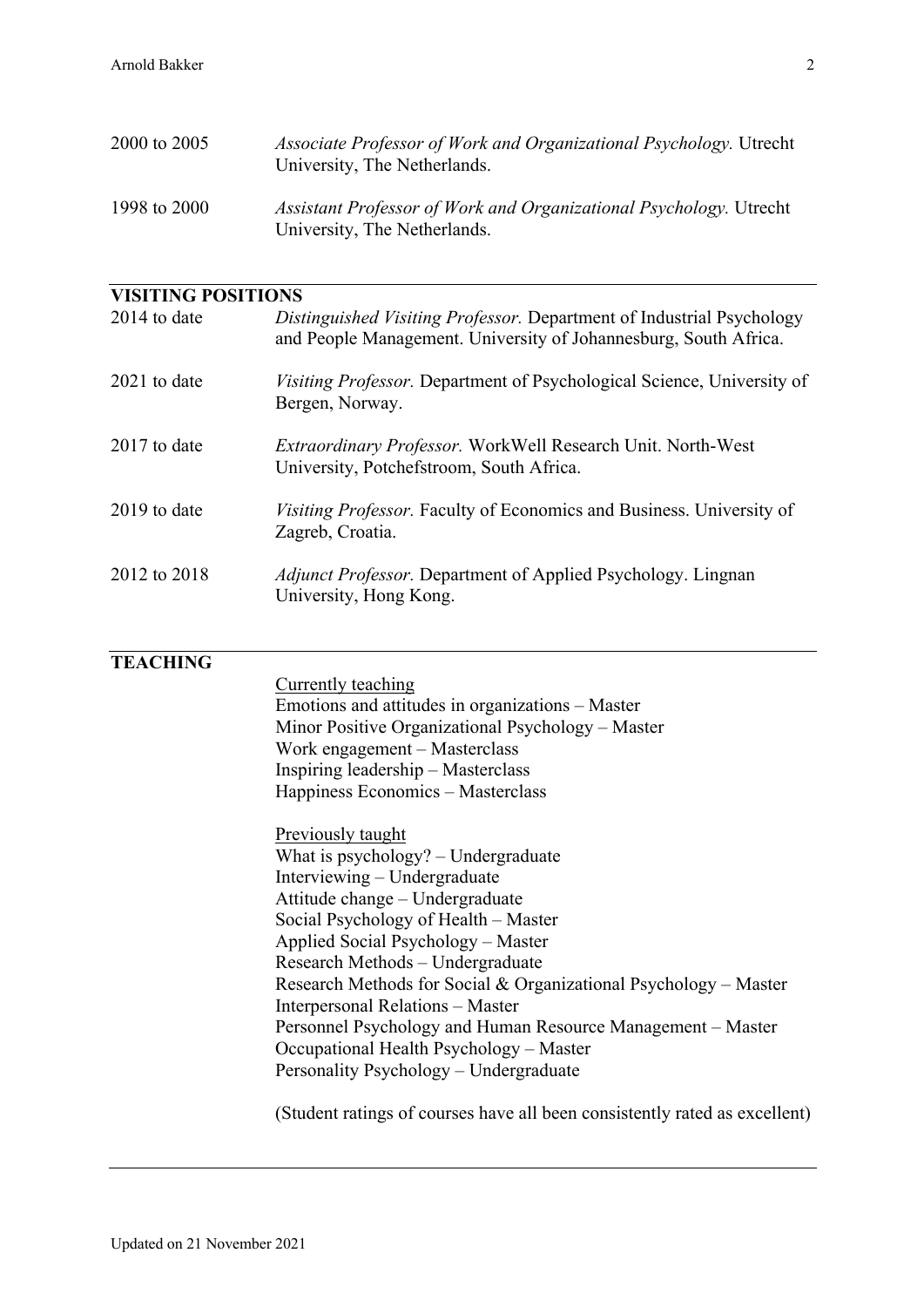| 2000 to 2005              | Associate Professor of Work and Organizational Psychology. Utrecht<br>University, The Netherlands.                                        |
|---------------------------|-------------------------------------------------------------------------------------------------------------------------------------------|
| 1998 to 2000              | Assistant Professor of Work and Organizational Psychology. Utrecht<br>University, The Netherlands.                                        |
| <b>VISITING POSITIONS</b> |                                                                                                                                           |
| 2014 to date              | Distinguished Visiting Professor. Department of Industrial Psychology<br>and People Management. University of Johannesburg, South Africa. |
| 2021 to date              | Visiting Professor. Department of Psychological Science, University of<br>Bergen, Norway.                                                 |
| 2017 to date              | Extraordinary Professor. WorkWell Research Unit. North-West<br>University, Potchefstroom, South Africa.                                   |
| 2019 to date              | Visiting Professor. Faculty of Economics and Business. University of<br>Zagreb, Croatia.                                                  |
| 2012 to 2018              | <i>Adjunct Professor.</i> Department of Applied Psychology. Lingnan<br>University, Hong Kong.                                             |
| <b>TEACHING</b>           | Currently teaching<br>Emotions and attitudes in organizations – Master<br>Minor Positive Organizational Psychology - Master               |
|                           | Work engagement - Masterclass<br>Inspiring leadership - Masterclass<br>Happiness Economics - Masterclass                                  |

Previously taught What is psychology? – Undergraduate Interviewing – Undergraduate Attitude change – Undergraduate Social Psychology of Health – Master Applied Social Psychology – Master Research Methods – Undergraduate Research Methods for Social & Organizational Psychology – Master Interpersonal Relations – Master Personnel Psychology and Human Resource Management – Master Occupational Health Psychology – Master Personality Psychology – Undergraduate

(Student ratings of courses have all been consistently rated as excellent)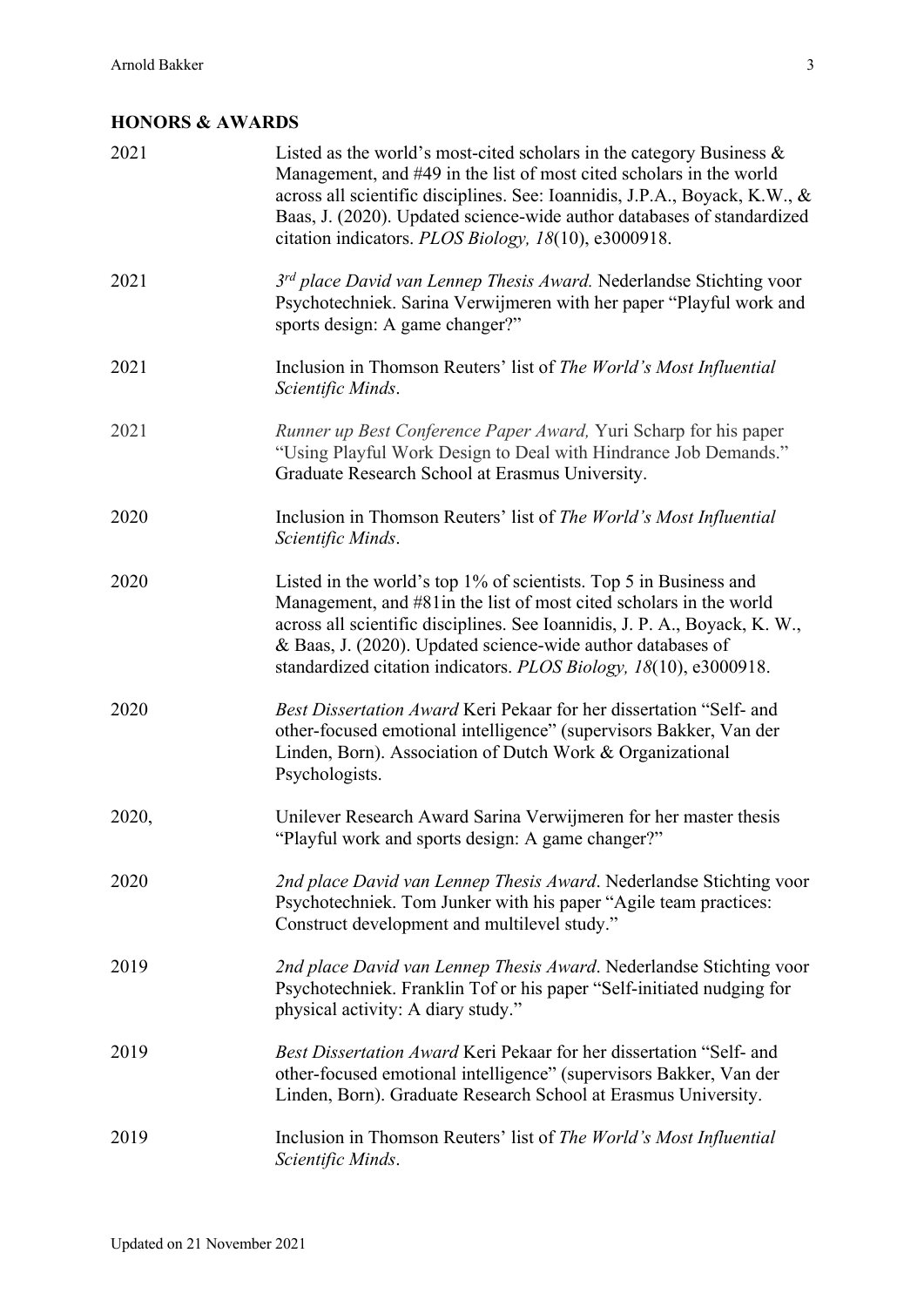## **HONORS & AWARDS**

| 2021  | Listed as the world's most-cited scholars in the category Business $\&$<br>Management, and #49 in the list of most cited scholars in the world<br>across all scientific disciplines. See: Ioannidis, J.P.A., Boyack, K.W., &<br>Baas, J. (2020). Updated science-wide author databases of standardized<br>citation indicators. PLOS Biology, 18(10), e3000918. |
|-------|----------------------------------------------------------------------------------------------------------------------------------------------------------------------------------------------------------------------------------------------------------------------------------------------------------------------------------------------------------------|
| 2021  | 3rd place David van Lennep Thesis Award. Nederlandse Stichting voor<br>Psychotechniek. Sarina Verwijmeren with her paper "Playful work and<br>sports design: A game changer?"                                                                                                                                                                                  |
| 2021  | Inclusion in Thomson Reuters' list of The World's Most Influential<br>Scientific Minds.                                                                                                                                                                                                                                                                        |
| 2021  | Runner up Best Conference Paper Award, Yuri Scharp for his paper<br>"Using Playful Work Design to Deal with Hindrance Job Demands."<br>Graduate Research School at Erasmus University.                                                                                                                                                                         |
| 2020  | Inclusion in Thomson Reuters' list of The World's Most Influential<br>Scientific Minds.                                                                                                                                                                                                                                                                        |
| 2020  | Listed in the world's top 1% of scientists. Top 5 in Business and<br>Management, and #81 in the list of most cited scholars in the world<br>across all scientific disciplines. See Ioannidis, J. P. A., Boyack, K. W.,<br>& Baas, J. (2020). Updated science-wide author databases of<br>standardized citation indicators. PLOS Biology, 18(10), e3000918.     |
| 2020  | Best Dissertation Award Keri Pekaar for her dissertation "Self- and<br>other-focused emotional intelligence" (supervisors Bakker, Van der<br>Linden, Born). Association of Dutch Work & Organizational<br>Psychologists.                                                                                                                                       |
| 2020, | Unilever Research Award Sarina Verwijmeren for her master thesis<br>"Playful work and sports design: A game changer?"                                                                                                                                                                                                                                          |
| 2020  | 2nd place David van Lennep Thesis Award. Nederlandse Stichting voor<br>Psychotechniek. Tom Junker with his paper "Agile team practices:<br>Construct development and multilevel study."                                                                                                                                                                        |
| 2019  | 2nd place David van Lennep Thesis Award. Nederlandse Stichting voor<br>Psychotechniek. Franklin Tof or his paper "Self-initiated nudging for<br>physical activity: A diary study."                                                                                                                                                                             |
| 2019  | Best Dissertation Award Keri Pekaar for her dissertation "Self- and<br>other-focused emotional intelligence" (supervisors Bakker, Van der<br>Linden, Born). Graduate Research School at Erasmus University.                                                                                                                                                    |
| 2019  | Inclusion in Thomson Reuters' list of The World's Most Influential<br>Scientific Minds.                                                                                                                                                                                                                                                                        |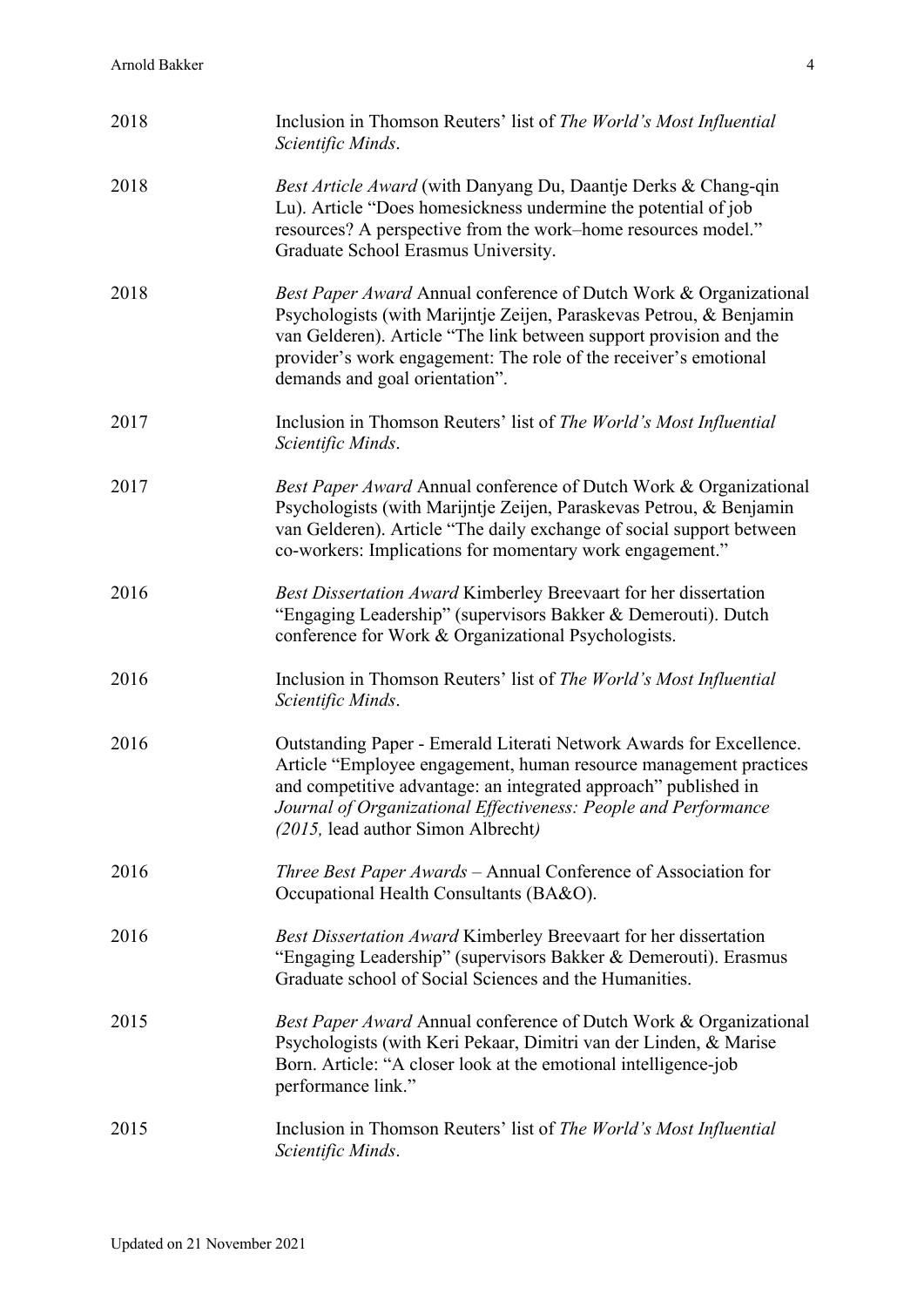| 2018 | Inclusion in Thomson Reuters' list of The World's Most Influential<br>Scientific Minds.                                                                                                                                                                                                                              |
|------|----------------------------------------------------------------------------------------------------------------------------------------------------------------------------------------------------------------------------------------------------------------------------------------------------------------------|
| 2018 | Best Article Award (with Danyang Du, Daantje Derks & Chang-qin<br>Lu). Article "Does homesickness undermine the potential of job<br>resources? A perspective from the work-home resources model."<br>Graduate School Erasmus University.                                                                             |
| 2018 | Best Paper Award Annual conference of Dutch Work & Organizational<br>Psychologists (with Marijntje Zeijen, Paraskevas Petrou, & Benjamin<br>van Gelderen). Article "The link between support provision and the<br>provider's work engagement: The role of the receiver's emotional<br>demands and goal orientation". |
| 2017 | Inclusion in Thomson Reuters' list of The World's Most Influential<br>Scientific Minds.                                                                                                                                                                                                                              |
| 2017 | Best Paper Award Annual conference of Dutch Work & Organizational<br>Psychologists (with Marijntje Zeijen, Paraskevas Petrou, & Benjamin<br>van Gelderen). Article "The daily exchange of social support between<br>co-workers: Implications for momentary work engagement."                                         |
| 2016 | Best Dissertation Award Kimberley Breevaart for her dissertation<br>"Engaging Leadership" (supervisors Bakker & Demerouti). Dutch<br>conference for Work & Organizational Psychologists.                                                                                                                             |
| 2016 | Inclusion in Thomson Reuters' list of The World's Most Influential<br>Scientific Minds.                                                                                                                                                                                                                              |
| 2016 | Outstanding Paper - Emerald Literati Network Awards for Excellence.<br>Article "Employee engagement, human resource management practices<br>and competitive advantage: an integrated approach" published in<br>Journal of Organizational Effectiveness: People and Performance<br>(2015, lead author Simon Albrecht) |
| 2016 | <i>Three Best Paper Awards</i> – Annual Conference of Association for<br>Occupational Health Consultants (BA&O).                                                                                                                                                                                                     |
| 2016 | Best Dissertation Award Kimberley Breevaart for her dissertation<br>"Engaging Leadership" (supervisors Bakker & Demerouti). Erasmus<br>Graduate school of Social Sciences and the Humanities.                                                                                                                        |
| 2015 | Best Paper Award Annual conference of Dutch Work & Organizational<br>Psychologists (with Keri Pekaar, Dimitri van der Linden, & Marise<br>Born. Article: "A closer look at the emotional intelligence-job<br>performance link."                                                                                      |
| 2015 | Inclusion in Thomson Reuters' list of The World's Most Influential<br>Scientific Minds.                                                                                                                                                                                                                              |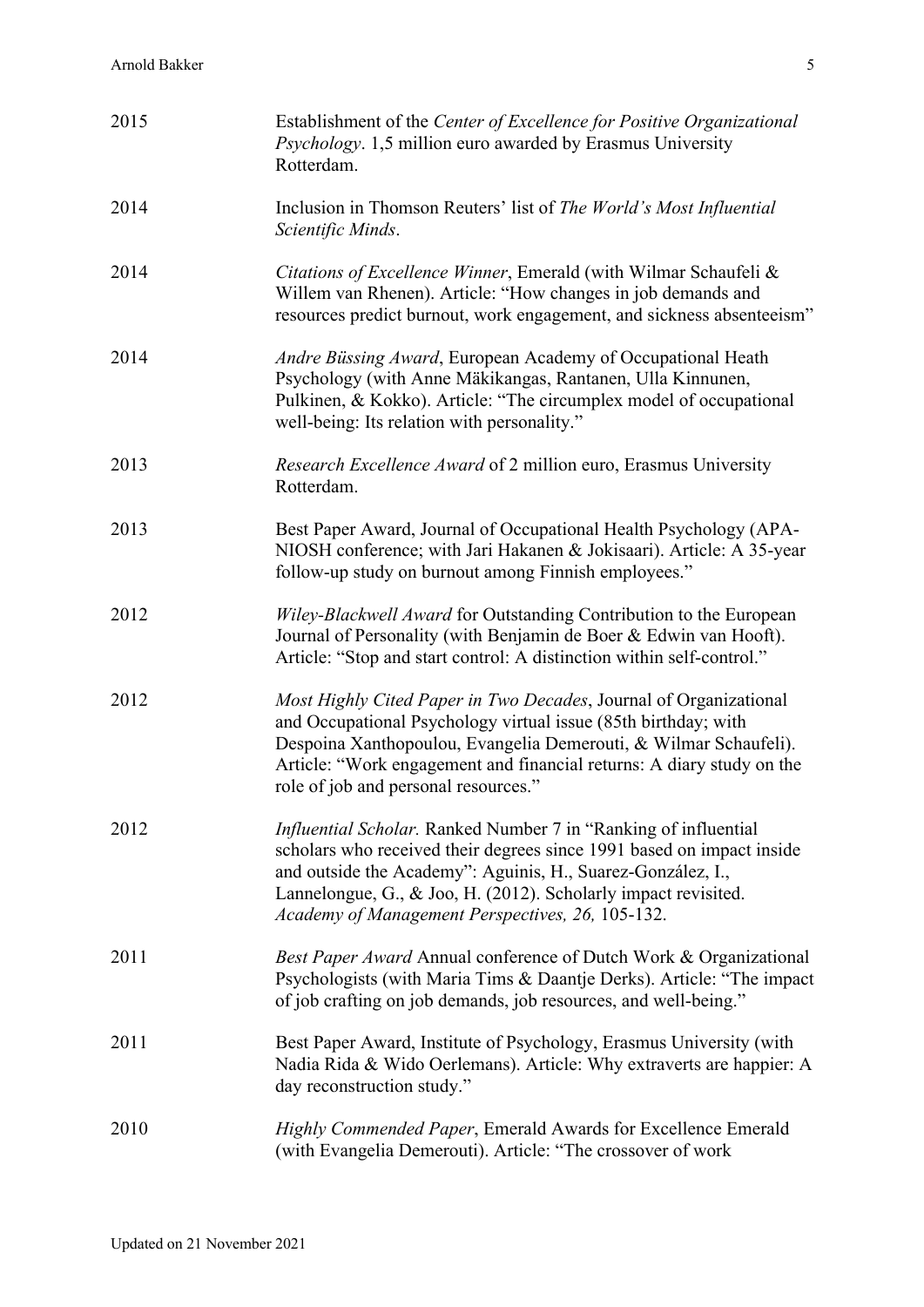| 2015 | Establishment of the Center of Excellence for Positive Organizational<br><i>Psychology.</i> 1,5 million euro awarded by Erasmus University<br>Rotterdam.                                                                                                                                                                              |
|------|---------------------------------------------------------------------------------------------------------------------------------------------------------------------------------------------------------------------------------------------------------------------------------------------------------------------------------------|
| 2014 | Inclusion in Thomson Reuters' list of The World's Most Influential<br>Scientific Minds.                                                                                                                                                                                                                                               |
| 2014 | Citations of Excellence Winner, Emerald (with Wilmar Schaufeli &<br>Willem van Rhenen). Article: "How changes in job demands and<br>resources predict burnout, work engagement, and sickness absenteeism"                                                                                                                             |
| 2014 | Andre Büssing Award, European Academy of Occupational Heath<br>Psychology (with Anne Mäkikangas, Rantanen, Ulla Kinnunen,<br>Pulkinen, & Kokko). Article: "The circumplex model of occupational<br>well-being: Its relation with personality."                                                                                        |
| 2013 | Research Excellence Award of 2 million euro, Erasmus University<br>Rotterdam.                                                                                                                                                                                                                                                         |
| 2013 | Best Paper Award, Journal of Occupational Health Psychology (APA-<br>NIOSH conference; with Jari Hakanen & Jokisaari). Article: A 35-year<br>follow-up study on burnout among Finnish employees."                                                                                                                                     |
| 2012 | Wiley-Blackwell Award for Outstanding Contribution to the European<br>Journal of Personality (with Benjamin de Boer & Edwin van Hooft).<br>Article: "Stop and start control: A distinction within self-control."                                                                                                                      |
| 2012 | Most Highly Cited Paper in Two Decades, Journal of Organizational<br>and Occupational Psychology virtual issue (85th birthday; with<br>Despoina Xanthopoulou, Evangelia Demerouti, & Wilmar Schaufeli).<br>Article: "Work engagement and financial returns: A diary study on the<br>role of job and personal resources."              |
| 2012 | <i>Influential Scholar</i> . Ranked Number 7 in "Ranking of influential<br>scholars who received their degrees since 1991 based on impact inside<br>and outside the Academy": Aguinis, H., Suarez-González, I.,<br>Lannelongue, G., & Joo, H. (2012). Scholarly impact revisited.<br>Academy of Management Perspectives, 26, 105-132. |
| 2011 | Best Paper Award Annual conference of Dutch Work & Organizational<br>Psychologists (with Maria Tims & Daantje Derks). Article: "The impact<br>of job crafting on job demands, job resources, and well-being."                                                                                                                         |
| 2011 | Best Paper Award, Institute of Psychology, Erasmus University (with<br>Nadia Rida & Wido Oerlemans). Article: Why extraverts are happier: A<br>day reconstruction study."                                                                                                                                                             |
| 2010 | Highly Commended Paper, Emerald Awards for Excellence Emerald<br>(with Evangelia Demerouti). Article: "The crossover of work                                                                                                                                                                                                          |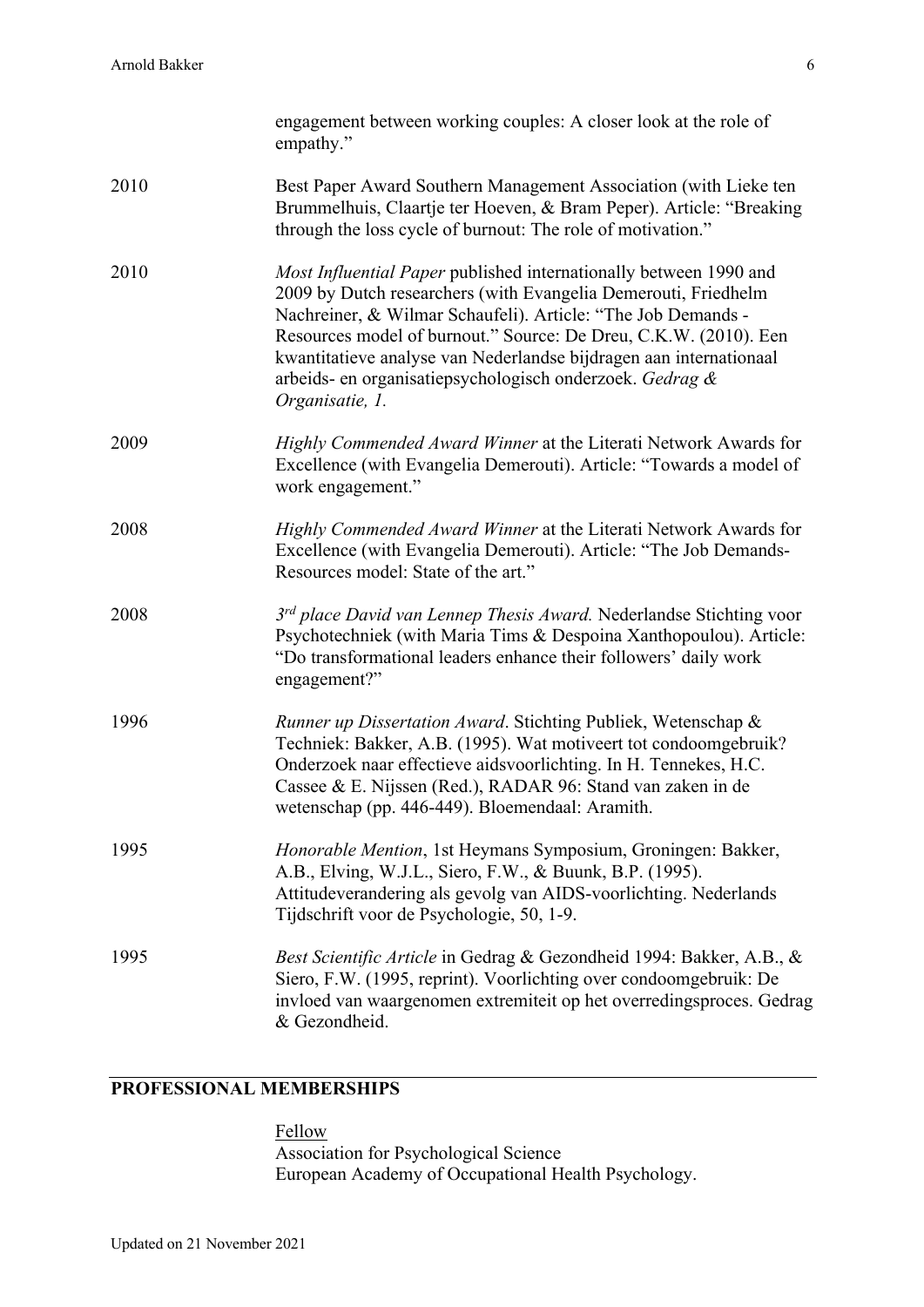|      | engagement between working couples: A closer look at the role of<br>empathy."                                                                                                                                                                                                                                                                                                                                                |
|------|------------------------------------------------------------------------------------------------------------------------------------------------------------------------------------------------------------------------------------------------------------------------------------------------------------------------------------------------------------------------------------------------------------------------------|
| 2010 | Best Paper Award Southern Management Association (with Lieke ten<br>Brummelhuis, Claartje ter Hoeven, & Bram Peper). Article: "Breaking<br>through the loss cycle of burnout: The role of motivation."                                                                                                                                                                                                                       |
| 2010 | Most Influential Paper published internationally between 1990 and<br>2009 by Dutch researchers (with Evangelia Demerouti, Friedhelm<br>Nachreiner, & Wilmar Schaufeli). Article: "The Job Demands -<br>Resources model of burnout." Source: De Dreu, C.K.W. (2010). Een<br>kwantitatieve analyse van Nederlandse bijdragen aan internationaal<br>arbeids- en organisatiepsychologisch onderzoek. Gedrag &<br>Organisatie, 1. |
| 2009 | Highly Commended Award Winner at the Literati Network Awards for<br>Excellence (with Evangelia Demerouti). Article: "Towards a model of<br>work engagement."                                                                                                                                                                                                                                                                 |
| 2008 | Highly Commended Award Winner at the Literati Network Awards for<br>Excellence (with Evangelia Demerouti). Article: "The Job Demands-<br>Resources model: State of the art."                                                                                                                                                                                                                                                 |
| 2008 | 3rd place David van Lennep Thesis Award. Nederlandse Stichting voor<br>Psychotechniek (with Maria Tims & Despoina Xanthopoulou). Article:<br>"Do transformational leaders enhance their followers' daily work<br>engagement?"                                                                                                                                                                                                |
| 1996 | Runner up Dissertation Award. Stichting Publiek, Wetenschap &<br>Techniek: Bakker, A.B. (1995). Wat motiveert tot condoomgebruik?<br>Onderzoek naar effectieve aidsvoorlichting. In H. Tennekes, H.C.<br>Cassee & E. Nijssen (Red.), RADAR 96: Stand van zaken in de<br>wetenschap (pp. 446-449). Bloemendaal: Aramith.                                                                                                      |
| 1995 | Honorable Mention, 1st Heymans Symposium, Groningen: Bakker,<br>A.B., Elving, W.J.L., Siero, F.W., & Buunk, B.P. (1995).<br>Attitudeverandering als gevolg van AIDS-voorlichting. Nederlands<br>Tijdschrift voor de Psychologie, 50, 1-9.                                                                                                                                                                                    |
| 1995 | Best Scientific Article in Gedrag & Gezondheid 1994: Bakker, A.B., &<br>Siero, F.W. (1995, reprint). Voorlichting over condoomgebruik: De<br>invloed van waargenomen extremiteit op het overredingsproces. Gedrag<br>& Gezondheid.                                                                                                                                                                                           |

## **PROFESSIONAL MEMBERSHIPS**

Fellow Association for Psychological Science European Academy of Occupational Health Psychology.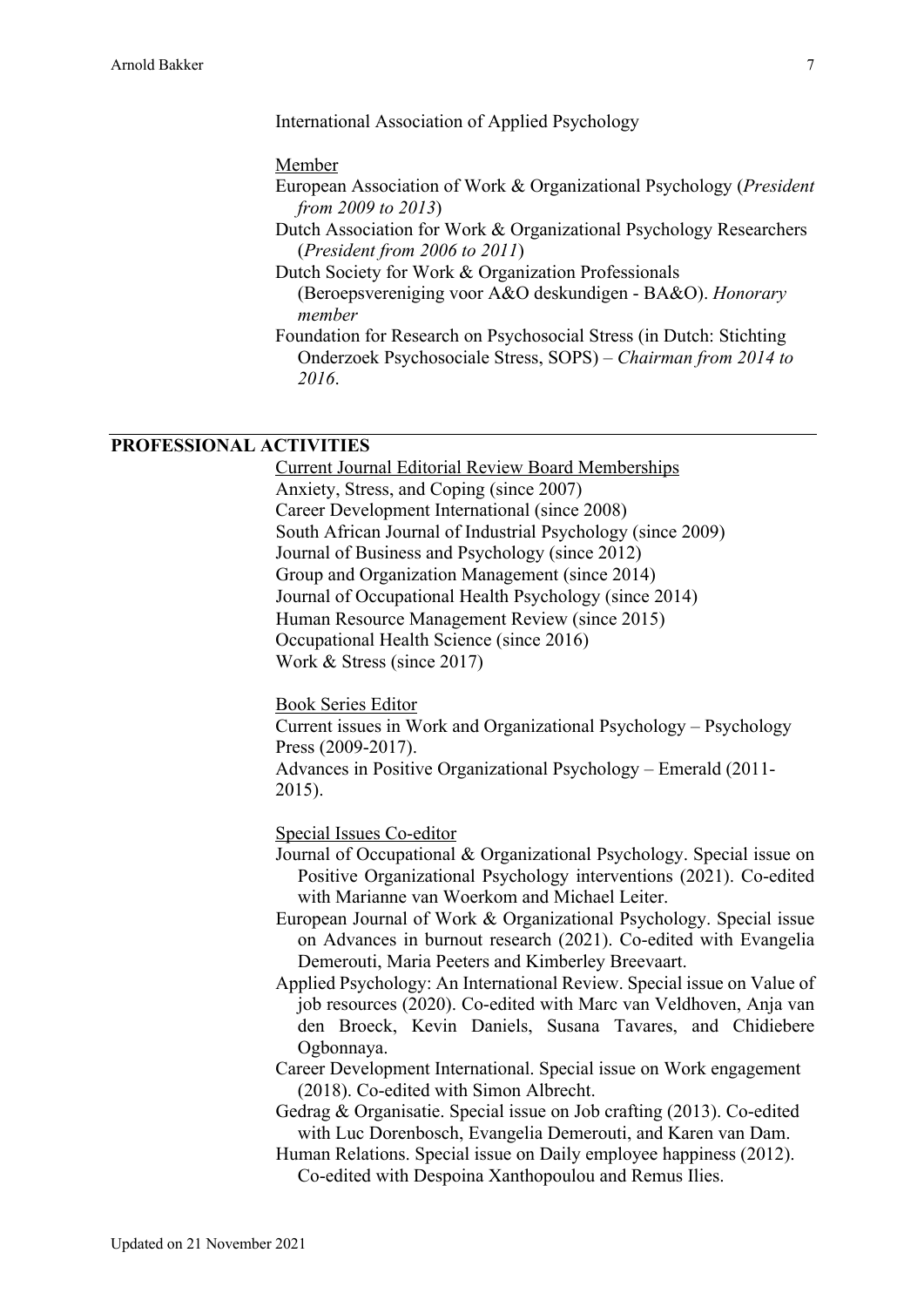International Association of Applied Psychology

#### Member

- European Association of Work & Organizational Psychology (*President from 2009 to 2013*)
- Dutch Association for Work & Organizational Psychology Researchers (*President from 2006 to 2011*)
- Dutch Society for Work & Organization Professionals (Beroepsvereniging voor A&O deskundigen - BA&O). *Honorary member*
- Foundation for Research on Psychosocial Stress (in Dutch: Stichting Onderzoek Psychosociale Stress, SOPS) – *Chairman from 2014 to 2016*.

### **PROFESSIONAL ACTIVITIES**

Current Journal Editorial Review Board Memberships Anxiety, Stress, and Coping (since 2007) Career Development International (since 2008) South African Journal of Industrial Psychology (since 2009) Journal of Business and Psychology (since 2012) Group and Organization Management (since 2014) Journal of Occupational Health Psychology (since 2014) Human Resource Management Review (since 2015) Occupational Health Science (since 2016) Work & Stress (since 2017)

Book Series Editor Current issues in Work and Organizational Psychology – Psychology Press (2009-2017). Advances in Positive Organizational Psychology – Emerald (2011- 2015).

Special Issues Co-editor

- Journal of Occupational & Organizational Psychology. Special issue on Positive Organizational Psychology interventions (2021). Co-edited with Marianne van Woerkom and Michael Leiter.
- European Journal of Work & Organizational Psychology. Special issue on Advances in burnout research (2021). Co-edited with Evangelia Demerouti, Maria Peeters and Kimberley Breevaart.
- Applied Psychology: An International Review. Special issue on Value of job resources (2020). Co-edited with Marc van Veldhoven, Anja van den Broeck, Kevin Daniels, Susana Tavares, and Chidiebere Ogbonnaya.
- Career Development International. Special issue on Work engagement (2018). Co-edited with Simon Albrecht.
- Gedrag & Organisatie. Special issue on Job crafting (2013). Co-edited with Luc Dorenbosch, Evangelia Demerouti, and Karen van Dam.
- Human Relations. Special issue on Daily employee happiness (2012). Co-edited with Despoina Xanthopoulou and Remus Ilies.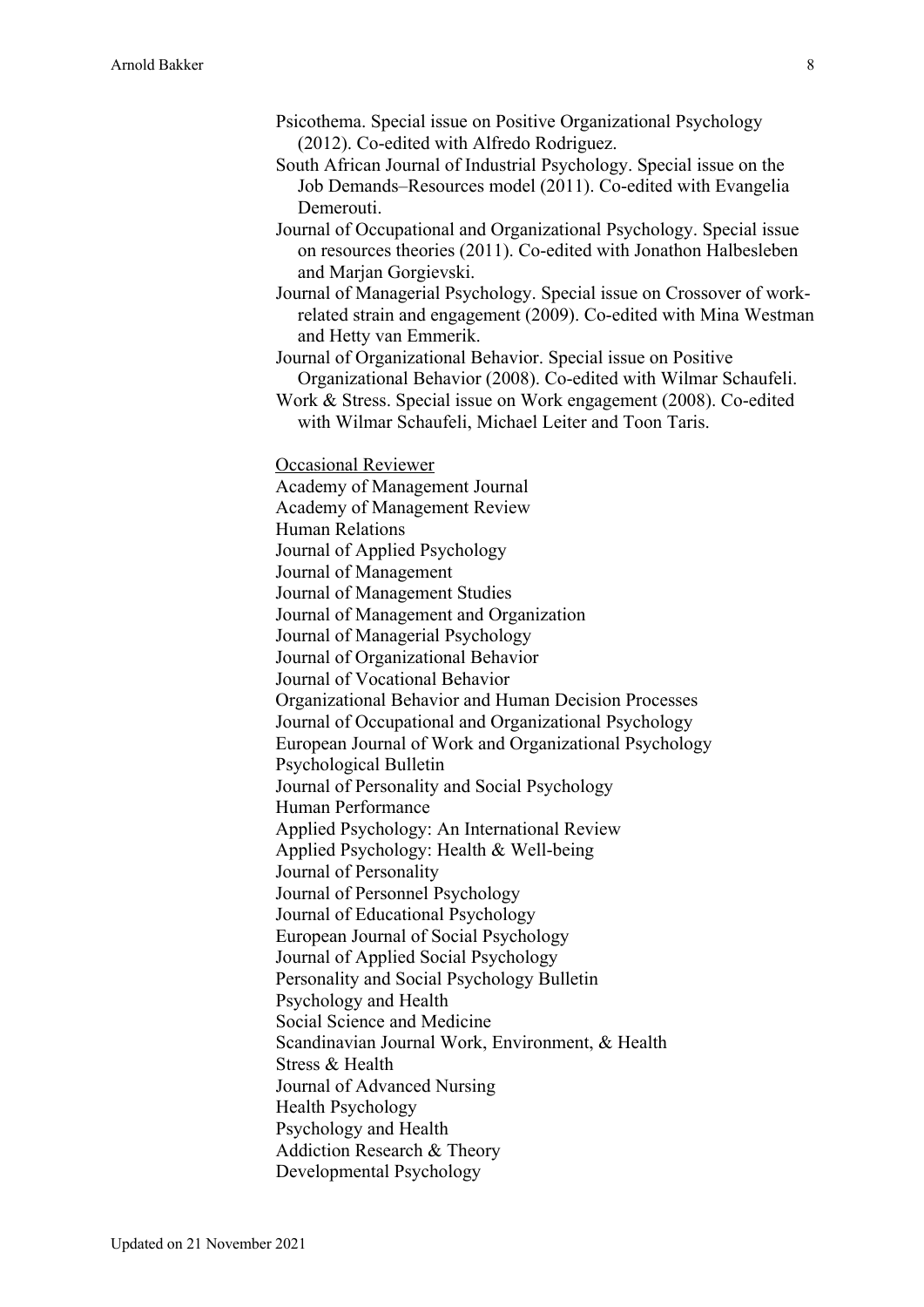- Psicothema. Special issue on Positive Organizational Psychology (2012). Co-edited with Alfredo Rodriguez.
- South African Journal of Industrial Psychology. Special issue on the Job Demands–Resources model (2011). Co-edited with Evangelia Demerouti.
- Journal of Occupational and Organizational Psychology. Special issue on resources theories (2011). Co-edited with Jonathon Halbesleben and Marjan Gorgievski.
- Journal of Managerial Psychology. Special issue on Crossover of workrelated strain and engagement (2009). Co-edited with Mina Westman and Hetty van Emmerik.

Journal of Organizational Behavior. Special issue on Positive Organizational Behavior (2008). Co-edited with Wilmar Schaufeli.

Work & Stress. Special issue on Work engagement (2008). Co-edited with Wilmar Schaufeli, Michael Leiter and Toon Taris.

Occasional Reviewer

Academy of Management Journal Academy of Management Review Human Relations Journal of Applied Psychology Journal of Management Journal of Management Studies Journal of Management and Organization Journal of Managerial Psychology Journal of Organizational Behavior Journal of Vocational Behavior Organizational Behavior and Human Decision Processes Journal of Occupational and Organizational Psychology European Journal of Work and Organizational Psychology Psychological Bulletin Journal of Personality and Social Psychology Human Performance Applied Psychology: An International Review Applied Psychology: Health & Well-being Journal of Personality Journal of Personnel Psychology Journal of Educational Psychology European Journal of Social Psychology Journal of Applied Social Psychology Personality and Social Psychology Bulletin Psychology and Health Social Science and Medicine Scandinavian Journal Work, Environment, & Health Stress & Health Journal of Advanced Nursing Health Psychology Psychology and Health Addiction Research & Theory Developmental Psychology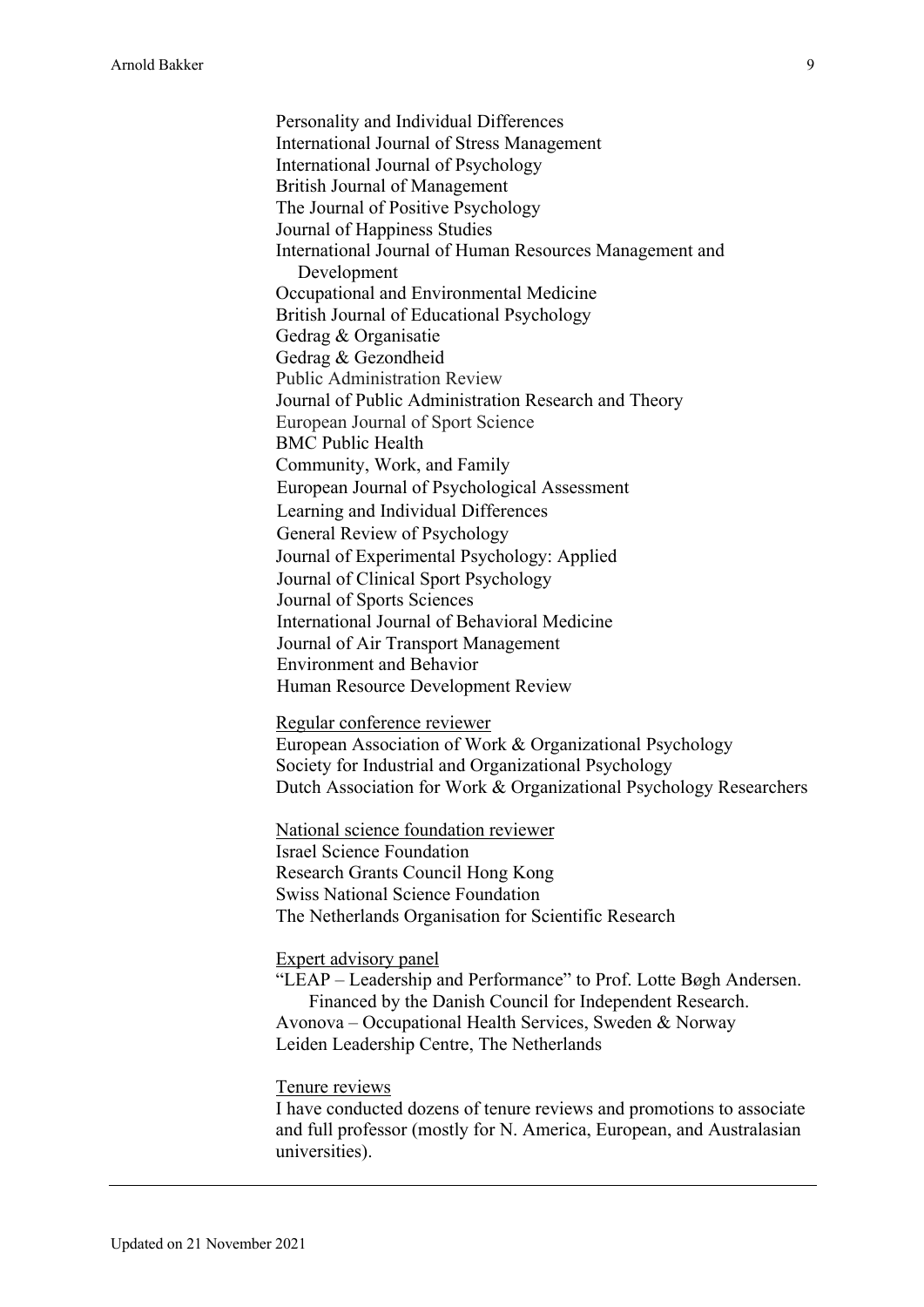Personality and Individual Differences International Journal of Stress Management International Journal of Psychology British Journal of Management The Journal of Positive Psychology Journal of Happiness Studies International Journal of Human Resources Management and Development Occupational and Environmental Medicine British Journal of Educational Psychology Gedrag & Organisatie Gedrag & Gezondheid Public Administration Review Journal of Public Administration Research and Theory European Journal of Sport Science BMC Public Health Community, Work, and Family European Journal of Psychological Assessment Learning and Individual Differences General Review of Psychology Journal of Experimental Psychology: Applied Journal of Clinical Sport Psychology Journal of Sports Sciences International Journal of Behavioral Medicine Journal of Air Transport Management Environment and Behavior Human Resource Development Review

Regular conference reviewer European Association of Work & Organizational Psychology Society for Industrial and Organizational Psychology Dutch Association for Work & Organizational Psychology Researchers

National science foundation reviewer Israel Science Foundation Research Grants Council Hong Kong Swiss National Science Foundation The Netherlands Organisation for Scientific Research

Expert advisory panel

"LEAP – Leadership and Performance" to Prof. Lotte Bøgh Andersen. Financed by the Danish Council for Independent Research. Avonova – Occupational Health Services, Sweden & Norway Leiden Leadership Centre, The Netherlands

Tenure reviews

I have conducted dozens of tenure reviews and promotions to associate and full professor (mostly for N. America, European, and Australasian universities).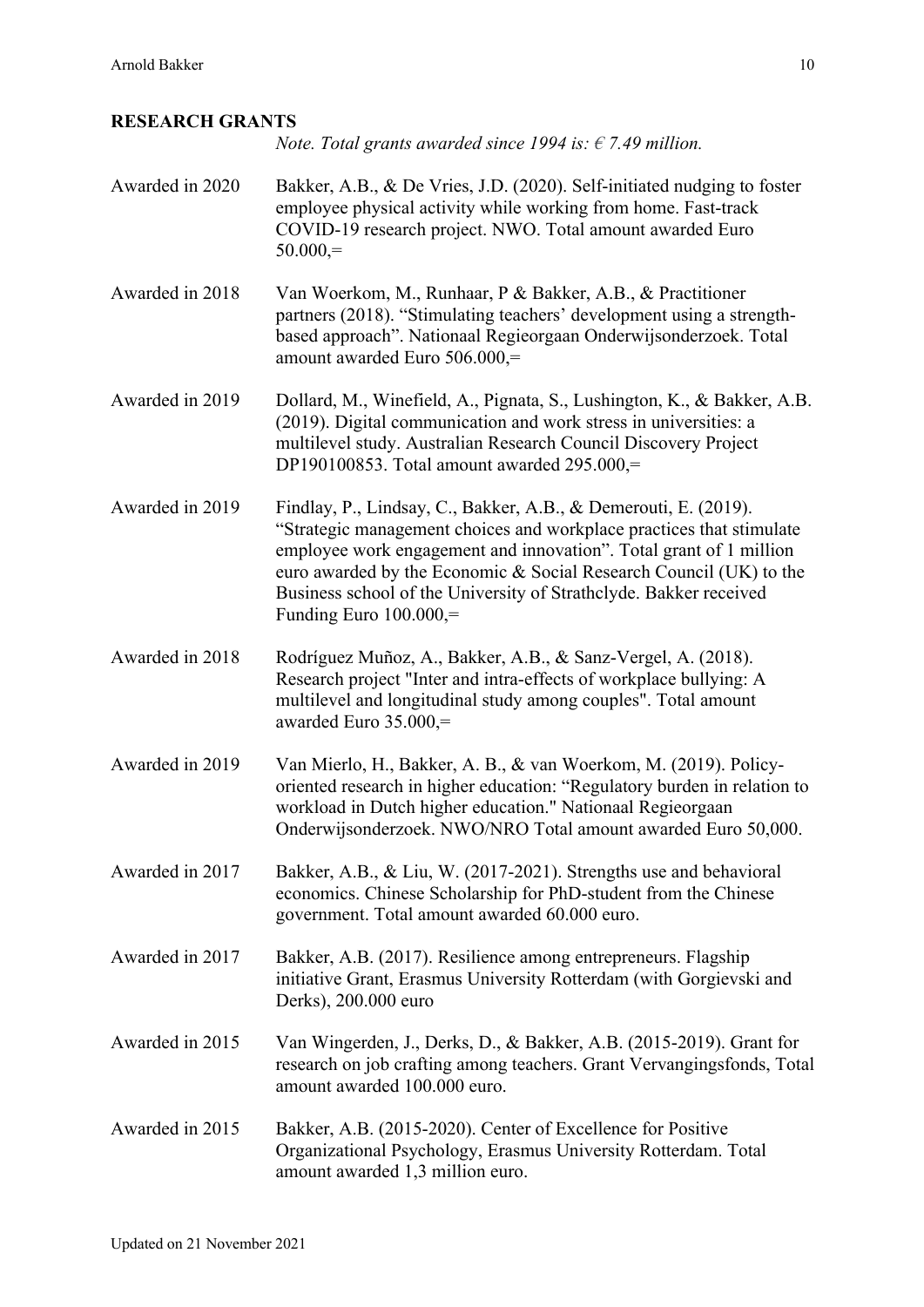## **RESEARCH GRANTS**

*Note. Total grants awarded since 1994 is: € 7.49 million.*

| Awarded in 2020 | Bakker, A.B., & De Vries, J.D. (2020). Self-initiated nudging to foster<br>employee physical activity while working from home. Fast-track<br>COVID-19 research project. NWO. Total amount awarded Euro<br>$50.000 =$                                                                                                                                                                 |
|-----------------|--------------------------------------------------------------------------------------------------------------------------------------------------------------------------------------------------------------------------------------------------------------------------------------------------------------------------------------------------------------------------------------|
| Awarded in 2018 | Van Woerkom, M., Runhaar, P & Bakker, A.B., & Practitioner<br>partners (2018). "Stimulating teachers' development using a strength-<br>based approach". Nationaal Regieorgaan Onderwijsonderzoek. Total<br>amount awarded Euro 506.000,=                                                                                                                                             |
| Awarded in 2019 | Dollard, M., Winefield, A., Pignata, S., Lushington, K., & Bakker, A.B.<br>(2019). Digital communication and work stress in universities: a<br>multilevel study. Australian Research Council Discovery Project<br>DP190100853. Total amount awarded $295.000 =$                                                                                                                      |
| Awarded in 2019 | Findlay, P., Lindsay, C., Bakker, A.B., & Demerouti, E. (2019).<br>"Strategic management choices and workplace practices that stimulate<br>employee work engagement and innovation". Total grant of 1 million<br>euro awarded by the Economic & Social Research Council (UK) to the<br>Business school of the University of Strathclyde. Bakker received<br>Funding Euro $100.000 =$ |
| Awarded in 2018 | Rodríguez Muñoz, A., Bakker, A.B., & Sanz-Vergel, A. (2018).<br>Research project "Inter and intra-effects of workplace bullying: A<br>multilevel and longitudinal study among couples". Total amount<br>awarded Euro 35.000,=                                                                                                                                                        |
| Awarded in 2019 | Van Mierlo, H., Bakker, A. B., & van Woerkom, M. (2019). Policy-<br>oriented research in higher education: "Regulatory burden in relation to<br>workload in Dutch higher education." Nationaal Regieorgaan<br>Onderwijsonderzoek. NWO/NRO Total amount awarded Euro 50,000.                                                                                                          |
| Awarded in 2017 | Bakker, A.B., & Liu, W. (2017-2021). Strengths use and behavioral<br>economics. Chinese Scholarship for PhD-student from the Chinese<br>government. Total amount awarded 60.000 euro.                                                                                                                                                                                                |
| Awarded in 2017 | Bakker, A.B. (2017). Resilience among entrepreneurs. Flagship<br>initiative Grant, Erasmus University Rotterdam (with Gorgievski and<br>Derks), 200.000 euro                                                                                                                                                                                                                         |
| Awarded in 2015 | Van Wingerden, J., Derks, D., & Bakker, A.B. (2015-2019). Grant for<br>research on job crafting among teachers. Grant Vervangingsfonds, Total<br>amount awarded 100.000 euro.                                                                                                                                                                                                        |
| Awarded in 2015 | Bakker, A.B. (2015-2020). Center of Excellence for Positive<br>Organizational Psychology, Erasmus University Rotterdam. Total<br>amount awarded 1,3 million euro.                                                                                                                                                                                                                    |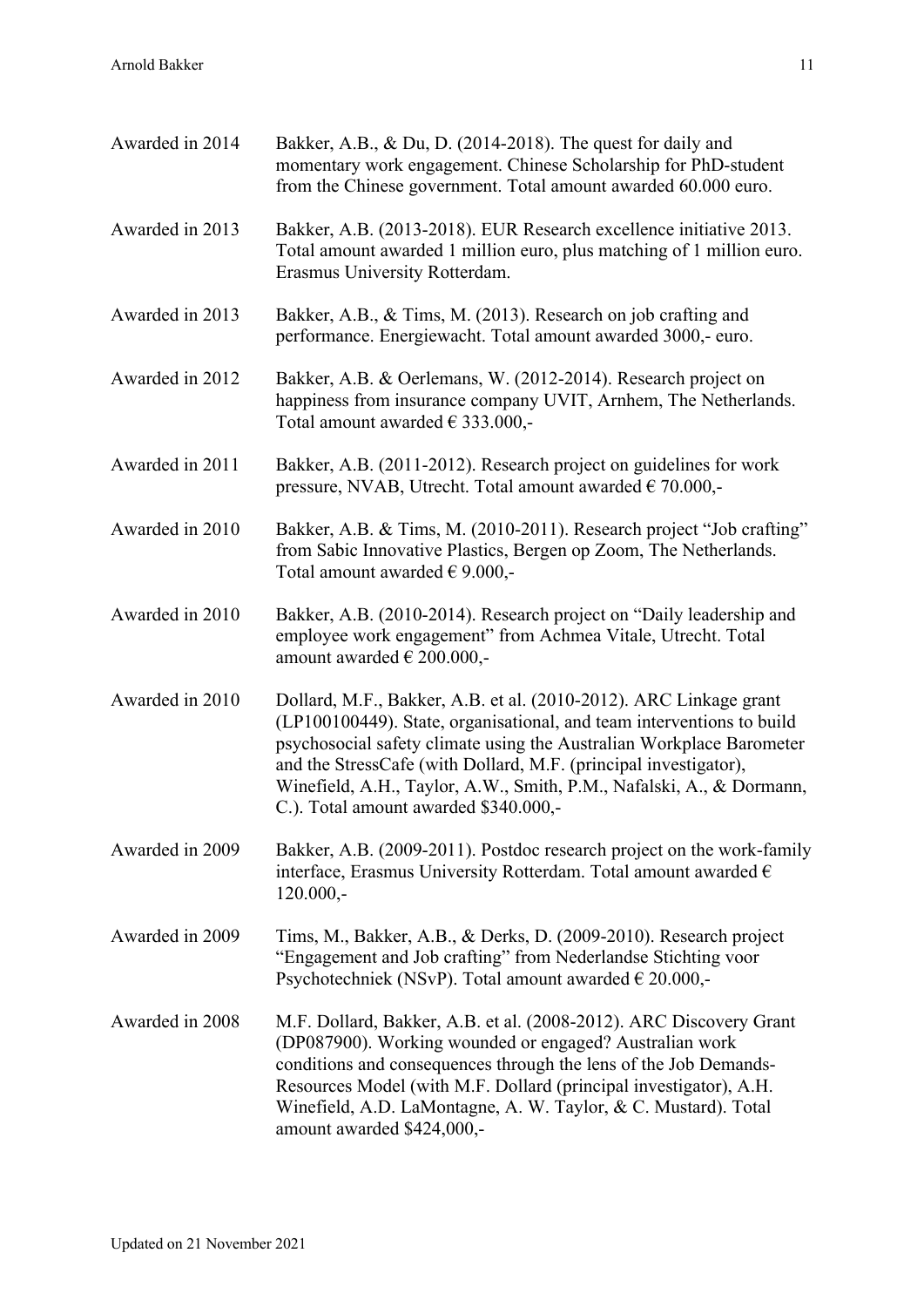| Awarded in 2014 | Bakker, A.B., & Du, D. (2014-2018). The quest for daily and<br>momentary work engagement. Chinese Scholarship for PhD-student<br>from the Chinese government. Total amount awarded 60.000 euro.                                                                                                                                                                                                         |
|-----------------|---------------------------------------------------------------------------------------------------------------------------------------------------------------------------------------------------------------------------------------------------------------------------------------------------------------------------------------------------------------------------------------------------------|
| Awarded in 2013 | Bakker, A.B. (2013-2018). EUR Research excellence initiative 2013.<br>Total amount awarded 1 million euro, plus matching of 1 million euro.<br>Erasmus University Rotterdam.                                                                                                                                                                                                                            |
| Awarded in 2013 | Bakker, A.B., & Tims, M. (2013). Research on job crafting and<br>performance. Energiewacht. Total amount awarded 3000,- euro.                                                                                                                                                                                                                                                                           |
| Awarded in 2012 | Bakker, A.B. & Oerlemans, W. (2012-2014). Research project on<br>happiness from insurance company UVIT, Arnhem, The Netherlands.<br>Total amount awarded $\in$ 333.000,-                                                                                                                                                                                                                                |
| Awarded in 2011 | Bakker, A.B. (2011-2012). Research project on guidelines for work<br>pressure, NVAB, Utrecht. Total amount awarded € 70.000,-                                                                                                                                                                                                                                                                           |
| Awarded in 2010 | Bakker, A.B. & Tims, M. (2010-2011). Research project "Job crafting"<br>from Sabic Innovative Plastics, Bergen op Zoom, The Netherlands.<br>Total amount awarded $\epsilon$ 9.000,-                                                                                                                                                                                                                     |
| Awarded in 2010 | Bakker, A.B. (2010-2014). Research project on "Daily leadership and<br>employee work engagement" from Achmea Vitale, Utrecht. Total<br>amount awarded $\in$ 200.000,-                                                                                                                                                                                                                                   |
| Awarded in 2010 | Dollard, M.F., Bakker, A.B. et al. (2010-2012). ARC Linkage grant<br>(LP100100449). State, organisational, and team interventions to build<br>psychosocial safety climate using the Australian Workplace Barometer<br>and the StressCafe (with Dollard, M.F. (principal investigator),<br>Winefield, A.H., Taylor, A.W., Smith, P.M., Nafalski, A., & Dormann,<br>C.). Total amount awarded \$340.000,- |
| Awarded in 2009 | Bakker, A.B. (2009-2011). Postdoc research project on the work-family<br>interface, Erasmus University Rotterdam. Total amount awarded $\epsilon$<br>$120.000,-$                                                                                                                                                                                                                                        |
| Awarded in 2009 | Tims, M., Bakker, A.B., & Derks, D. (2009-2010). Research project<br>"Engagement and Job crafting" from Nederlandse Stichting voor<br>Psychotechniek (NSvP). Total amount awarded $\in$ 20.000,-                                                                                                                                                                                                        |
| Awarded in 2008 | M.F. Dollard, Bakker, A.B. et al. (2008-2012). ARC Discovery Grant<br>(DP087900). Working wounded or engaged? Australian work<br>conditions and consequences through the lens of the Job Demands-<br>Resources Model (with M.F. Dollard (principal investigator), A.H.<br>Winefield, A.D. LaMontagne, A. W. Taylor, & C. Mustard). Total<br>amount awarded \$424,000,-                                  |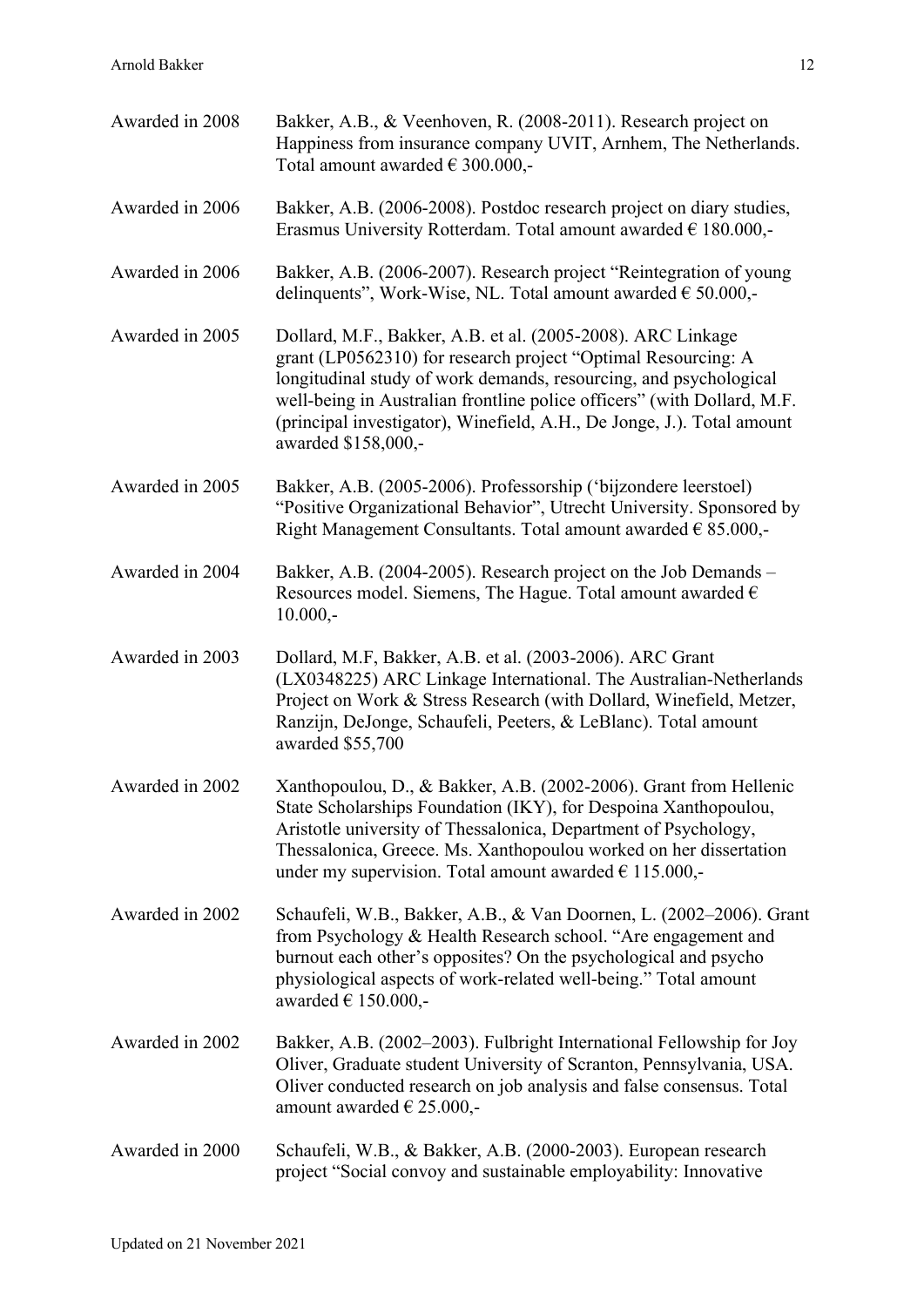| Awarded in 2008 | Bakker, A.B., & Veenhoven, R. (2008-2011). Research project on<br>Happiness from insurance company UVIT, Arnhem, The Netherlands.<br>Total amount awarded $\in$ 300.000,-                                                                                                                                                                                                     |
|-----------------|-------------------------------------------------------------------------------------------------------------------------------------------------------------------------------------------------------------------------------------------------------------------------------------------------------------------------------------------------------------------------------|
| Awarded in 2006 | Bakker, A.B. (2006-2008). Postdoc research project on diary studies,<br>Erasmus University Rotterdam. Total amount awarded $\epsilon$ 180.000,-                                                                                                                                                                                                                               |
| Awarded in 2006 | Bakker, A.B. (2006-2007). Research project "Reintegration of young<br>delinquents", Work-Wise, NL. Total amount awarded $\epsilon$ 50.000,-                                                                                                                                                                                                                                   |
| Awarded in 2005 | Dollard, M.F., Bakker, A.B. et al. (2005-2008). ARC Linkage<br>grant (LP0562310) for research project "Optimal Resourcing: A<br>longitudinal study of work demands, resourcing, and psychological<br>well-being in Australian frontline police officers" (with Dollard, M.F.<br>(principal investigator), Winefield, A.H., De Jonge, J.). Total amount<br>awarded \$158,000,- |
| Awarded in 2005 | Bakker, A.B. (2005-2006). Professorship ('bijzondere leerstoel)<br>"Positive Organizational Behavior", Utrecht University. Sponsored by<br>Right Management Consultants. Total amount awarded $\epsilon$ 85.000,-                                                                                                                                                             |
| Awarded in 2004 | Bakker, A.B. (2004-2005). Research project on the Job Demands -<br>Resources model. Siemens, The Hague. Total amount awarded $\epsilon$<br>$10.000,-$                                                                                                                                                                                                                         |
| Awarded in 2003 | Dollard, M.F, Bakker, A.B. et al. (2003-2006). ARC Grant<br>(LX0348225) ARC Linkage International. The Australian-Netherlands<br>Project on Work & Stress Research (with Dollard, Winefield, Metzer,<br>Ranzijn, DeJonge, Schaufeli, Peeters, & LeBlanc). Total amount<br>awarded \$55,700                                                                                    |
| Awarded in 2002 | Xanthopoulou, D., & Bakker, A.B. (2002-2006). Grant from Hellenic<br>State Scholarships Foundation (IKY), for Despoina Xanthopoulou,<br>Aristotle university of Thessalonica, Department of Psychology,<br>Thessalonica, Greece. Ms. Xanthopoulou worked on her dissertation<br>under my supervision. Total amount awarded $\epsilon$ 115.000,-                               |
| Awarded in 2002 | Schaufeli, W.B., Bakker, A.B., & Van Doornen, L. (2002–2006). Grant<br>from Psychology & Health Research school. "Are engagement and<br>burnout each other's opposites? On the psychological and psycho<br>physiological aspects of work-related well-being." Total amount<br>awarded $\in$ 150.000,-                                                                         |
| Awarded in 2002 | Bakker, A.B. (2002–2003). Fulbright International Fellowship for Joy<br>Oliver, Graduate student University of Scranton, Pennsylvania, USA.<br>Oliver conducted research on job analysis and false consensus. Total<br>amount awarded $\in$ 25.000,-                                                                                                                          |
| Awarded in 2000 | Schaufeli, W.B., & Bakker, A.B. (2000-2003). European research<br>project "Social convoy and sustainable employability: Innovative                                                                                                                                                                                                                                            |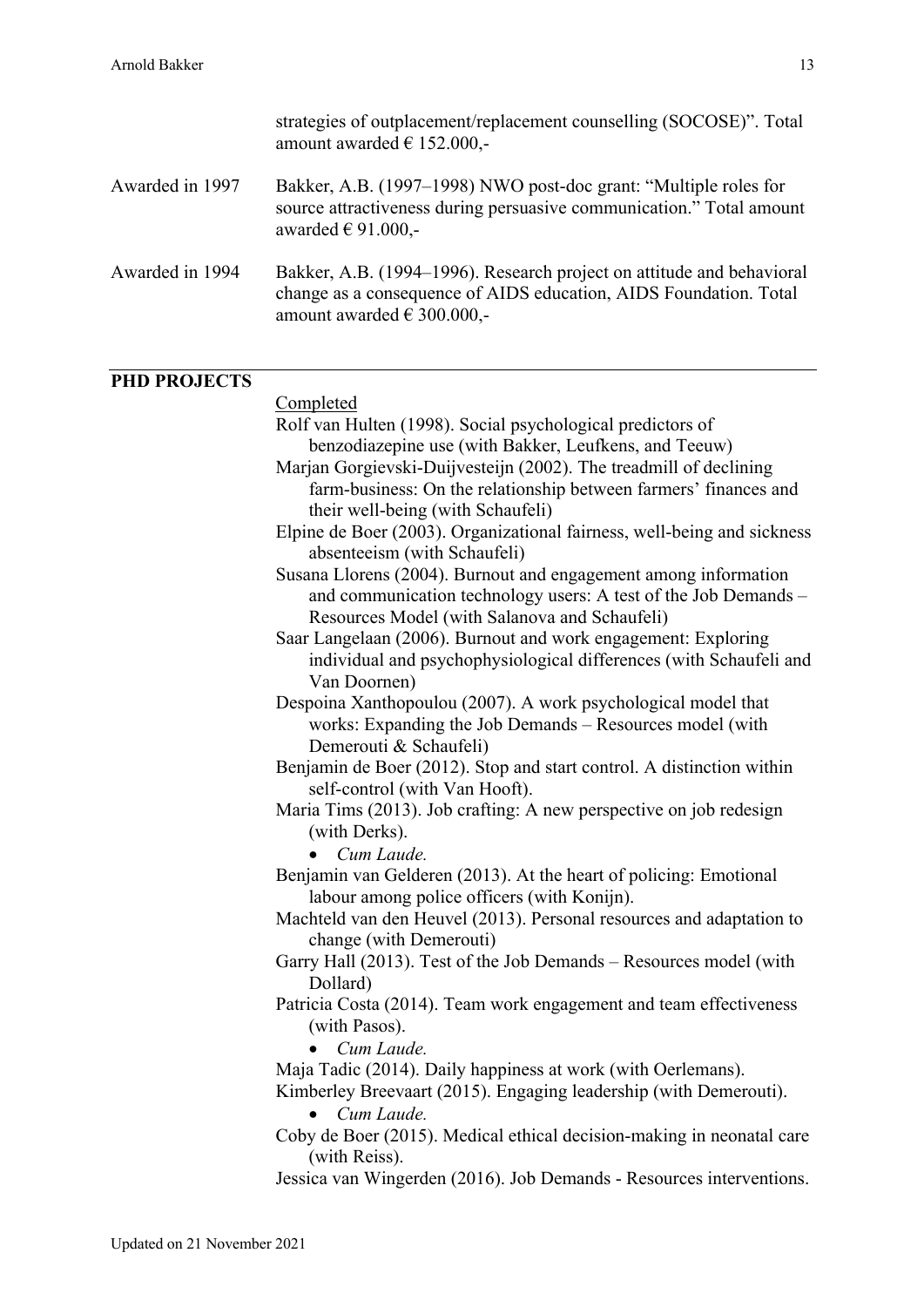|                     | strategies of outplacement/replacement counselling (SOCOSE)". Total<br>amount awarded $\in$ 152.000,-                                                                                                                                                                                                                                                                                                                                                                                                                                                                                                                                                                                                                                                                                                                                                                                                                                                                                                                                                                                                                                                                                                                                                                                                                                                                                                                                                                                                                                                                                                                                                                                                                                                                                                                                                                                          |
|---------------------|------------------------------------------------------------------------------------------------------------------------------------------------------------------------------------------------------------------------------------------------------------------------------------------------------------------------------------------------------------------------------------------------------------------------------------------------------------------------------------------------------------------------------------------------------------------------------------------------------------------------------------------------------------------------------------------------------------------------------------------------------------------------------------------------------------------------------------------------------------------------------------------------------------------------------------------------------------------------------------------------------------------------------------------------------------------------------------------------------------------------------------------------------------------------------------------------------------------------------------------------------------------------------------------------------------------------------------------------------------------------------------------------------------------------------------------------------------------------------------------------------------------------------------------------------------------------------------------------------------------------------------------------------------------------------------------------------------------------------------------------------------------------------------------------------------------------------------------------------------------------------------------------|
| Awarded in 1997     | Bakker, A.B. (1997–1998) NWO post-doc grant: "Multiple roles for<br>source attractiveness during persuasive communication." Total amount<br>awarded $\in$ 91.000,-                                                                                                                                                                                                                                                                                                                                                                                                                                                                                                                                                                                                                                                                                                                                                                                                                                                                                                                                                                                                                                                                                                                                                                                                                                                                                                                                                                                                                                                                                                                                                                                                                                                                                                                             |
| Awarded in 1994     | Bakker, A.B. (1994–1996). Research project on attitude and behavioral<br>change as a consequence of AIDS education, AIDS Foundation. Total<br>amount awarded $\in$ 300.000,-                                                                                                                                                                                                                                                                                                                                                                                                                                                                                                                                                                                                                                                                                                                                                                                                                                                                                                                                                                                                                                                                                                                                                                                                                                                                                                                                                                                                                                                                                                                                                                                                                                                                                                                   |
|                     |                                                                                                                                                                                                                                                                                                                                                                                                                                                                                                                                                                                                                                                                                                                                                                                                                                                                                                                                                                                                                                                                                                                                                                                                                                                                                                                                                                                                                                                                                                                                                                                                                                                                                                                                                                                                                                                                                                |
| <b>PHD PROJECTS</b> | Completed<br>Rolf van Hulten (1998). Social psychological predictors of<br>benzodiazepine use (with Bakker, Leufkens, and Teeuw)<br>Marjan Gorgievski-Duijvesteijn (2002). The treadmill of declining<br>farm-business: On the relationship between farmers' finances and<br>their well-being (with Schaufeli)<br>Elpine de Boer (2003). Organizational fairness, well-being and sickness<br>absenteeism (with Schaufeli)<br>Susana Llorens (2004). Burnout and engagement among information<br>and communication technology users: A test of the Job Demands -<br>Resources Model (with Salanova and Schaufeli)<br>Saar Langelaan (2006). Burnout and work engagement: Exploring<br>individual and psychophysiological differences (with Schaufeli and<br>Van Doornen)<br>Despoina Xanthopoulou (2007). A work psychological model that<br>works: Expanding the Job Demands – Resources model (with<br>Demerouti & Schaufeli)<br>Benjamin de Boer (2012). Stop and start control. A distinction within<br>self-control (with Van Hooft).<br>Maria Tims (2013). Job crafting: A new perspective on job redesign<br>(with Derks).<br>Cum Laude.<br>Benjamin van Gelderen (2013). At the heart of policing: Emotional<br>labour among police officers (with Konijn).<br>Machteld van den Heuvel (2013). Personal resources and adaptation to<br>change (with Demerouti)<br>Garry Hall (2013). Test of the Job Demands – Resources model (with<br>Dollard)<br>Patricia Costa (2014). Team work engagement and team effectiveness<br>(with Pasos).<br>Cum Laude.<br>Maja Tadic (2014). Daily happiness at work (with Oerlemans).<br>Kimberley Breevaart (2015). Engaging leadership (with Demerouti).<br>Cum Laude.<br>$\bullet$<br>Coby de Boer (2015). Medical ethical decision-making in neonatal care<br>(with Reiss).<br>Jessica van Wingerden (2016). Job Demands - Resources interventions. |
|                     |                                                                                                                                                                                                                                                                                                                                                                                                                                                                                                                                                                                                                                                                                                                                                                                                                                                                                                                                                                                                                                                                                                                                                                                                                                                                                                                                                                                                                                                                                                                                                                                                                                                                                                                                                                                                                                                                                                |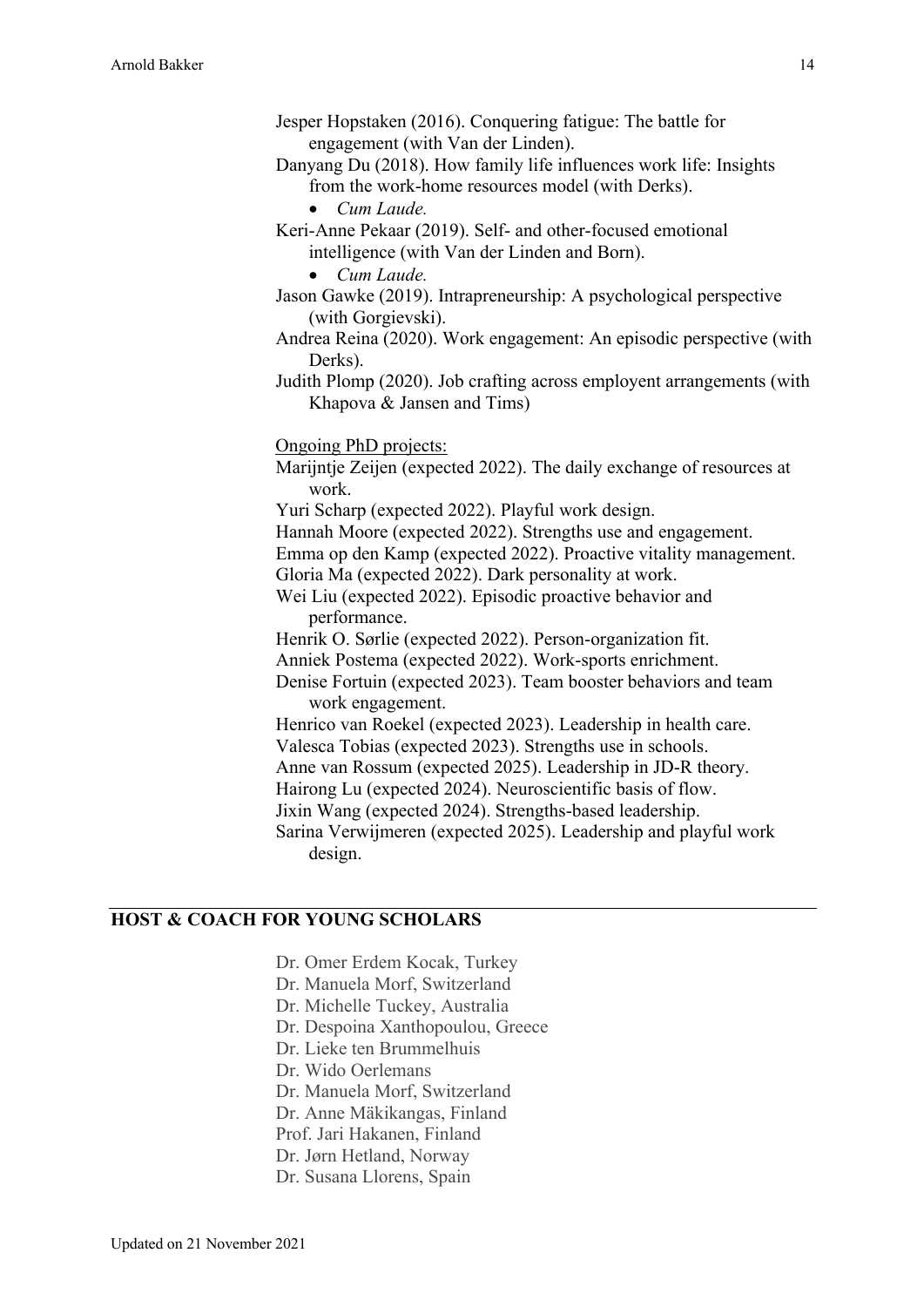- Jesper Hopstaken (2016). Conquering fatigue: The battle for engagement (with Van der Linden).
- Danyang Du (2018). How family life influences work life: Insights from the work-home resources model (with Derks).
	- *Cum Laude.*
- Keri-Anne Pekaar (2019). Self- and other-focused emotional intelligence (with Van der Linden and Born).
	- *Cum Laude.*
- Jason Gawke (2019). Intrapreneurship: A psychological perspective (with Gorgievski).
- Andrea Reina (2020). Work engagement: An episodic perspective (with Derks).
- Judith Plomp (2020). Job crafting across employent arrangements (with Khapova & Jansen and Tims)

Ongoing PhD projects:

- Marijntje Zeijen (expected 2022). The daily exchange of resources at work.
- Yuri Scharp (expected 2022). Playful work design.
- Hannah Moore (expected 2022). Strengths use and engagement.
- Emma op den Kamp (expected 2022). Proactive vitality management.
- Gloria Ma (expected 2022). Dark personality at work.
- Wei Liu (expected 2022). Episodic proactive behavior and performance.
- Henrik O. Sørlie (expected 2022). Person-organization fit.
- Anniek Postema (expected 2022). Work-sports enrichment.
- Denise Fortuin (expected 2023). Team booster behaviors and team work engagement.
- Henrico van Roekel (expected 2023). Leadership in health care. Valesca Tobias (expected 2023). Strengths use in schools. Anne van Rossum (expected 2025). Leadership in JD-R theory. Hairong Lu (expected 2024). Neuroscientific basis of flow.
- Jixin Wang (expected 2024). Strengths-based leadership.
- Sarina Verwijmeren (expected 2025). Leadership and playful work design.

#### **HOST & COACH FOR YOUNG SCHOLARS**

Dr. Omer Erdem Kocak, Turkey Dr. Manuela Morf, Switzerland Dr. Michelle Tuckey, Australia Dr. Despoina Xanthopoulou, Greece Dr. Lieke ten Brummelhuis Dr. Wido Oerlemans Dr. Manuela Morf, Switzerland Dr. Anne Mäkikangas, Finland Prof. Jari Hakanen, Finland Dr. Jørn Hetland, Norway Dr. Susana Llorens, Spain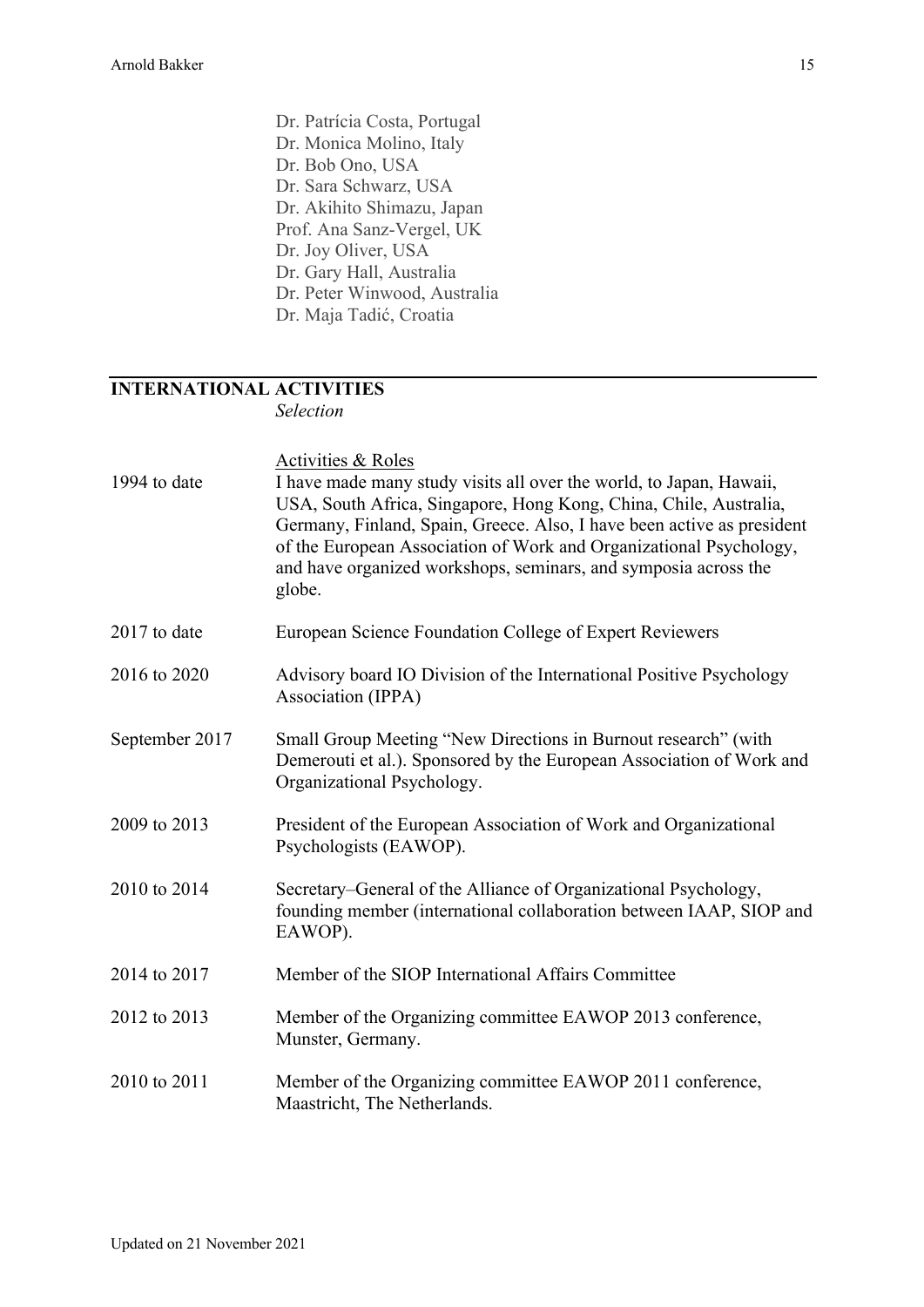Dr. Patrícia Costa, Portugal Dr. Monica Molino, Italy Dr. Bob Ono, USA Dr. Sara Schwarz, USA Dr. Akihito Shimazu, Japan Prof. Ana Sanz-Vergel, UK Dr. Joy Oliver, USA Dr. Gary Hall, Australia Dr. Peter Winwood, Australia Dr. Maja Tadić, Croatia

# **INTERNATIONAL ACTIVITIES**

*Selection*

| 1994 to date   | <b>Activities &amp; Roles</b><br>I have made many study visits all over the world, to Japan, Hawaii,<br>USA, South Africa, Singapore, Hong Kong, China, Chile, Australia,<br>Germany, Finland, Spain, Greece. Also, I have been active as president<br>of the European Association of Work and Organizational Psychology,<br>and have organized workshops, seminars, and symposia across the<br>globe. |
|----------------|--------------------------------------------------------------------------------------------------------------------------------------------------------------------------------------------------------------------------------------------------------------------------------------------------------------------------------------------------------------------------------------------------------|
| 2017 to date   | European Science Foundation College of Expert Reviewers                                                                                                                                                                                                                                                                                                                                                |
| 2016 to 2020   | Advisory board IO Division of the International Positive Psychology<br>Association (IPPA)                                                                                                                                                                                                                                                                                                              |
| September 2017 | Small Group Meeting "New Directions in Burnout research" (with<br>Demerouti et al.). Sponsored by the European Association of Work and<br>Organizational Psychology.                                                                                                                                                                                                                                   |
| 2009 to 2013   | President of the European Association of Work and Organizational<br>Psychologists (EAWOP).                                                                                                                                                                                                                                                                                                             |
| 2010 to 2014   | Secretary–General of the Alliance of Organizational Psychology,<br>founding member (international collaboration between IAAP, SIOP and<br>EAWOP).                                                                                                                                                                                                                                                      |
| 2014 to 2017   | Member of the SIOP International Affairs Committee                                                                                                                                                                                                                                                                                                                                                     |
| 2012 to 2013   | Member of the Organizing committee EAWOP 2013 conference,<br>Munster, Germany.                                                                                                                                                                                                                                                                                                                         |
| 2010 to 2011   | Member of the Organizing committee EAWOP 2011 conference,<br>Maastricht, The Netherlands.                                                                                                                                                                                                                                                                                                              |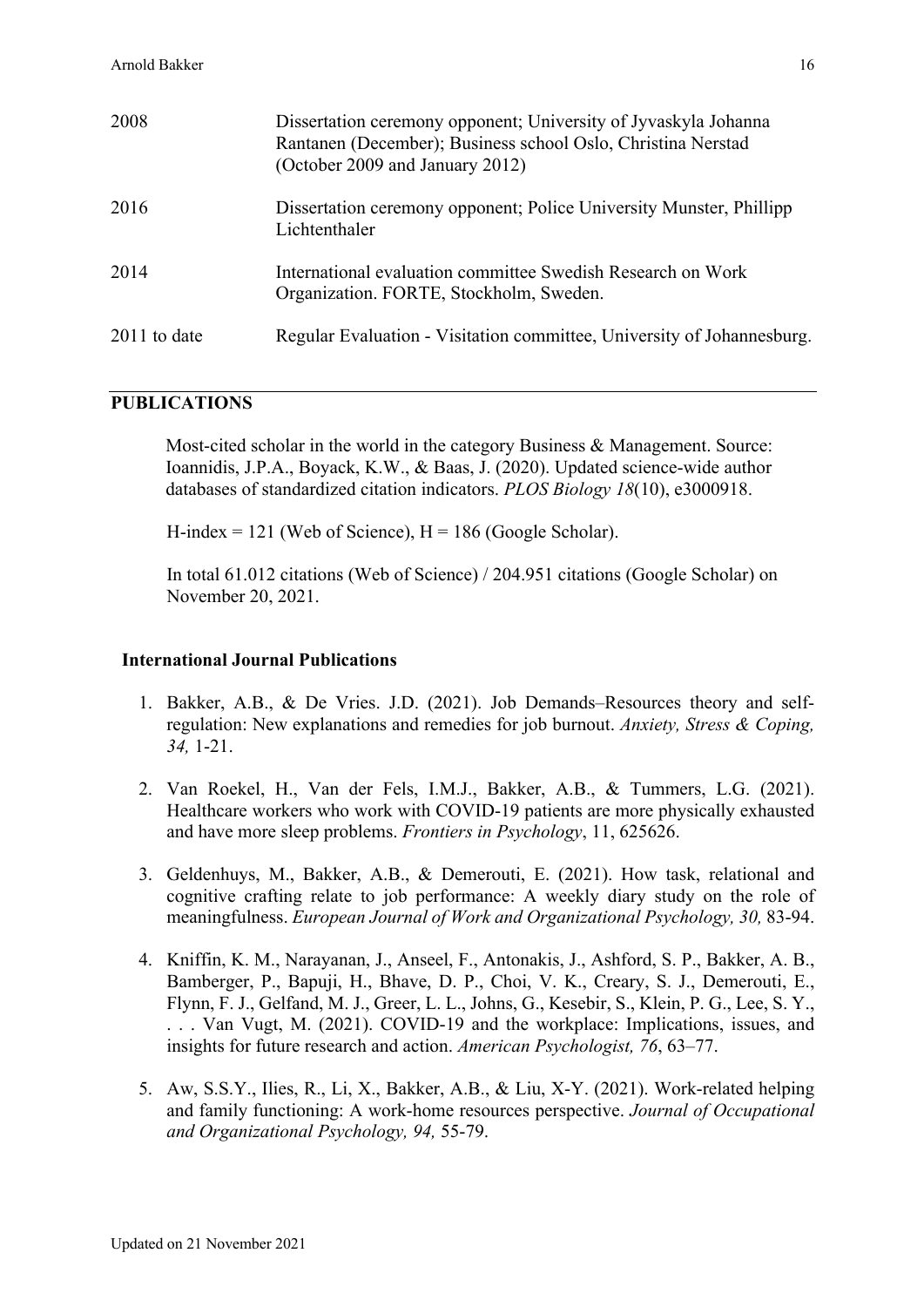| 2008           | Dissertation ceremony opponent; University of Jyvaskyla Johanna<br>Rantanen (December); Business school Oslo, Christina Nerstad<br>(October 2009 and January 2012) |
|----------------|--------------------------------------------------------------------------------------------------------------------------------------------------------------------|
| 2016           | Dissertation ceremony opponent; Police University Munster, Phillipp<br>Lichtenthaler                                                                               |
| 2014           | International evaluation committee Swedish Research on Work<br>Organization. FORTE, Stockholm, Sweden.                                                             |
| $2011$ to date | Regular Evaluation - Visitation committee, University of Johannesburg.                                                                                             |

## **PUBLICATIONS**

Most-cited scholar in the world in the category Business & Management. Source: Ioannidis, J.P.A., Boyack, K.W., & Baas, J. (2020). Updated science-wide author databases of standardized citation indicators. *PLOS Biology 18*(10), e3000918.

H-index  $= 121$  (Web of Science),  $H = 186$  (Google Scholar).

In total 61.012 citations (Web of Science) / 204.951 citations (Google Scholar) on November 20, 2021.

### **International Journal Publications**

- 1. Bakker, A.B., & De Vries. J.D. (2021). Job Demands–Resources theory and selfregulation: New explanations and remedies for job burnout. *Anxiety, Stress & Coping, 34,* 1-21.
- 2. Van Roekel, H., Van der Fels, I.M.J., Bakker, A.B., & Tummers, L.G. (2021). Healthcare workers who work with COVID-19 patients are more physically exhausted and have more sleep problems. *Frontiers in Psychology*, 11, 625626.
- 3. Geldenhuys, M., Bakker, A.B., & Demerouti, E. (2021). How task, relational and cognitive crafting relate to job performance: A weekly diary study on the role of meaningfulness. *European Journal of Work and Organizational Psychology, 30,* 83-94.
- 4. Kniffin, K. M., Narayanan, J., Anseel, F., Antonakis, J., Ashford, S. P., Bakker, A. B., Bamberger, P., Bapuji, H., Bhave, D. P., Choi, V. K., Creary, S. J., Demerouti, E., Flynn, F. J., Gelfand, M. J., Greer, L. L., Johns, G., Kesebir, S., Klein, P. G., Lee, S. Y., . . . Van Vugt, M. (2021). COVID-19 and the workplace: Implications, issues, and insights for future research and action. *American Psychologist, 76*, 63–77.
- 5. Aw, S.S.Y., Ilies, R., Li, X., Bakker, A.B., & Liu, X-Y. (2021). Work-related helping and family functioning: A work-home resources perspective. *Journal of Occupational and Organizational Psychology, 94,* 55-79.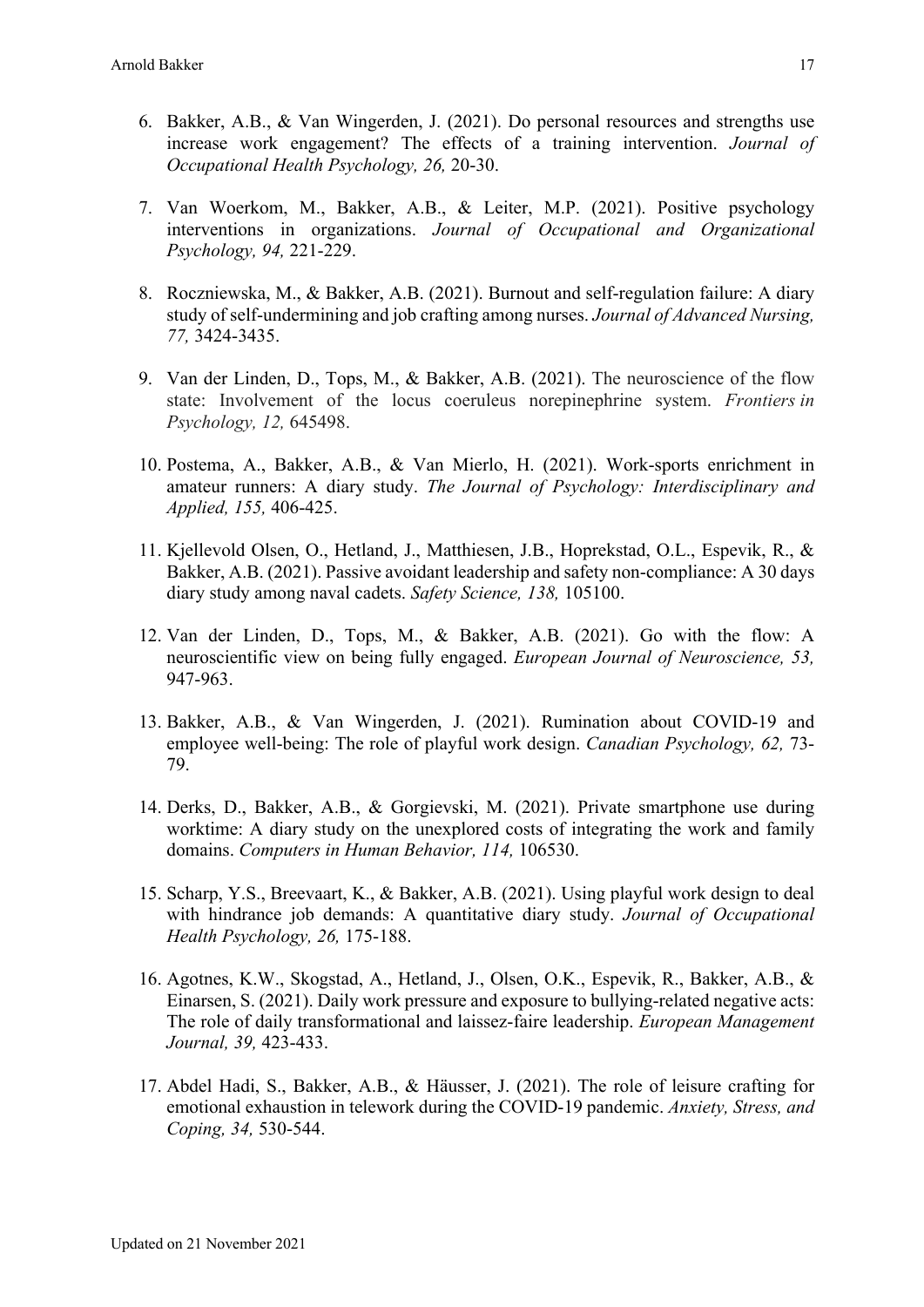- 6. Bakker, A.B., & Van Wingerden, J. (2021). Do personal resources and strengths use increase work engagement? The effects of a training intervention. *Journal of Occupational Health Psychology, 26,* 20-30.
- 7. Van Woerkom, M., Bakker, A.B., & Leiter, M.P. (2021). Positive psychology interventions in organizations. *Journal of Occupational and Organizational Psychology, 94,* 221-229.
- 8. Roczniewska, M., & Bakker, A.B. (2021). Burnout and self-regulation failure: A diary study of self-undermining and job crafting among nurses. *Journal of Advanced Nursing, 77,* 3424-3435.
- 9. Van der Linden, D., Tops, M., & Bakker, A.B. (2021). The neuroscience of the flow state: Involvement of the locus coeruleus norepinephrine system. *Frontiers in Psychology, 12,* 645498.
- 10. Postema, A., Bakker, A.B., & Van Mierlo, H. (2021). Work-sports enrichment in amateur runners: A diary study. *The Journal of Psychology: Interdisciplinary and Applied, 155,* 406-425.
- 11. Kjellevold Olsen, O., Hetland, J., Matthiesen, J.B., Hoprekstad, O.L., Espevik, R., & Bakker, A.B. (2021). Passive avoidant leadership and safety non-compliance: A 30 days diary study among naval cadets. *Safety Science, 138,* 105100.
- 12. Van der Linden, D., Tops, M., & Bakker, A.B. (2021). Go with the flow: A neuroscientific view on being fully engaged. *European Journal of Neuroscience, 53,* 947-963.
- 13. Bakker, A.B., & Van Wingerden, J. (2021). Rumination about COVID-19 and employee well-being: The role of playful work design. *Canadian Psychology, 62,* 73- 79.
- 14. Derks, D., Bakker, A.B., & Gorgievski, M. (2021). Private smartphone use during worktime: A diary study on the unexplored costs of integrating the work and family domains. *Computers in Human Behavior, 114,* 106530.
- 15. Scharp, Y.S., Breevaart, K., & Bakker, A.B. (2021). Using playful work design to deal with hindrance job demands: A quantitative diary study. *Journal of Occupational Health Psychology, 26,* 175-188.
- 16. Agotnes, K.W., Skogstad, A., Hetland, J., Olsen, O.K., Espevik, R., Bakker, A.B., & Einarsen, S. (2021). Daily work pressure and exposure to bullying-related negative acts: The role of daily transformational and laissez-faire leadership. *European Management Journal, 39,* 423-433.
- 17. Abdel Hadi, S., Bakker, A.B., & Häusser, J. (2021). The role of leisure crafting for emotional exhaustion in telework during the COVID-19 pandemic. *Anxiety, Stress, and Coping, 34,* 530-544.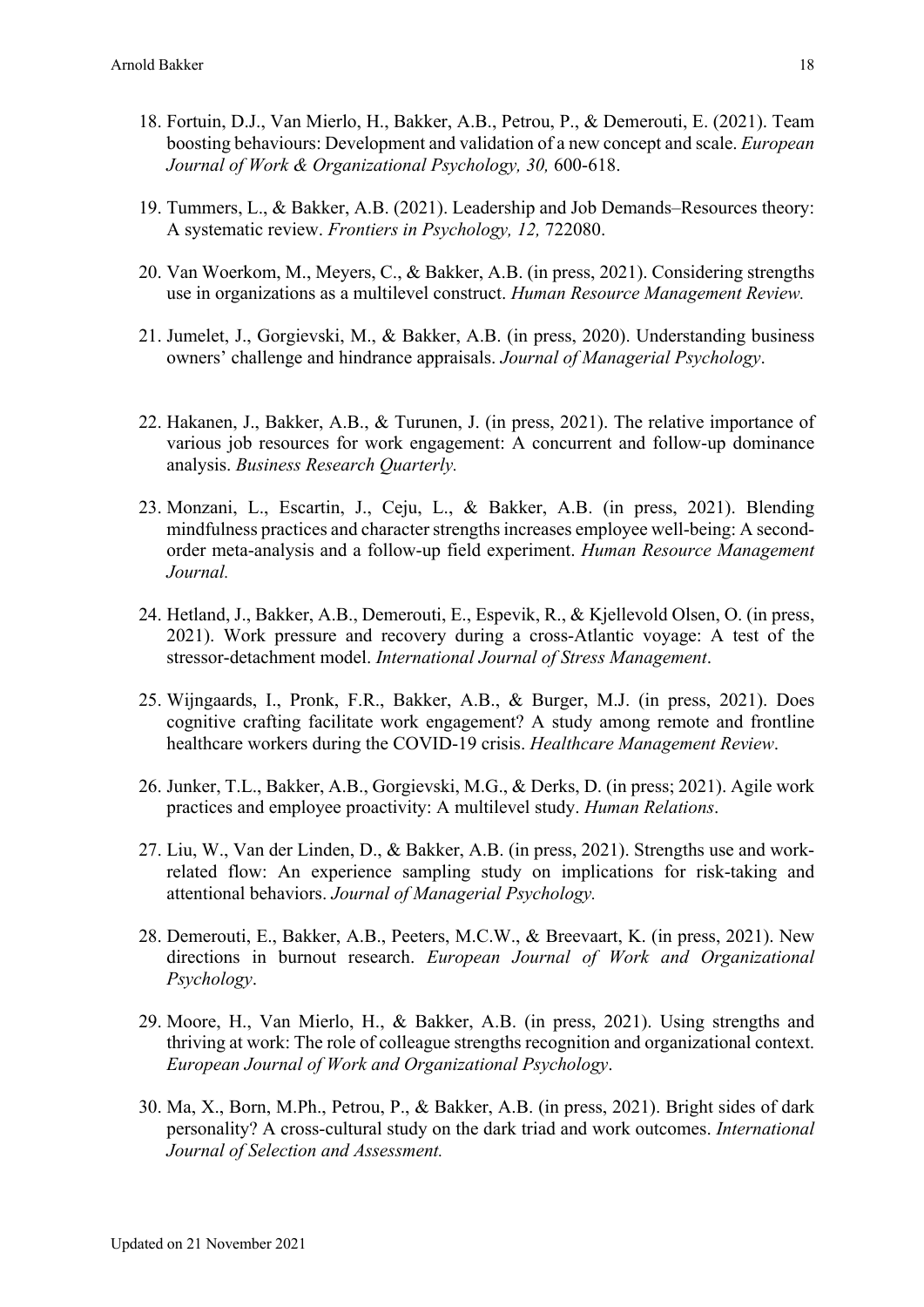- 18. Fortuin, D.J., Van Mierlo, H., Bakker, A.B., Petrou, P., & Demerouti, E. (2021). Team boosting behaviours: Development and validation of a new concept and scale. *European Journal of Work & Organizational Psychology, 30,* 600-618.
- 19. Tummers, L., & Bakker, A.B. (2021). Leadership and Job Demands–Resources theory: A systematic review. *Frontiers in Psychology, 12,* 722080.
- 20. Van Woerkom, M., Meyers, C., & Bakker, A.B. (in press, 2021). Considering strengths use in organizations as a multilevel construct. *Human Resource Management Review.*
- 21. Jumelet, J., Gorgievski, M., & Bakker, A.B. (in press, 2020). Understanding business owners' challenge and hindrance appraisals. *Journal of Managerial Psychology*.
- 22. Hakanen, J., Bakker, A.B., & Turunen, J. (in press, 2021). The relative importance of various job resources for work engagement: A concurrent and follow-up dominance analysis. *Business Research Quarterly.*
- 23. Monzani, L., Escartin, J., Ceju, L., & Bakker, A.B. (in press, 2021). Blending mindfulness practices and character strengths increases employee well-being: A secondorder meta-analysis and a follow-up field experiment. *Human Resource Management Journal.*
- 24. Hetland, J., Bakker, A.B., Demerouti, E., Espevik, R., & Kjellevold Olsen, O. (in press, 2021). Work pressure and recovery during a cross-Atlantic voyage: A test of the stressor-detachment model. *International Journal of Stress Management*.
- 25. Wijngaards, I., Pronk, F.R., Bakker, A.B., & Burger, M.J. (in press, 2021). Does cognitive crafting facilitate work engagement? A study among remote and frontline healthcare workers during the COVID-19 crisis. *Healthcare Management Review*.
- 26. Junker, T.L., Bakker, A.B., Gorgievski, M.G., & Derks, D. (in press; 2021). Agile work practices and employee proactivity: A multilevel study. *Human Relations*.
- 27. Liu, W., Van der Linden, D., & Bakker, A.B. (in press, 2021). Strengths use and workrelated flow: An experience sampling study on implications for risk-taking and attentional behaviors. *Journal of Managerial Psychology.*
- 28. Demerouti, E., Bakker, A.B., Peeters, M.C.W., & Breevaart, K. (in press, 2021). New directions in burnout research. *European Journal of Work and Organizational Psychology*.
- 29. Moore, H., Van Mierlo, H., & Bakker, A.B. (in press, 2021). Using strengths and thriving at work: The role of colleague strengths recognition and organizational context. *European Journal of Work and Organizational Psychology*.
- 30. Ma, X., Born, M.Ph., Petrou, P., & Bakker, A.B. (in press, 2021). Bright sides of dark personality? A cross-cultural study on the dark triad and work outcomes. *International Journal of Selection and Assessment.*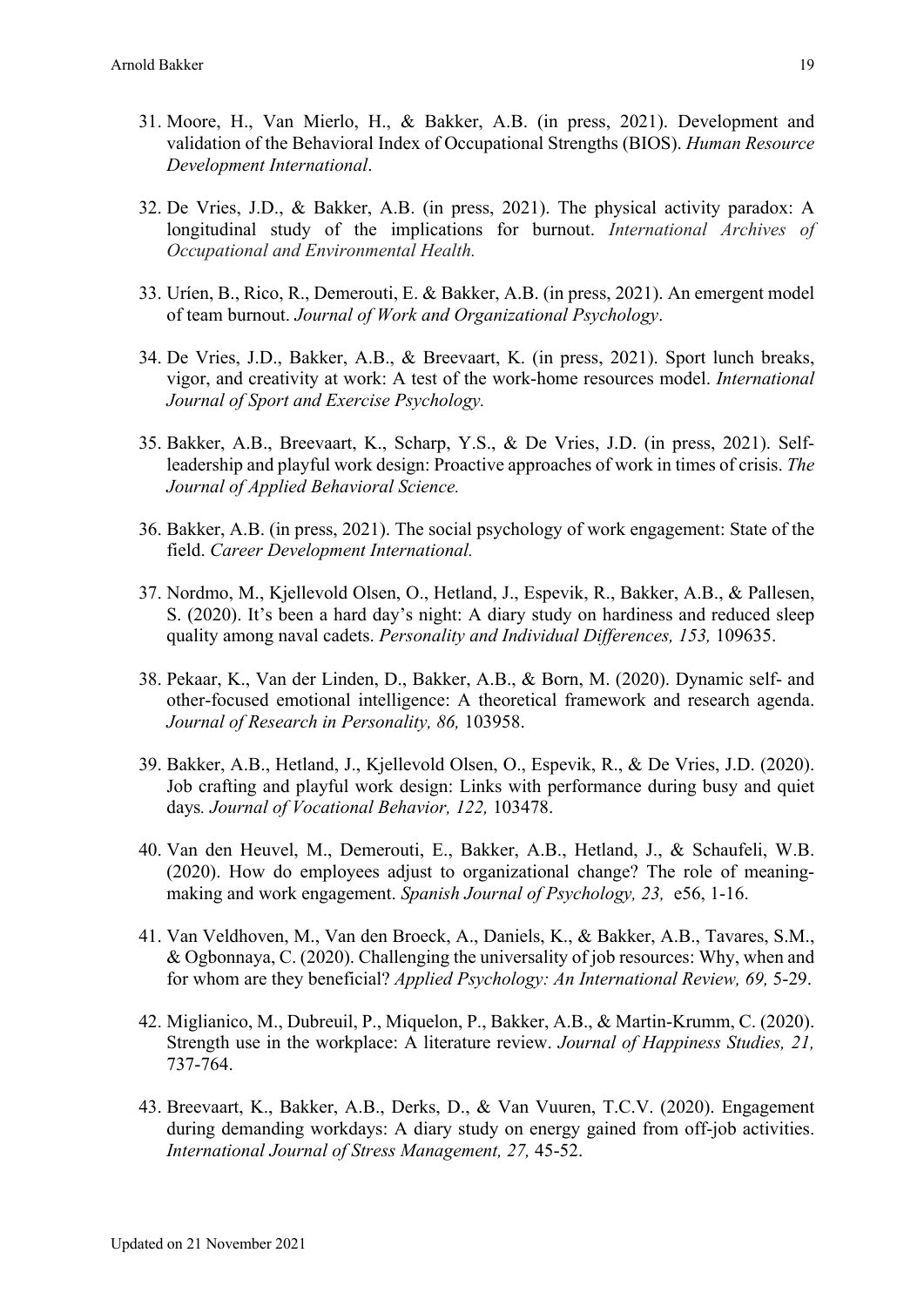- 31. Moore, H., Van Mierlo, H., & Bakker, A.B. (in press, 2021). Development and validation of the Behavioral Index of Occupational Strengths (BIOS). *Human Resource Development International*.
- 32. De Vries, J.D., & Bakker, A.B. (in press, 2021). The physical activity paradox: A longitudinal study of the implications for burnout. *International Archives of Occupational and Environmental Health.*
- 33. Uríen, B., Rico, R., Demerouti, E. & Bakker, A.B. (in press, 2021). An emergent model of team burnout. *Journal of Work and Organizational Psychology*.
- 34. De Vries, J.D., Bakker, A.B., & Breevaart, K. (in press, 2021). Sport lunch breaks, vigor, and creativity at work: A test of the work-home resources model. *International Journal of Sport and Exercise Psychology.*
- 35. Bakker, A.B., Breevaart, K., Scharp, Y.S., & De Vries, J.D. (in press, 2021). Selfleadership and playful work design: Proactive approaches of work in times of crisis. *The Journal of Applied Behavioral Science.*
- 36. Bakker, A.B. (in press, 2021). The social psychology of work engagement: State of the field. *Career Development International.*
- 37. Nordmo, M., Kjellevold Olsen, O., Hetland, J., Espevik, R., Bakker, A.B., & Pallesen, S. (2020). It's been a hard day's night: A diary study on hardiness and reduced sleep quality among naval cadets. *Personality and Individual Differences, 153,* 109635.
- 38. Pekaar, K., Van der Linden, D., Bakker, A.B., & Born, M. (2020). Dynamic self- and other-focused emotional intelligence: A theoretical framework and research agenda. *Journal of Research in Personality, 86,* 103958.
- 39. Bakker, A.B., Hetland, J., Kjellevold Olsen, O., Espevik, R., & De Vries, J.D. (2020). Job crafting and playful work design: Links with performance during busy and quiet days*. Journal of Vocational Behavior, 122,* 103478.
- 40. Van den Heuvel, M., Demerouti, E., Bakker, A.B., Hetland, J., & Schaufeli, W.B. (2020). How do employees adjust to organizational change? The role of meaningmaking and work engagement. *Spanish Journal of Psychology, 23,* e56, 1-16.
- 41. Van Veldhoven, M., Van den Broeck, A., Daniels, K., & Bakker, A.B., Tavares, S.M., & Ogbonnaya, C. (2020). Challenging the universality of job resources: Why, when and for whom are they beneficial? *Applied Psychology: An International Review, 69,* 5-29.
- 42. Miglianico, M., Dubreuil, P., Miquelon, P., Bakker, A.B., & Martin-Krumm, C. (2020). Strength use in the workplace: A literature review. *Journal of Happiness Studies, 21,*  737-764.
- 43. Breevaart, K., Bakker, A.B., Derks, D., & Van Vuuren, T.C.V. (2020). Engagement during demanding workdays: A diary study on energy gained from off-job activities. *International Journal of Stress Management, 27,* 45-52.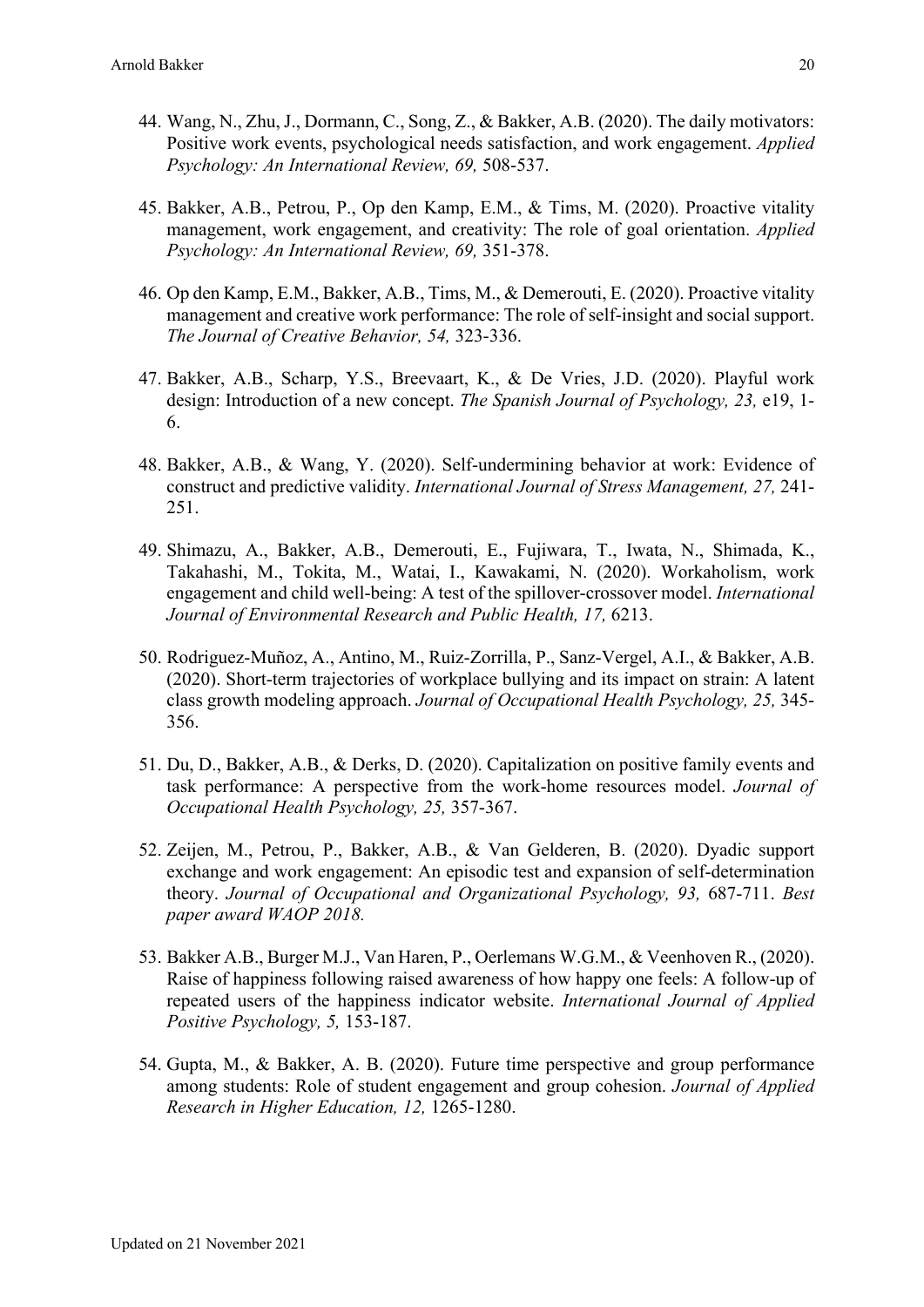- 44. Wang, N., Zhu, J., Dormann, C., Song, Z., & Bakker, A.B. (2020). The daily motivators: Positive work events, psychological needs satisfaction, and work engagement. *Applied Psychology: An International Review, 69,* 508-537.
- 45. Bakker, A.B., Petrou, P., Op den Kamp, E.M., & Tims, M. (2020). Proactive vitality management, work engagement, and creativity: The role of goal orientation. *Applied Psychology: An International Review, 69,* 351-378.
- 46. Op den Kamp, E.M., Bakker, A.B., Tims, M., & Demerouti, E. (2020). Proactive vitality management and creative work performance: The role of self-insight and social support. *The Journal of Creative Behavior, 54,* 323-336.
- 47. Bakker, A.B., Scharp, Y.S., Breevaart, K., & De Vries, J.D. (2020). Playful work design: Introduction of a new concept. *The Spanish Journal of Psychology, 23,* e19, 1- 6.
- 48. Bakker, A.B., & Wang, Y. (2020). Self-undermining behavior at work: Evidence of construct and predictive validity. *International Journal of Stress Management, 27,* 241- 251.
- 49. Shimazu, A., Bakker, A.B., Demerouti, E., Fujiwara, T., Iwata, N., Shimada, K., Takahashi, M., Tokita, M., Watai, I., Kawakami, N. (2020). Workaholism, work engagement and child well-being: A test of the spillover-crossover model. *International Journal of Environmental Research and Public Health, 17,* 6213.
- 50. Rodriguez-Muñoz, A., Antino, M., Ruiz-Zorrilla, P., Sanz-Vergel, A.I., & Bakker, A.B. (2020). Short-term trajectories of workplace bullying and its impact on strain: A latent class growth modeling approach. *Journal of Occupational Health Psychology, 25,* 345- 356.
- 51. Du, D., Bakker, A.B., & Derks, D. (2020). Capitalization on positive family events and task performance: A perspective from the work-home resources model. *Journal of Occupational Health Psychology, 25,* 357-367.
- 52. Zeijen, M., Petrou, P., Bakker, A.B., & Van Gelderen, B. (2020). Dyadic support exchange and work engagement: An episodic test and expansion of self-determination theory. *Journal of Occupational and Organizational Psychology, 93,* 687-711. *Best paper award WAOP 2018.*
- 53. Bakker A.B., Burger M.J., Van Haren, P., Oerlemans W.G.M., & Veenhoven R., (2020). Raise of happiness following raised awareness of how happy one feels: A follow-up of repeated users of the happiness indicator website. *International Journal of Applied Positive Psychology, 5,* 153-187.
- 54. Gupta, M., & Bakker, A. B. (2020). Future time perspective and group performance among students: Role of student engagement and group cohesion. *Journal of Applied Research in Higher Education, 12,* 1265-1280.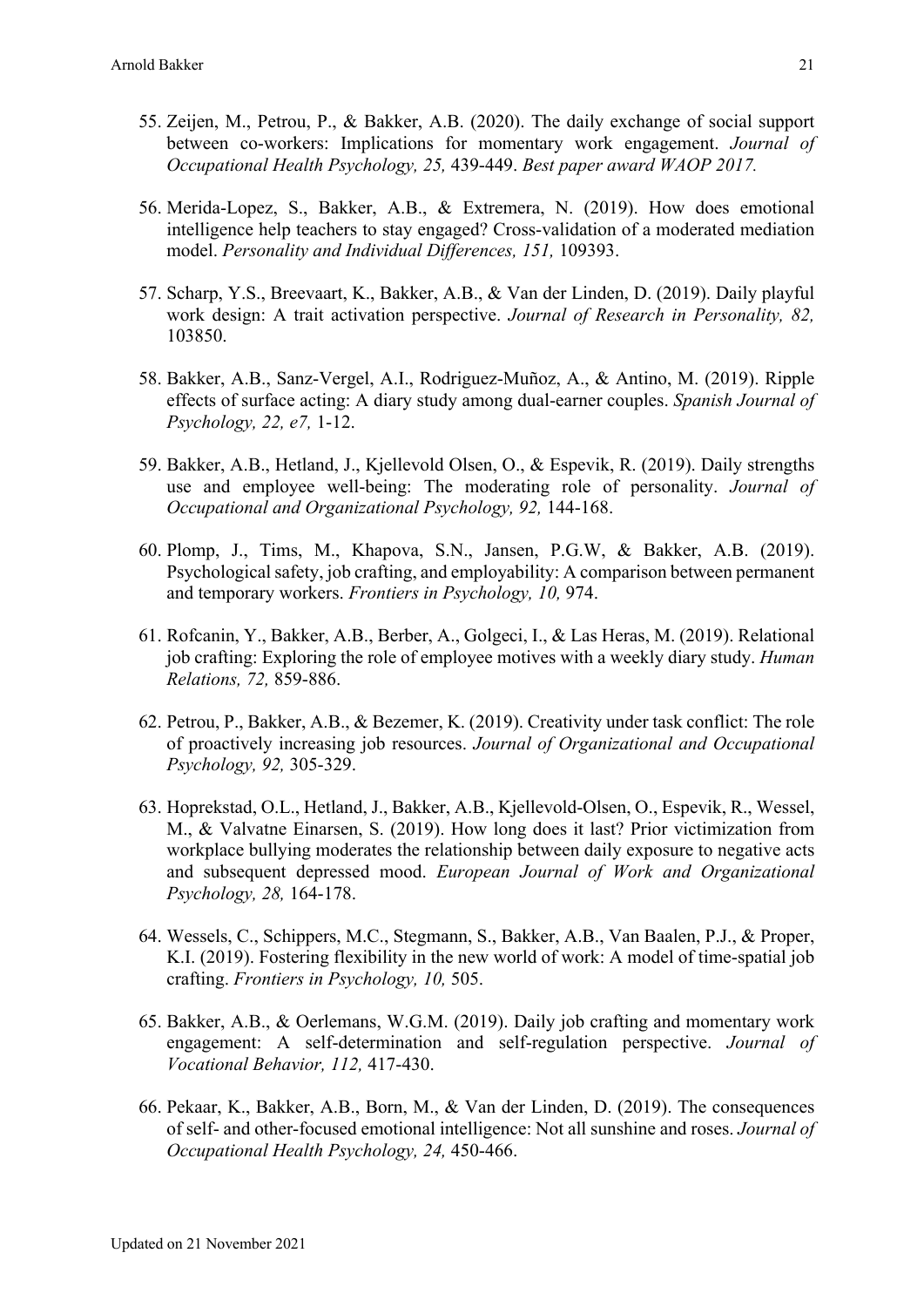- 55. Zeijen, M., Petrou, P., & Bakker, A.B. (2020). The daily exchange of social support between co-workers: Implications for momentary work engagement. *Journal of Occupational Health Psychology, 25,* 439-449. *Best paper award WAOP 2017.*
- 56. Merida-Lopez, S., Bakker, A.B., & Extremera, N. (2019). How does emotional intelligence help teachers to stay engaged? Cross-validation of a moderated mediation model. *Personality and Individual Differences, 151,* 109393.
- 57. Scharp, Y.S., Breevaart, K., Bakker, A.B., & Van der Linden, D. (2019). Daily playful work design: A trait activation perspective. *Journal of Research in Personality, 82,*  103850.
- 58. Bakker, A.B., Sanz-Vergel, A.I., Rodriguez-Muñoz, A., & Antino, M. (2019). Ripple effects of surface acting: A diary study among dual-earner couples. *Spanish Journal of Psychology, 22, e7,* 1-12.
- 59. Bakker, A.B., Hetland, J., Kjellevold Olsen, O., & Espevik, R. (2019). Daily strengths use and employee well-being: The moderating role of personality. *Journal of Occupational and Organizational Psychology, 92,* 144-168.
- 60. Plomp, J., Tims, M., Khapova, S.N., Jansen, P.G.W, & Bakker, A.B. (2019). Psychological safety, job crafting, and employability: A comparison between permanent and temporary workers. *Frontiers in Psychology, 10,* 974.
- 61. Rofcanin, Y., Bakker, A.B., Berber, A., Golgeci, I., & Las Heras, M. (2019). Relational job crafting: Exploring the role of employee motives with a weekly diary study. *Human Relations, 72,* 859-886.
- 62. Petrou, P., Bakker, A.B., & Bezemer, K. (2019). Creativity under task conflict: The role of proactively increasing job resources. *Journal of Organizational and Occupational Psychology, 92,* 305-329.
- 63. Hoprekstad, O.L., Hetland, J., Bakker, A.B., Kjellevold-Olsen, O., Espevik, R., Wessel, M., & Valvatne Einarsen, S. (2019). How long does it last? Prior victimization from workplace bullying moderates the relationship between daily exposure to negative acts and subsequent depressed mood. *European Journal of Work and Organizational Psychology, 28,* 164-178.
- 64. Wessels, C., Schippers, M.C., Stegmann, S., Bakker, A.B., Van Baalen, P.J., & Proper, K.I. (2019). Fostering flexibility in the new world of work: A model of time-spatial job crafting. *Frontiers in Psychology, 10,* 505.
- 65. Bakker, A.B., & Oerlemans, W.G.M. (2019). Daily job crafting and momentary work engagement: A self-determination and self-regulation perspective. *Journal of Vocational Behavior, 112,* 417-430.
- 66. Pekaar, K., Bakker, A.B., Born, M., & Van der Linden, D. (2019). The consequences of self- and other-focused emotional intelligence: Not all sunshine and roses. *Journal of Occupational Health Psychology, 24,* 450-466.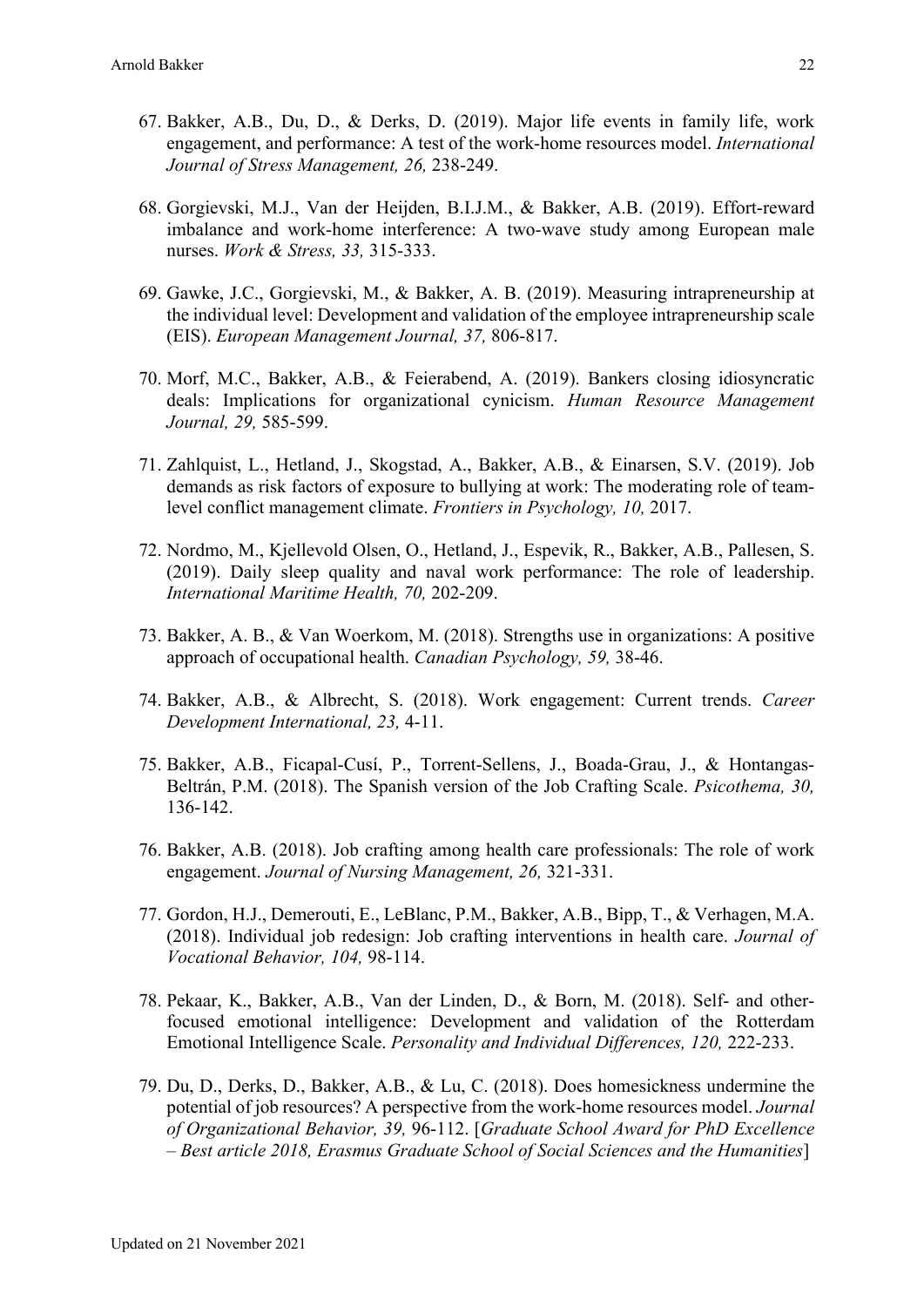- 67. Bakker, A.B., Du, D., & Derks, D. (2019). Major life events in family life, work engagement, and performance: A test of the work-home resources model. *International Journal of Stress Management, 26,* 238-249.
- 68. Gorgievski, M.J., Van der Heijden, B.I.J.M., & Bakker, A.B. (2019). Effort-reward imbalance and work-home interference: A two-wave study among European male nurses. *Work & Stress, 33,* 315-333.
- 69. Gawke, J.C., Gorgievski, M., & Bakker, A. B. (2019). Measuring intrapreneurship at the individual level: Development and validation of the employee intrapreneurship scale (EIS). *European Management Journal, 37,* 806-817.
- 70. Morf, M.C., Bakker, A.B., & Feierabend, A. (2019). Bankers closing idiosyncratic deals: Implications for organizational cynicism. *Human Resource Management Journal, 29,* 585-599.
- 71. Zahlquist, L., Hetland, J., Skogstad, A., Bakker, A.B., & Einarsen, S.V. (2019). Job demands as risk factors of exposure to bullying at work: The moderating role of teamlevel conflict management climate. *Frontiers in Psychology, 10,* 2017.
- 72. Nordmo, M., Kjellevold Olsen, O., Hetland, J., Espevik, R., Bakker, A.B., Pallesen, S. (2019). Daily sleep quality and naval work performance: The role of leadership. *International Maritime Health, 70,* 202-209.
- 73. Bakker, A. B., & Van Woerkom, M. (2018). Strengths use in organizations: A positive approach of occupational health. *Canadian Psychology, 59,* 38-46.
- 74. Bakker, A.B., & Albrecht, S. (2018). Work engagement: Current trends. *Career Development International, 23,* 4-11.
- 75. Bakker, A.B., Ficapal-Cusí, P., Torrent-Sellens, J., Boada-Grau, J., & Hontangas-Beltrán, P.M. (2018). The Spanish version of the Job Crafting Scale. *Psicothema, 30,* 136-142.
- 76. Bakker, A.B. (2018). Job crafting among health care professionals: The role of work engagement. *Journal of Nursing Management, 26,* 321-331.
- 77. Gordon, H.J., Demerouti, E., LeBlanc, P.M., Bakker, A.B., Bipp, T., & Verhagen, M.A. (2018). Individual job redesign: Job crafting interventions in health care. *Journal of Vocational Behavior, 104,* 98-114.
- 78. Pekaar, K., Bakker, A.B., Van der Linden, D., & Born, M. (2018). Self- and otherfocused emotional intelligence: Development and validation of the Rotterdam Emotional Intelligence Scale. *Personality and Individual Differences, 120,* 222-233.
- 79. Du, D., Derks, D., Bakker, A.B., & Lu, C. (2018). Does homesickness undermine the potential of job resources? A perspective from the work-home resources model. *Journal of Organizational Behavior, 39,* 96-112. [*Graduate School Award for PhD Excellence – Best article 2018, Erasmus Graduate School of Social Sciences and the Humanities*]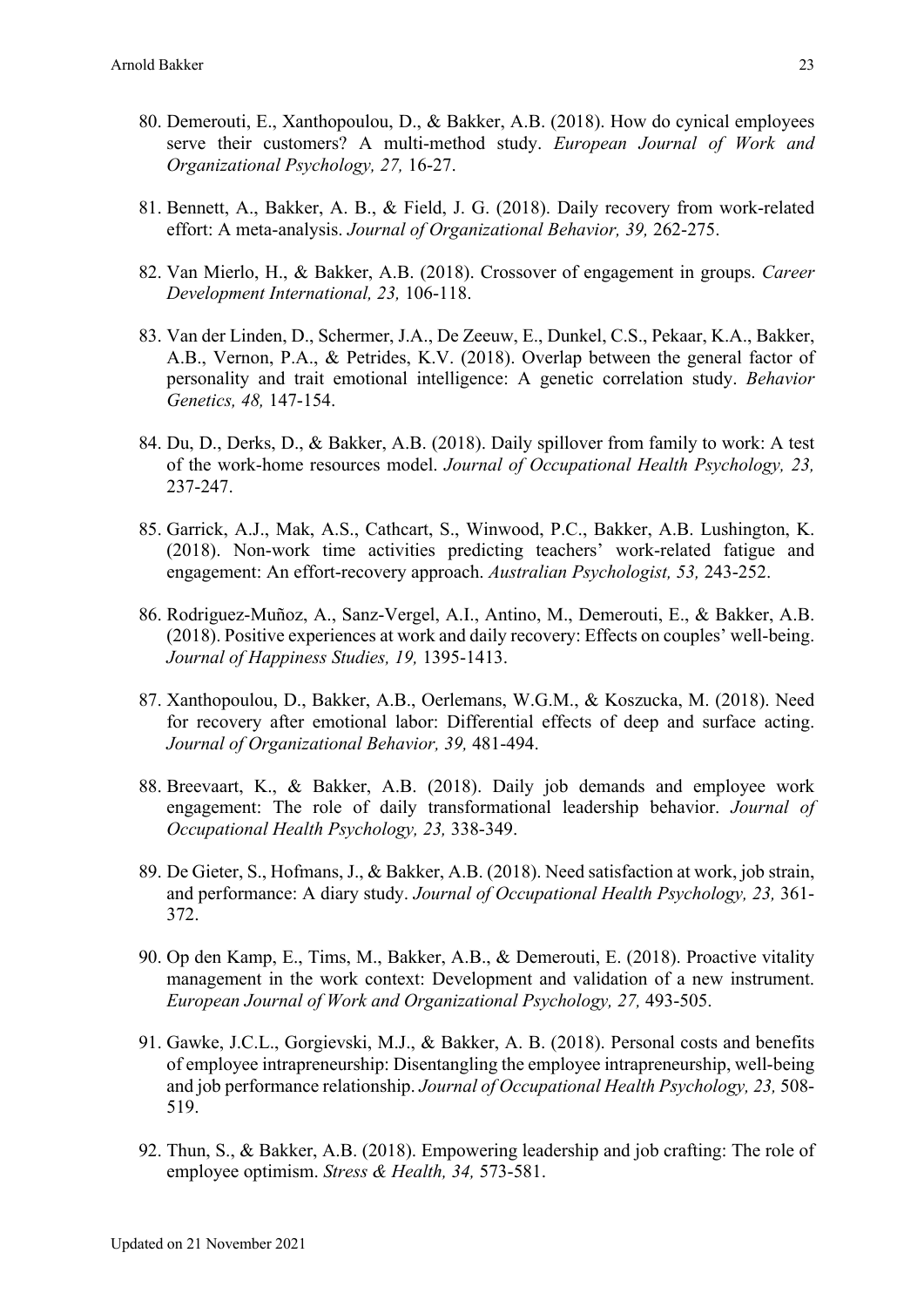- 80. Demerouti, E., Xanthopoulou, D., & Bakker, A.B. (2018). How do cynical employees serve their customers? A multi-method study. *European Journal of Work and Organizational Psychology, 27,* 16-27.
- 81. Bennett, A., Bakker, A. B., & Field, J. G. (2018). Daily recovery from work-related effort: A meta-analysis. *Journal of Organizational Behavior, 39,* 262-275.
- 82. Van Mierlo, H., & Bakker, A.B. (2018). Crossover of engagement in groups. *Career Development International, 23,* 106-118.
- 83. Van der Linden, D., Schermer, J.A., De Zeeuw, E., Dunkel, C.S., Pekaar, K.A., Bakker, A.B., Vernon, P.A., & Petrides, K.V. (2018). Overlap between the general factor of personality and trait emotional intelligence: A genetic correlation study. *Behavior Genetics, 48,* 147-154.
- 84. Du, D., Derks, D., & Bakker, A.B. (2018). Daily spillover from family to work: A test of the work-home resources model. *Journal of Occupational Health Psychology, 23,* 237-247.
- 85. Garrick, A.J., Mak, A.S., Cathcart, S., Winwood, P.C., Bakker, A.B. Lushington, K. (2018). Non-work time activities predicting teachers' work-related fatigue and engagement: An effort-recovery approach. *Australian Psychologist, 53,* 243-252.
- 86. Rodriguez-Muñoz, A., Sanz-Vergel, A.I., Antino, M., Demerouti, E., & Bakker, A.B. (2018). Positive experiences at work and daily recovery: Effects on couples' well-being. *Journal of Happiness Studies, 19,* 1395-1413.
- 87. Xanthopoulou, D., Bakker, A.B., Oerlemans, W.G.M., & Koszucka, M. (2018). Need for recovery after emotional labor: Differential effects of deep and surface acting. *Journal of Organizational Behavior, 39,* 481-494.
- 88. Breevaart, K., & Bakker, A.B. (2018). Daily job demands and employee work engagement: The role of daily transformational leadership behavior. *Journal of Occupational Health Psychology, 23,* 338-349.
- 89. De Gieter, S., Hofmans, J., & Bakker, A.B. (2018). Need satisfaction at work, job strain, and performance: A diary study. *Journal of Occupational Health Psychology, 23,* 361- 372.
- 90. Op den Kamp, E., Tims, M., Bakker, A.B., & Demerouti, E. (2018). Proactive vitality management in the work context: Development and validation of a new instrument. *European Journal of Work and Organizational Psychology, 27,* 493-505.
- 91. Gawke, J.C.L., Gorgievski, M.J., & Bakker, A. B. (2018). Personal costs and benefits of employee intrapreneurship: Disentangling the employee intrapreneurship, well-being and job performance relationship. *Journal of Occupational Health Psychology, 23,* 508- 519.
- 92. Thun, S., & Bakker, A.B. (2018). Empowering leadership and job crafting: The role of employee optimism. *Stress & Health, 34,* 573-581.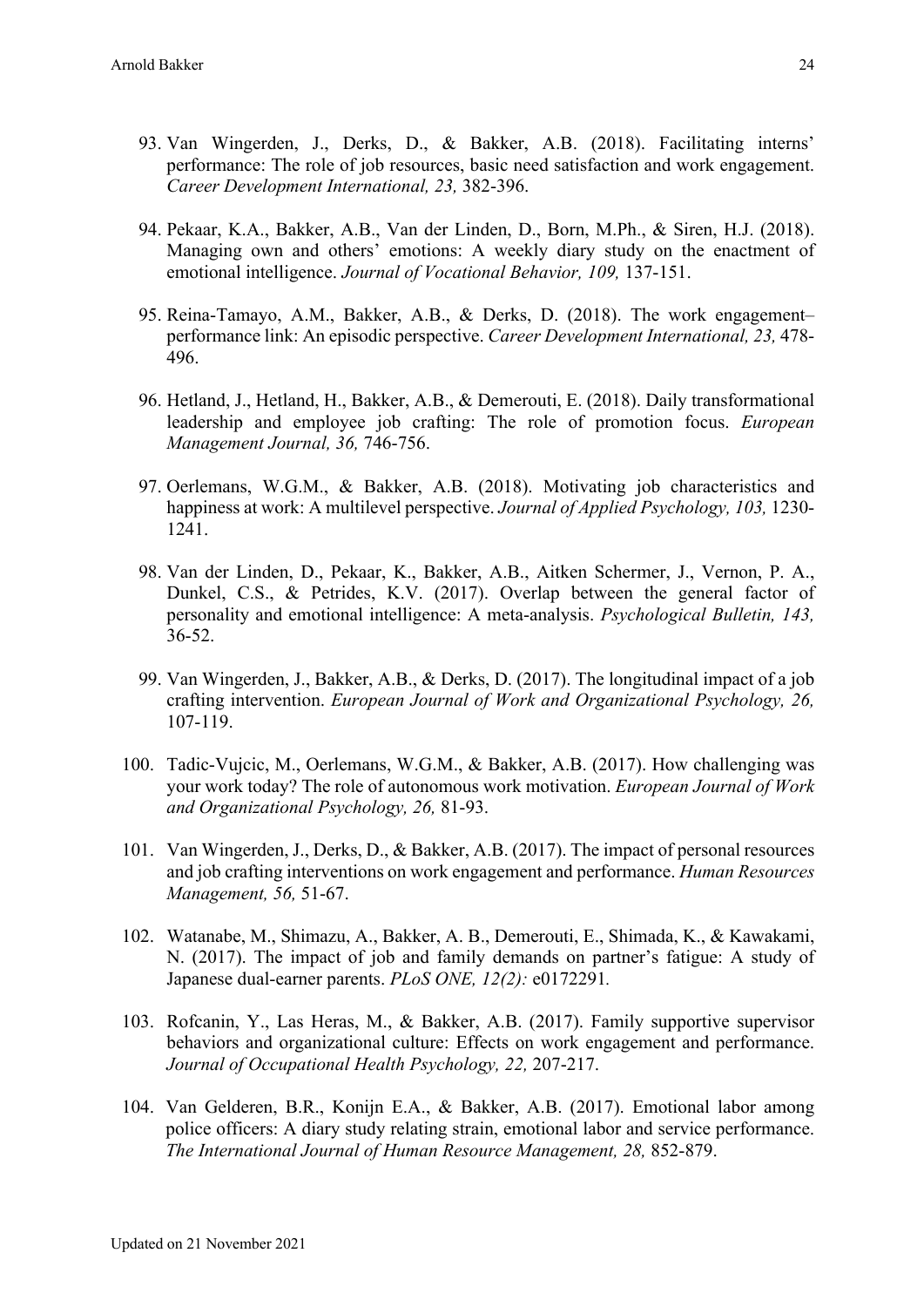- 93. Van Wingerden, J., Derks, D., & Bakker, A.B. (2018). Facilitating interns' performance: The role of job resources, basic need satisfaction and work engagement. *Career Development International, 23,* 382-396.
- 94. Pekaar, K.A., Bakker, A.B., Van der Linden, D., Born, M.Ph., & Siren, H.J. (2018). Managing own and others' emotions: A weekly diary study on the enactment of emotional intelligence. *Journal of Vocational Behavior, 109,* 137-151.
- 95. Reina-Tamayo, A.M., Bakker, A.B., & Derks, D. (2018). The work engagement– performance link: An episodic perspective. *Career Development International, 23,* 478- 496.
- 96. Hetland, J., Hetland, H., Bakker, A.B., & Demerouti, E. (2018). Daily transformational leadership and employee job crafting: The role of promotion focus. *European Management Journal, 36,* 746-756.
- 97. Oerlemans, W.G.M., & Bakker, A.B. (2018). Motivating job characteristics and happiness at work: A multilevel perspective. *Journal of Applied Psychology, 103,* 1230- 1241.
- 98. Van der Linden, D., Pekaar, K., Bakker, A.B., Aitken Schermer, J., Vernon, P. A., Dunkel, C.S., & Petrides, K.V. (2017). Overlap between the general factor of personality and emotional intelligence: A meta-analysis. *Psychological Bulletin, 143,*  36-52.
- 99. Van Wingerden, J., Bakker, A.B., & Derks, D. (2017). The longitudinal impact of a job crafting intervention. *European Journal of Work and Organizational Psychology, 26,*  107-119.
- 100. Tadic-Vujcic, M., Oerlemans, W.G.M., & Bakker, A.B. (2017). How challenging was your work today? The role of autonomous work motivation. *European Journal of Work and Organizational Psychology, 26,* 81-93.
- 101. Van Wingerden, J., Derks, D., & Bakker, A.B. (2017). The impact of personal resources and job crafting interventions on work engagement and performance. *Human Resources Management, 56,* 51-67.
- 102. Watanabe, M., Shimazu, A., Bakker, A. B., Demerouti, E., Shimada, K., & Kawakami, N. (2017). The impact of job and family demands on partner's fatigue: A study of Japanese dual-earner parents. *PLoS ONE, 12(2):* e0172291*.*
- 103. Rofcanin, Y., Las Heras, M., & Bakker, A.B. (2017). Family supportive supervisor behaviors and organizational culture: Effects on work engagement and performance. *Journal of Occupational Health Psychology, 22,* 207-217.
- 104. Van Gelderen, B.R., Konijn E.A., & Bakker, A.B. (2017). Emotional labor among police officers: A diary study relating strain, emotional labor and service performance. *The International Journal of Human Resource Management, 28,* 852-879.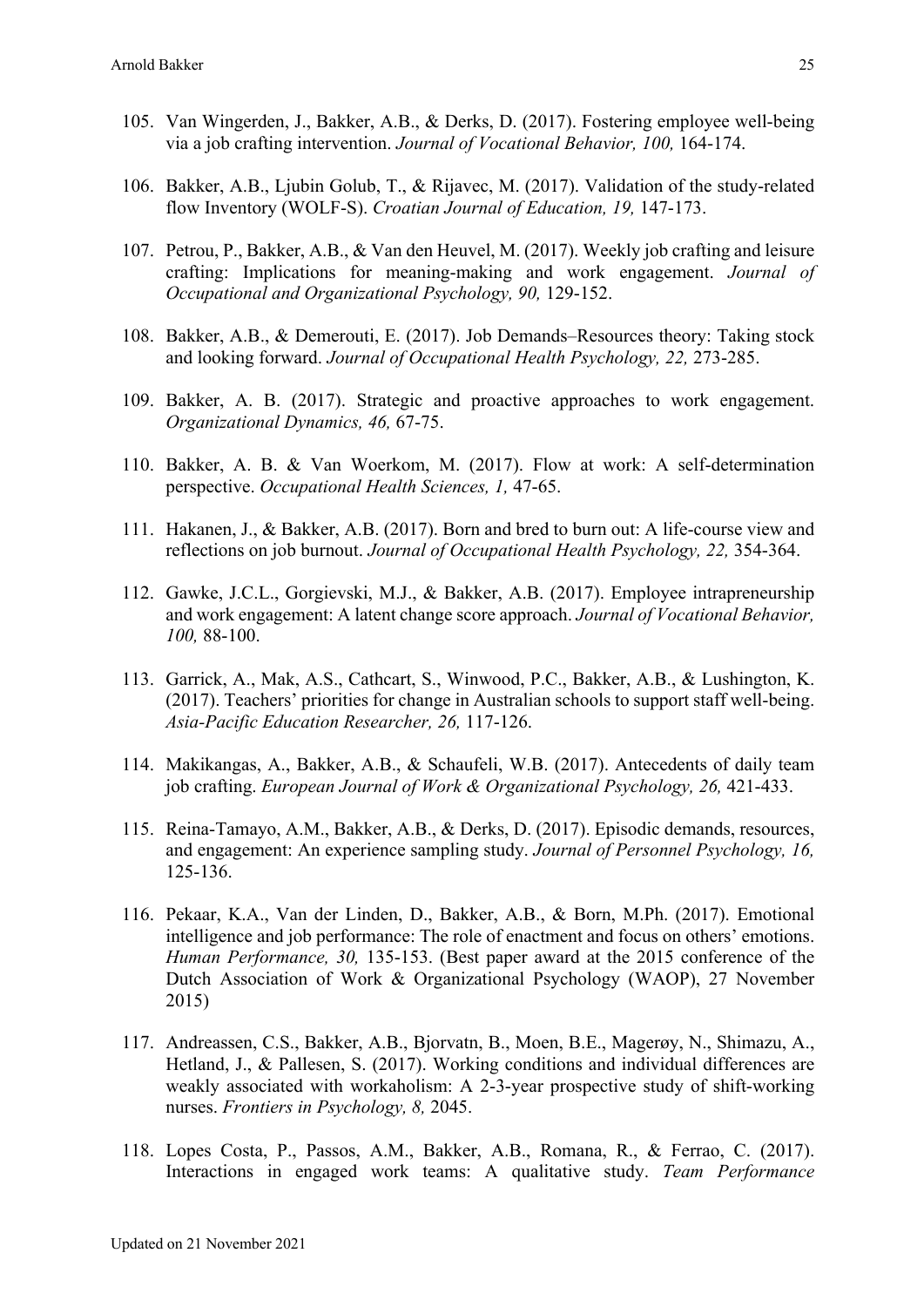- 105. Van Wingerden, J., Bakker, A.B., & Derks, D. (2017). Fostering employee well-being via a job crafting intervention. *Journal of Vocational Behavior, 100,* 164-174.
- 106. Bakker, A.B., Ljubin Golub, T., & Rijavec, M. (2017). Validation of the study-related flow Inventory (WOLF-S). *Croatian Journal of Education, 19,* 147-173.
- 107. Petrou, P., Bakker, A.B., & Van den Heuvel, M. (2017). Weekly job crafting and leisure crafting: Implications for meaning-making and work engagement. *Journal of Occupational and Organizational Psychology, 90,* 129-152.
- 108. Bakker, A.B., & Demerouti, E. (2017). Job Demands–Resources theory: Taking stock and looking forward. *Journal of Occupational Health Psychology, 22,* 273-285.
- 109. Bakker, A. B. (2017). Strategic and proactive approaches to work engagement. *Organizational Dynamics, 46,* 67-75.
- 110. Bakker, A. B. & Van Woerkom, M. (2017). Flow at work: A self-determination perspective. *Occupational Health Sciences, 1,* 47-65.
- 111. Hakanen, J., & Bakker, A.B. (2017). Born and bred to burn out: A life-course view and reflections on job burnout. *Journal of Occupational Health Psychology, 22,* 354-364.
- 112. Gawke, J.C.L., Gorgievski, M.J., & Bakker, A.B. (2017). Employee intrapreneurship and work engagement: A latent change score approach. *Journal of Vocational Behavior, 100,* 88-100.
- 113. Garrick, A., Mak, A.S., Cathcart, S., Winwood, P.C., Bakker, A.B., & Lushington, K. (2017). Teachers' priorities for change in Australian schools to support staff well-being. *Asia-Pacific Education Researcher, 26,* 117-126.
- 114. Makikangas, A., Bakker, A.B., & Schaufeli, W.B. (2017). Antecedents of daily team job crafting. *European Journal of Work & Organizational Psychology, 26,* 421-433.
- 115. Reina-Tamayo, A.M., Bakker, A.B., & Derks, D. (2017). Episodic demands, resources, and engagement: An experience sampling study. *Journal of Personnel Psychology, 16,* 125-136.
- 116. Pekaar, K.A., Van der Linden, D., Bakker, A.B., & Born, M.Ph. (2017). Emotional intelligence and job performance: The role of enactment and focus on others' emotions. *Human Performance, 30,* 135-153. (Best paper award at the 2015 conference of the Dutch Association of Work & Organizational Psychology (WAOP), 27 November 2015)
- 117. Andreassen, C.S., Bakker, A.B., Bjorvatn, B., Moen, B.E., Magerøy, N., Shimazu, A., Hetland, J., & Pallesen, S. (2017). Working conditions and individual differences are weakly associated with workaholism: A 2-3-year prospective study of shift-working nurses. *Frontiers in Psychology, 8,* 2045.
- 118. Lopes Costa, P., Passos, A.M., Bakker, A.B., Romana, R., & Ferrao, C. (2017). Interactions in engaged work teams: A qualitative study. *Team Performance*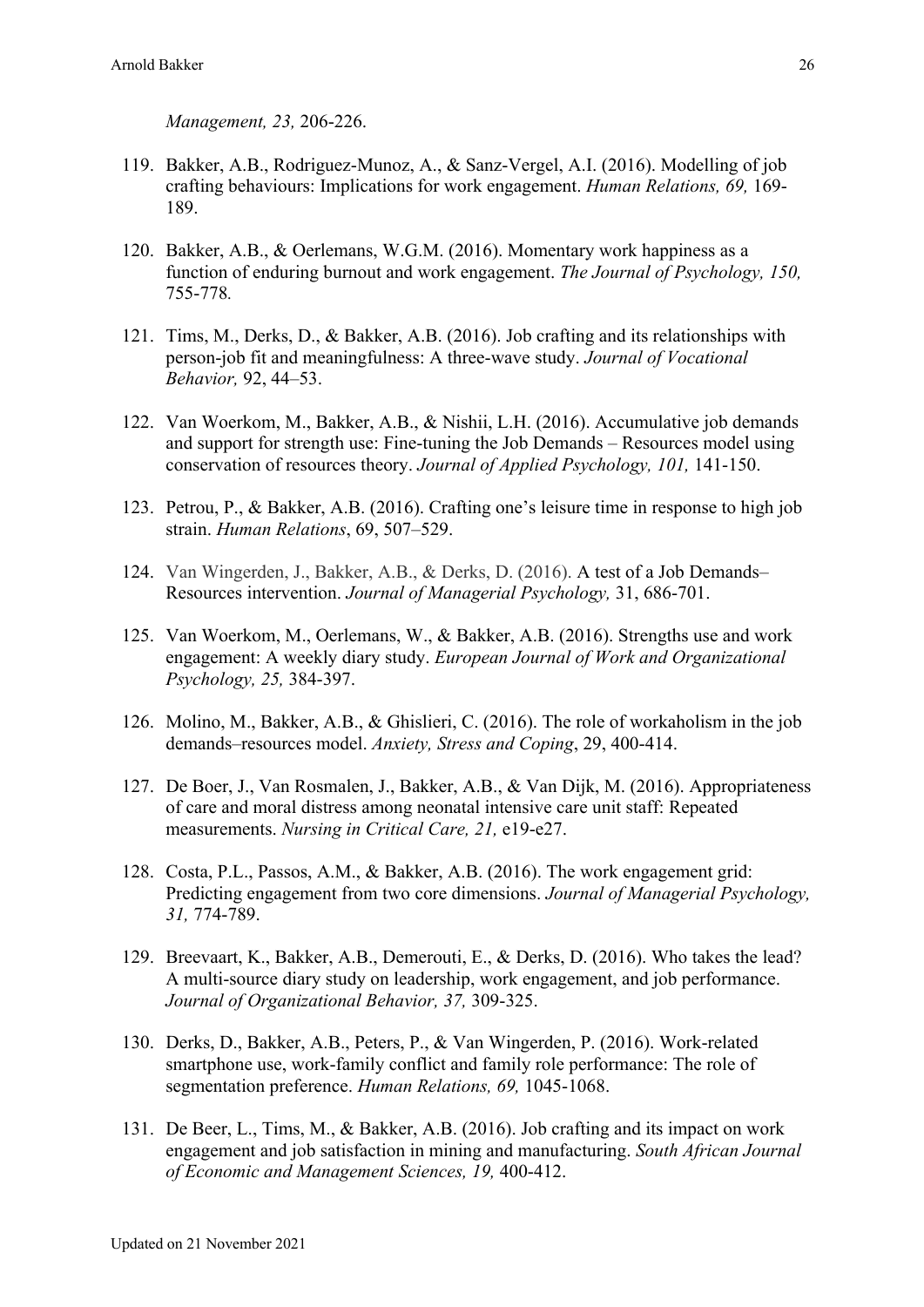*Management, 23,* 206-226.

- 119. Bakker, A.B., Rodriguez-Munoz, A., & Sanz-Vergel, A.I. (2016). Modelling of job crafting behaviours: Implications for work engagement. *Human Relations, 69,* 169- 189.
- 120. Bakker, A.B., & Oerlemans, W.G.M. (2016). Momentary work happiness as a function of enduring burnout and work engagement. *The Journal of Psychology, 150,*  755-778*.*
- 121. Tims, M., Derks, D., & Bakker, A.B. (2016). Job crafting and its relationships with person-job fit and meaningfulness: A three-wave study. *Journal of Vocational Behavior,* 92, 44–53.
- 122. Van Woerkom, M., Bakker, A.B., & Nishii, L.H. (2016). Accumulative job demands and support for strength use: Fine-tuning the Job Demands – Resources model using conservation of resources theory. *Journal of Applied Psychology, 101,* 141-150.
- 123. Petrou, P., & Bakker, A.B. (2016). Crafting one's leisure time in response to high job strain. *Human Relations*, 69, 507–529.
- 124. Van Wingerden, J., Bakker, A.B., & Derks, D. (2016). A test of a Job Demands– Resources intervention. *Journal of Managerial Psychology,* 31, 686-701.
- 125. Van Woerkom, M., Oerlemans, W., & Bakker, A.B. (2016). Strengths use and work engagement: A weekly diary study. *European Journal of Work and Organizational Psychology, 25,* 384-397.
- 126. Molino, M., Bakker, A.B., & Ghislieri, C. (2016). The role of workaholism in the job demands–resources model. *Anxiety, Stress and Coping*, 29, 400-414.
- 127. De Boer, J., Van Rosmalen, J., Bakker, A.B., & Van Dijk, M. (2016). Appropriateness of care and moral distress among neonatal intensive care unit staff: Repeated measurements. *Nursing in Critical Care, 21,* e19-e27.
- 128. Costa, P.L., Passos, A.M., & Bakker, A.B. (2016). The work engagement grid: Predicting engagement from two core dimensions. *Journal of Managerial Psychology, 31,* 774-789.
- 129. Breevaart, K., Bakker, A.B., Demerouti, E., & Derks, D. (2016). Who takes the lead? A multi-source diary study on leadership, work engagement, and job performance. *Journal of Organizational Behavior, 37,* 309-325.
- 130. Derks, D., Bakker, A.B., Peters, P., & Van Wingerden, P. (2016). Work-related smartphone use, work-family conflict and family role performance: The role of segmentation preference. *Human Relations, 69,* 1045-1068.
- 131. De Beer, L., Tims, M., & Bakker, A.B. (2016). Job crafting and its impact on work engagement and job satisfaction in mining and manufacturing. *South African Journal of Economic and Management Sciences, 19,* 400-412.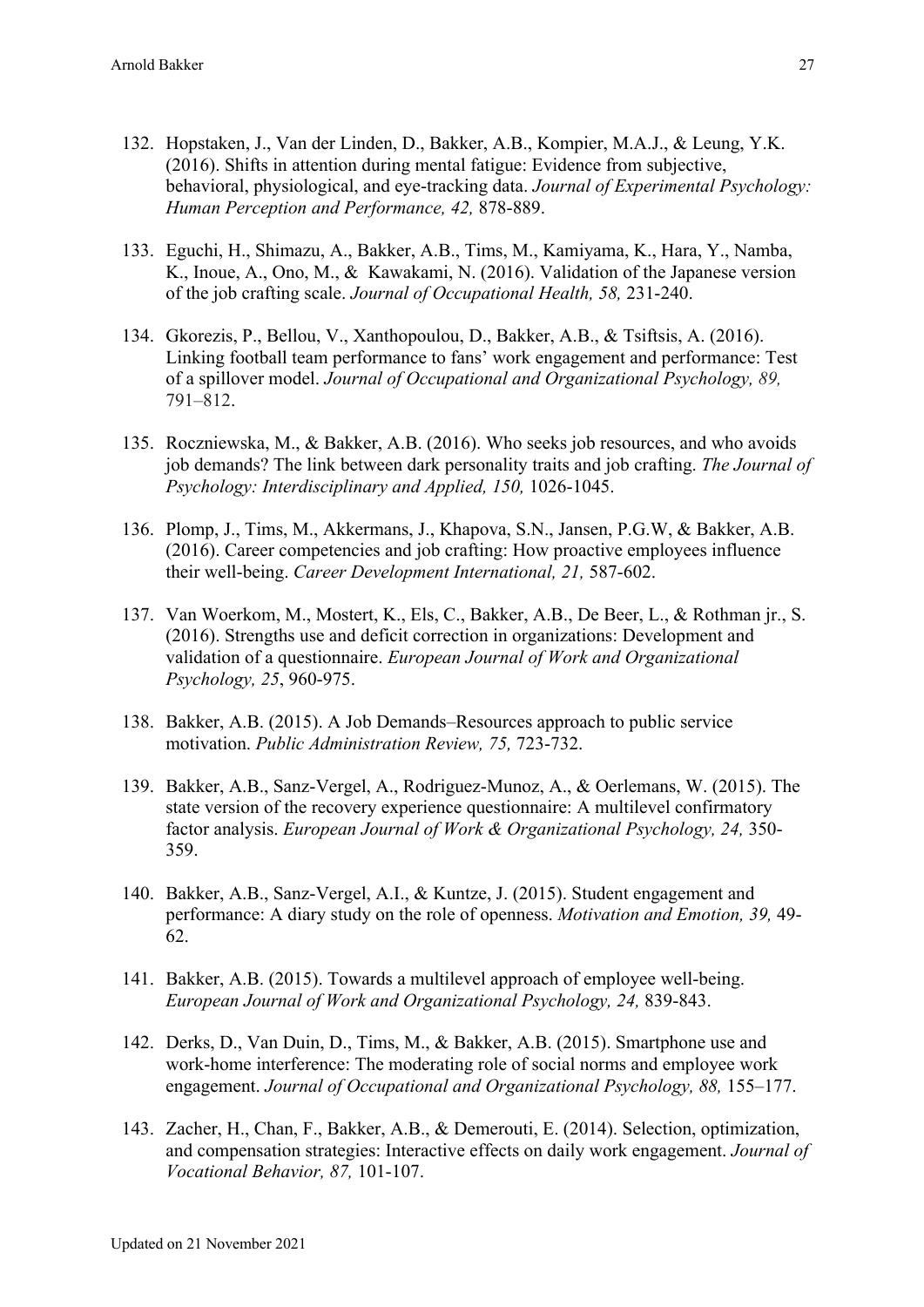- 132. Hopstaken, J., Van der Linden, D., Bakker, A.B., Kompier, M.A.J., & Leung, Y.K. (2016). Shifts in attention during mental fatigue: Evidence from subjective, behavioral, physiological, and eye-tracking data. *Journal of Experimental Psychology: Human Perception and Performance, 42,* 878-889.
- 133. Eguchi, H., Shimazu, A., Bakker, A.B., Tims, M., Kamiyama, K., Hara, Y., Namba, K., Inoue, A., Ono, M., & Kawakami, N. (2016). Validation of the Japanese version of the job crafting scale. *Journal of Occupational Health, 58,* 231-240.
- 134. Gkorezis, P., Bellou, V., Xanthopoulou, D., Bakker, A.B., & Tsiftsis, A. (2016). Linking football team performance to fans' work engagement and performance: Test of a spillover model. *Journal of Occupational and Organizational Psychology, 89,* 791–812.
- 135. Roczniewska, M., & Bakker, A.B. (2016). Who seeks job resources, and who avoids job demands? The link between dark personality traits and job crafting. *The Journal of Psychology: Interdisciplinary and Applied, 150,* 1026-1045.
- 136. Plomp, J., Tims, M., Akkermans, J., Khapova, S.N., Jansen, P.G.W, & Bakker, A.B. (2016). Career competencies and job crafting: How proactive employees influence their well-being. *Career Development International, 21,* 587-602.
- 137. Van Woerkom, M., Mostert, K., Els, C., Bakker, A.B., De Beer, L., & Rothman jr., S. (2016). Strengths use and deficit correction in organizations: Development and validation of a questionnaire. *European Journal of Work and Organizational Psychology, 25*, 960-975.
- 138. Bakker, A.B. (2015). A Job Demands–Resources approach to public service motivation. *Public Administration Review, 75,* 723-732.
- 139. Bakker, A.B., Sanz-Vergel, A., Rodriguez-Munoz, A., & Oerlemans, W. (2015). The state version of the recovery experience questionnaire: A multilevel confirmatory factor analysis. *European Journal of Work & Organizational Psychology, 24,* 350- 359.
- 140. Bakker, A.B., Sanz-Vergel, A.I., & Kuntze, J. (2015). Student engagement and performance: A diary study on the role of openness. *Motivation and Emotion, 39,* 49- 62.
- 141. Bakker, A.B. (2015). Towards a multilevel approach of employee well-being. *European Journal of Work and Organizational Psychology, 24,* 839-843.
- 142. Derks, D., Van Duin, D., Tims, M., & Bakker, A.B. (2015). Smartphone use and work-home interference: The moderating role of social norms and employee work engagement. *Journal of Occupational and Organizational Psychology, 88, 155–177.*
- 143. Zacher, H., Chan, F., Bakker, A.B., & Demerouti, E. (2014). Selection, optimization, and compensation strategies: Interactive effects on daily work engagement. *Journal of Vocational Behavior, 87,* 101-107.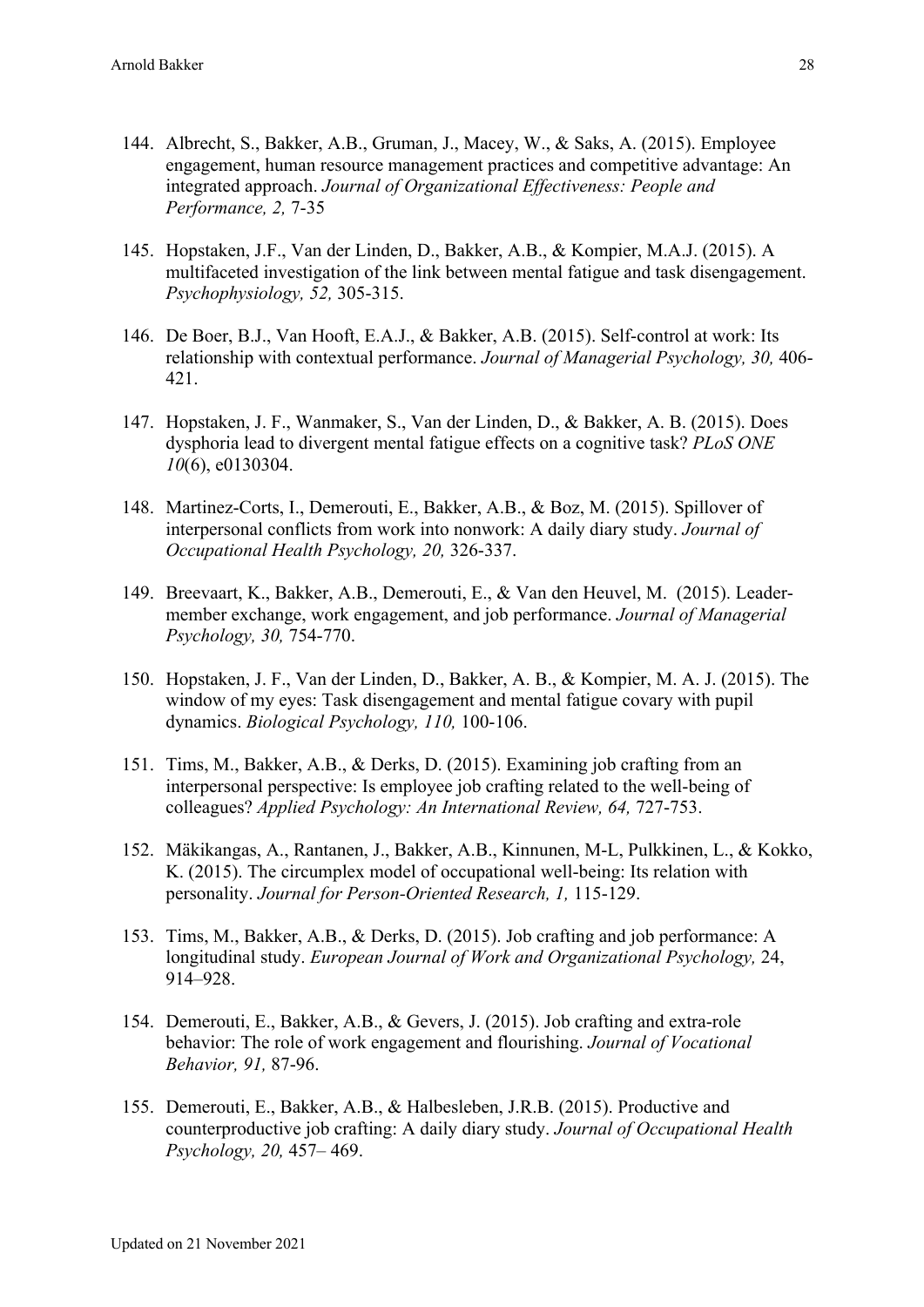- 144. Albrecht, S., Bakker, A.B., Gruman, J., Macey, W., & Saks, A. (2015). Employee engagement, human resource management practices and competitive advantage: An integrated approach. *Journal of Organizational Effectiveness: People and Performance, 2,* 7-35
- 145. Hopstaken, J.F., Van der Linden, D., Bakker, A.B., & Kompier, M.A.J. (2015). A multifaceted investigation of the link between mental fatigue and task disengagement. *Psychophysiology, 52,* 305-315.
- 146. De Boer, B.J., Van Hooft, E.A.J., & Bakker, A.B. (2015). Self-control at work: Its relationship with contextual performance. *Journal of Managerial Psychology, 30,* 406- 421.
- 147. Hopstaken, J. F., Wanmaker, S., Van der Linden, D., & Bakker, A. B. (2015). Does dysphoria lead to divergent mental fatigue effects on a cognitive task? *PLoS ONE 10*(6), e0130304.
- 148. Martinez-Corts, I., Demerouti, E., Bakker, A.B., & Boz, M. (2015). Spillover of interpersonal conflicts from work into nonwork: A daily diary study. *Journal of Occupational Health Psychology, 20,* 326-337.
- 149. Breevaart, K., Bakker, A.B., Demerouti, E., & Van den Heuvel, M. (2015). Leadermember exchange, work engagement, and job performance. *Journal of Managerial Psychology, 30,* 754-770.
- 150. Hopstaken, J. F., Van der Linden, D., Bakker, A. B., & Kompier, M. A. J. (2015). The window of my eyes: Task disengagement and mental fatigue covary with pupil dynamics. *Biological Psychology, 110,* 100-106.
- 151. Tims, M., Bakker, A.B., & Derks, D. (2015). Examining job crafting from an interpersonal perspective: Is employee job crafting related to the well-being of colleagues? *Applied Psychology: An International Review, 64,* 727-753.
- 152. Mäkikangas, A., Rantanen, J., Bakker, A.B., Kinnunen, M-L, Pulkkinen, L., & Kokko, K. (2015). The circumplex model of occupational well-being: Its relation with personality. *Journal for Person-Oriented Research, 1,* 115-129.
- 153. Tims, M., Bakker, A.B., & Derks, D. (2015). Job crafting and job performance: A longitudinal study. *European Journal of Work and Organizational Psychology,* 24, 914–928.
- 154. Demerouti, E., Bakker, A.B., & Gevers, J. (2015). Job crafting and extra-role behavior: The role of work engagement and flourishing. *Journal of Vocational Behavior, 91,* 87-96.
- 155. Demerouti, E., Bakker, A.B., & Halbesleben, J.R.B. (2015). Productive and counterproductive job crafting: A daily diary study. *Journal of Occupational Health Psychology, 20,* 457– 469.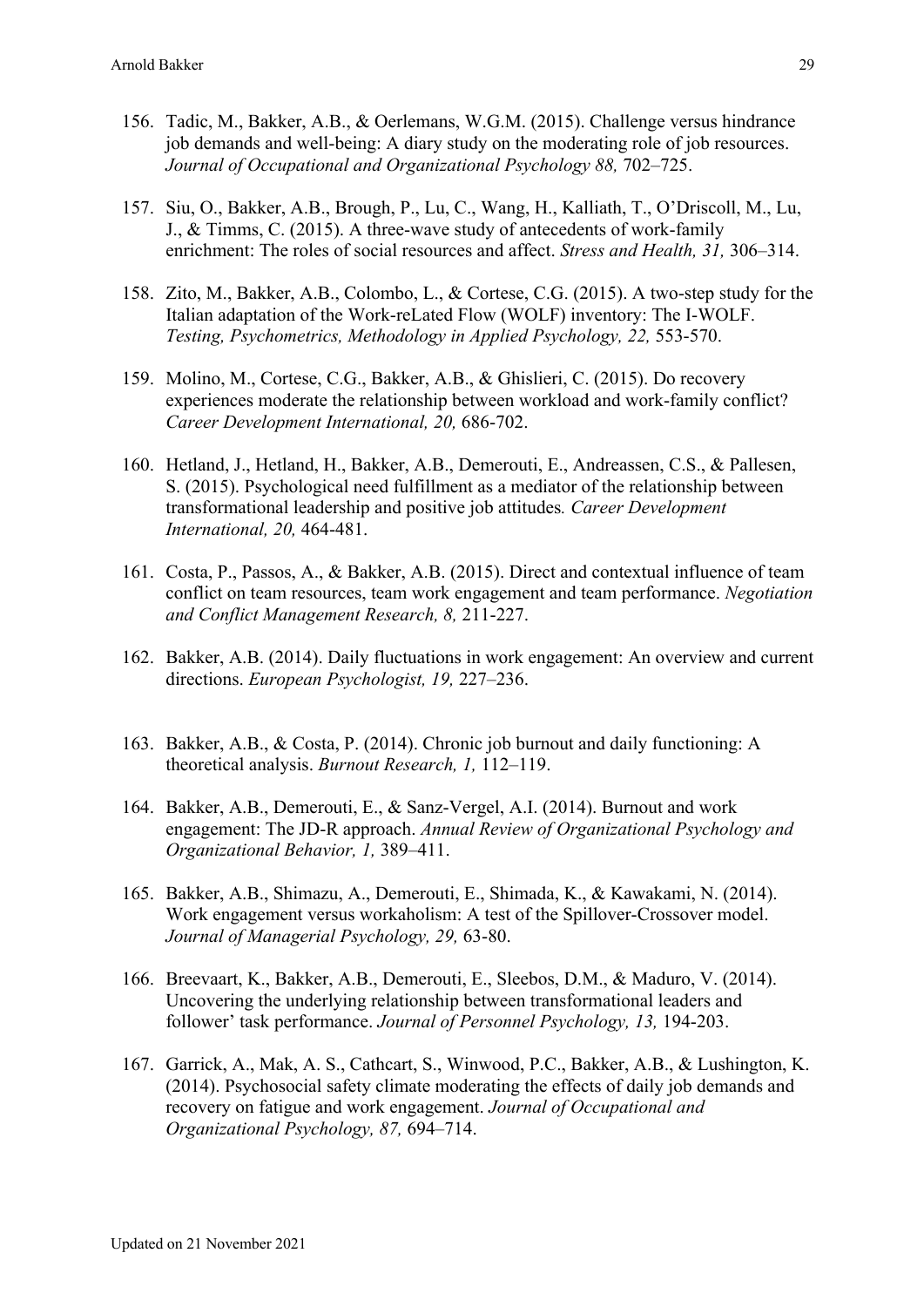- 156. Tadic, M., Bakker, A.B., & Oerlemans, W.G.M. (2015). Challenge versus hindrance job demands and well-being: A diary study on the moderating role of job resources. *Journal of Occupational and Organizational Psychology 88,* 702–725.
- 157. Siu, O., Bakker, A.B., Brough, P., Lu, C., Wang, H., Kalliath, T., O'Driscoll, M., Lu, J., & Timms, C. (2015). A three-wave study of antecedents of work-family enrichment: The roles of social resources and affect. *Stress and Health, 31,* 306–314.
- 158. Zito, M., Bakker, A.B., Colombo, L., & Cortese, C.G. (2015). A two-step study for the Italian adaptation of the Work-reLated Flow (WOLF) inventory: The I-WOLF. *Testing, Psychometrics, Methodology in Applied Psychology, 22,* 553-570.
- 159. Molino, M., Cortese, C.G., Bakker, A.B., & Ghislieri, C. (2015). Do recovery experiences moderate the relationship between workload and work-family conflict? *Career Development International, 20,* 686-702.
- 160. Hetland, J., Hetland, H., Bakker, A.B., Demerouti, E., Andreassen, C.S., & Pallesen, S. (2015). Psychological need fulfillment as a mediator of the relationship between transformational leadership and positive job attitudes*. Career Development International, 20,* 464-481.
- 161. Costa, P., Passos, A., & Bakker, A.B. (2015). Direct and contextual influence of team conflict on team resources, team work engagement and team performance. *Negotiation and Conflict Management Research, 8,* 211-227.
- 162. Bakker, A.B. (2014). Daily fluctuations in work engagement: An overview and current directions. *European Psychologist, 19,* 227–236.
- 163. Bakker, A.B., & Costa, P. (2014). Chronic job burnout and daily functioning: A theoretical analysis. *Burnout Research, 1,* 112–119.
- 164. Bakker, A.B., Demerouti, E., & Sanz-Vergel, A.I. (2014). Burnout and work engagement: The JD-R approach. *Annual Review of Organizational Psychology and Organizational Behavior, 1,* 389–411.
- 165. Bakker, A.B., Shimazu, A., Demerouti, E., Shimada, K., & Kawakami, N. (2014). Work engagement versus workaholism: A test of the Spillover-Crossover model. *Journal of Managerial Psychology, 29,* 63-80.
- 166. Breevaart, K., Bakker, A.B., Demerouti, E., Sleebos, D.M., & Maduro, V. (2014). Uncovering the underlying relationship between transformational leaders and follower' task performance. *Journal of Personnel Psychology, 13,* 194-203.
- 167. Garrick, A., Mak, A. S., Cathcart, S., Winwood, P.C., Bakker, A.B., & Lushington, K. (2014). Psychosocial safety climate moderating the effects of daily job demands and recovery on fatigue and work engagement. *Journal of Occupational and Organizational Psychology, 87,* 694–714.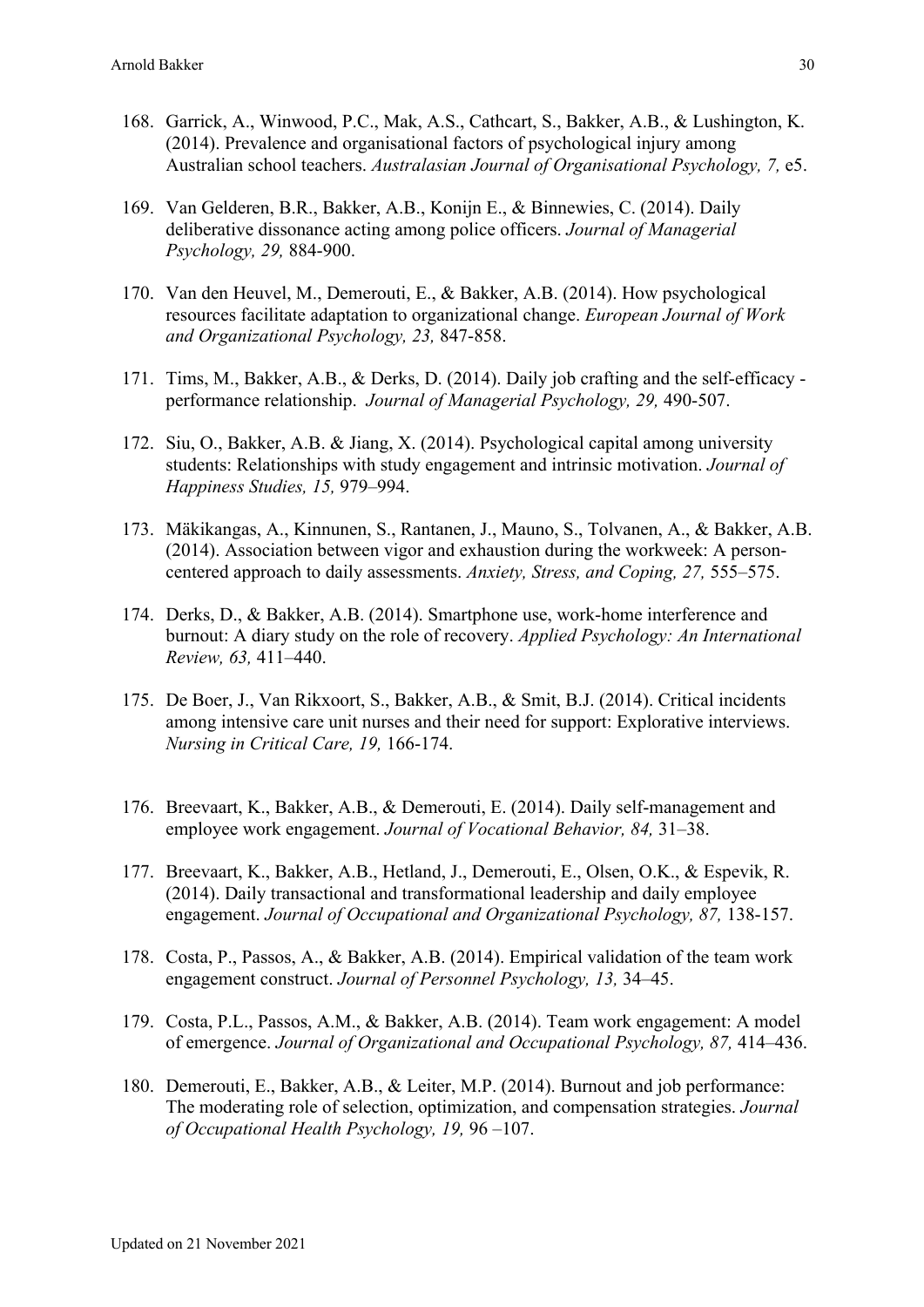- 168. Garrick, A., Winwood, P.C., Mak, A.S., Cathcart, S., Bakker, A.B., & Lushington, K. (2014). Prevalence and organisational factors of psychological injury among Australian school teachers. *Australasian Journal of Organisational Psychology, 7,* e5.
- 169. Van Gelderen, B.R., Bakker, A.B., Konijn E., & Binnewies, C. (2014). Daily deliberative dissonance acting among police officers. *Journal of Managerial Psychology, 29,* 884-900.
- 170. Van den Heuvel, M., Demerouti, E., & Bakker, A.B. (2014). How psychological resources facilitate adaptation to organizational change. *European Journal of Work and Organizational Psychology, 23,* 847-858.
- 171. Tims, M., Bakker, A.B., & Derks, D. (2014). Daily job crafting and the self-efficacy performance relationship. *Journal of Managerial Psychology, 29,* 490-507.
- 172. Siu, O., Bakker, A.B. & Jiang, X. (2014). Psychological capital among university students: Relationships with study engagement and intrinsic motivation. *Journal of Happiness Studies, 15,* 979–994.
- 173. Mäkikangas, A., Kinnunen, S., Rantanen, J., Mauno, S., Tolvanen, A., & Bakker, A.B. (2014). Association between vigor and exhaustion during the workweek: A personcentered approach to daily assessments. *Anxiety, Stress, and Coping, 27,* 555–575.
- 174. Derks, D., & Bakker, A.B. (2014). Smartphone use, work-home interference and burnout: A diary study on the role of recovery. *Applied Psychology: An International Review, 63,* 411–440.
- 175. De Boer, J., Van Rikxoort, S., Bakker, A.B., & Smit, B.J. (2014). Critical incidents among intensive care unit nurses and their need for support: Explorative interviews. *Nursing in Critical Care, 19,* 166-174.
- 176. Breevaart, K., Bakker, A.B., & Demerouti, E. (2014). Daily self-management and employee work engagement. *Journal of Vocational Behavior, 84,* 31–38.
- 177. Breevaart, K., Bakker, A.B., Hetland, J., Demerouti, E., Olsen, O.K., & Espevik, R. (2014). Daily transactional and transformational leadership and daily employee engagement. *Journal of Occupational and Organizational Psychology, 87,* 138-157.
- 178. Costa, P., Passos, A., & Bakker, A.B. (2014). Empirical validation of the team work engagement construct. *Journal of Personnel Psychology, 13,* 34–45.
- 179. Costa, P.L., Passos, A.M., & Bakker, A.B. (2014). Team work engagement: A model of emergence. *Journal of Organizational and Occupational Psychology, 87,* 414–436.
- 180. Demerouti, E., Bakker, A.B., & Leiter, M.P. (2014). Burnout and job performance: The moderating role of selection, optimization, and compensation strategies. *Journal of Occupational Health Psychology, 19,* 96 –107.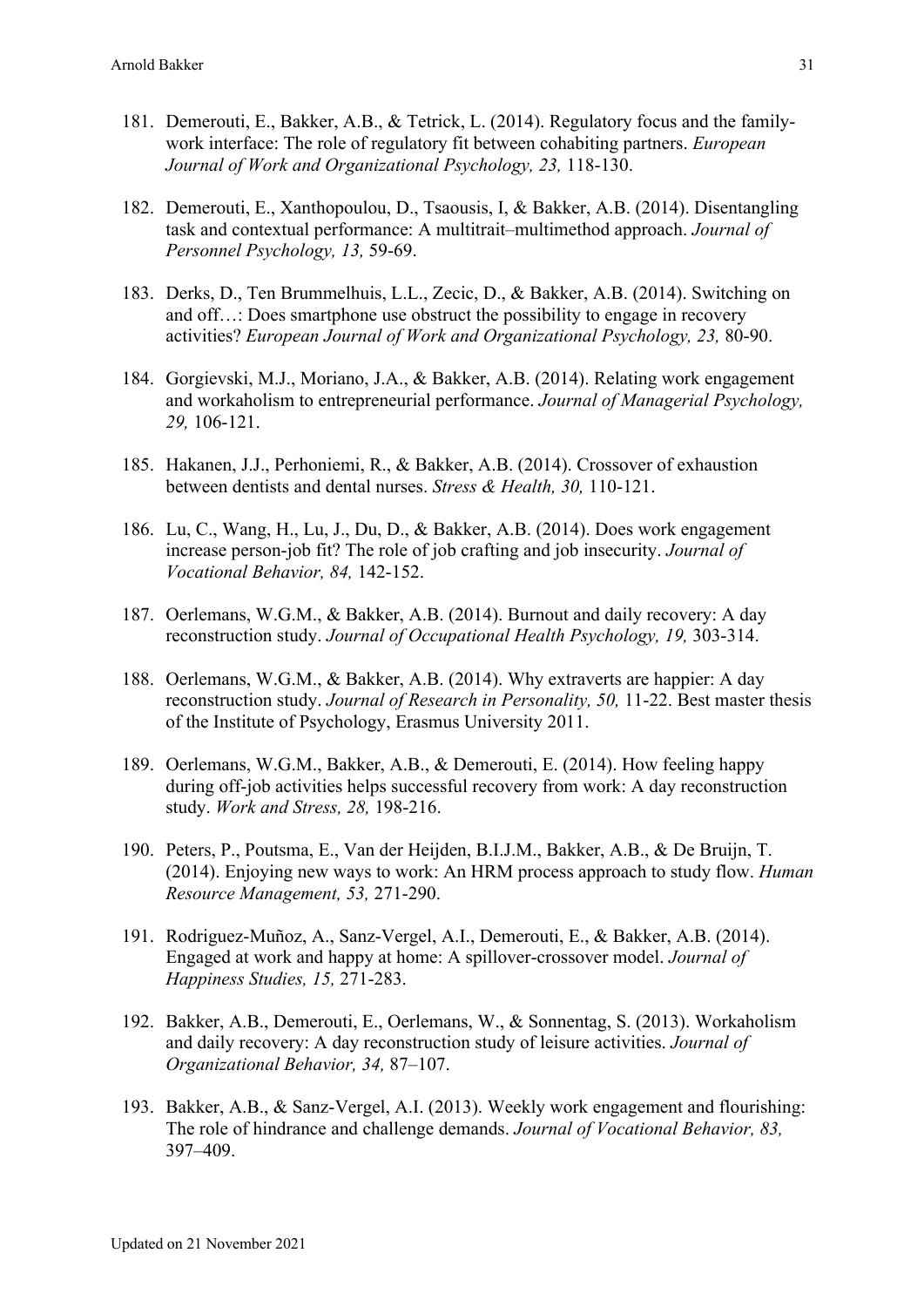- 181. Demerouti, E., Bakker, A.B., & Tetrick, L. (2014). Regulatory focus and the familywork interface: The role of regulatory fit between cohabiting partners. *European Journal of Work and Organizational Psychology, 23,* 118-130.
- 182. Demerouti, E., Xanthopoulou, D., Tsaousis, I, & Bakker, A.B. (2014). Disentangling task and contextual performance: A multitrait–multimethod approach. *Journal of Personnel Psychology, 13,* 59-69.
- 183. Derks, D., Ten Brummelhuis, L.L., Zecic, D., & Bakker, A.B. (2014). Switching on and off…: Does smartphone use obstruct the possibility to engage in recovery activities? *European Journal of Work and Organizational Psychology, 23,* 80-90.
- 184. Gorgievski, M.J., Moriano, J.A., & Bakker, A.B. (2014). Relating work engagement and workaholism to entrepreneurial performance. *Journal of Managerial Psychology, 29,* 106-121.
- 185. Hakanen, J.J., Perhoniemi, R., & Bakker, A.B. (2014). Crossover of exhaustion between dentists and dental nurses. *Stress & Health, 30,* 110-121.
- 186. Lu, C., Wang, H., Lu, J., Du, D., & Bakker, A.B. (2014). Does work engagement increase person-job fit? The role of job crafting and job insecurity. *Journal of Vocational Behavior, 84,* 142-152.
- 187. Oerlemans, W.G.M., & Bakker, A.B. (2014). Burnout and daily recovery: A day reconstruction study. *Journal of Occupational Health Psychology, 19,* 303-314.
- 188. Oerlemans, W.G.M., & Bakker, A.B. (2014). Why extraverts are happier: A day reconstruction study. *Journal of Research in Personality, 50,* 11-22. Best master thesis of the Institute of Psychology, Erasmus University 2011.
- 189. Oerlemans, W.G.M., Bakker, A.B., & Demerouti, E. (2014). How feeling happy during off-job activities helps successful recovery from work: A day reconstruction study. *Work and Stress, 28,* 198-216.
- 190. Peters, P., Poutsma, E., Van der Heijden, B.I.J.M., Bakker, A.B., & De Bruijn, T. (2014). Enjoying new ways to work: An HRM process approach to study flow. *Human Resource Management, 53,* 271-290.
- 191. Rodriguez-Muñoz, A., Sanz-Vergel, A.I., Demerouti, E., & Bakker, A.B. (2014). Engaged at work and happy at home: A spillover-crossover model. *Journal of Happiness Studies, 15,* 271-283.
- 192. Bakker, A.B., Demerouti, E., Oerlemans, W., & Sonnentag, S. (2013). Workaholism and daily recovery: A day reconstruction study of leisure activities. *Journal of Organizational Behavior, 34,* 87–107.
- 193. Bakker, A.B., & Sanz-Vergel, A.I. (2013). Weekly work engagement and flourishing: The role of hindrance and challenge demands. *Journal of Vocational Behavior, 83,* 397–409.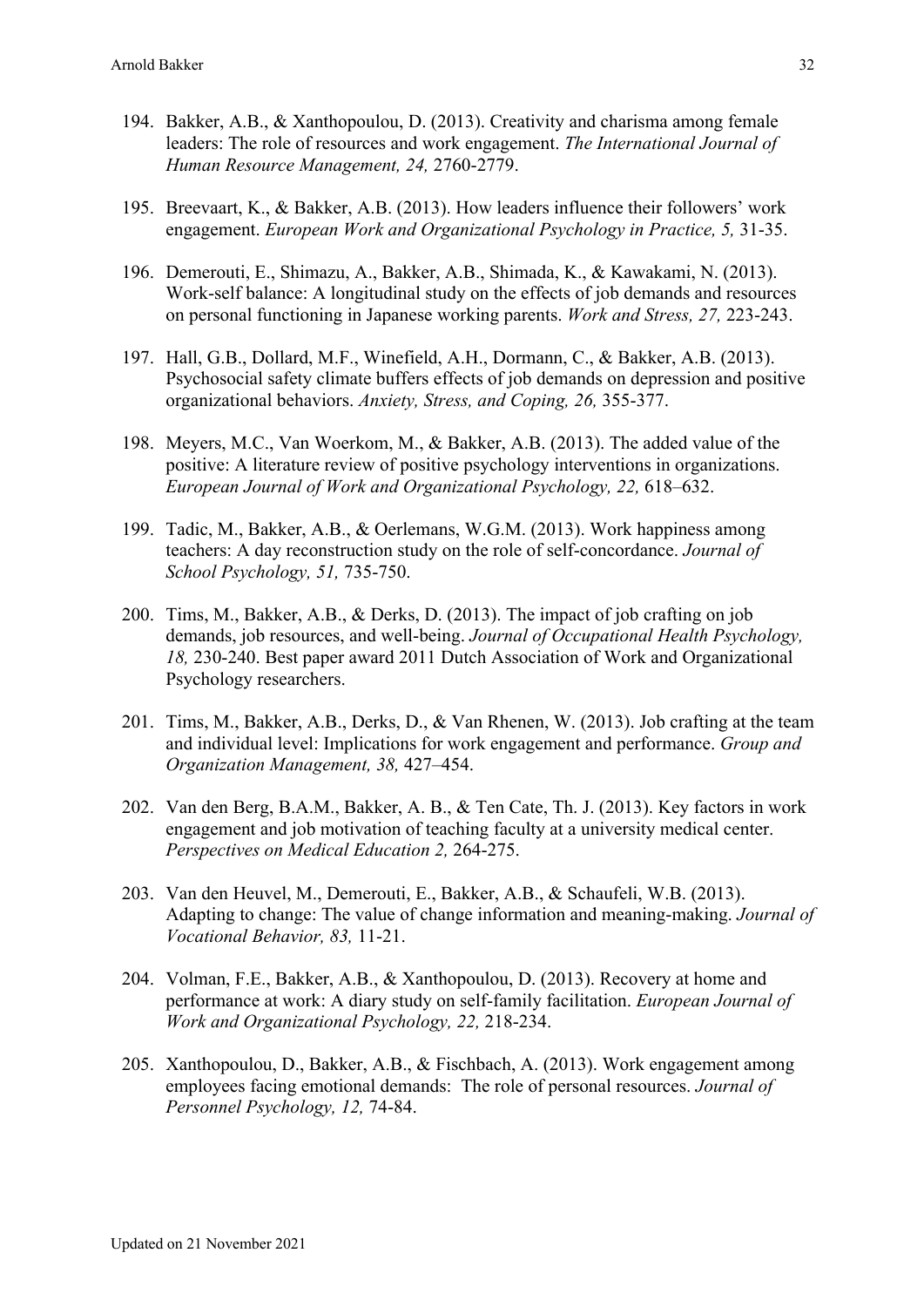- 194. Bakker, A.B., & Xanthopoulou, D. (2013). Creativity and charisma among female leaders: The role of resources and work engagement. *The International Journal of Human Resource Management, 24,* 2760-2779.
- 195. Breevaart, K., & Bakker, A.B. (2013). How leaders influence their followers' work engagement. *European Work and Organizational Psychology in Practice, 5,* 31-35.
- 196. Demerouti, E., Shimazu, A., Bakker, A.B., Shimada, K., & Kawakami, N. (2013). Work-self balance: A longitudinal study on the effects of job demands and resources on personal functioning in Japanese working parents. *Work and Stress, 27,* 223-243.
- 197. Hall, G.B., Dollard, M.F., Winefield, A.H., Dormann, C., & Bakker, A.B. (2013). Psychosocial safety climate buffers effects of job demands on depression and positive organizational behaviors. *Anxiety, Stress, and Coping, 26,* 355-377.
- 198. Meyers, M.C., Van Woerkom, M., & Bakker, A.B. (2013). The added value of the positive: A literature review of positive psychology interventions in organizations. *European Journal of Work and Organizational Psychology, 22,* 618–632.
- 199. Tadic, M., Bakker, A.B., & Oerlemans, W.G.M. (2013). Work happiness among teachers: A day reconstruction study on the role of self-concordance. *Journal of School Psychology, 51,* 735-750.
- 200. Tims, M., Bakker, A.B., & Derks, D. (2013). The impact of job crafting on job demands, job resources, and well-being. *Journal of Occupational Health Psychology, 18,* 230-240. Best paper award 2011 Dutch Association of Work and Organizational Psychology researchers.
- 201. Tims, M., Bakker, A.B., Derks, D., & Van Rhenen, W. (2013). Job crafting at the team and individual level: Implications for work engagement and performance. *Group and Organization Management, 38,* 427–454.
- 202. Van den Berg, B.A.M., Bakker, A. B., & Ten Cate, Th. J. (2013). Key factors in work engagement and job motivation of teaching faculty at a university medical center. *Perspectives on Medical Education 2,* 264-275.
- 203. Van den Heuvel, M., Demerouti, E., Bakker, A.B., & Schaufeli, W.B. (2013). Adapting to change: The value of change information and meaning-making. *Journal of Vocational Behavior, 83,* 11-21.
- 204. Volman, F.E., Bakker, A.B., & Xanthopoulou, D. (2013). Recovery at home and performance at work: A diary study on self-family facilitation. *European Journal of Work and Organizational Psychology, 22,* 218-234.
- 205. Xanthopoulou, D., Bakker, A.B., & Fischbach, A. (2013). Work engagement among employees facing emotional demands: The role of personal resources. *Journal of Personnel Psychology, 12,* 74-84.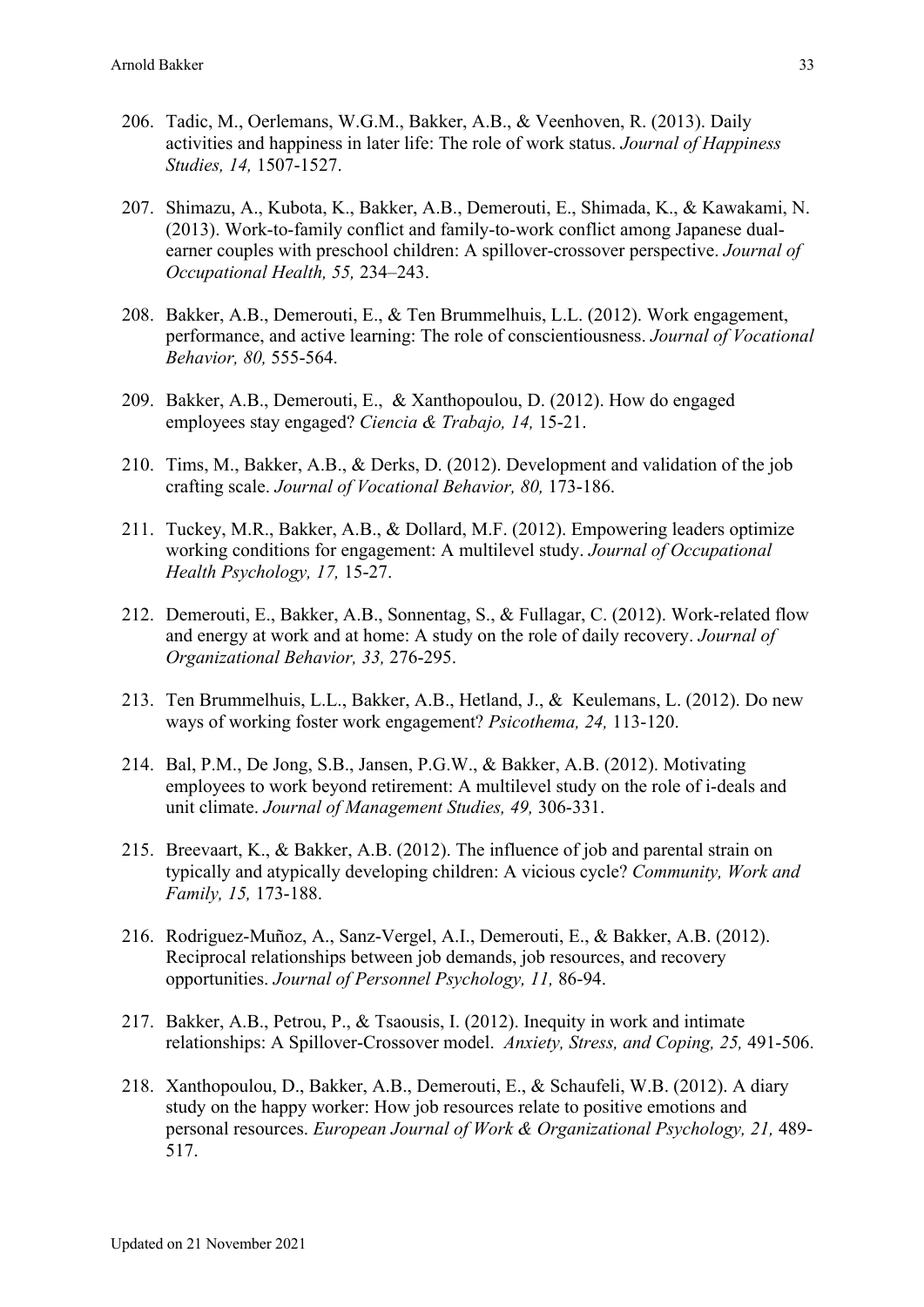- 206. Tadic, M., Oerlemans, W.G.M., Bakker, A.B., & Veenhoven, R. (2013). Daily activities and happiness in later life: The role of work status. *Journal of Happiness Studies, 14,* 1507-1527.
- 207. Shimazu, A., Kubota, K., Bakker, A.B., Demerouti, E., Shimada, K., & Kawakami, N. (2013). Work-to-family conflict and family-to-work conflict among Japanese dualearner couples with preschool children: A spillover-crossover perspective. *Journal of Occupational Health, 55,* 234–243.
- 208. Bakker, A.B., Demerouti, E., & Ten Brummelhuis, L.L. (2012). Work engagement, performance, and active learning: The role of conscientiousness. *Journal of Vocational Behavior, 80,* 555-564.
- 209. Bakker, A.B., Demerouti, E., & Xanthopoulou, D. (2012). How do engaged employees stay engaged? *Ciencia & Trabajo, 14,* 15-21.
- 210. Tims, M., Bakker, A.B., & Derks, D. (2012). Development and validation of the job crafting scale. *Journal of Vocational Behavior, 80,* 173-186.
- 211. Tuckey, M.R., Bakker, A.B., & Dollard, M.F. (2012). Empowering leaders optimize working conditions for engagement: A multilevel study. *Journal of Occupational Health Psychology, 17,* 15-27.
- 212. Demerouti, E., Bakker, A.B., Sonnentag, S., & Fullagar, C. (2012). Work-related flow and energy at work and at home: A study on the role of daily recovery. *Journal of Organizational Behavior, 33,* 276-295.
- 213. Ten Brummelhuis, L.L., Bakker, A.B., Hetland, J., & Keulemans, L. (2012). Do new ways of working foster work engagement? *Psicothema, 24,* 113-120.
- 214. Bal, P.M., De Jong, S.B., Jansen, P.G.W., & Bakker, A.B. (2012). Motivating employees to work beyond retirement: A multilevel study on the role of i-deals and unit climate. *Journal of Management Studies, 49,* 306-331.
- 215. Breevaart, K., & Bakker, A.B. (2012). The influence of job and parental strain on typically and atypically developing children: A vicious cycle? *Community, Work and Family, 15,* 173-188.
- 216. Rodriguez-Muñoz, A., Sanz-Vergel, A.I., Demerouti, E., & Bakker, A.B. (2012). Reciprocal relationships between job demands, job resources, and recovery opportunities. *Journal of Personnel Psychology, 11,* 86-94.
- 217. Bakker, A.B., Petrou, P., & Tsaousis, I. (2012). Inequity in work and intimate relationships: A Spillover-Crossover model. *Anxiety, Stress, and Coping, 25,* 491-506.
- 218. Xanthopoulou, D., Bakker, A.B., Demerouti, E., & Schaufeli, W.B. (2012). A diary study on the happy worker: How job resources relate to positive emotions and personal resources. *European Journal of Work & Organizational Psychology, 21,* 489- 517.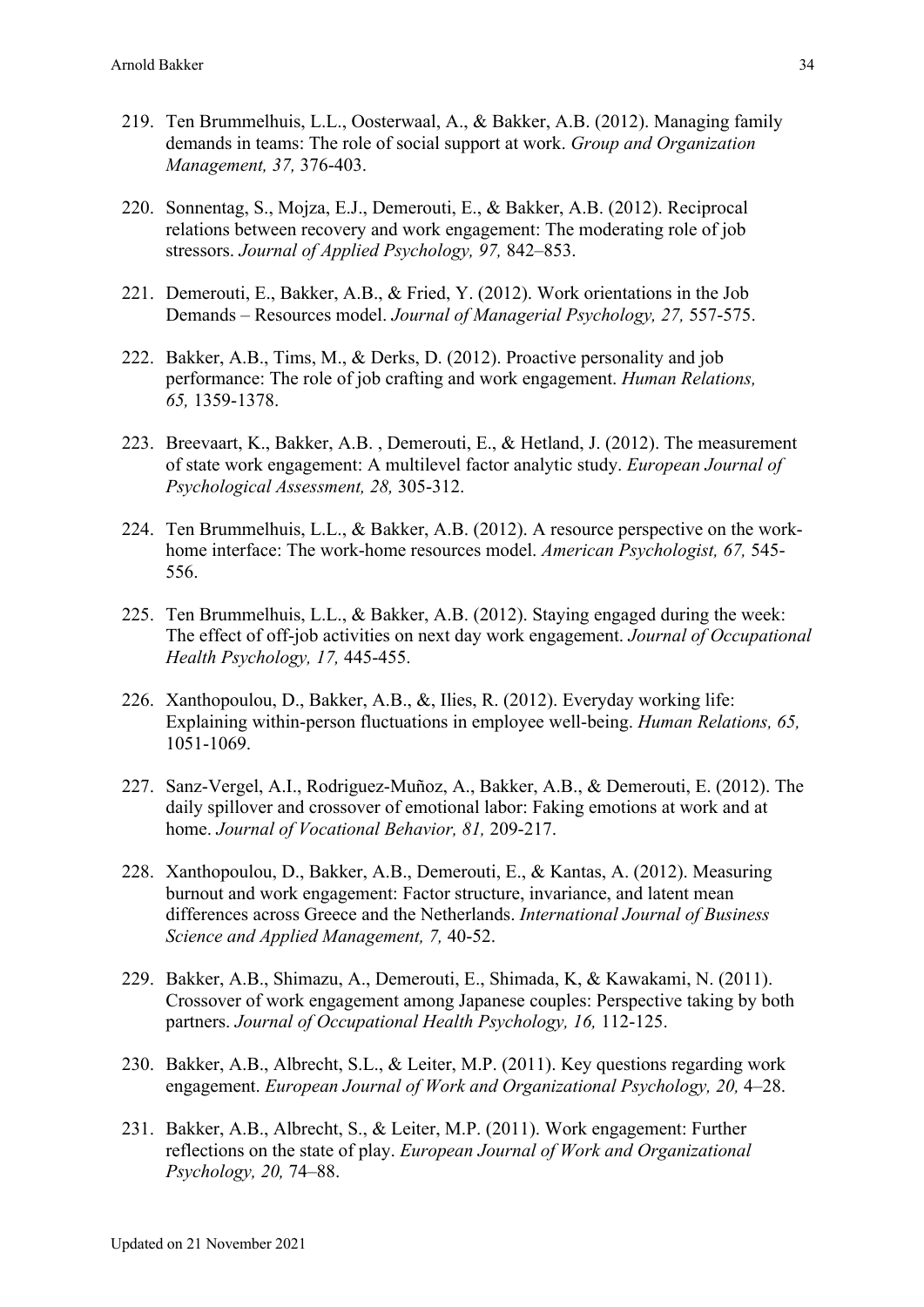- 219. Ten Brummelhuis, L.L., Oosterwaal, A., & Bakker, A.B. (2012). Managing family demands in teams: The role of social support at work. *Group and Organization Management, 37,* 376-403.
- 220. Sonnentag, S., Mojza, E.J., Demerouti, E., & Bakker, A.B. (2012). Reciprocal relations between recovery and work engagement: The moderating role of job stressors. *Journal of Applied Psychology, 97,* 842–853.
- 221. Demerouti, E., Bakker, A.B., & Fried, Y. (2012). Work orientations in the Job Demands – Resources model. *Journal of Managerial Psychology, 27,* 557-575.
- 222. Bakker, A.B., Tims, M., & Derks, D. (2012). Proactive personality and job performance: The role of job crafting and work engagement. *Human Relations, 65,* 1359-1378.
- 223. Breevaart, K., Bakker, A.B. , Demerouti, E., & Hetland, J. (2012). The measurement of state work engagement: A multilevel factor analytic study. *European Journal of Psychological Assessment, 28,* 305-312.
- 224. Ten Brummelhuis, L.L., & Bakker, A.B. (2012). A resource perspective on the workhome interface: The work-home resources model. *American Psychologist, 67,* 545- 556.
- 225. Ten Brummelhuis, L.L., & Bakker, A.B. (2012). Staying engaged during the week: The effect of off-job activities on next day work engagement. *Journal of Occupational Health Psychology, 17,* 445-455.
- 226. Xanthopoulou, D., Bakker, A.B., &, Ilies, R. (2012). Everyday working life: Explaining within-person fluctuations in employee well-being. *Human Relations, 65,* 1051-1069.
- 227. Sanz-Vergel, A.I., Rodriguez-Muñoz, A., Bakker, A.B., & Demerouti, E. (2012). The daily spillover and crossover of emotional labor: Faking emotions at work and at home. *Journal of Vocational Behavior, 81,* 209-217.
- 228. Xanthopoulou, D., Bakker, A.B., Demerouti, E., & Kantas, A. (2012). Measuring burnout and work engagement: Factor structure, invariance, and latent mean differences across Greece and the Netherlands. *International Journal of Business Science and Applied Management, 7,* 40-52.
- 229. Bakker, A.B., Shimazu, A., Demerouti, E., Shimada, K, & Kawakami, N. (2011). Crossover of work engagement among Japanese couples: Perspective taking by both partners. *Journal of Occupational Health Psychology, 16,* 112-125.
- 230. Bakker, A.B., Albrecht, S.L., & Leiter, M.P. (2011). Key questions regarding work engagement. *European Journal of Work and Organizational Psychology, 20,* 4–28.
- 231. Bakker, A.B., Albrecht, S., & Leiter, M.P. (2011). Work engagement: Further reflections on the state of play. *European Journal of Work and Organizational Psychology, 20,* 74–88.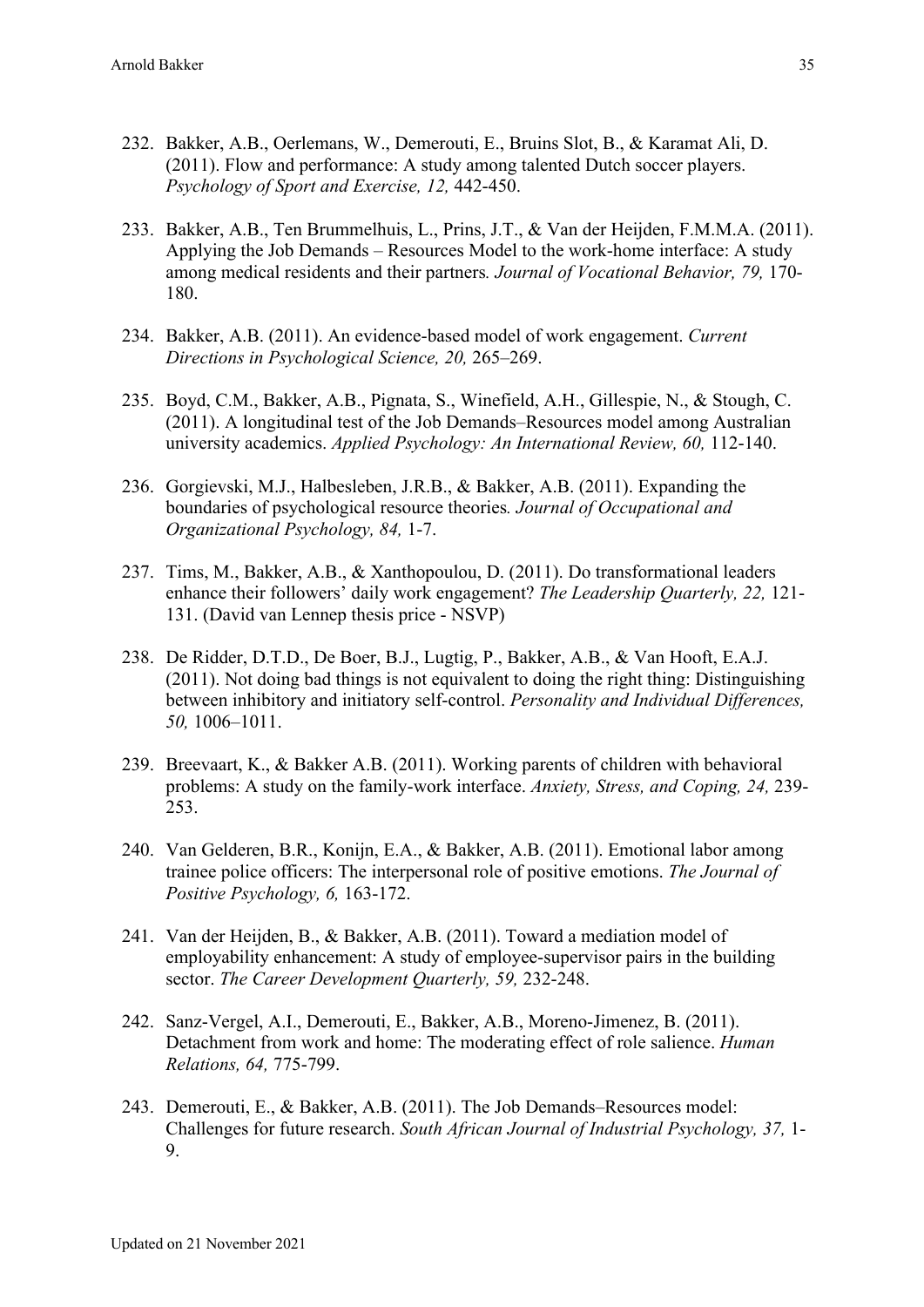- 232. Bakker, A.B., Oerlemans, W., Demerouti, E., Bruins Slot, B., & Karamat Ali, D. (2011). Flow and performance: A study among talented Dutch soccer players. *Psychology of Sport and Exercise, 12,* 442-450.
- 233. Bakker, A.B., Ten Brummelhuis, L., Prins, J.T., & Van der Heijden, F.M.M.A. (2011). Applying the Job Demands – Resources Model to the work-home interface: A study among medical residents and their partners*. Journal of Vocational Behavior, 79,* 170- 180.
- 234. Bakker, A.B. (2011). An evidence-based model of work engagement. *Current Directions in Psychological Science, 20,* 265–269.
- 235. Boyd, C.M., Bakker, A.B., Pignata, S., Winefield, A.H., Gillespie, N., & Stough, C. (2011). A longitudinal test of the Job Demands–Resources model among Australian university academics. *Applied Psychology: An International Review, 60,* 112-140.
- 236. Gorgievski, M.J., Halbesleben, J.R.B., & Bakker, A.B. (2011). Expanding the boundaries of psychological resource theories*. Journal of Occupational and Organizational Psychology, 84,* 1-7.
- 237. Tims, M., Bakker, A.B., & Xanthopoulou, D. (2011). Do transformational leaders enhance their followers' daily work engagement? *The Leadership Quarterly, 22,* 121- 131. (David van Lennep thesis price - NSVP)
- 238. De Ridder, D.T.D., De Boer, B.J., Lugtig, P., Bakker, A.B., & Van Hooft, E.A.J. (2011). Not doing bad things is not equivalent to doing the right thing: Distinguishing between inhibitory and initiatory self-control. *Personality and Individual Differences, 50,* 1006–1011.
- 239. Breevaart, K., & Bakker A.B. (2011). Working parents of children with behavioral problems: A study on the family-work interface. *Anxiety, Stress, and Coping, 24,* 239- 253.
- 240. Van Gelderen, B.R., Konijn, E.A., & Bakker, A.B. (2011). Emotional labor among trainee police officers: The interpersonal role of positive emotions. *The Journal of Positive Psychology, 6,* 163-172.
- 241. Van der Heijden, B., & Bakker, A.B. (2011). Toward a mediation model of employability enhancement: A study of employee-supervisor pairs in the building sector. *The Career Development Quarterly, 59,* 232-248.
- 242. Sanz-Vergel, A.I., Demerouti, E., Bakker, A.B., Moreno-Jimenez, B. (2011). Detachment from work and home: The moderating effect of role salience. *Human Relations, 64,* 775-799.
- 243. Demerouti, E., & Bakker, A.B. (2011). The Job Demands–Resources model: Challenges for future research. *South African Journal of Industrial Psychology, 37,* 1- 9.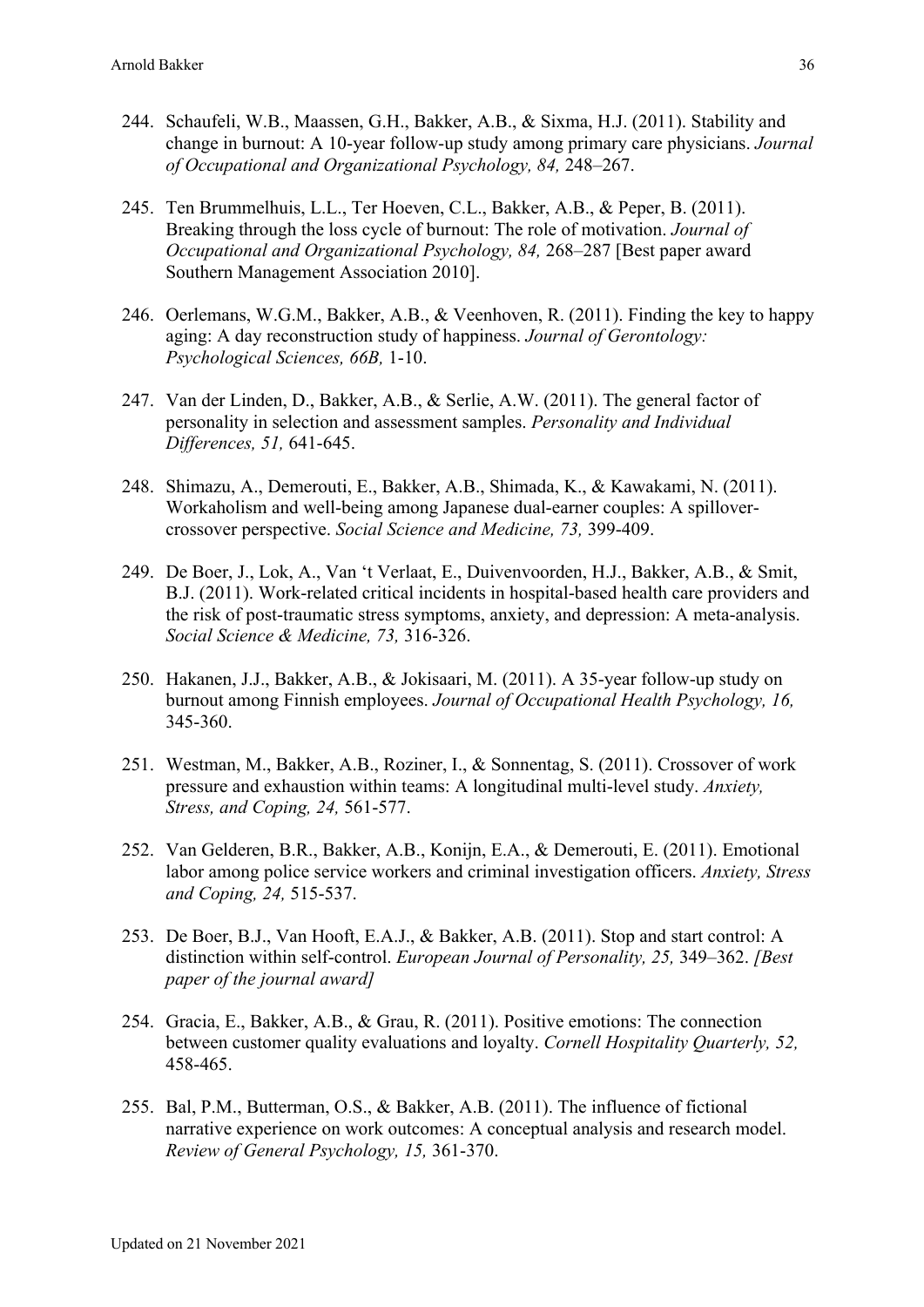- 244. Schaufeli, W.B., Maassen, G.H., Bakker, A.B., & Sixma, H.J. (2011). Stability and change in burnout: A 10-year follow-up study among primary care physicians. *Journal of Occupational and Organizational Psychology, 84,* 248–267.
- 245. Ten Brummelhuis, L.L., Ter Hoeven, C.L., Bakker, A.B., & Peper, B. (2011). Breaking through the loss cycle of burnout: The role of motivation. *Journal of Occupational and Organizational Psychology, 84,* 268–287 [Best paper award Southern Management Association 2010].
- 246. Oerlemans, W.G.M., Bakker, A.B., & Veenhoven, R. (2011). Finding the key to happy aging: A day reconstruction study of happiness. *Journal of Gerontology: Psychological Sciences, 66B,* 1-10.
- 247. Van der Linden, D., Bakker, A.B., & Serlie, A.W. (2011). The general factor of personality in selection and assessment samples. *Personality and Individual Differences, 51,* 641-645.
- 248. Shimazu, A., Demerouti, E., Bakker, A.B., Shimada, K., & Kawakami, N. (2011). Workaholism and well-being among Japanese dual-earner couples: A spillovercrossover perspective. *Social Science and Medicine, 73,* 399-409.
- 249. De Boer, J., Lok, A., Van 't Verlaat, E., Duivenvoorden, H.J., Bakker, A.B., & Smit, B.J. (2011). Work-related critical incidents in hospital-based health care providers and the risk of post-traumatic stress symptoms, anxiety, and depression: A meta-analysis. *Social Science & Medicine, 73,* 316-326.
- 250. Hakanen, J.J., Bakker, A.B., & Jokisaari, M. (2011). A 35-year follow-up study on burnout among Finnish employees. *Journal of Occupational Health Psychology, 16,* 345-360.
- 251. Westman, M., Bakker, A.B., Roziner, I., & Sonnentag, S. (2011). Crossover of work pressure and exhaustion within teams: A longitudinal multi-level study. *Anxiety, Stress, and Coping, 24,* 561-577.
- 252. Van Gelderen, B.R., Bakker, A.B., Konijn, E.A., & Demerouti, E. (2011). Emotional labor among police service workers and criminal investigation officers. *Anxiety, Stress and Coping, 24,* 515-537.
- 253. De Boer, B.J., Van Hooft, E.A.J., & Bakker, A.B. (2011). Stop and start control: A distinction within self-control. *European Journal of Personality, 25,* 349–362. *[Best paper of the journal award]*
- 254. Gracia, E., Bakker, A.B., & Grau, R. (2011). Positive emotions: The connection between customer quality evaluations and loyalty. *Cornell Hospitality Quarterly, 52,* 458-465.
- 255. Bal, P.M., Butterman, O.S., & Bakker, A.B. (2011). The influence of fictional narrative experience on work outcomes: A conceptual analysis and research model. *Review of General Psychology, 15,* 361-370.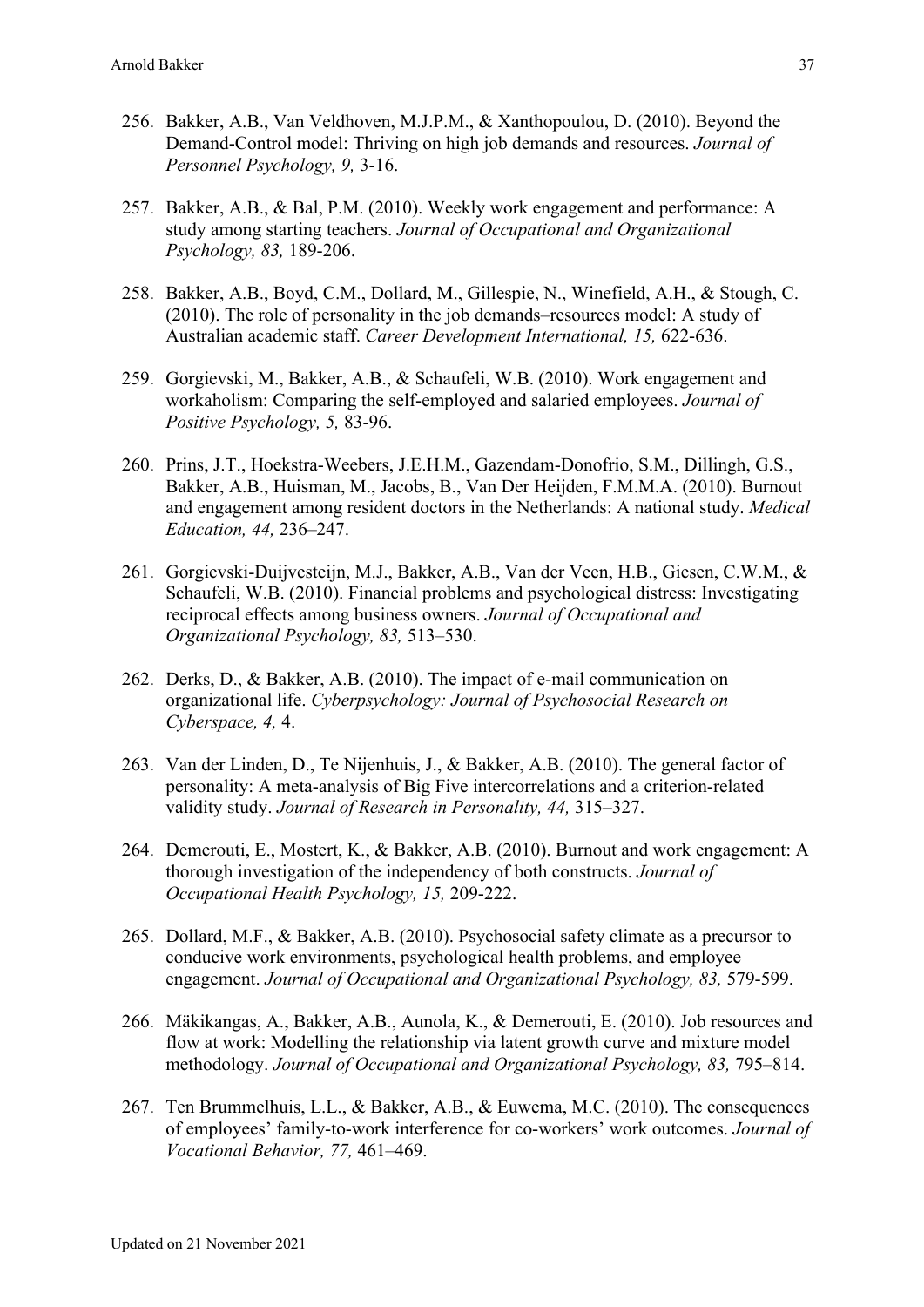- 256. Bakker, A.B., Van Veldhoven, M.J.P.M., & Xanthopoulou, D. (2010). Beyond the Demand-Control model: Thriving on high job demands and resources. *Journal of Personnel Psychology, 9,* 3-16.
- 257. Bakker, A.B., & Bal, P.M. (2010). Weekly work engagement and performance: A study among starting teachers. *Journal of Occupational and Organizational Psychology, 83,* 189-206.
- 258. Bakker, A.B., Boyd, C.M., Dollard, M., Gillespie, N., Winefield, A.H., & Stough, C. (2010). The role of personality in the job demands–resources model: A study of Australian academic staff. *Career Development International, 15,* 622-636.
- 259. Gorgievski, M., Bakker, A.B., & Schaufeli, W.B. (2010). Work engagement and workaholism: Comparing the self-employed and salaried employees. *Journal of Positive Psychology, 5,* 83-96.
- 260. Prins, J.T., Hoekstra-Weebers, J.E.H.M., Gazendam-Donofrio, S.M., Dillingh, G.S., Bakker, A.B., Huisman, M., Jacobs, B., Van Der Heijden, F.M.M.A. (2010). Burnout and engagement among resident doctors in the Netherlands: A national study. *Medical Education, 44,* 236–247.
- 261. Gorgievski-Duijvesteijn, M.J., Bakker, A.B., Van der Veen, H.B., Giesen, C.W.M., & Schaufeli, W.B. (2010). Financial problems and psychological distress: Investigating reciprocal effects among business owners. *Journal of Occupational and Organizational Psychology, 83,* 513–530.
- 262. Derks, D., & Bakker, A.B. (2010). The impact of e-mail communication on organizational life. *Cyberpsychology: Journal of Psychosocial Research on Cyberspace, 4,* 4.
- 263. Van der Linden, D., Te Nijenhuis, J., & Bakker, A.B. (2010). The general factor of personality: A meta-analysis of Big Five intercorrelations and a criterion-related validity study. *Journal of Research in Personality, 44,* 315–327.
- 264. Demerouti, E., Mostert, K., & Bakker, A.B. (2010). Burnout and work engagement: A thorough investigation of the independency of both constructs. *Journal of Occupational Health Psychology, 15,* 209-222.
- 265. Dollard, M.F., & Bakker, A.B. (2010). Psychosocial safety climate as a precursor to conducive work environments, psychological health problems, and employee engagement. *Journal of Occupational and Organizational Psychology, 83,* 579-599.
- 266. Mäkikangas, A., Bakker, A.B., Aunola, K., & Demerouti, E. (2010). Job resources and flow at work: Modelling the relationship via latent growth curve and mixture model methodology. *Journal of Occupational and Organizational Psychology, 83,* 795–814.
- 267. Ten Brummelhuis, L.L., & Bakker, A.B., & Euwema, M.C. (2010). The consequences of employees' family-to-work interference for co-workers' work outcomes. *Journal of Vocational Behavior, 77,* 461–469.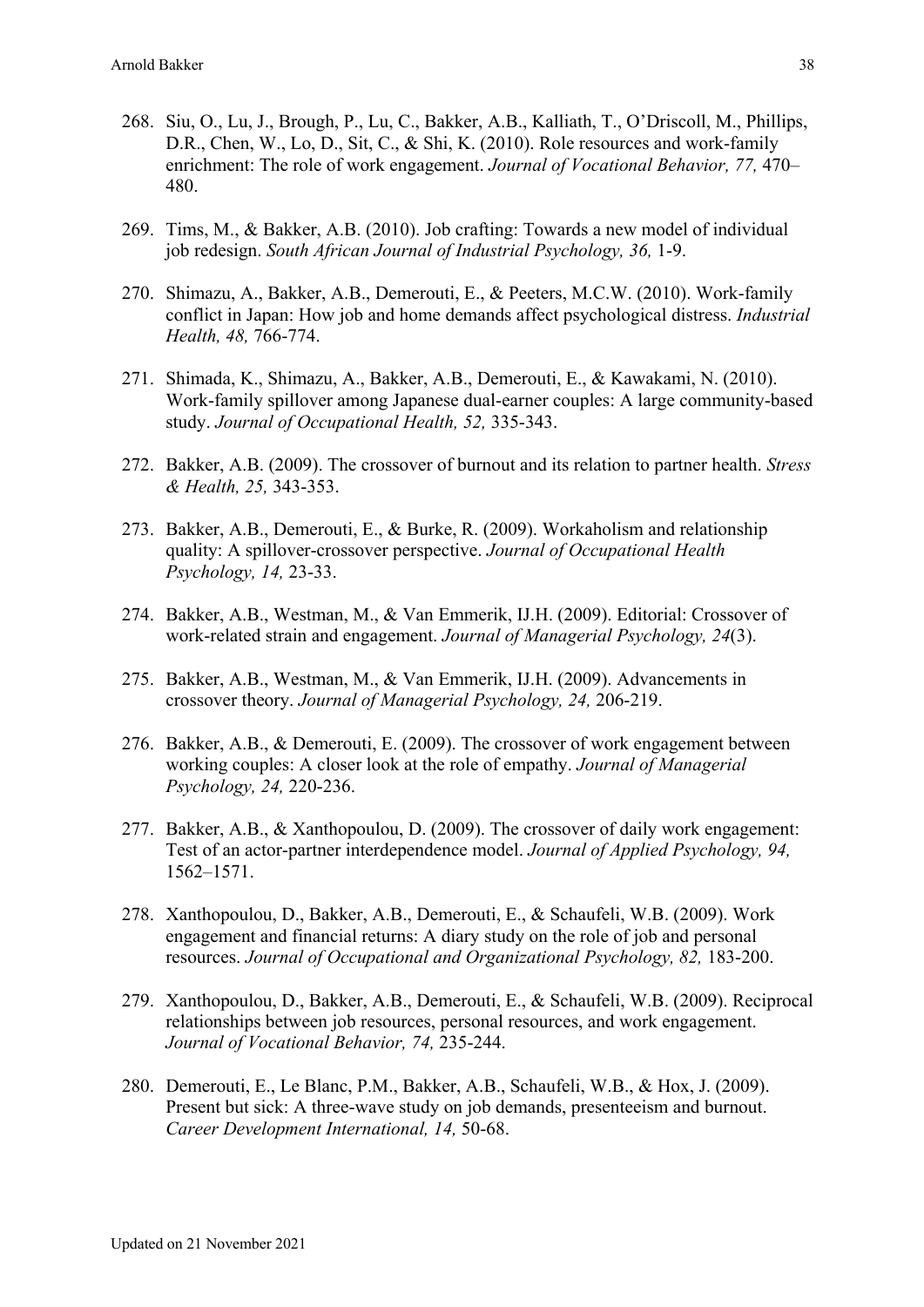- 268. Siu, O., Lu, J., Brough, P., Lu, C., Bakker, A.B., Kalliath, T., O'Driscoll, M., Phillips, D.R., Chen, W., Lo, D., Sit, C., & Shi, K. (2010). Role resources and work-family enrichment: The role of work engagement. *Journal of Vocational Behavior, 77,* 470– 480.
- 269. Tims, M., & Bakker, A.B. (2010). Job crafting: Towards a new model of individual job redesign. *South African Journal of Industrial Psychology, 36,* 1-9.
- 270. Shimazu, A., Bakker, A.B., Demerouti, E., & Peeters, M.C.W. (2010). Work-family conflict in Japan: How job and home demands affect psychological distress. *Industrial Health, 48,* 766-774.
- 271. Shimada, K., Shimazu, A., Bakker, A.B., Demerouti, E., & Kawakami, N. (2010). Work-family spillover among Japanese dual-earner couples: A large community-based study. *Journal of Occupational Health, 52,* 335-343.
- 272. Bakker, A.B. (2009). The crossover of burnout and its relation to partner health. *Stress & Health, 25,* 343-353.
- 273. Bakker, A.B., Demerouti, E., & Burke, R. (2009). Workaholism and relationship quality: A spillover-crossover perspective. *Journal of Occupational Health Psychology, 14,* 23-33.
- 274. Bakker, A.B., Westman, M., & Van Emmerik, IJ.H. (2009). Editorial: Crossover of work-related strain and engagement. *Journal of Managerial Psychology, 24*(3).
- 275. Bakker, A.B., Westman, M., & Van Emmerik, IJ.H. (2009). Advancements in crossover theory. *Journal of Managerial Psychology, 24,* 206-219.
- 276. Bakker, A.B., & Demerouti, E. (2009). The crossover of work engagement between working couples: A closer look at the role of empathy. *Journal of Managerial Psychology, 24,* 220-236.
- 277. Bakker, A.B., & Xanthopoulou, D. (2009). The crossover of daily work engagement: Test of an actor-partner interdependence model. *Journal of Applied Psychology, 94,* 1562–1571.
- 278. Xanthopoulou, D., Bakker, A.B., Demerouti, E., & Schaufeli, W.B. (2009). Work engagement and financial returns: A diary study on the role of job and personal resources. *Journal of Occupational and Organizational Psychology, 82,* 183-200.
- 279. Xanthopoulou, D., Bakker, A.B., Demerouti, E., & Schaufeli, W.B. (2009). Reciprocal relationships between job resources, personal resources, and work engagement. *Journal of Vocational Behavior, 74,* 235-244.
- 280. Demerouti, E., Le Blanc, P.M., Bakker, A.B., Schaufeli, W.B., & Hox, J. (2009). Present but sick: A three-wave study on job demands, presenteeism and burnout. *Career Development International, 14,* 50-68.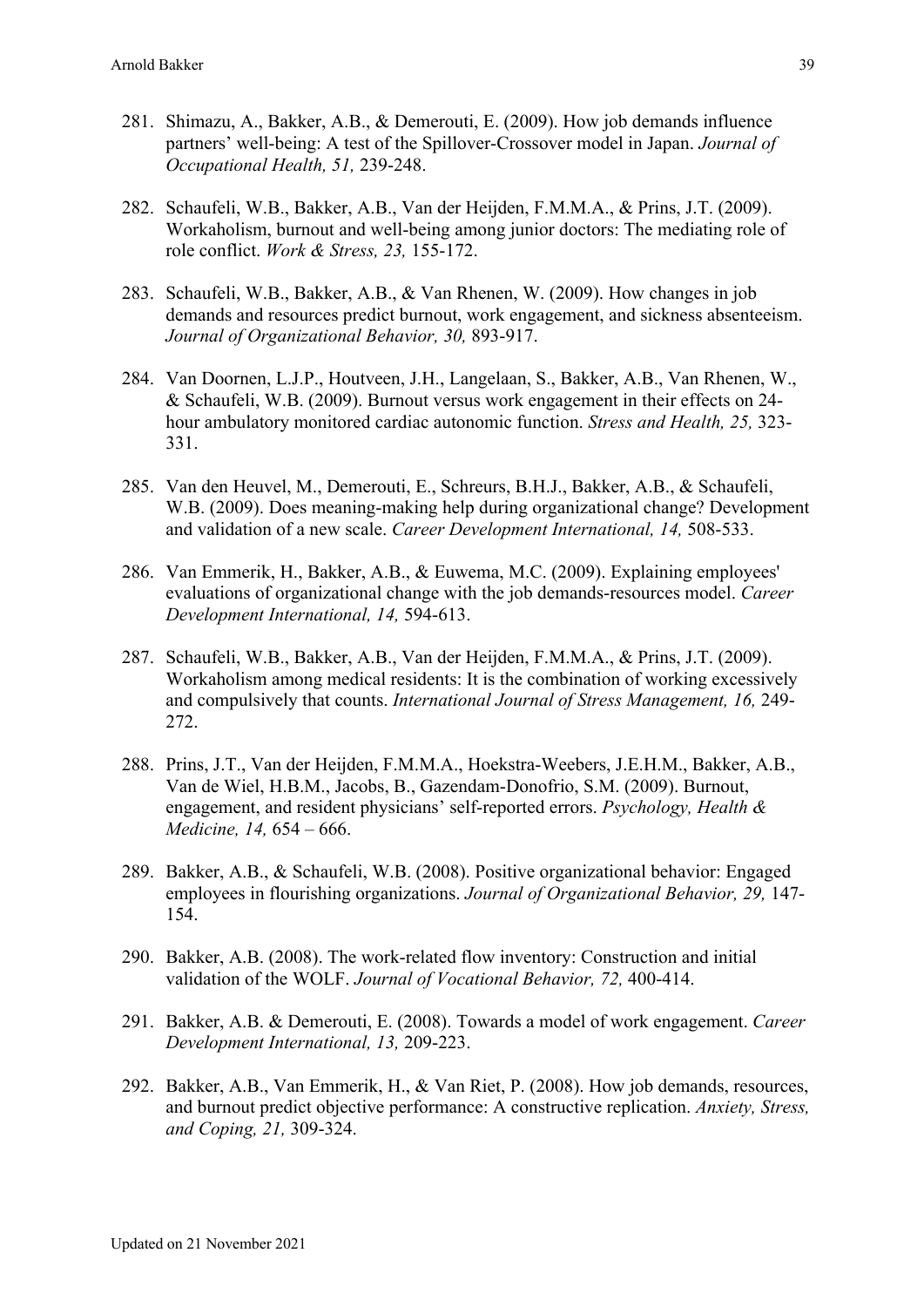- 281. Shimazu, A., Bakker, A.B., & Demerouti, E. (2009). How job demands influence partners' well-being: A test of the Spillover-Crossover model in Japan. *Journal of Occupational Health, 51,* 239-248.
- 282. Schaufeli, W.B., Bakker, A.B., Van der Heijden, F.M.M.A., & Prins, J.T. (2009). Workaholism, burnout and well-being among junior doctors: The mediating role of role conflict. *Work & Stress, 23,* 155-172.
- 283. Schaufeli, W.B., Bakker, A.B., & Van Rhenen, W. (2009). How changes in job demands and resources predict burnout, work engagement, and sickness absenteeism. *Journal of Organizational Behavior, 30,* 893-917.
- 284. Van Doornen, L.J.P., Houtveen, J.H., Langelaan, S., Bakker, A.B., Van Rhenen, W., & Schaufeli, W.B. (2009). Burnout versus work engagement in their effects on 24 hour ambulatory monitored cardiac autonomic function. *Stress and Health, 25,* 323- 331.
- 285. Van den Heuvel, M., Demerouti, E., Schreurs, B.H.J., Bakker, A.B., & Schaufeli, W.B. (2009). Does meaning-making help during organizational change? Development and validation of a new scale. *Career Development International, 14,* 508-533.
- 286. Van Emmerik, H., Bakker, A.B., & Euwema, M.C. (2009). Explaining employees' evaluations of organizational change with the job demands-resources model. *Career Development International, 14,* 594-613.
- 287. Schaufeli, W.B., Bakker, A.B., Van der Heijden, F.M.M.A., & Prins, J.T. (2009). Workaholism among medical residents: It is the combination of working excessively and compulsively that counts. *International Journal of Stress Management, 16,* 249- 272.
- 288. Prins, J.T., Van der Heijden, F.M.M.A., Hoekstra-Weebers, J.E.H.M., Bakker, A.B., Van de Wiel, H.B.M., Jacobs, B., Gazendam-Donofrio, S.M. (2009). Burnout, engagement, and resident physicians' self-reported errors. *Psychology, Health & Medicine, 14,* 654 – 666.
- 289. Bakker, A.B., & Schaufeli, W.B. (2008). Positive organizational behavior: Engaged employees in flourishing organizations. *Journal of Organizational Behavior, 29,* 147- 154.
- 290. Bakker, A.B. (2008). The work-related flow inventory: Construction and initial validation of the WOLF. *Journal of Vocational Behavior, 72,* 400-414.
- 291. Bakker, A.B. & Demerouti, E. (2008). Towards a model of work engagement. *Career Development International, 13,* 209-223.
- 292. Bakker, A.B., Van Emmerik, H., & Van Riet, P. (2008). How job demands, resources, and burnout predict objective performance: A constructive replication. *Anxiety, Stress, and Coping, 21,* 309-324.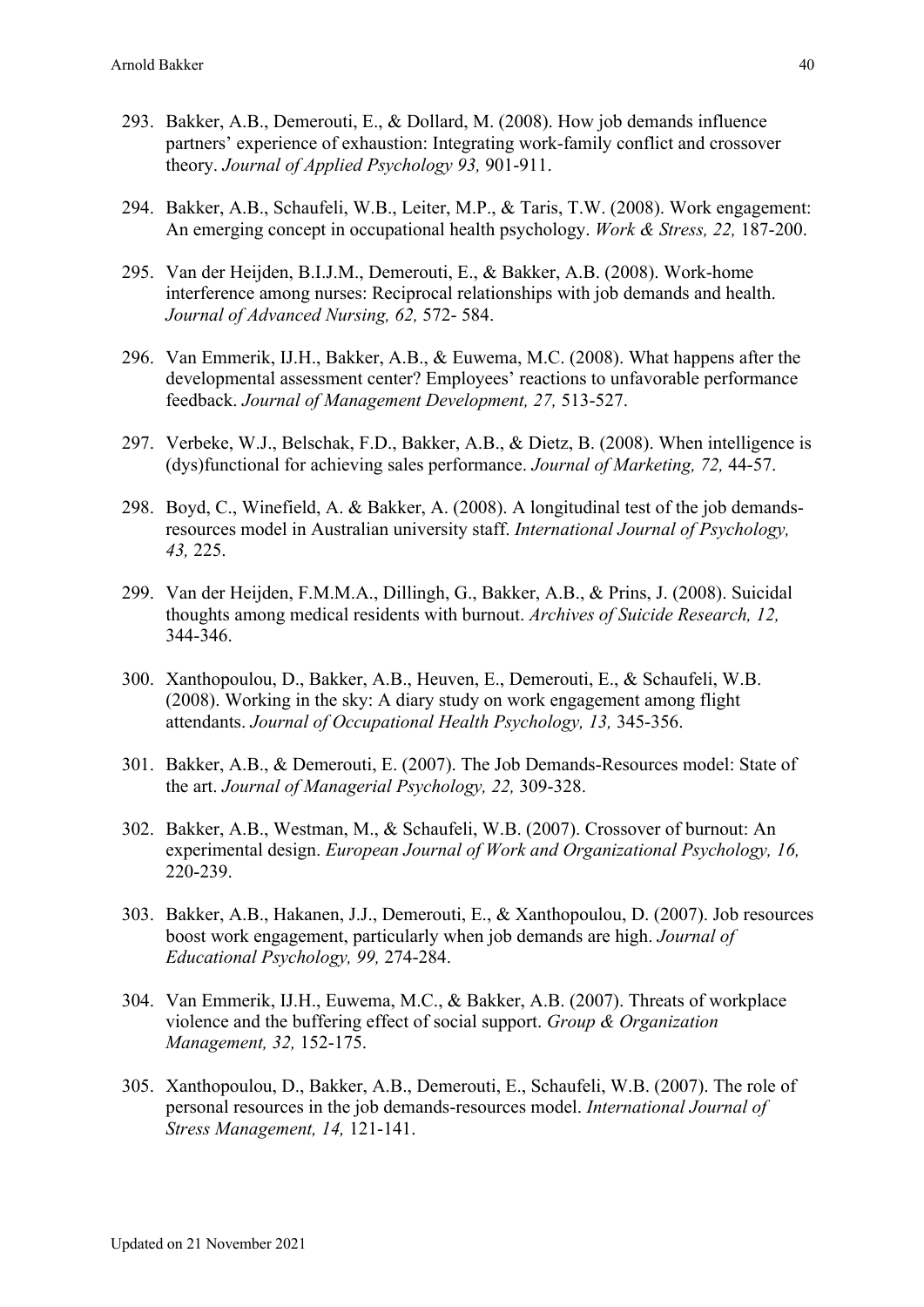- 293. Bakker, A.B., Demerouti, E., & Dollard, M. (2008). How job demands influence partners' experience of exhaustion: Integrating work-family conflict and crossover theory. *Journal of Applied Psychology 93,* 901-911.
- 294. Bakker, A.B., Schaufeli, W.B., Leiter, M.P., & Taris, T.W. (2008). Work engagement: An emerging concept in occupational health psychology. *Work & Stress, 22,* 187-200.
- 295. Van der Heijden, B.I.J.M., Demerouti, E., & Bakker, A.B. (2008). Work-home interference among nurses: Reciprocal relationships with job demands and health. *Journal of Advanced Nursing, 62,* 572- 584.
- 296. Van Emmerik, IJ.H., Bakker, A.B., & Euwema, M.C. (2008). What happens after the developmental assessment center? Employees' reactions to unfavorable performance feedback. *Journal of Management Development, 27,* 513-527.
- 297. Verbeke, W.J., Belschak, F.D., Bakker, A.B., & Dietz, B. (2008). When intelligence is (dys)functional for achieving sales performance. *Journal of Marketing, 72,* 44-57.
- 298. Boyd, C., Winefield, A. & Bakker, A. (2008). A longitudinal test of the job demandsresources model in Australian university staff. *International Journal of Psychology, 43,* 225.
- 299. Van der Heijden, F.M.M.A., Dillingh, G., Bakker, A.B., & Prins, J. (2008). Suicidal thoughts among medical residents with burnout. *Archives of Suicide Research, 12,* 344-346.
- 300. Xanthopoulou, D., Bakker, A.B., Heuven, E., Demerouti, E., & Schaufeli, W.B. (2008). Working in the sky: A diary study on work engagement among flight attendants. *Journal of Occupational Health Psychology, 13,* 345-356.
- 301. Bakker, A.B., & Demerouti, E. (2007). The Job Demands-Resources model: State of the art. *Journal of Managerial Psychology, 22,* 309-328.
- 302. Bakker, A.B., Westman, M., & Schaufeli, W.B. (2007). Crossover of burnout: An experimental design. *European Journal of Work and Organizational Psychology, 16,* 220-239.
- 303. Bakker, A.B., Hakanen, J.J., Demerouti, E., & Xanthopoulou, D. (2007). Job resources boost work engagement, particularly when job demands are high. *Journal of Educational Psychology, 99,* 274-284.
- 304. Van Emmerik, IJ.H., Euwema, M.C., & Bakker, A.B. (2007). Threats of workplace violence and the buffering effect of social support. *Group & Organization Management, 32,* 152-175.
- 305. Xanthopoulou, D., Bakker, A.B., Demerouti, E., Schaufeli, W.B. (2007). The role of personal resources in the job demands-resources model. *International Journal of Stress Management, 14,* 121-141.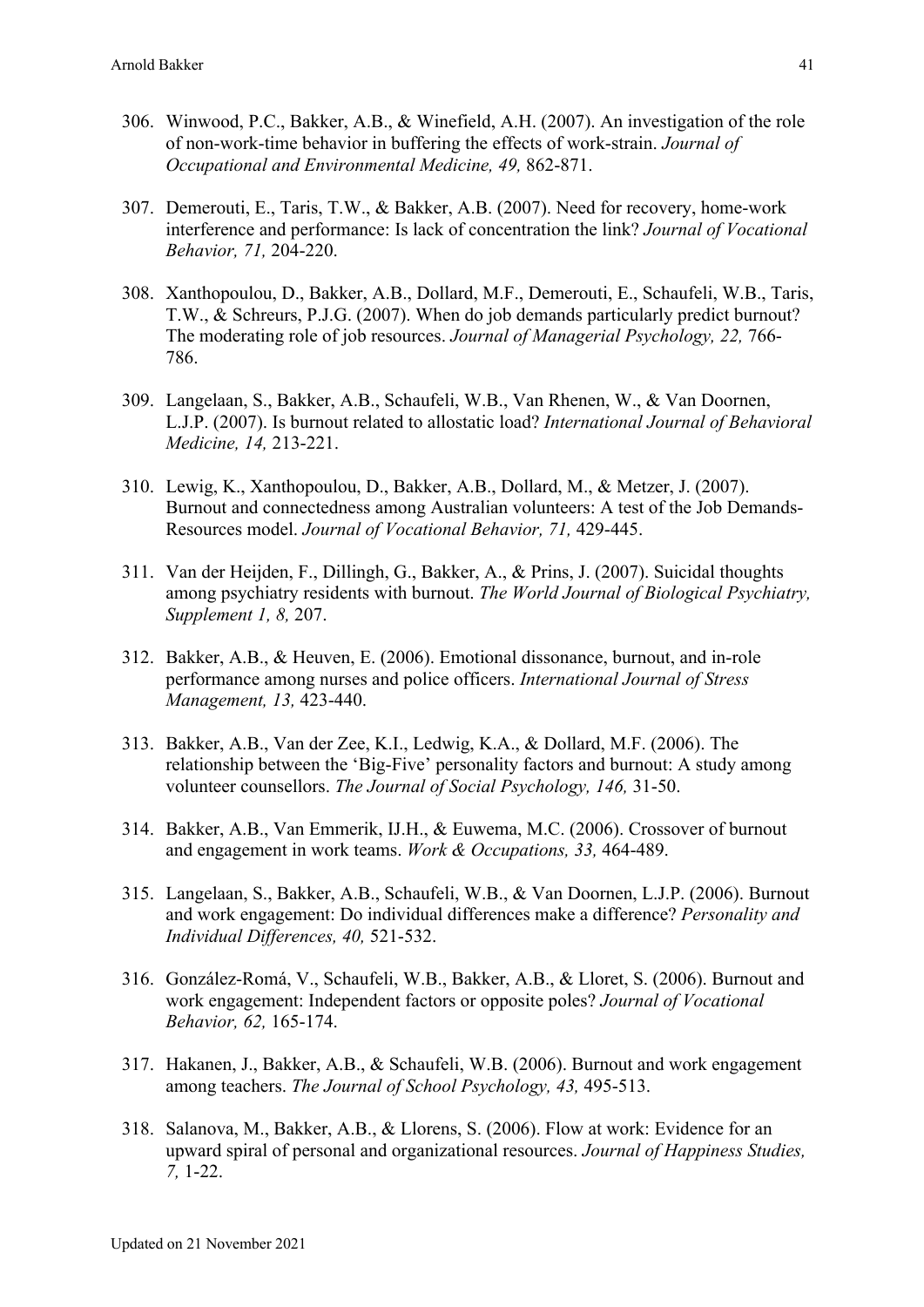- 306. Winwood, P.C., Bakker, A.B., & Winefield, A.H. (2007). An investigation of the role of non-work-time behavior in buffering the effects of work-strain. *Journal of Occupational and Environmental Medicine, 49,* 862-871.
- 307. Demerouti, E., Taris, T.W., & Bakker, A.B. (2007). Need for recovery, home-work interference and performance: Is lack of concentration the link? *Journal of Vocational Behavior, 71,* 204-220.
- 308. Xanthopoulou, D., Bakker, A.B., Dollard, M.F., Demerouti, E., Schaufeli, W.B., Taris, T.W., & Schreurs, P.J.G. (2007). When do job demands particularly predict burnout? The moderating role of job resources. *Journal of Managerial Psychology, 22,* 766- 786.
- 309. Langelaan, S., Bakker, A.B., Schaufeli, W.B., Van Rhenen, W., & Van Doornen, L.J.P. (2007). Is burnout related to allostatic load? *International Journal of Behavioral Medicine, 14,* 213-221.
- 310. Lewig, K., Xanthopoulou, D., Bakker, A.B., Dollard, M., & Metzer, J. (2007). Burnout and connectedness among Australian volunteers: A test of the Job Demands-Resources model. *Journal of Vocational Behavior, 71,* 429-445.
- 311. Van der Heijden, F., Dillingh, G., Bakker, A., & Prins, J. (2007). Suicidal thoughts among psychiatry residents with burnout. *The World Journal of Biological Psychiatry, Supplement 1, 8,* 207.
- 312. Bakker, A.B., & Heuven, E. (2006). Emotional dissonance, burnout, and in-role performance among nurses and police officers. *International Journal of Stress Management, 13,* 423-440.
- 313. Bakker, A.B., Van der Zee, K.I., Ledwig, K.A., & Dollard, M.F. (2006). The relationship between the 'Big-Five' personality factors and burnout: A study among volunteer counsellors. *The Journal of Social Psychology, 146,* 31-50.
- 314. Bakker, A.B., Van Emmerik, IJ.H., & Euwema, M.C. (2006). Crossover of burnout and engagement in work teams. *Work & Occupations, 33,* 464-489.
- 315. Langelaan, S., Bakker, A.B., Schaufeli, W.B., & Van Doornen, L.J.P. (2006). Burnout and work engagement: Do individual differences make a difference? *Personality and Individual Differences, 40,* 521-532.
- 316. González-Romá, V., Schaufeli, W.B., Bakker, A.B., & Lloret, S. (2006). Burnout and work engagement: Independent factors or opposite poles? *Journal of Vocational Behavior, 62,* 165-174.
- 317. Hakanen, J., Bakker, A.B., & Schaufeli, W.B. (2006). Burnout and work engagement among teachers. *The Journal of School Psychology, 43,* 495-513.
- 318. Salanova, M., Bakker, A.B., & Llorens, S. (2006). Flow at work: Evidence for an upward spiral of personal and organizational resources. *Journal of Happiness Studies, 7,* 1-22.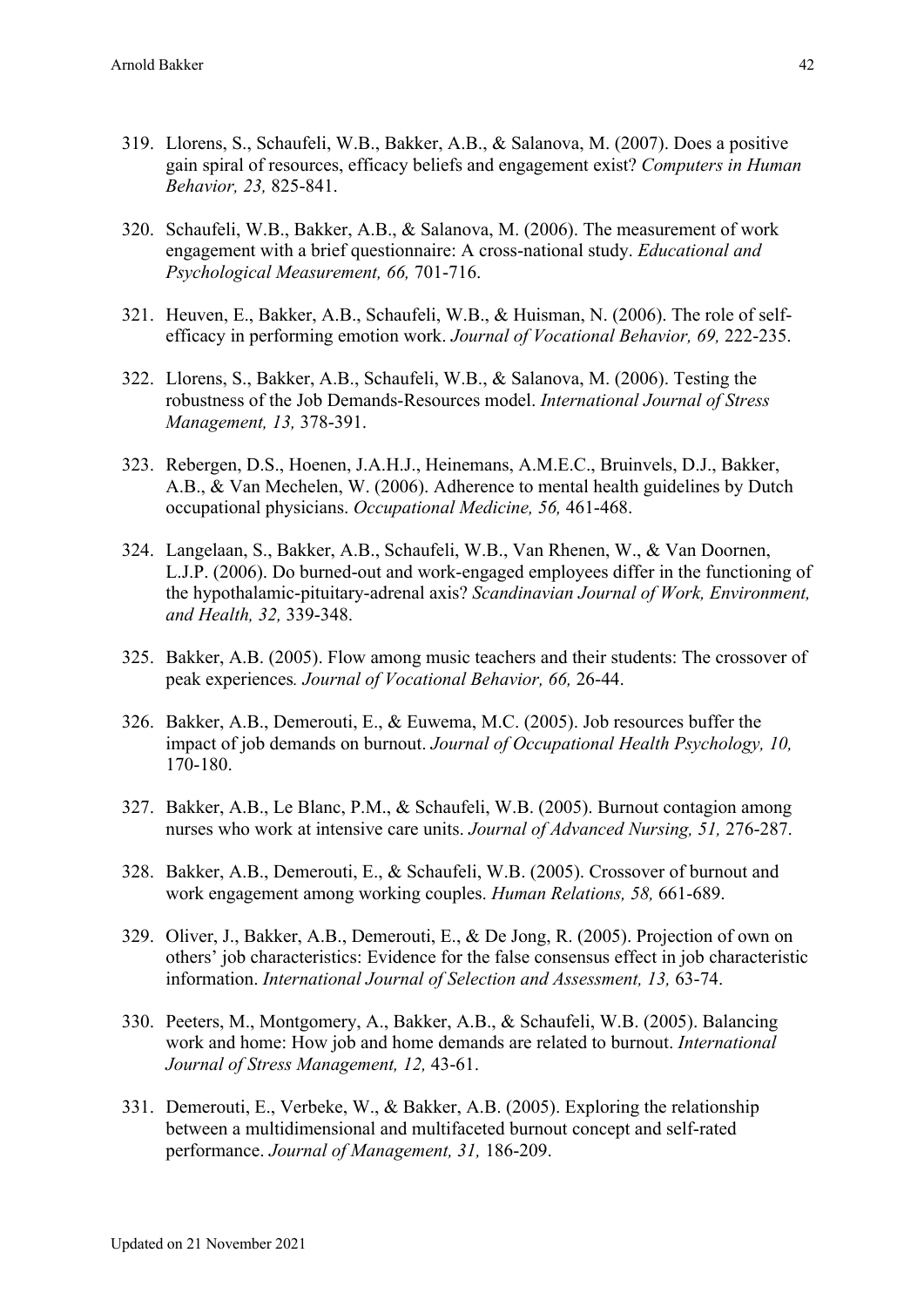- 319. Llorens, S., Schaufeli, W.B., Bakker, A.B., & Salanova, M. (2007). Does a positive gain spiral of resources, efficacy beliefs and engagement exist? *Computers in Human Behavior, 23,* 825-841.
- 320. Schaufeli, W.B., Bakker, A.B., & Salanova, M. (2006). The measurement of work engagement with a brief questionnaire: A cross-national study. *Educational and Psychological Measurement, 66,* 701-716.
- 321. Heuven, E., Bakker, A.B., Schaufeli, W.B., & Huisman, N. (2006). The role of selfefficacy in performing emotion work. *Journal of Vocational Behavior, 69,* 222-235.
- 322. Llorens, S., Bakker, A.B., Schaufeli, W.B., & Salanova, M. (2006). Testing the robustness of the Job Demands-Resources model. *International Journal of Stress Management, 13,* 378-391.
- 323. Rebergen, D.S., Hoenen, J.A.H.J., Heinemans, A.M.E.C., Bruinvels, D.J., Bakker, A.B., & Van Mechelen, W. (2006). Adherence to mental health guidelines by Dutch occupational physicians. *Occupational Medicine, 56,* 461-468.
- 324. Langelaan, S., Bakker, A.B., Schaufeli, W.B., Van Rhenen, W., & Van Doornen, L.J.P. (2006). Do burned-out and work-engaged employees differ in the functioning of the hypothalamic-pituitary-adrenal axis? *Scandinavian Journal of Work, Environment, and Health, 32,* 339-348.
- 325. Bakker, A.B. (2005). Flow among music teachers and their students: The crossover of peak experiences*. Journal of Vocational Behavior, 66,* 26-44.
- 326. Bakker, A.B., Demerouti, E., & Euwema, M.C. (2005). Job resources buffer the impact of job demands on burnout. *Journal of Occupational Health Psychology, 10,* 170-180.
- 327. Bakker, A.B., Le Blanc, P.M., & Schaufeli, W.B. (2005). Burnout contagion among nurses who work at intensive care units. *Journal of Advanced Nursing, 51,* 276-287.
- 328. Bakker, A.B., Demerouti, E., & Schaufeli, W.B. (2005). Crossover of burnout and work engagement among working couples. *Human Relations, 58,* 661-689.
- 329. Oliver, J., Bakker, A.B., Demerouti, E., & De Jong, R. (2005). Projection of own on others' job characteristics: Evidence for the false consensus effect in job characteristic information. *International Journal of Selection and Assessment, 13,* 63-74.
- 330. Peeters, M., Montgomery, A., Bakker, A.B., & Schaufeli, W.B. (2005). Balancing work and home: How job and home demands are related to burnout. *International Journal of Stress Management, 12,* 43-61.
- 331. Demerouti, E., Verbeke, W., & Bakker, A.B. (2005). Exploring the relationship between a multidimensional and multifaceted burnout concept and self-rated performance. *Journal of Management, 31,* 186-209.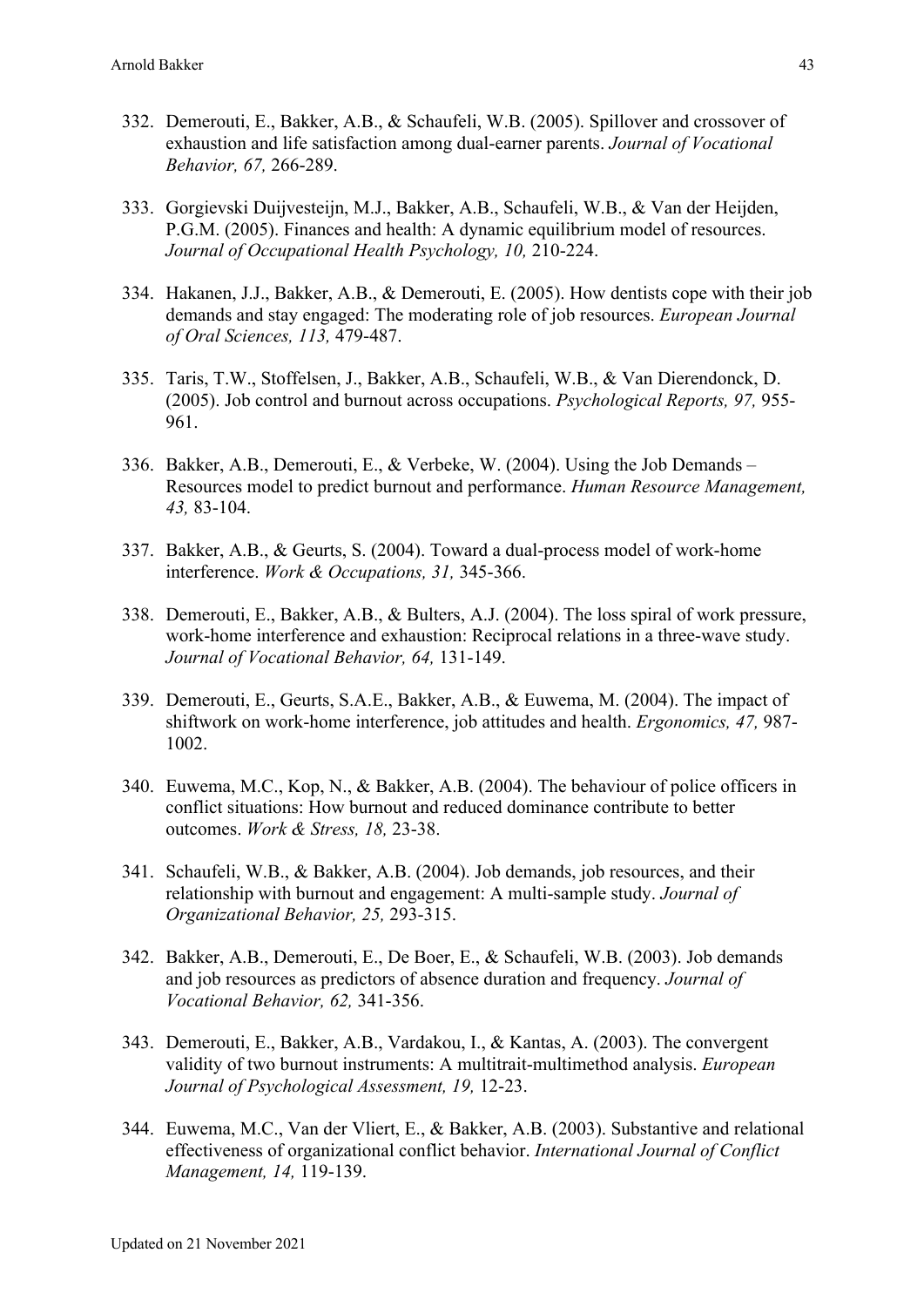- 332. Demerouti, E., Bakker, A.B., & Schaufeli, W.B. (2005). Spillover and crossover of exhaustion and life satisfaction among dual-earner parents. *Journal of Vocational Behavior, 67,* 266-289.
- 333. Gorgievski Duijvesteijn, M.J., Bakker, A.B., Schaufeli, W.B., & Van der Heijden, P.G.M. (2005). Finances and health: A dynamic equilibrium model of resources. *Journal of Occupational Health Psychology, 10,* 210-224.
- 334. Hakanen, J.J., Bakker, A.B., & Demerouti, E. (2005). How dentists cope with their job demands and stay engaged: The moderating role of job resources. *European Journal of Oral Sciences, 113,* 479-487.
- 335. Taris, T.W., Stoffelsen, J., Bakker, A.B., Schaufeli, W.B., & Van Dierendonck, D. (2005). Job control and burnout across occupations. *Psychological Reports, 97,* 955- 961.
- 336. Bakker, A.B., Demerouti, E., & Verbeke, W. (2004). Using the Job Demands Resources model to predict burnout and performance. *Human Resource Management, 43,* 83-104.
- 337. Bakker, A.B., & Geurts, S. (2004). Toward a dual-process model of work-home interference. *Work & Occupations, 31,* 345-366.
- 338. Demerouti, E., Bakker, A.B., & Bulters, A.J. (2004). The loss spiral of work pressure, work-home interference and exhaustion: Reciprocal relations in a three-wave study. *Journal of Vocational Behavior, 64,* 131-149.
- 339. Demerouti, E., Geurts, S.A.E., Bakker, A.B., & Euwema, M. (2004). The impact of shiftwork on work-home interference, job attitudes and health. *Ergonomics, 47,* 987- 1002.
- 340. Euwema, M.C., Kop, N., & Bakker, A.B. (2004). The behaviour of police officers in conflict situations: How burnout and reduced dominance contribute to better outcomes. *Work & Stress, 18,* 23-38.
- 341. Schaufeli, W.B., & Bakker, A.B. (2004). Job demands, job resources, and their relationship with burnout and engagement: A multi-sample study. *Journal of Organizational Behavior, 25,* 293-315.
- 342. Bakker, A.B., Demerouti, E., De Boer, E., & Schaufeli, W.B. (2003). Job demands and job resources as predictors of absence duration and frequency. *Journal of Vocational Behavior, 62,* 341-356.
- 343. Demerouti, E., Bakker, A.B., Vardakou, I., & Kantas, A. (2003). The convergent validity of two burnout instruments: A multitrait-multimethod analysis. *European Journal of Psychological Assessment, 19,* 12-23.
- 344. Euwema, M.C., Van der Vliert, E., & Bakker, A.B. (2003). Substantive and relational effectiveness of organizational conflict behavior. *International Journal of Conflict Management, 14,* 119-139.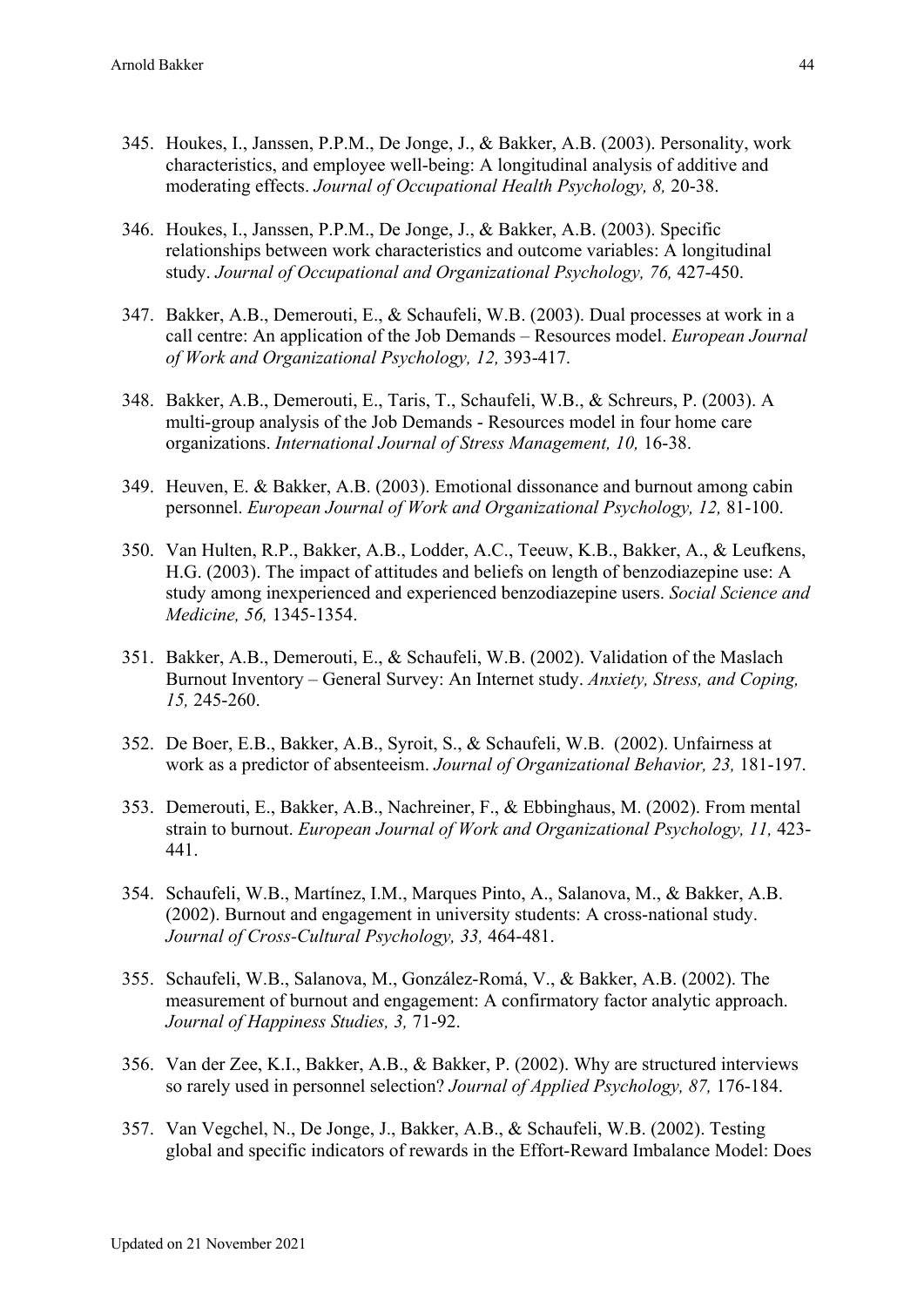- 345. Houkes, I., Janssen, P.P.M., De Jonge, J., & Bakker, A.B. (2003). Personality, work characteristics, and employee well-being: A longitudinal analysis of additive and moderating effects. *Journal of Occupational Health Psychology, 8,* 20-38.
- 346. Houkes, I., Janssen, P.P.M., De Jonge, J., & Bakker, A.B. (2003). Specific relationships between work characteristics and outcome variables: A longitudinal study. *Journal of Occupational and Organizational Psychology, 76,* 427-450.
- 347. Bakker, A.B., Demerouti, E., & Schaufeli, W.B. (2003). Dual processes at work in a call centre: An application of the Job Demands – Resources model. *European Journal of Work and Organizational Psychology, 12,* 393-417.
- 348. Bakker, A.B., Demerouti, E., Taris, T., Schaufeli, W.B., & Schreurs, P. (2003). A multi-group analysis of the Job Demands - Resources model in four home care organizations. *International Journal of Stress Management, 10,* 16-38.
- 349. Heuven, E. & Bakker, A.B. (2003). Emotional dissonance and burnout among cabin personnel. *European Journal of Work and Organizational Psychology, 12,* 81-100.
- 350. Van Hulten, R.P., Bakker, A.B., Lodder, A.C., Teeuw, K.B., Bakker, A., & Leufkens, H.G. (2003). The impact of attitudes and beliefs on length of benzodiazepine use: A study among inexperienced and experienced benzodiazepine users. *Social Science and Medicine, 56,* 1345-1354.
- 351. Bakker, A.B., Demerouti, E., & Schaufeli, W.B. (2002). Validation of the Maslach Burnout Inventory – General Survey: An Internet study. *Anxiety, Stress, and Coping, 15,* 245-260.
- 352. De Boer, E.B., Bakker, A.B., Syroit, S., & Schaufeli, W.B. (2002). Unfairness at work as a predictor of absenteeism. *Journal of Organizational Behavior, 23,* 181-197.
- 353. Demerouti, E., Bakker, A.B., Nachreiner, F., & Ebbinghaus, M. (2002). From mental strain to burnout. *European Journal of Work and Organizational Psychology, 11,* 423- 441.
- 354. Schaufeli, W.B., Martínez, I.M., Marques Pinto, A., Salanova, M., & Bakker, A.B. (2002). Burnout and engagement in university students: A cross-national study. *Journal of Cross-Cultural Psychology, 33,* 464-481.
- 355. Schaufeli, W.B., Salanova, M., González-Romá, V., & Bakker, A.B. (2002). The measurement of burnout and engagement: A confirmatory factor analytic approach. *Journal of Happiness Studies, 3,* 71-92.
- 356. Van der Zee, K.I., Bakker, A.B., & Bakker, P. (2002). Why are structured interviews so rarely used in personnel selection? *Journal of Applied Psychology, 87,* 176-184.
- 357. Van Vegchel, N., De Jonge, J., Bakker, A.B., & Schaufeli, W.B. (2002). Testing global and specific indicators of rewards in the Effort-Reward Imbalance Model: Does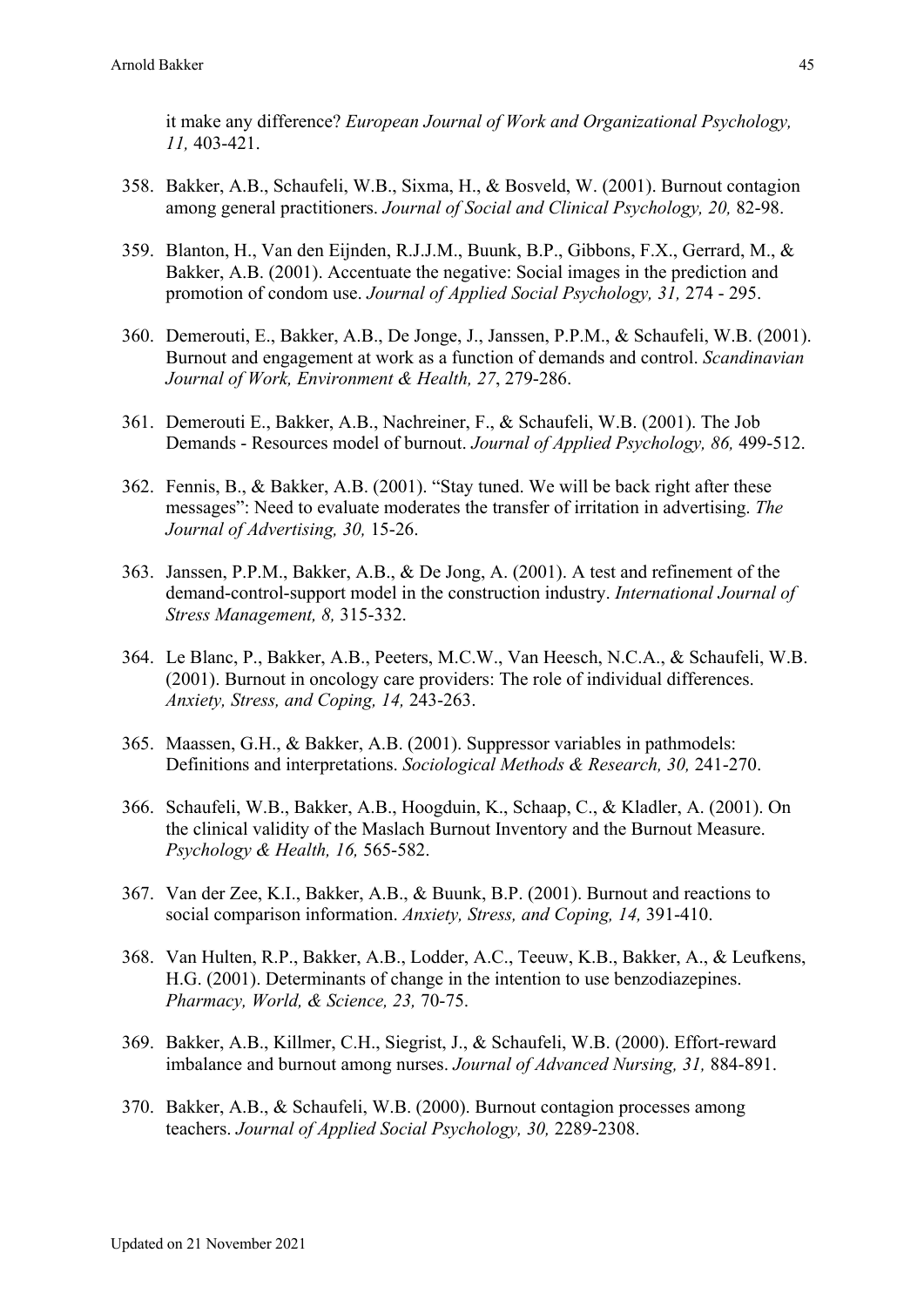it make any difference? *European Journal of Work and Organizational Psychology, 11,* 403-421.

- 358. Bakker, A.B., Schaufeli, W.B., Sixma, H., & Bosveld, W. (2001). Burnout contagion among general practitioners. *Journal of Social and Clinical Psychology, 20,* 82-98.
- 359. Blanton, H., Van den Eijnden, R.J.J.M., Buunk, B.P., Gibbons, F.X., Gerrard, M., & Bakker, A.B. (2001). Accentuate the negative: Social images in the prediction and promotion of condom use. *Journal of Applied Social Psychology, 31,* 274 - 295.
- 360. Demerouti, E., Bakker, A.B., De Jonge, J., Janssen, P.P.M., & Schaufeli, W.B. (2001). Burnout and engagement at work as a function of demands and control. *Scandinavian Journal of Work, Environment & Health, 27*, 279-286.
- 361. Demerouti E., Bakker, A.B., Nachreiner, F., & Schaufeli, W.B. (2001). The Job Demands - Resources model of burnout. *Journal of Applied Psychology, 86,* 499-512.
- 362. Fennis, B., & Bakker, A.B. (2001). "Stay tuned. We will be back right after these messages": Need to evaluate moderates the transfer of irritation in advertising. *The Journal of Advertising, 30,* 15-26.
- 363. Janssen, P.P.M., Bakker, A.B., & De Jong, A. (2001). A test and refinement of the demand-control-support model in the construction industry. *International Journal of Stress Management, 8,* 315-332.
- 364. Le Blanc, P., Bakker, A.B., Peeters, M.C.W., Van Heesch, N.C.A., & Schaufeli, W.B. (2001). Burnout in oncology care providers: The role of individual differences. *Anxiety, Stress, and Coping, 14,* 243-263.
- 365. Maassen, G.H., & Bakker, A.B. (2001). Suppressor variables in pathmodels: Definitions and interpretations. *Sociological Methods & Research, 30,* 241-270.
- 366. Schaufeli, W.B., Bakker, A.B., Hoogduin, K., Schaap, C., & Kladler, A. (2001). On the clinical validity of the Maslach Burnout Inventory and the Burnout Measure. *Psychology & Health, 16,* 565-582.
- 367. Van der Zee, K.I., Bakker, A.B., & Buunk, B.P. (2001). Burnout and reactions to social comparison information. *Anxiety, Stress, and Coping, 14,* 391-410.
- 368. Van Hulten, R.P., Bakker, A.B., Lodder, A.C., Teeuw, K.B., Bakker, A., & Leufkens, H.G. (2001). Determinants of change in the intention to use benzodiazepines. *Pharmacy, World, & Science, 23,* 70-75.
- 369. Bakker, A.B., Killmer, C.H., Siegrist, J., & Schaufeli, W.B. (2000). Effort-reward imbalance and burnout among nurses. *Journal of Advanced Nursing, 31,* 884-891.
- 370. Bakker, A.B., & Schaufeli, W.B. (2000). Burnout contagion processes among teachers. *Journal of Applied Social Psychology, 30,* 2289-2308.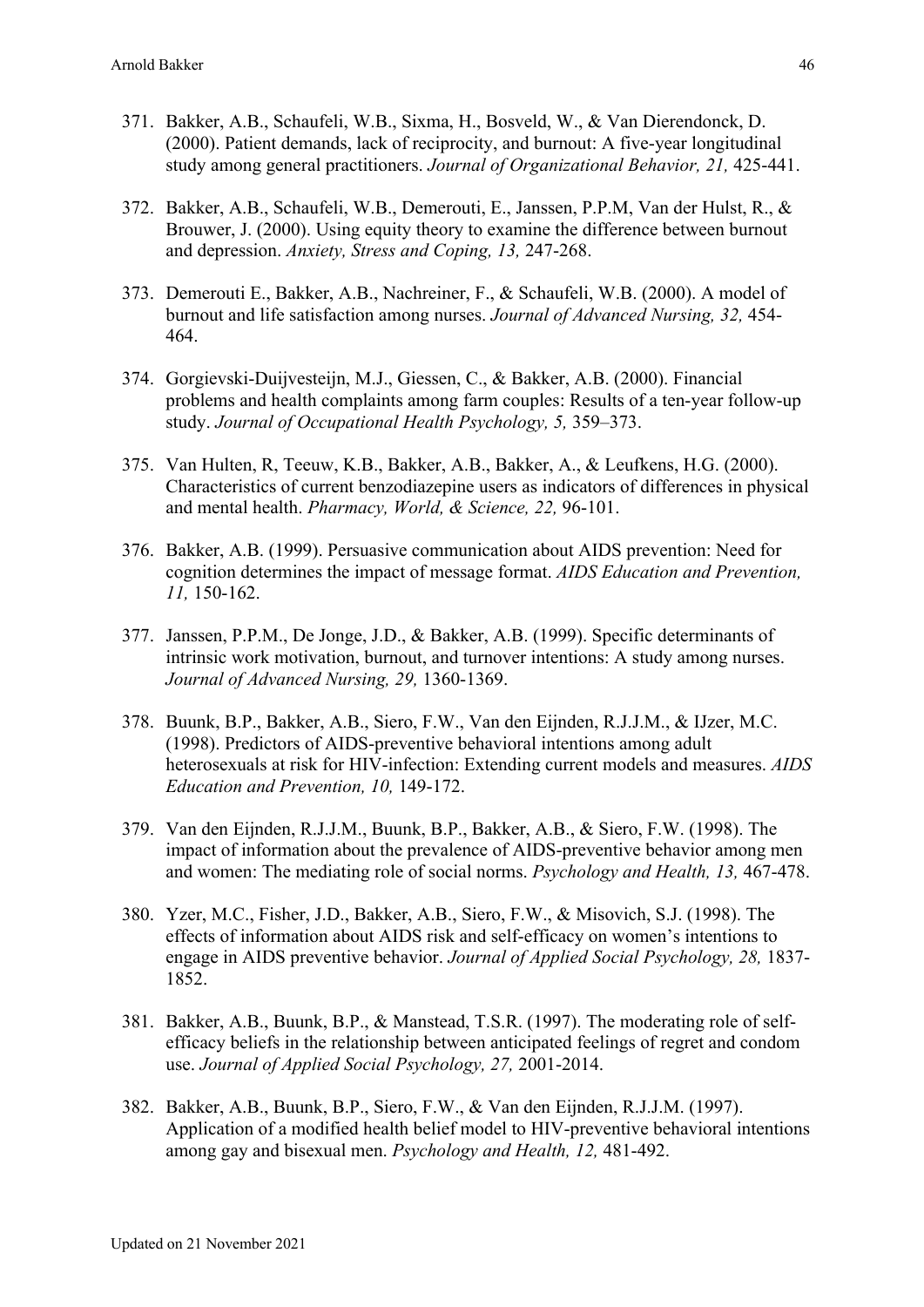- 371. Bakker, A.B., Schaufeli, W.B., Sixma, H., Bosveld, W., & Van Dierendonck, D. (2000). Patient demands, lack of reciprocity, and burnout: A five-year longitudinal study among general practitioners. *Journal of Organizational Behavior, 21,* 425-441.
- 372. Bakker, A.B., Schaufeli, W.B., Demerouti, E., Janssen, P.P.M, Van der Hulst, R., & Brouwer, J. (2000). Using equity theory to examine the difference between burnout and depression. *Anxiety, Stress and Coping, 13,* 247-268.
- 373. Demerouti E., Bakker, A.B., Nachreiner, F., & Schaufeli, W.B. (2000). A model of burnout and life satisfaction among nurses. *Journal of Advanced Nursing, 32,* 454- 464.
- 374. Gorgievski-Duijvesteijn, M.J., Giessen, C., & Bakker, A.B. (2000). Financial problems and health complaints among farm couples: Results of a ten-year follow-up study. *Journal of Occupational Health Psychology, 5,* 359–373.
- 375. Van Hulten, R, Teeuw, K.B., Bakker, A.B., Bakker, A., & Leufkens, H.G. (2000). Characteristics of current benzodiazepine users as indicators of differences in physical and mental health. *Pharmacy, World, & Science, 22,* 96-101.
- 376. Bakker, A.B. (1999). Persuasive communication about AIDS prevention: Need for cognition determines the impact of message format. *AIDS Education and Prevention, 11,* 150-162.
- 377. Janssen, P.P.M., De Jonge, J.D., & Bakker, A.B. (1999). Specific determinants of intrinsic work motivation, burnout, and turnover intentions: A study among nurses. *Journal of Advanced Nursing, 29,* 1360-1369.
- 378. Buunk, B.P., Bakker, A.B., Siero, F.W., Van den Eijnden, R.J.J.M., & IJzer, M.C. (1998). Predictors of AIDS-preventive behavioral intentions among adult heterosexuals at risk for HIV-infection: Extending current models and measures. *AIDS Education and Prevention, 10,* 149-172.
- 379. Van den Eijnden, R.J.J.M., Buunk, B.P., Bakker, A.B., & Siero, F.W. (1998). The impact of information about the prevalence of AIDS-preventive behavior among men and women: The mediating role of social norms. *Psychology and Health, 13,* 467-478.
- 380. Yzer, M.C., Fisher, J.D., Bakker, A.B., Siero, F.W., & Misovich, S.J. (1998). The effects of information about AIDS risk and self-efficacy on women's intentions to engage in AIDS preventive behavior. *Journal of Applied Social Psychology, 28,* 1837- 1852.
- 381. Bakker, A.B., Buunk, B.P., & Manstead, T.S.R. (1997). The moderating role of selfefficacy beliefs in the relationship between anticipated feelings of regret and condom use. *Journal of Applied Social Psychology, 27,* 2001-2014.
- 382. Bakker, A.B., Buunk, B.P., Siero, F.W., & Van den Eijnden, R.J.J.M. (1997). Application of a modified health belief model to HIV-preventive behavioral intentions among gay and bisexual men. *Psychology and Health, 12,* 481-492.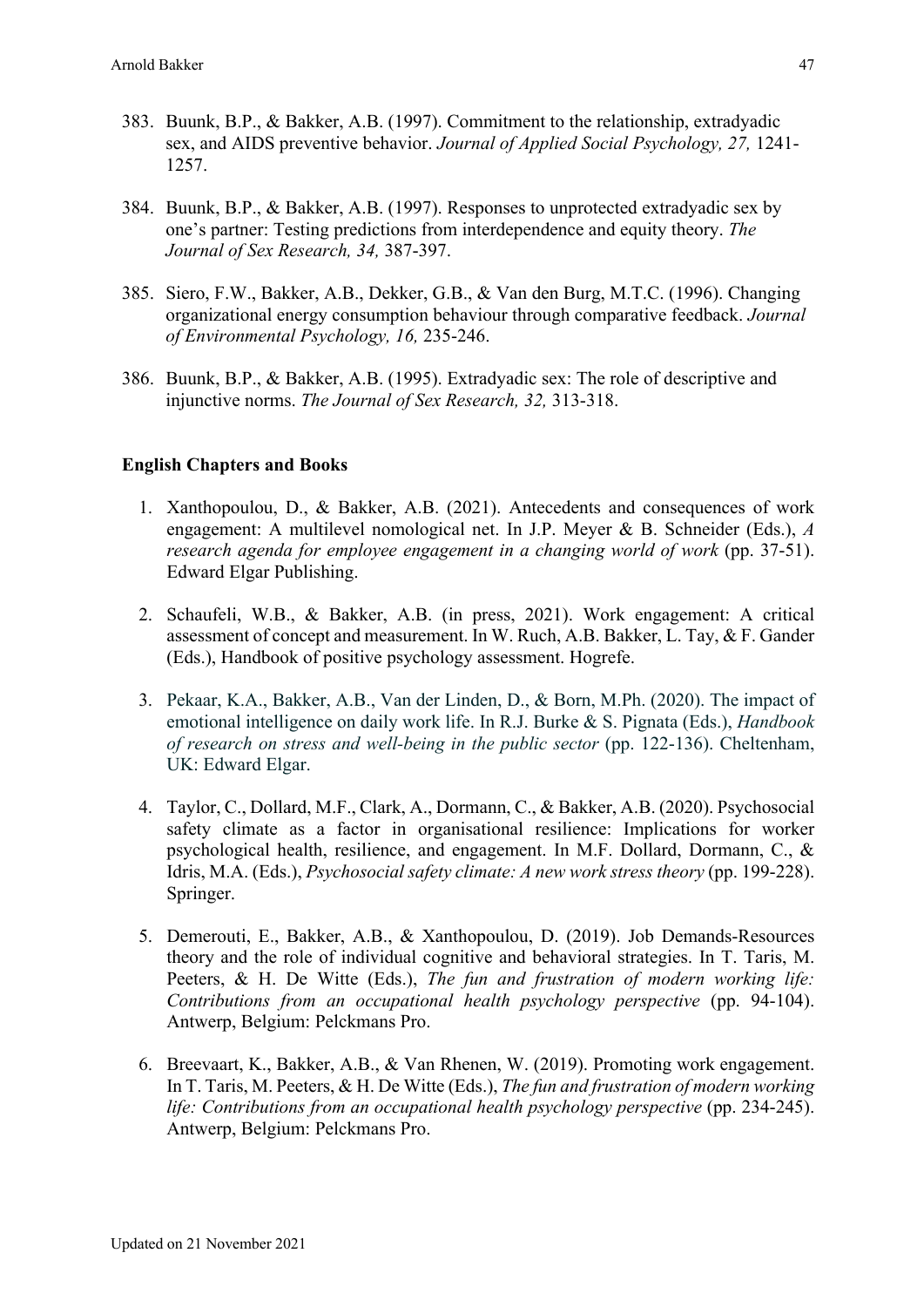- 383. Buunk, B.P., & Bakker, A.B. (1997). Commitment to the relationship, extradyadic sex, and AIDS preventive behavior. *Journal of Applied Social Psychology, 27,* 1241- 1257.
- 384. Buunk, B.P., & Bakker, A.B. (1997). Responses to unprotected extradyadic sex by one's partner: Testing predictions from interdependence and equity theory. *The Journal of Sex Research, 34,* 387-397.
- 385. Siero, F.W., Bakker, A.B., Dekker, G.B., & Van den Burg, M.T.C. (1996). Changing organizational energy consumption behaviour through comparative feedback. *Journal of Environmental Psychology, 16,* 235-246.
- 386. Buunk, B.P., & Bakker, A.B. (1995). Extradyadic sex: The role of descriptive and injunctive norms. *The Journal of Sex Research, 32,* 313-318.

#### **English Chapters and Books**

- 1. Xanthopoulou, D., & Bakker, A.B. (2021). Antecedents and consequences of work engagement: A multilevel nomological net. In J.P. Meyer & B. Schneider (Eds.), *A research agenda for employee engagement in a changing world of work* (pp. 37-51). Edward Elgar Publishing.
- 2. Schaufeli, W.B., & Bakker, A.B. (in press, 2021). Work engagement: A critical assessment of concept and measurement. In W. Ruch, A.B. Bakker, L. Tay, & F. Gander (Eds.), Handbook of positive psychology assessment. Hogrefe.
- 3. Pekaar, K.A., Bakker, A.B., Van der Linden, D., & Born, M.Ph. (2020). The impact of emotional intelligence on daily work life. In R.J. Burke & S. Pignata (Eds.), *Handbook of research on stress and well-being in the public sector (pp. 122-136). Cheltenham,* UK: Edward Elgar.
- 4. Taylor, C., Dollard, M.F., Clark, A., Dormann, C., & Bakker, A.B. (2020). Psychosocial safety climate as a factor in organisational resilience: Implications for worker psychological health, resilience, and engagement. In M.F. Dollard, Dormann, C., & Idris, M.A. (Eds.), *Psychosocial safety climate: A new work stress theory* (pp. 199-228). Springer.
- 5. Demerouti, E., Bakker, A.B., & Xanthopoulou, D. (2019). Job Demands-Resources theory and the role of individual cognitive and behavioral strategies. In T. Taris, M. Peeters, & H. De Witte (Eds.), *The fun and frustration of modern working life: Contributions from an occupational health psychology perspective* (pp. 94-104). Antwerp, Belgium: Pelckmans Pro.
- 6. Breevaart, K., Bakker, A.B., & Van Rhenen, W. (2019). Promoting work engagement. In T. Taris, M. Peeters, & H. De Witte (Eds.), *The fun and frustration of modern working life: Contributions from an occupational health psychology perspective* (pp. 234-245). Antwerp, Belgium: Pelckmans Pro.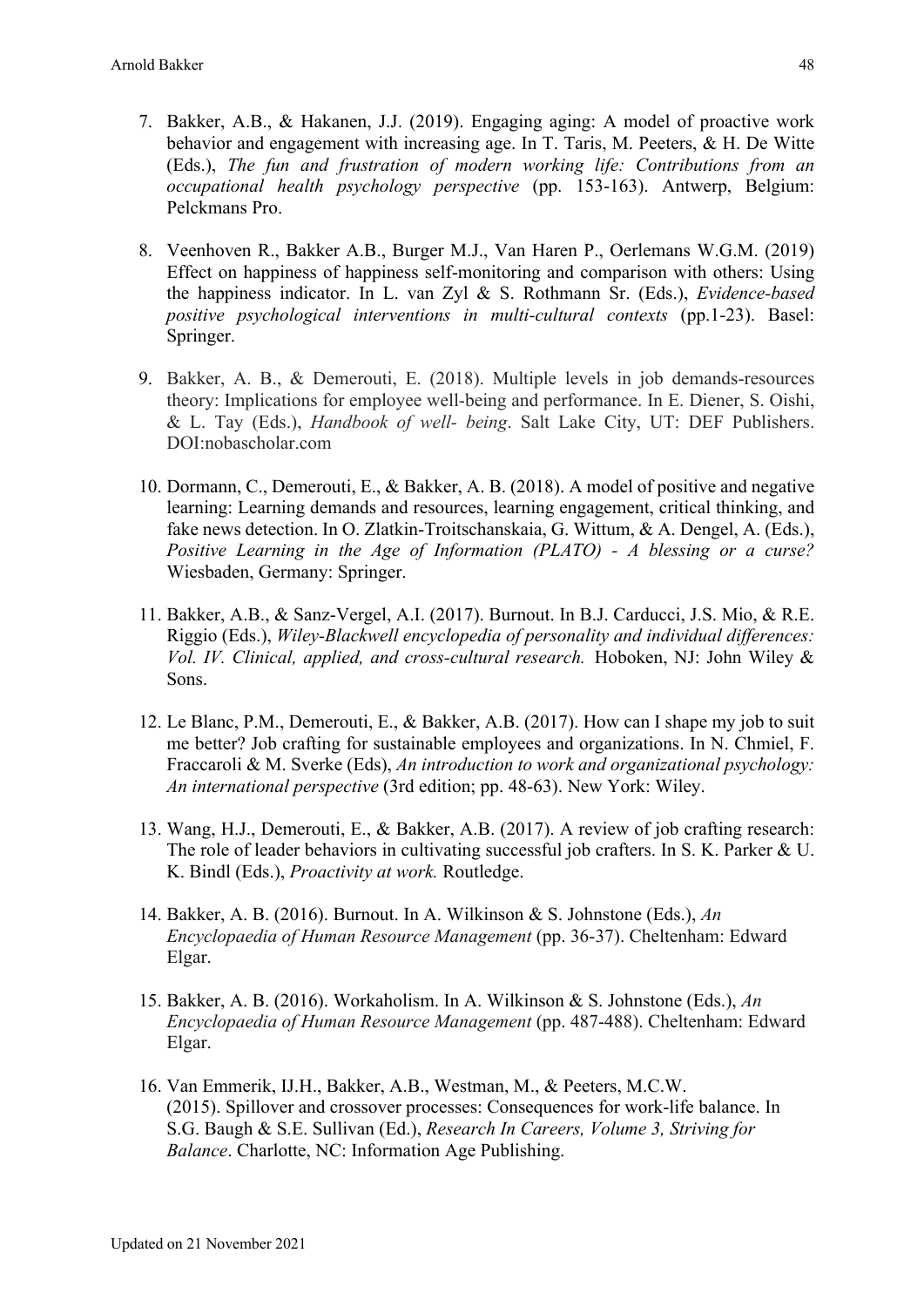- 7. Bakker, A.B., & Hakanen, J.J. (2019). Engaging aging: A model of proactive work behavior and engagement with increasing age. In T. Taris, M. Peeters, & H. De Witte (Eds.), *The fun and frustration of modern working life: Contributions from an occupational health psychology perspective* (pp. 153-163). Antwerp, Belgium: Pelckmans Pro.
- 8. Veenhoven R., Bakker A.B., Burger M.J., Van Haren P., Oerlemans W.G.M. (2019) Effect on happiness of happiness self-monitoring and comparison with others: Using the happiness indicator. In L. van Zyl & S. Rothmann Sr. (Eds.), *Evidence-based positive psychological interventions in multi-cultural contexts* (pp.1-23). Basel: Springer.
- 9. Bakker, A. B., & Demerouti, E. (2018). Multiple levels in job demands-resources theory: Implications for employee well-being and performance. In E. Diener, S. Oishi, & L. Tay (Eds.), *Handbook of well- being*. Salt Lake City, UT: DEF Publishers. DOI:nobascholar.com
- 10. Dormann, C., Demerouti, E., & Bakker, A. B. (2018). A model of positive and negative learning: Learning demands and resources, learning engagement, critical thinking, and fake news detection. In O. Zlatkin-Troitschanskaia, G. Wittum, & A. Dengel, A. (Eds.), *Positive Learning in the Age of Information (PLATO) - A blessing or a curse?* Wiesbaden, Germany: Springer.
- 11. Bakker, A.B., & Sanz-Vergel, A.I. (2017). Burnout. In B.J. Carducci, J.S. Mio, & R.E. Riggio (Eds.), *Wiley-Blackwell encyclopedia of personality and individual differences: Vol. IV. Clinical, applied, and cross-cultural research.* Hoboken, NJ: John Wiley & Sons.
- 12. Le Blanc, P.M., Demerouti, E., & Bakker, A.B. (2017). How can I shape my job to suit me better? Job crafting for sustainable employees and organizations. In N. Chmiel, F. Fraccaroli & M. Sverke (Eds), *An introduction to work and organizational psychology: An international perspective* (3rd edition; pp. 48-63). New York: Wiley.
- 13. Wang, H.J., Demerouti, E., & Bakker, A.B. (2017). A review of job crafting research: The role of leader behaviors in cultivating successful job crafters. In S. K. Parker & U. K. Bindl (Eds.), *Proactivity at work.* Routledge.
- 14. Bakker, A. B. (2016). Burnout. In A. Wilkinson & S. Johnstone (Eds.), *An Encyclopaedia of Human Resource Management* (pp. 36-37). Cheltenham: Edward Elgar.
- 15. Bakker, A. B. (2016). Workaholism. In A. Wilkinson & S. Johnstone (Eds.), *An Encyclopaedia of Human Resource Management* (pp. 487-488). Cheltenham: Edward Elgar.
- 16. Van Emmerik, IJ.H., Bakker, A.B., Westman, M., & Peeters, M.C.W. (2015). Spillover and crossover processes: Consequences for work-life balance. In S.G. Baugh & S.E. Sullivan (Ed.), *Research In Careers, Volume 3, Striving for Balance*. Charlotte, NC: Information Age Publishing.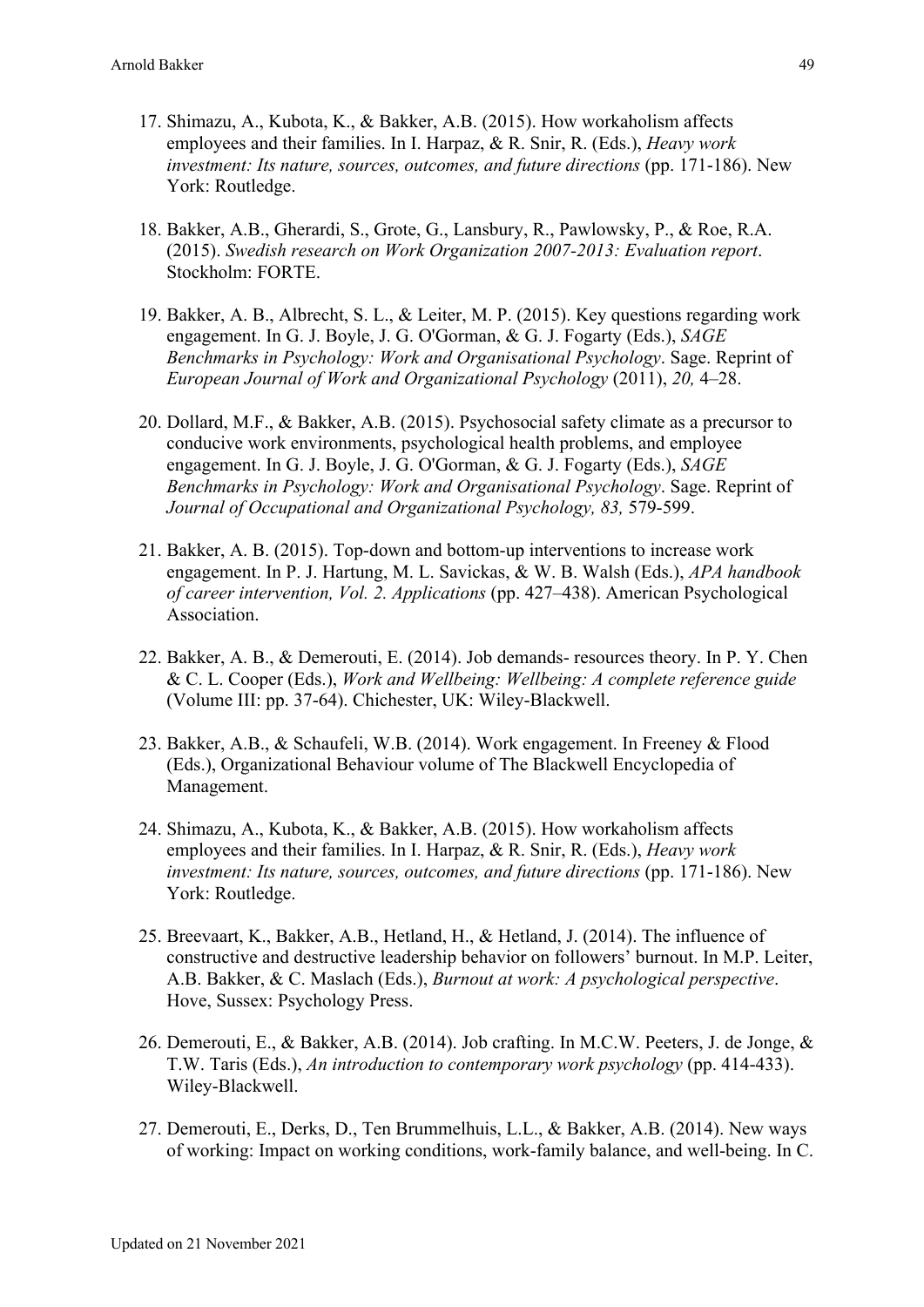- 17. Shimazu, A., Kubota, K., & Bakker, A.B. (2015). How workaholism affects employees and their families. In I. Harpaz, & R. Snir, R. (Eds.), *Heavy work investment: Its nature, sources, outcomes, and future directions* (pp. 171-186). New York: Routledge.
- 18. Bakker, A.B., Gherardi, S., Grote, G., Lansbury, R., Pawlowsky, P., & Roe, R.A. (2015). *Swedish research on Work Organization 2007-2013: Evaluation report*. Stockholm: FORTE.
- 19. Bakker, A. B., Albrecht, S. L., & Leiter, M. P. (2015). Key questions regarding work engagement. In G. J. Boyle, J. G. O'Gorman, & G. J. Fogarty (Eds.), *SAGE Benchmarks in Psychology: Work and Organisational Psychology*. Sage. Reprint of *European Journal of Work and Organizational Psychology* (2011), *20,* 4–28.
- 20. Dollard, M.F., & Bakker, A.B. (2015). Psychosocial safety climate as a precursor to conducive work environments, psychological health problems, and employee engagement. In G. J. Boyle, J. G. O'Gorman, & G. J. Fogarty (Eds.), *SAGE Benchmarks in Psychology: Work and Organisational Psychology*. Sage. Reprint of *Journal of Occupational and Organizational Psychology, 83,* 579-599.
- 21. Bakker, A. B. (2015). Top-down and bottom-up interventions to increase work engagement. In P. J. Hartung, M. L. Savickas, & W. B. Walsh (Eds.), *APA handbook of career intervention, Vol. 2. Applications* (pp. 427–438). American Psychological Association.
- 22. Bakker, A. B., & Demerouti, E. (2014). Job demands- resources theory. In P. Y. Chen & C. L. Cooper (Eds.), *Work and Wellbeing: Wellbeing: A complete reference guide* (Volume III: pp. 37-64). Chichester, UK: Wiley-Blackwell.
- 23. Bakker, A.B., & Schaufeli, W.B. (2014). Work engagement. In Freeney & Flood (Eds.), Organizational Behaviour volume of The Blackwell Encyclopedia of Management.
- 24. Shimazu, A., Kubota, K., & Bakker, A.B. (2015). How workaholism affects employees and their families. In I. Harpaz, & R. Snir, R. (Eds.), *Heavy work investment: Its nature, sources, outcomes, and future directions* (pp. 171-186). New York: Routledge.
- 25. Breevaart, K., Bakker, A.B., Hetland, H., & Hetland, J. (2014). The influence of constructive and destructive leadership behavior on followers' burnout. In M.P. Leiter, A.B. Bakker, & C. Maslach (Eds.), *Burnout at work: A psychological perspective*. Hove, Sussex: Psychology Press.
- 26. Demerouti, E., & Bakker, A.B. (2014). Job crafting. In M.C.W. Peeters, J. de Jonge, & T.W. Taris (Eds.), *An introduction to contemporary work psychology* (pp. 414-433). Wiley-Blackwell.
- 27. Demerouti, E., Derks, D., Ten Brummelhuis, L.L., & Bakker, A.B. (2014). New ways of working: Impact on working conditions, work-family balance, and well-being. In C.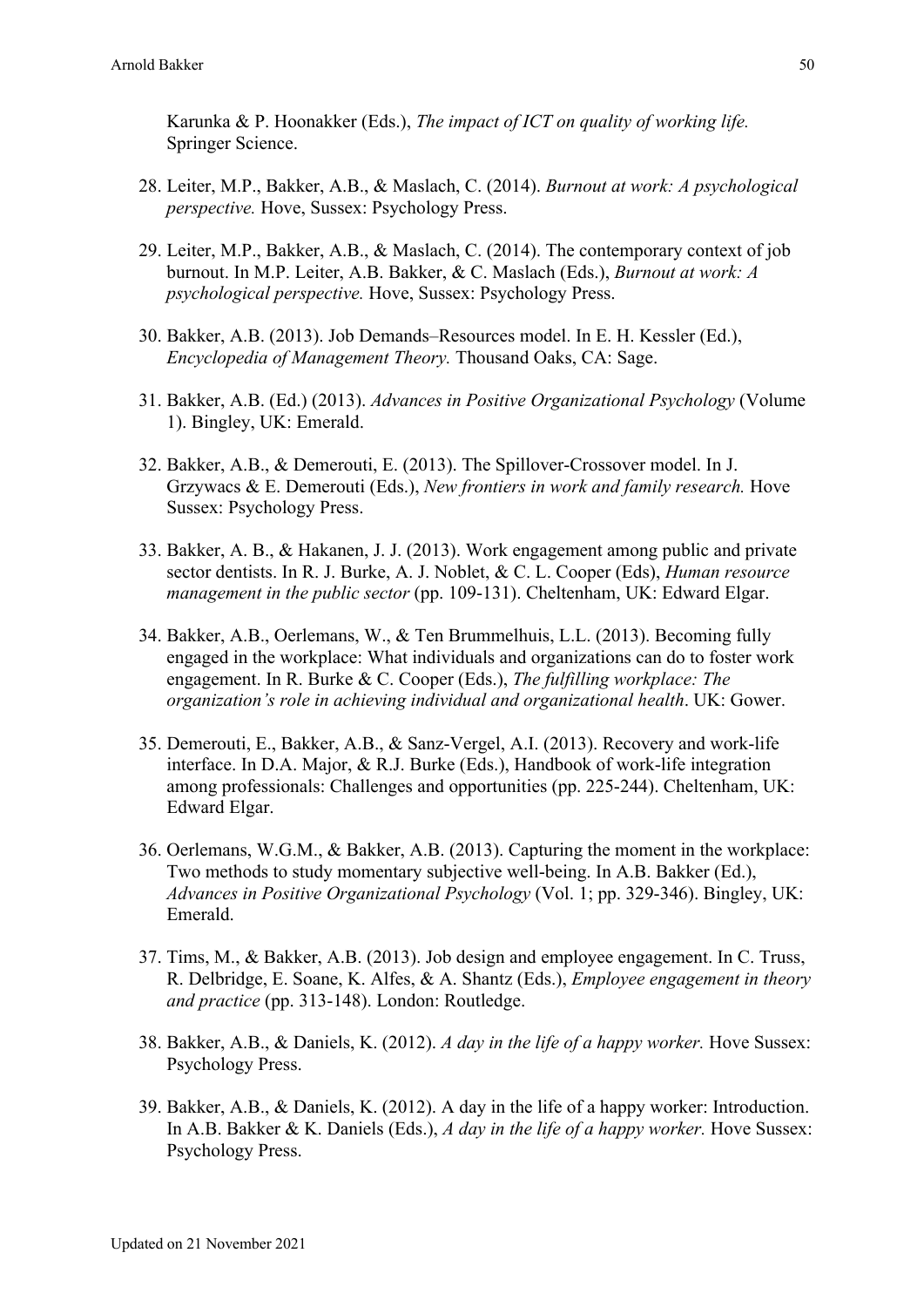Karunka & P. Hoonakker (Eds.), *The impact of ICT on quality of working life.* Springer Science.

- 28. Leiter, M.P., Bakker, A.B., & Maslach, C. (2014). *Burnout at work: A psychological perspective.* Hove, Sussex: Psychology Press.
- 29. Leiter, M.P., Bakker, A.B., & Maslach, C. (2014). The contemporary context of job burnout. In M.P. Leiter, A.B. Bakker, & C. Maslach (Eds.), *Burnout at work: A psychological perspective.* Hove, Sussex: Psychology Press.
- 30. Bakker, A.B. (2013). Job Demands–Resources model. In E. H. Kessler (Ed.), *Encyclopedia of Management Theory.* Thousand Oaks, CA: Sage.
- 31. Bakker, A.B. (Ed.) (2013). *Advances in Positive Organizational Psychology* (Volume 1). Bingley, UK: Emerald.
- 32. Bakker, A.B., & Demerouti, E. (2013). The Spillover-Crossover model. In J. Grzywacs & E. Demerouti (Eds.), *New frontiers in work and family research.* Hove Sussex: Psychology Press.
- 33. Bakker, A. B., & Hakanen, J. J. (2013). Work engagement among public and private sector dentists. In R. J. Burke, A. J. Noblet, & C. L. Cooper (Eds), *Human resource management in the public sector* (pp. 109-131). Cheltenham, UK: Edward Elgar.
- 34. Bakker, A.B., Oerlemans, W., & Ten Brummelhuis, L.L. (2013). Becoming fully engaged in the workplace: What individuals and organizations can do to foster work engagement. In R. Burke & C. Cooper (Eds.), *The fulfilling workplace: The organization's role in achieving individual and organizational health*. UK: Gower.
- 35. Demerouti, E., Bakker, A.B., & Sanz-Vergel, A.I. (2013). Recovery and work-life interface. In D.A. Major, & R.J. Burke (Eds.), Handbook of work-life integration among professionals: Challenges and opportunities (pp. 225-244). Cheltenham, UK: Edward Elgar.
- 36. Oerlemans, W.G.M., & Bakker, A.B. (2013). Capturing the moment in the workplace: Two methods to study momentary subjective well-being. In A.B. Bakker (Ed.), *Advances in Positive Organizational Psychology* (Vol. 1; pp. 329-346). Bingley, UK: Emerald.
- 37. Tims, M., & Bakker, A.B. (2013). Job design and employee engagement. In C. Truss, R. Delbridge, E. Soane, K. Alfes, & A. Shantz (Eds.), *Employee engagement in theory and practice* (pp. 313-148). London: Routledge.
- 38. Bakker, A.B., & Daniels, K. (2012). *A day in the life of a happy worker.* Hove Sussex: Psychology Press.
- 39. Bakker, A.B., & Daniels, K. (2012). A day in the life of a happy worker: Introduction. In A.B. Bakker & K. Daniels (Eds.), *A day in the life of a happy worker.* Hove Sussex: Psychology Press.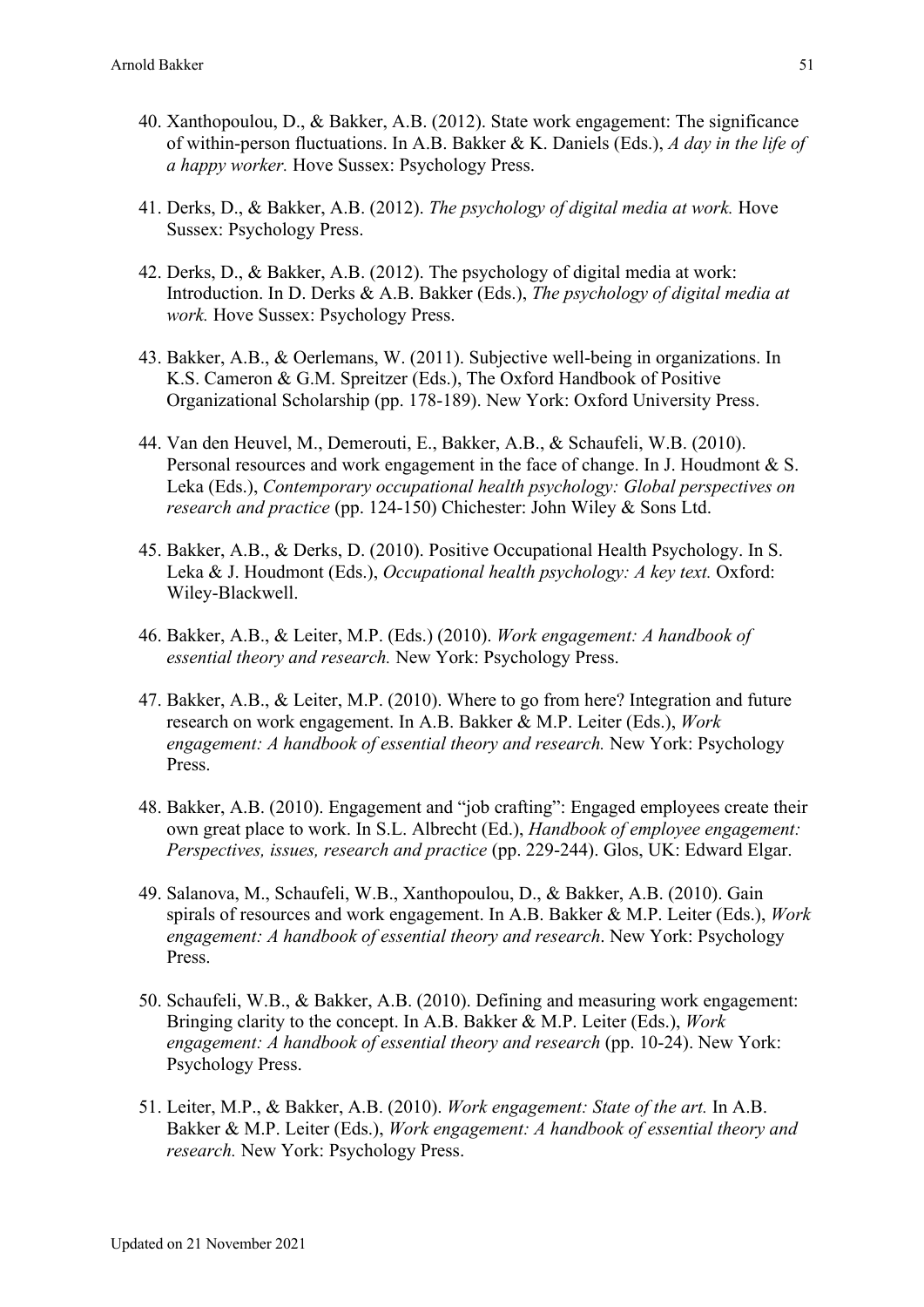- 40. Xanthopoulou, D., & Bakker, A.B. (2012). State work engagement: The significance of within-person fluctuations. In A.B. Bakker & K. Daniels (Eds.), *A day in the life of a happy worker.* Hove Sussex: Psychology Press.
- 41. Derks, D., & Bakker, A.B. (2012). *The psychology of digital media at work.* Hove Sussex: Psychology Press.
- 42. Derks, D., & Bakker, A.B. (2012). The psychology of digital media at work: Introduction. In D. Derks & A.B. Bakker (Eds.), *The psychology of digital media at work.* Hove Sussex: Psychology Press.
- 43. Bakker, A.B., & Oerlemans, W. (2011). Subjective well-being in organizations. In K.S. Cameron & G.M. Spreitzer (Eds.), The Oxford Handbook of Positive Organizational Scholarship (pp. 178-189). New York: Oxford University Press.
- 44. Van den Heuvel, M., Demerouti, E., Bakker, A.B., & Schaufeli, W.B. (2010). Personal resources and work engagement in the face of change. In J. Houdmont & S. Leka (Eds.), *Contemporary occupational health psychology: Global perspectives on research and practice* (pp. 124-150) Chichester: John Wiley & Sons Ltd.
- 45. Bakker, A.B., & Derks, D. (2010). Positive Occupational Health Psychology. In S. Leka & J. Houdmont (Eds.), *Occupational health psychology: A key text.* Oxford: Wiley-Blackwell.
- 46. Bakker, A.B., & Leiter, M.P. (Eds.) (2010). *Work engagement: A handbook of essential theory and research.* New York: Psychology Press.
- 47. Bakker, A.B., & Leiter, M.P. (2010). Where to go from here? Integration and future research on work engagement. In A.B. Bakker & M.P. Leiter (Eds.), *Work engagement: A handbook of essential theory and research.* New York: Psychology Press.
- 48. Bakker, A.B. (2010). Engagement and "job crafting": Engaged employees create their own great place to work. In S.L. Albrecht (Ed.), *Handbook of employee engagement: Perspectives, issues, research and practice* (pp. 229-244). Glos, UK: Edward Elgar.
- 49. Salanova, M., Schaufeli, W.B., Xanthopoulou, D., & Bakker, A.B. (2010). Gain spirals of resources and work engagement. In A.B. Bakker & M.P. Leiter (Eds.), *Work engagement: A handbook of essential theory and research*. New York: Psychology Press.
- 50. Schaufeli, W.B., & Bakker, A.B. (2010). Defining and measuring work engagement: Bringing clarity to the concept. In A.B. Bakker & M.P. Leiter (Eds.), *Work engagement: A handbook of essential theory and research* (pp. 10-24). New York: Psychology Press.
- 51. Leiter, M.P., & Bakker, A.B. (2010). *Work engagement: State of the art.* In A.B. Bakker & M.P. Leiter (Eds.), *Work engagement: A handbook of essential theory and research.* New York: Psychology Press.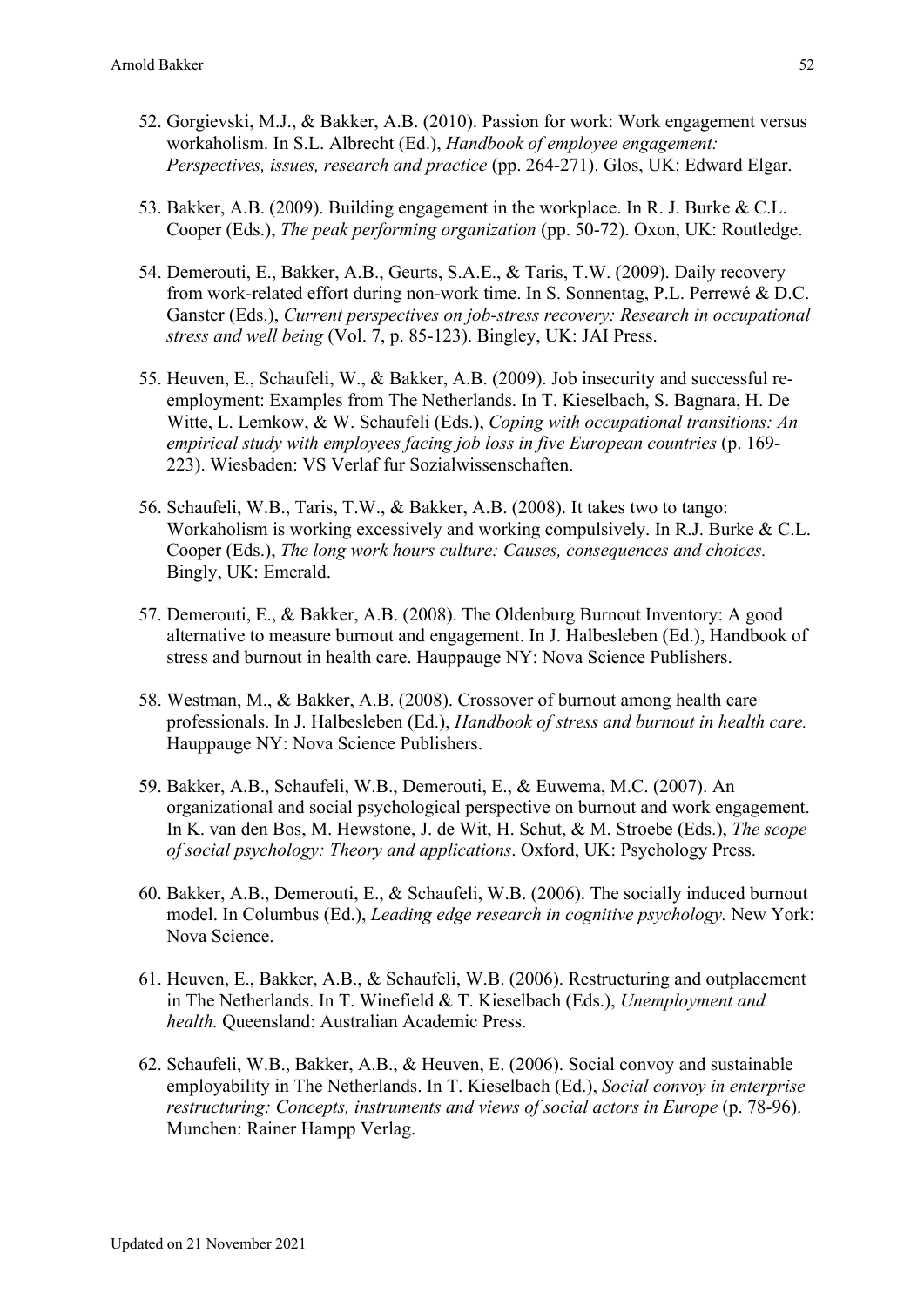- 52. Gorgievski, M.J., & Bakker, A.B. (2010). Passion for work: Work engagement versus workaholism. In S.L. Albrecht (Ed.), *Handbook of employee engagement: Perspectives, issues, research and practice* (pp. 264-271). Glos, UK: Edward Elgar.
- 53. Bakker, A.B. (2009). Building engagement in the workplace. In R. J. Burke & C.L. Cooper (Eds.), *The peak performing organization* (pp. 50-72). Oxon, UK: Routledge.
- 54. Demerouti, E., Bakker, A.B., Geurts, S.A.E., & Taris, T.W. (2009). Daily recovery from work-related effort during non-work time. In S. Sonnentag, P.L. Perrewé & D.C. Ganster (Eds.), *Current perspectives on job-stress recovery: Research in occupational stress and well being* (Vol. 7, p. 85-123). Bingley, UK: JAI Press.
- 55. Heuven, E., Schaufeli, W., & Bakker, A.B. (2009). Job insecurity and successful reemployment: Examples from The Netherlands. In T. Kieselbach, S. Bagnara, H. De Witte, L. Lemkow, & W. Schaufeli (Eds.), *Coping with occupational transitions: An empirical study with employees facing job loss in five European countries* (p. 169- 223). Wiesbaden: VS Verlaf fur Sozialwissenschaften.
- 56. Schaufeli, W.B., Taris, T.W., & Bakker, A.B. (2008). It takes two to tango: Workaholism is working excessively and working compulsively. In R.J. Burke & C.L. Cooper (Eds.), *The long work hours culture: Causes, consequences and choices.* Bingly, UK: Emerald.
- 57. Demerouti, E., & Bakker, A.B. (2008). The Oldenburg Burnout Inventory: A good alternative to measure burnout and engagement. In J. Halbesleben (Ed.), Handbook of stress and burnout in health care. Hauppauge NY: Nova Science Publishers.
- 58. Westman, M., & Bakker, A.B. (2008). Crossover of burnout among health care professionals. In J. Halbesleben (Ed.), *Handbook of stress and burnout in health care.* Hauppauge NY: Nova Science Publishers.
- 59. Bakker, A.B., Schaufeli, W.B., Demerouti, E., & Euwema, M.C. (2007). An organizational and social psychological perspective on burnout and work engagement. In K. van den Bos, M. Hewstone, J. de Wit, H. Schut, & M. Stroebe (Eds.), *The scope of social psychology: Theory and applications*. Oxford, UK: Psychology Press.
- 60. Bakker, A.B., Demerouti, E., & Schaufeli, W.B. (2006). The socially induced burnout model. In Columbus (Ed.), *Leading edge research in cognitive psychology.* New York: Nova Science.
- 61. Heuven, E., Bakker, A.B., & Schaufeli, W.B. (2006). Restructuring and outplacement in The Netherlands. In T. Winefield & T. Kieselbach (Eds.), *Unemployment and health.* Queensland: Australian Academic Press.
- 62. Schaufeli, W.B., Bakker, A.B., & Heuven, E. (2006). Social convoy and sustainable employability in The Netherlands. In T. Kieselbach (Ed.), *Social convoy in enterprise restructuring: Concepts, instruments and views of social actors in Europe* (p. 78-96). Munchen: Rainer Hampp Verlag.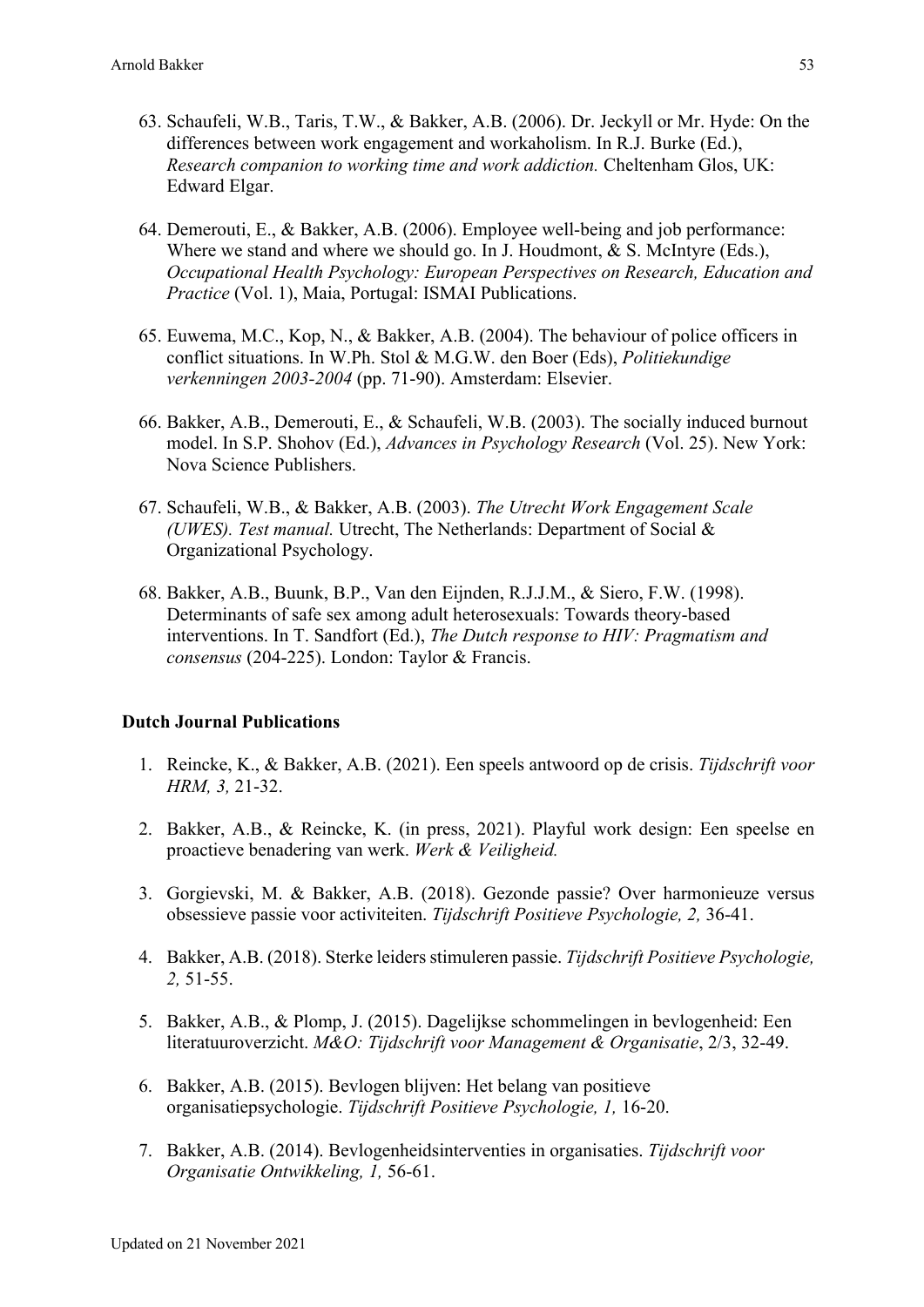- 63. Schaufeli, W.B., Taris, T.W., & Bakker, A.B. (2006). Dr. Jeckyll or Mr. Hyde: On the differences between work engagement and workaholism. In R.J. Burke (Ed.), *Research companion to working time and work addiction.* Cheltenham Glos, UK: Edward Elgar.
- 64. Demerouti, E., & Bakker, A.B. (2006). Employee well-being and job performance: Where we stand and where we should go. In J. Houdmont, & S. McIntyre (Eds.), *Occupational Health Psychology: European Perspectives on Research, Education and Practice* (Vol. 1), Maia, Portugal: ISMAI Publications.
- 65. Euwema, M.C., Kop, N., & Bakker, A.B. (2004). The behaviour of police officers in conflict situations. In W.Ph. Stol & M.G.W. den Boer (Eds), *Politiekundige verkenningen 2003-2004* (pp. 71-90). Amsterdam: Elsevier.
- 66. Bakker, A.B., Demerouti, E., & Schaufeli, W.B. (2003). The socially induced burnout model. In S.P. Shohov (Ed.), *Advances in Psychology Research* (Vol. 25). New York: Nova Science Publishers.
- 67. Schaufeli, W.B., & Bakker, A.B. (2003). *The Utrecht Work Engagement Scale (UWES). Test manual.* Utrecht, The Netherlands: Department of Social & Organizational Psychology.
- 68. Bakker, A.B., Buunk, B.P., Van den Eijnden, R.J.J.M., & Siero, F.W. (1998). Determinants of safe sex among adult heterosexuals: Towards theory-based interventions. In T. Sandfort (Ed.), *The Dutch response to HIV: Pragmatism and consensus* (204-225). London: Taylor & Francis.

### **Dutch Journal Publications**

- 1. Reincke, K., & Bakker, A.B. (2021). Een speels antwoord op de crisis. *Tijdschrift voor HRM, 3,* 21-32.
- 2. Bakker, A.B., & Reincke, K. (in press, 2021). Playful work design: Een speelse en proactieve benadering van werk. *Werk & Veiligheid.*
- 3. Gorgievski, M. & Bakker, A.B. (2018). Gezonde passie? Over harmonieuze versus obsessieve passie voor activiteiten. *Tijdschrift Positieve Psychologie, 2,* 36-41.
- 4. Bakker, A.B. (2018). Sterke leiders stimuleren passie. *Tijdschrift Positieve Psychologie, 2,* 51-55.
- 5. Bakker, A.B., & Plomp, J. (2015). Dagelijkse schommelingen in bevlogenheid: Een literatuuroverzicht. *M&O: Tijdschrift voor Management & Organisatie*, 2/3, 32-49.
- 6. Bakker, A.B. (2015). Bevlogen blijven: Het belang van positieve organisatiepsychologie. *Tijdschrift Positieve Psychologie, 1,* 16-20.
- 7. Bakker, A.B. (2014). Bevlogenheidsinterventies in organisaties. *Tijdschrift voor Organisatie Ontwikkeling, 1,* 56-61.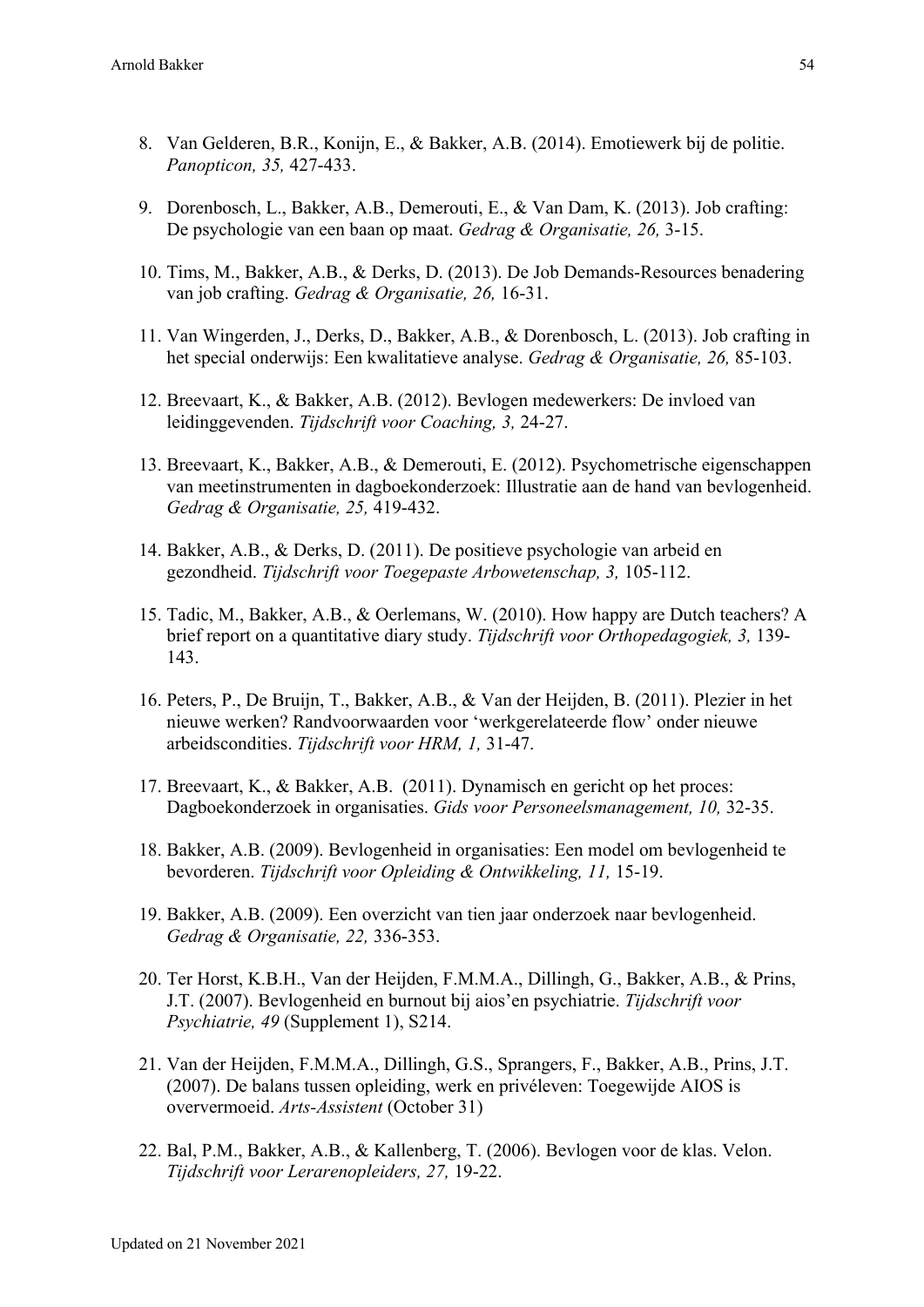- 8. Van Gelderen, B.R., Konijn, E., & Bakker, A.B. (2014). Emotiewerk bij de politie. *Panopticon, 35,* 427-433.
- 9. Dorenbosch, L., Bakker, A.B., Demerouti, E., & Van Dam, K. (2013). Job crafting: De psychologie van een baan op maat. *Gedrag & Organisatie, 26,* 3-15.
- 10. Tims, M., Bakker, A.B., & Derks, D. (2013). De Job Demands-Resources benadering van job crafting. *Gedrag & Organisatie, 26,* 16-31.
- 11. Van Wingerden, J., Derks, D., Bakker, A.B., & Dorenbosch, L. (2013). Job crafting in het special onderwijs: Een kwalitatieve analyse. *Gedrag & Organisatie, 26,* 85-103.
- 12. Breevaart, K., & Bakker, A.B. (2012). Bevlogen medewerkers: De invloed van leidinggevenden. *Tijdschrift voor Coaching, 3,* 24-27.
- 13. Breevaart, K., Bakker, A.B., & Demerouti, E. (2012). Psychometrische eigenschappen van meetinstrumenten in dagboekonderzoek: Illustratie aan de hand van bevlogenheid. *Gedrag & Organisatie, 25,* 419-432.
- 14. Bakker, A.B., & Derks, D. (2011). De positieve psychologie van arbeid en gezondheid. *Tijdschrift voor Toegepaste Arbowetenschap, 3,* 105-112.
- 15. Tadic, M., Bakker, A.B., & Oerlemans, W. (2010). How happy are Dutch teachers? A brief report on a quantitative diary study. *Tijdschrift voor Orthopedagogiek, 3,* 139- 143.
- 16. Peters, P., De Bruijn, T., Bakker, A.B., & Van der Heijden, B. (2011). Plezier in het nieuwe werken? Randvoorwaarden voor 'werkgerelateerde flow' onder nieuwe arbeidscondities. *Tijdschrift voor HRM, 1,* 31-47.
- 17. Breevaart, K., & Bakker, A.B. (2011). Dynamisch en gericht op het proces: Dagboekonderzoek in organisaties. *Gids voor Personeelsmanagement, 10,* 32-35.
- 18. Bakker, A.B. (2009). Bevlogenheid in organisaties: Een model om bevlogenheid te bevorderen. *Tijdschrift voor Opleiding & Ontwikkeling, 11,* 15-19.
- 19. Bakker, A.B. (2009). Een overzicht van tien jaar onderzoek naar bevlogenheid. *Gedrag & Organisatie, 22,* 336-353.
- 20. Ter Horst, K.B.H., Van der Heijden, F.M.M.A., Dillingh, G., Bakker, A.B., & Prins, J.T. (2007). Bevlogenheid en burnout bij aios'en psychiatrie. *Tijdschrift voor Psychiatrie, 49* (Supplement 1), S214.
- 21. Van der Heijden, F.M.M.A., Dillingh, G.S., Sprangers, F., Bakker, A.B., Prins, J.T. (2007). De balans tussen opleiding, werk en privéleven: Toegewijde AIOS is oververmoeid. *Arts-Assistent* (October 31)
- 22. Bal, P.M., Bakker, A.B., & Kallenberg, T. (2006). Bevlogen voor de klas. Velon. *Tijdschrift voor Lerarenopleiders, 27,* 19-22.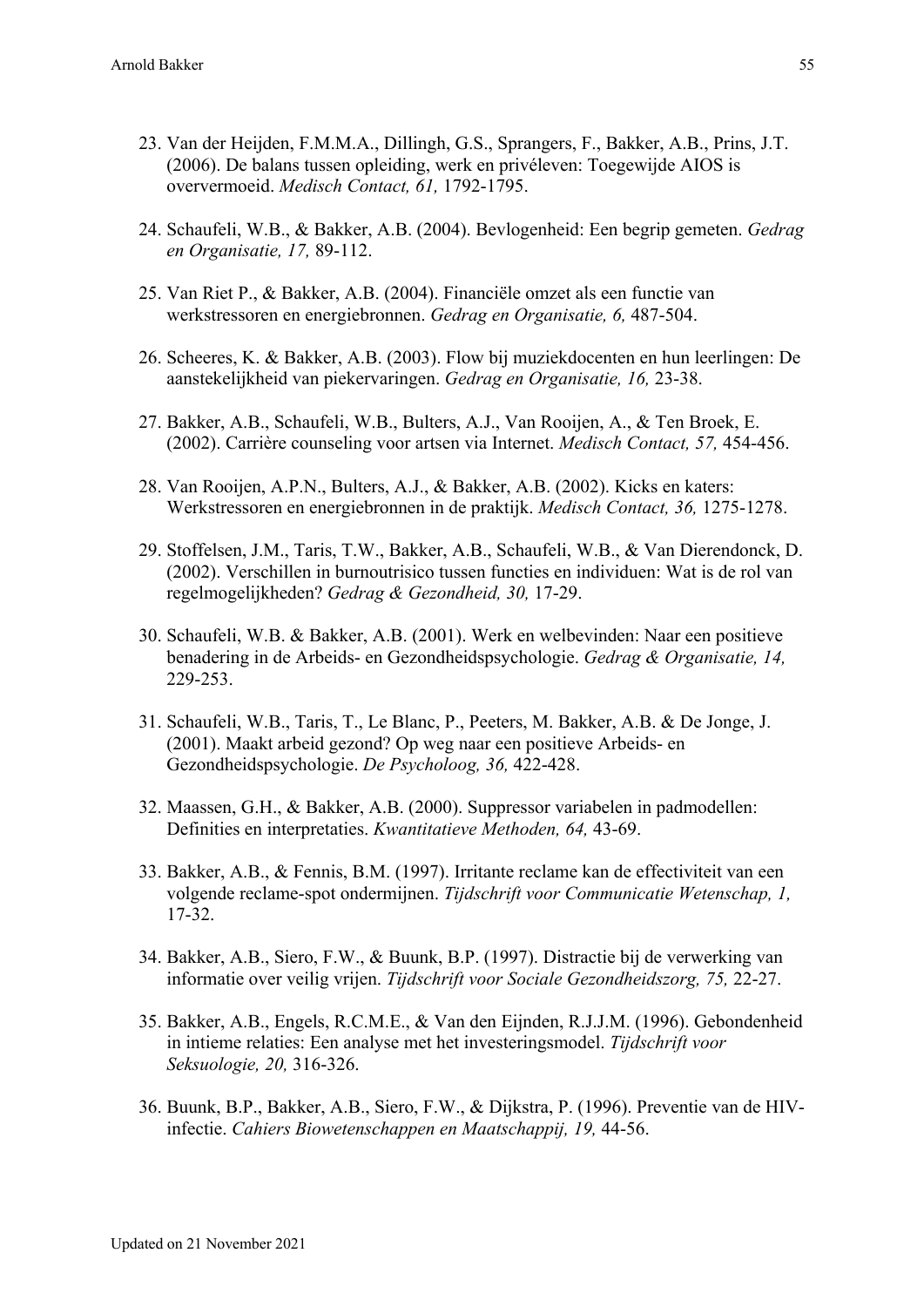- 23. Van der Heijden, F.M.M.A., Dillingh, G.S., Sprangers, F., Bakker, A.B., Prins, J.T. (2006). De balans tussen opleiding, werk en privéleven: Toegewijde AIOS is oververmoeid. *Medisch Contact, 61,* 1792-1795.
- 24. Schaufeli, W.B., & Bakker, A.B. (2004). Bevlogenheid: Een begrip gemeten. *Gedrag en Organisatie, 17,* 89-112.
- 25. Van Riet P., & Bakker, A.B. (2004). Financiële omzet als een functie van werkstressoren en energiebronnen. *Gedrag en Organisatie, 6,* 487-504.
- 26. Scheeres, K. & Bakker, A.B. (2003). Flow bij muziekdocenten en hun leerlingen: De aanstekelijkheid van piekervaringen. *Gedrag en Organisatie, 16,* 23-38.
- 27. Bakker, A.B., Schaufeli, W.B., Bulters, A.J., Van Rooijen, A., & Ten Broek, E. (2002). Carrière counseling voor artsen via Internet. *Medisch Contact, 57,* 454-456.
- 28. Van Rooijen, A.P.N., Bulters, A.J., & Bakker, A.B. (2002). Kicks en katers: Werkstressoren en energiebronnen in de praktijk. *Medisch Contact, 36,* 1275-1278.
- 29. Stoffelsen, J.M., Taris, T.W., Bakker, A.B., Schaufeli, W.B., & Van Dierendonck, D. (2002). Verschillen in burnoutrisico tussen functies en individuen: Wat is de rol van regelmogelijkheden? *Gedrag & Gezondheid, 30,* 17-29.
- 30. Schaufeli, W.B. & Bakker, A.B. (2001). Werk en welbevinden: Naar een positieve benadering in de Arbeids- en Gezondheidspsychologie. *Gedrag & Organisatie, 14,* 229-253.
- 31. Schaufeli, W.B., Taris, T., Le Blanc, P., Peeters, M. Bakker, A.B. & De Jonge, J. (2001). Maakt arbeid gezond? Op weg naar een positieve Arbeids- en Gezondheidspsychologie. *De Psycholoog, 36,* 422-428.
- 32. Maassen, G.H., & Bakker, A.B. (2000). Suppressor variabelen in padmodellen: Definities en interpretaties. *Kwantitatieve Methoden, 64,* 43-69.
- 33. Bakker, A.B., & Fennis, B.M. (1997). Irritante reclame kan de effectiviteit van een volgende reclame-spot ondermijnen. *Tijdschrift voor Communicatie Wetenschap, 1,* 17-32.
- 34. Bakker, A.B., Siero, F.W., & Buunk, B.P. (1997). Distractie bij de verwerking van informatie over veilig vrijen. *Tijdschrift voor Sociale Gezondheidszorg, 75,* 22-27.
- 35. Bakker, A.B., Engels, R.C.M.E., & Van den Eijnden, R.J.J.M. (1996). Gebondenheid in intieme relaties: Een analyse met het investeringsmodel. *Tijdschrift voor Seksuologie, 20,* 316-326.
- 36. Buunk, B.P., Bakker, A.B., Siero, F.W., & Dijkstra, P. (1996). Preventie van de HIVinfectie. *Cahiers Biowetenschappen en Maatschappij, 19,* 44-56.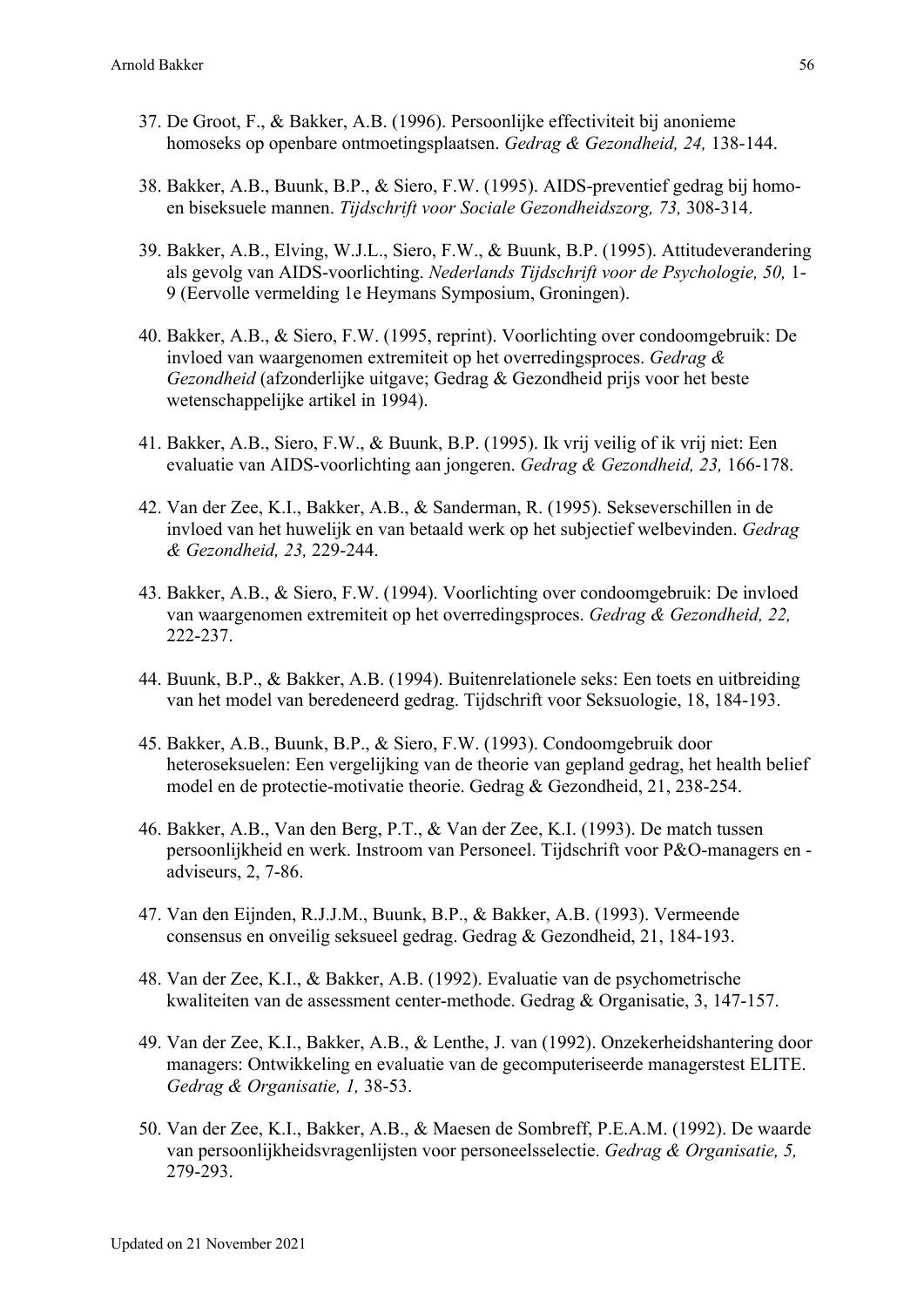- 37. De Groot, F., & Bakker, A.B. (1996). Persoonlijke effectiviteit bij anonieme homoseks op openbare ontmoetingsplaatsen. *Gedrag & Gezondheid, 24,* 138-144.
- 38. Bakker, A.B., Buunk, B.P., & Siero, F.W. (1995). AIDS-preventief gedrag bij homoen biseksuele mannen. *Tijdschrift voor Sociale Gezondheidszorg, 73,* 308-314.
- 39. Bakker, A.B., Elving, W.J.L., Siero, F.W., & Buunk, B.P. (1995). Attitudeverandering als gevolg van AIDS-voorlichting. *Nederlands Tijdschrift voor de Psychologie, 50,* 1- 9 (Eervolle vermelding 1e Heymans Symposium, Groningen).
- 40. Bakker, A.B., & Siero, F.W. (1995, reprint). Voorlichting over condoomgebruik: De invloed van waargenomen extremiteit op het overredingsproces. *Gedrag & Gezondheid* (afzonderlijke uitgave; Gedrag & Gezondheid prijs voor het beste wetenschappelijke artikel in 1994).
- 41. Bakker, A.B., Siero, F.W., & Buunk, B.P. (1995). Ik vrij veilig of ik vrij niet: Een evaluatie van AIDS-voorlichting aan jongeren. *Gedrag & Gezondheid, 23,* 166-178.
- 42. Van der Zee, K.I., Bakker, A.B., & Sanderman, R. (1995). Sekseverschillen in de invloed van het huwelijk en van betaald werk op het subjectief welbevinden. *Gedrag & Gezondheid, 23,* 229-244.
- 43. Bakker, A.B., & Siero, F.W. (1994). Voorlichting over condoomgebruik: De invloed van waargenomen extremiteit op het overredingsproces. *Gedrag & Gezondheid, 22,* 222-237.
- 44. Buunk, B.P., & Bakker, A.B. (1994). Buitenrelationele seks: Een toets en uitbreiding van het model van beredeneerd gedrag. Tijdschrift voor Seksuologie, 18, 184-193.
- 45. Bakker, A.B., Buunk, B.P., & Siero, F.W. (1993). Condoomgebruik door heteroseksuelen: Een vergelijking van de theorie van gepland gedrag, het health belief model en de protectie-motivatie theorie. Gedrag & Gezondheid, 21, 238-254.
- 46. Bakker, A.B., Van den Berg, P.T., & Van der Zee, K.I. (1993). De match tussen persoonlijkheid en werk. Instroom van Personeel. Tijdschrift voor P&O-managers en adviseurs, 2, 7-86.
- 47. Van den Eijnden, R.J.J.M., Buunk, B.P., & Bakker, A.B. (1993). Vermeende consensus en onveilig seksueel gedrag. Gedrag & Gezondheid, 21, 184-193.
- 48. Van der Zee, K.I., & Bakker, A.B. (1992). Evaluatie van de psychometrische kwaliteiten van de assessment center-methode. Gedrag & Organisatie, 3, 147-157.
- 49. Van der Zee, K.I., Bakker, A.B., & Lenthe, J. van (1992). Onzekerheidshantering door managers: Ontwikkeling en evaluatie van de gecomputeriseerde managerstest ELITE. *Gedrag & Organisatie, 1,* 38-53.
- 50. Van der Zee, K.I., Bakker, A.B., & Maesen de Sombreff, P.E.A.M. (1992). De waarde van persoonlijkheidsvragenlijsten voor personeelsselectie. *Gedrag & Organisatie, 5,* 279-293.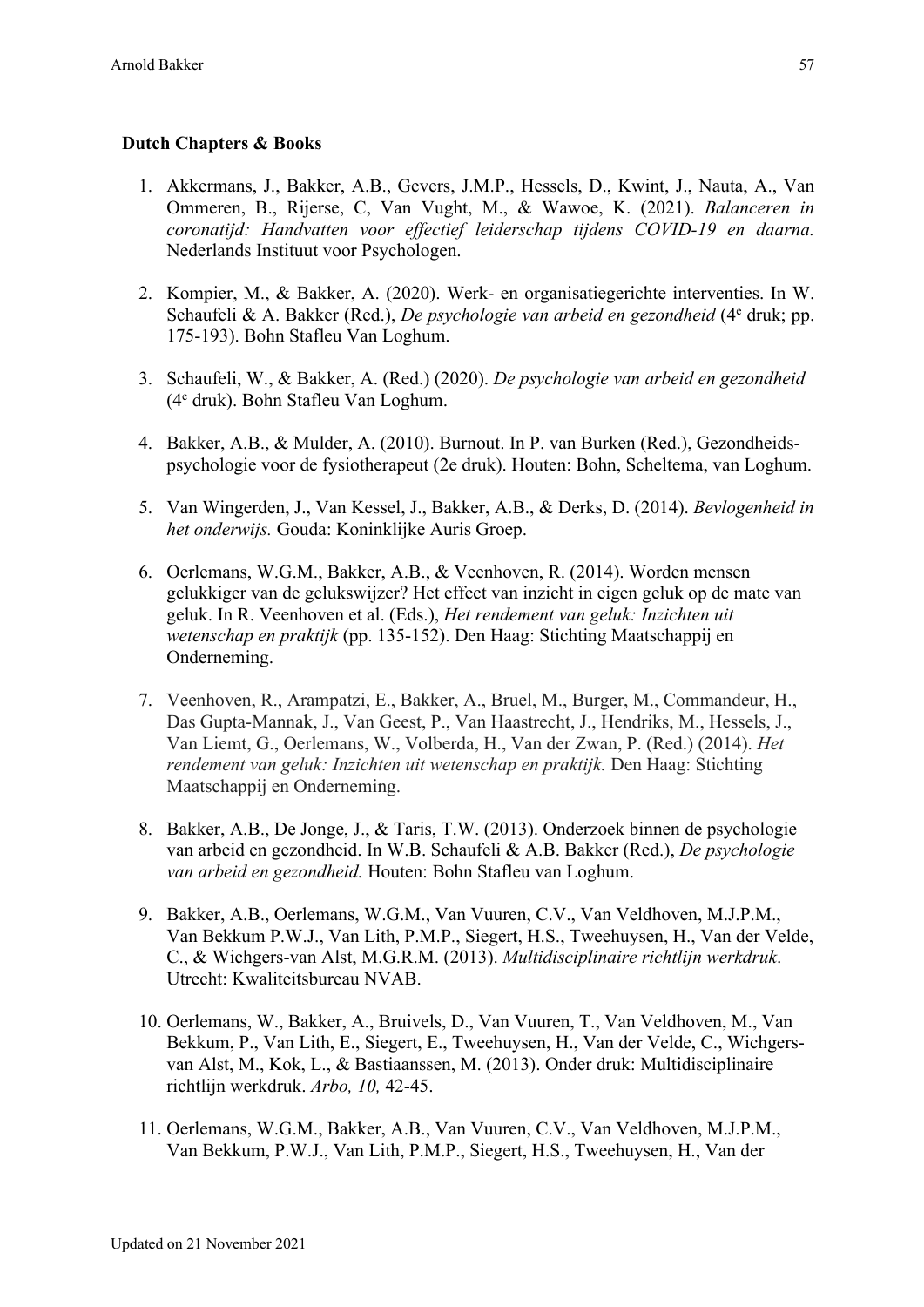### **Dutch Chapters & Books**

- 1. Akkermans, J., Bakker, A.B., Gevers, J.M.P., Hessels, D., Kwint, J., Nauta, A., Van Ommeren, B., Rijerse, C, Van Vught, M., & Wawoe, K. (2021). *Balanceren in coronatijd: Handvatten voor effectief leiderschap tijdens COVID-19 en daarna.*  Nederlands Instituut voor Psychologen.
- 2. Kompier, M., & Bakker, A. (2020). Werk- en organisatiegerichte interventies. In W. Schaufeli & A. Bakker (Red.), *De psychologie van arbeid en gezondheid* (4e druk; pp. 175-193). Bohn Stafleu Van Loghum.
- 3. Schaufeli, W., & Bakker, A. (Red.) (2020). *De psychologie van arbeid en gezondheid* (4e druk). Bohn Stafleu Van Loghum.
- 4. Bakker, A.B., & Mulder, A. (2010). Burnout. In P. van Burken (Red.), Gezondheidspsychologie voor de fysiotherapeut (2e druk). Houten: Bohn, Scheltema, van Loghum.
- 5. Van Wingerden, J., Van Kessel, J., Bakker, A.B., & Derks, D. (2014). *Bevlogenheid in het onderwijs.* Gouda: Koninklijke Auris Groep.
- 6. Oerlemans, W.G.M., Bakker, A.B., & Veenhoven, R. (2014). Worden mensen gelukkiger van de gelukswijzer? Het effect van inzicht in eigen geluk op de mate van geluk. In R. Veenhoven et al. (Eds.), *Het rendement van geluk: Inzichten uit wetenschap en praktijk* (pp. 135-152). Den Haag: Stichting Maatschappij en Onderneming.
- 7. Veenhoven, R., Arampatzi, E., Bakker, A., Bruel, M., Burger, M., Commandeur, H., Das Gupta-Mannak, J., Van Geest, P., Van Haastrecht, J., Hendriks, M., Hessels, J., Van Liemt, G., Oerlemans, W., Volberda, H., Van der Zwan, P. (Red.) (2014). *Het rendement van geluk: Inzichten uit wetenschap en praktijk.* Den Haag: Stichting Maatschappij en Onderneming.
- 8. Bakker, A.B., De Jonge, J., & Taris, T.W. (2013). Onderzoek binnen de psychologie van arbeid en gezondheid. In W.B. Schaufeli & A.B. Bakker (Red.), *De psychologie van arbeid en gezondheid.* Houten: Bohn Stafleu van Loghum.
- 9. Bakker, A.B., Oerlemans, W.G.M., Van Vuuren, C.V., Van Veldhoven, M.J.P.M., Van Bekkum P.W.J., Van Lith, P.M.P., Siegert, H.S., Tweehuysen, H., Van der Velde, C., & Wichgers-van Alst, M.G.R.M. (2013). *Multidisciplinaire richtlijn werkdruk*. Utrecht: Kwaliteitsbureau NVAB.
- 10. Oerlemans, W., Bakker, A., Bruivels, D., Van Vuuren, T., Van Veldhoven, M., Van Bekkum, P., Van Lith, E., Siegert, E., Tweehuysen, H., Van der Velde, C., Wichgersvan Alst, M., Kok, L., & Bastiaanssen, M. (2013). Onder druk: Multidisciplinaire richtlijn werkdruk. *Arbo, 10,* 42-45.
- 11. Oerlemans, W.G.M., Bakker, A.B., Van Vuuren, C.V., Van Veldhoven, M.J.P.M., Van Bekkum, P.W.J., Van Lith, P.M.P., Siegert, H.S., Tweehuysen, H., Van der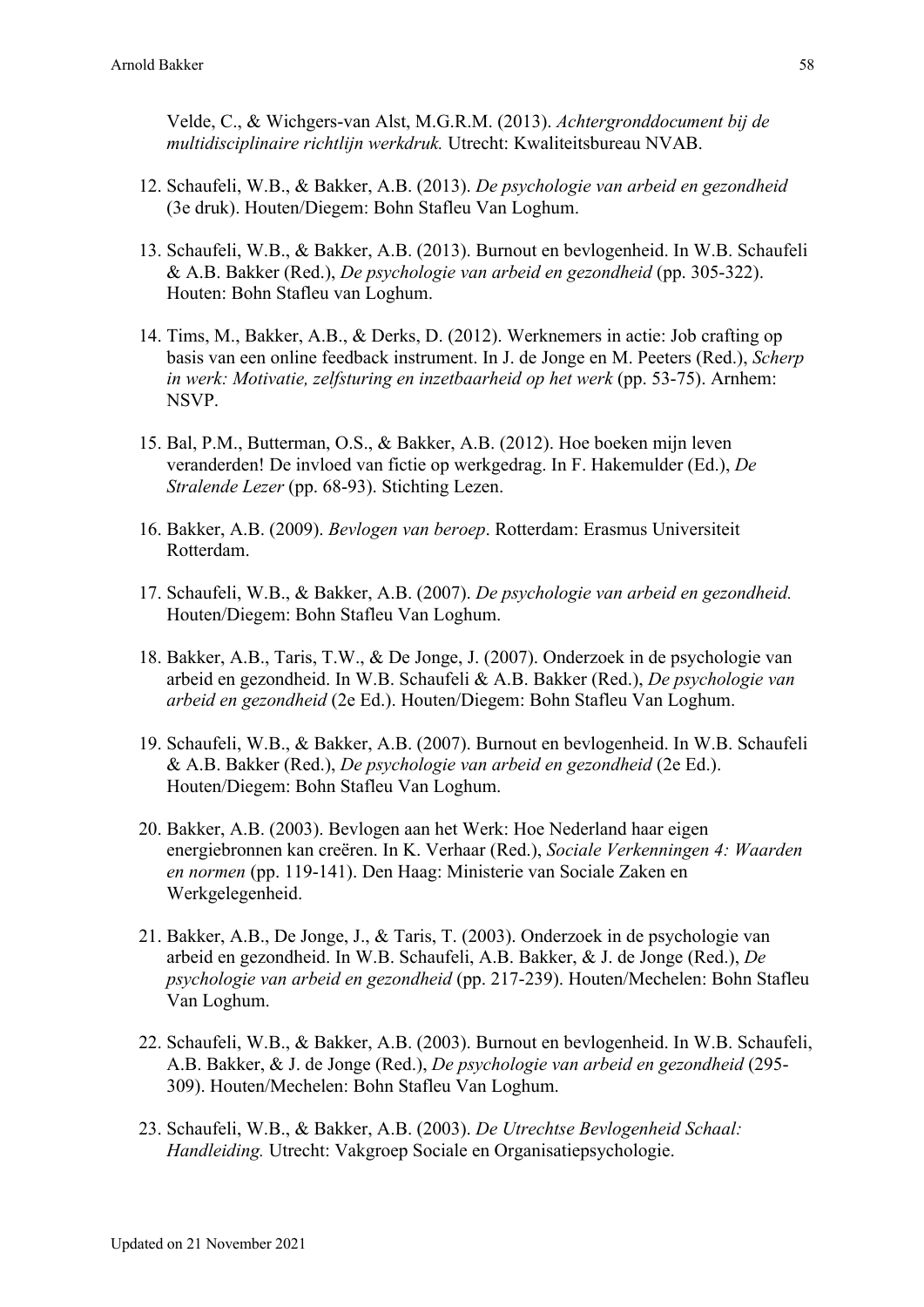Velde, C., & Wichgers-van Alst, M.G.R.M. (2013). *Achtergronddocument bij de multidisciplinaire richtlijn werkdruk.* Utrecht: Kwaliteitsbureau NVAB.

- 12. Schaufeli, W.B., & Bakker, A.B. (2013). *De psychologie van arbeid en gezondheid* (3e druk). Houten/Diegem: Bohn Stafleu Van Loghum.
- 13. Schaufeli, W.B., & Bakker, A.B. (2013). Burnout en bevlogenheid. In W.B. Schaufeli & A.B. Bakker (Red.), *De psychologie van arbeid en gezondheid* (pp. 305-322). Houten: Bohn Stafleu van Loghum.
- 14. Tims, M., Bakker, A.B., & Derks, D. (2012). Werknemers in actie: Job crafting op basis van een online feedback instrument. In J. de Jonge en M. Peeters (Red.), *Scherp in werk: Motivatie, zelfsturing en inzetbaarheid op het werk* (pp. 53-75). Arnhem: NSVP.
- 15. Bal, P.M., Butterman, O.S., & Bakker, A.B. (2012). Hoe boeken mijn leven veranderden! De invloed van fictie op werkgedrag. In F. Hakemulder (Ed.), *De Stralende Lezer* (pp. 68-93). Stichting Lezen.
- 16. Bakker, A.B. (2009). *Bevlogen van beroep*. Rotterdam: Erasmus Universiteit Rotterdam.
- 17. Schaufeli, W.B., & Bakker, A.B. (2007). *De psychologie van arbeid en gezondheid.* Houten/Diegem: Bohn Stafleu Van Loghum.
- 18. Bakker, A.B., Taris, T.W., & De Jonge, J. (2007). Onderzoek in de psychologie van arbeid en gezondheid. In W.B. Schaufeli & A.B. Bakker (Red.), *De psychologie van arbeid en gezondheid* (2e Ed.). Houten/Diegem: Bohn Stafleu Van Loghum.
- 19. Schaufeli, W.B., & Bakker, A.B. (2007). Burnout en bevlogenheid. In W.B. Schaufeli & A.B. Bakker (Red.), *De psychologie van arbeid en gezondheid* (2e Ed.). Houten/Diegem: Bohn Stafleu Van Loghum.
- 20. Bakker, A.B. (2003). Bevlogen aan het Werk: Hoe Nederland haar eigen energiebronnen kan creëren. In K. Verhaar (Red.), *Sociale Verkenningen 4: Waarden en normen* (pp. 119-141). Den Haag: Ministerie van Sociale Zaken en Werkgelegenheid.
- 21. Bakker, A.B., De Jonge, J., & Taris, T. (2003). Onderzoek in de psychologie van arbeid en gezondheid. In W.B. Schaufeli, A.B. Bakker, & J. de Jonge (Red.), *De psychologie van arbeid en gezondheid* (pp. 217-239). Houten/Mechelen: Bohn Stafleu Van Loghum.
- 22. Schaufeli, W.B., & Bakker, A.B. (2003). Burnout en bevlogenheid. In W.B. Schaufeli, A.B. Bakker, & J. de Jonge (Red.), *De psychologie van arbeid en gezondheid* (295- 309). Houten/Mechelen: Bohn Stafleu Van Loghum.
- 23. Schaufeli, W.B., & Bakker, A.B. (2003). *De Utrechtse Bevlogenheid Schaal: Handleiding.* Utrecht: Vakgroep Sociale en Organisatiepsychologie.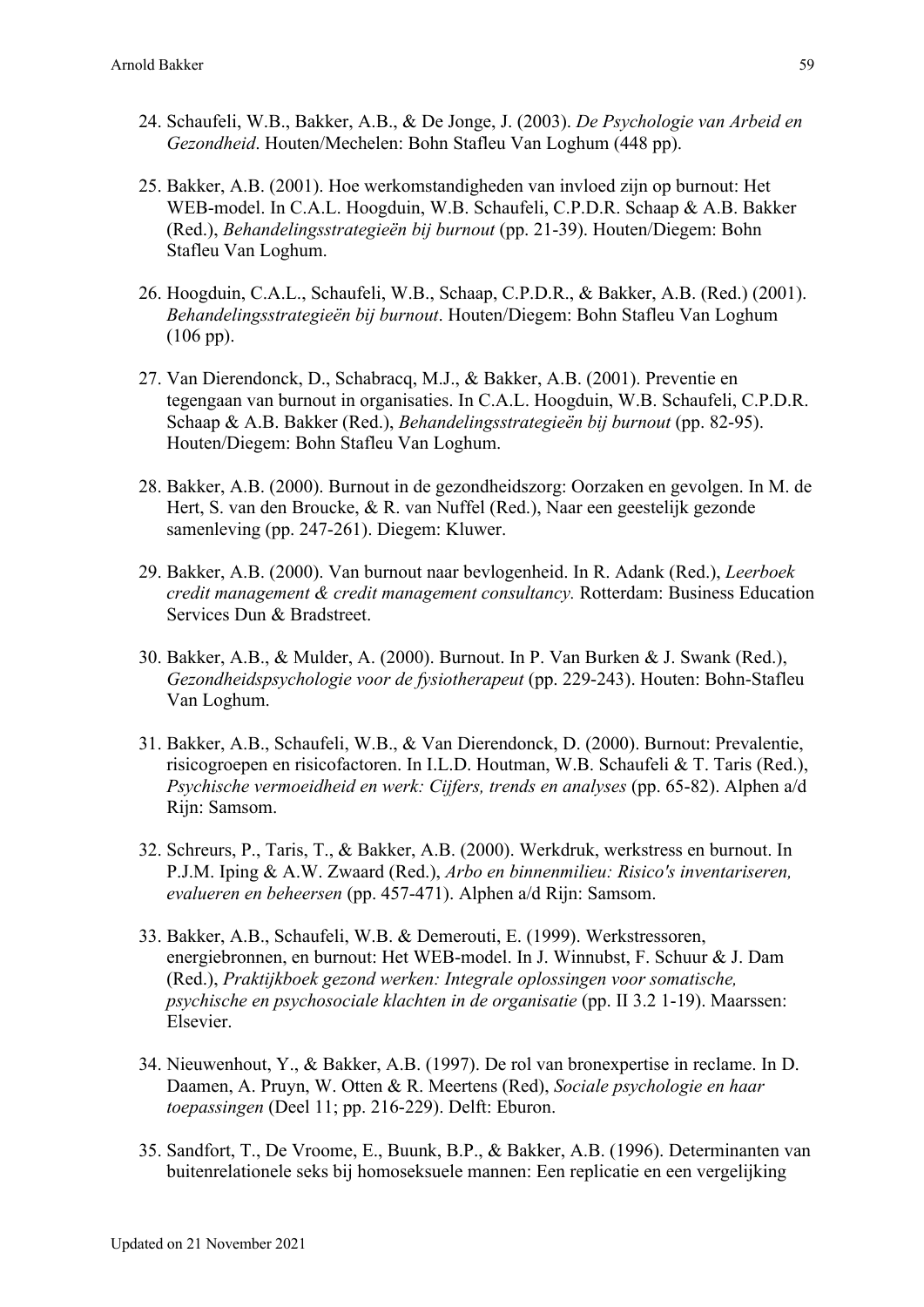- 24. Schaufeli, W.B., Bakker, A.B., & De Jonge, J. (2003). *De Psychologie van Arbeid en Gezondheid*. Houten/Mechelen: Bohn Stafleu Van Loghum (448 pp).
- 25. Bakker, A.B. (2001). Hoe werkomstandigheden van invloed zijn op burnout: Het WEB-model. In C.A.L. Hoogduin, W.B. Schaufeli, C.P.D.R. Schaap & A.B. Bakker (Red.), *Behandelingsstrategieën bij burnout* (pp. 21-39). Houten/Diegem: Bohn Stafleu Van Loghum.
- 26. Hoogduin, C.A.L., Schaufeli, W.B., Schaap, C.P.D.R., & Bakker, A.B. (Red.) (2001). *Behandelingsstrategieën bij burnout*. Houten/Diegem: Bohn Stafleu Van Loghum (106 pp).
- 27. Van Dierendonck, D., Schabracq, M.J., & Bakker, A.B. (2001). Preventie en tegengaan van burnout in organisaties. In C.A.L. Hoogduin, W.B. Schaufeli, C.P.D.R. Schaap & A.B. Bakker (Red.), *Behandelingsstrategieën bij burnout* (pp. 82-95). Houten/Diegem: Bohn Stafleu Van Loghum.
- 28. Bakker, A.B. (2000). Burnout in de gezondheidszorg: Oorzaken en gevolgen. In M. de Hert, S. van den Broucke, & R. van Nuffel (Red.), Naar een geestelijk gezonde samenleving (pp. 247-261). Diegem: Kluwer.
- 29. Bakker, A.B. (2000). Van burnout naar bevlogenheid. In R. Adank (Red.), *Leerboek credit management & credit management consultancy.* Rotterdam: Business Education Services Dun & Bradstreet.
- 30. Bakker, A.B., & Mulder, A. (2000). Burnout. In P. Van Burken & J. Swank (Red.), *Gezondheidspsychologie voor de fysiotherapeut* (pp. 229-243). Houten: Bohn-Stafleu Van Loghum.
- 31. Bakker, A.B., Schaufeli, W.B., & Van Dierendonck, D. (2000). Burnout: Prevalentie, risicogroepen en risicofactoren. In I.L.D. Houtman, W.B. Schaufeli & T. Taris (Red.), *Psychische vermoeidheid en werk: Cijfers, trends en analyses* (pp. 65-82). Alphen a/d Rijn: Samsom.
- 32. Schreurs, P., Taris, T., & Bakker, A.B. (2000). Werkdruk, werkstress en burnout. In P.J.M. Iping & A.W. Zwaard (Red.), *Arbo en binnenmilieu: Risico's inventariseren, evalueren en beheersen* (pp. 457-471). Alphen a/d Rijn: Samsom.
- 33. Bakker, A.B., Schaufeli, W.B. & Demerouti, E. (1999). Werkstressoren, energiebronnen, en burnout: Het WEB-model. In J. Winnubst, F. Schuur & J. Dam (Red.), *Praktijkboek gezond werken: Integrale oplossingen voor somatische, psychische en psychosociale klachten in de organisatie* (pp. II 3.2 1-19). Maarssen: Elsevier.
- 34. Nieuwenhout, Y., & Bakker, A.B. (1997). De rol van bronexpertise in reclame. In D. Daamen, A. Pruyn, W. Otten & R. Meertens (Red), *Sociale psychologie en haar toepassingen* (Deel 11; pp. 216-229). Delft: Eburon.
- 35. Sandfort, T., De Vroome, E., Buunk, B.P., & Bakker, A.B. (1996). Determinanten van buitenrelationele seks bij homoseksuele mannen: Een replicatie en een vergelijking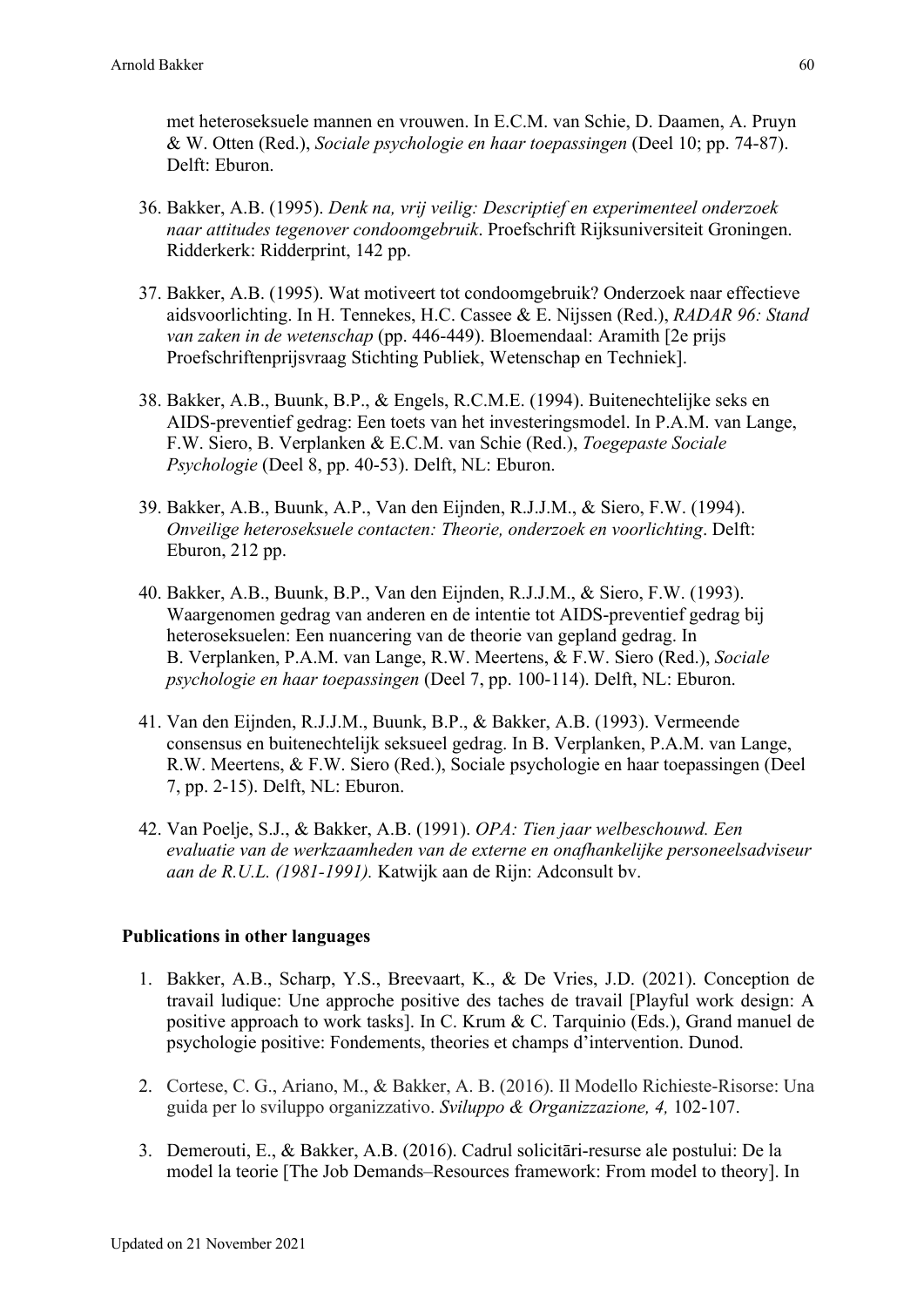met heteroseksuele mannen en vrouwen. In E.C.M. van Schie, D. Daamen, A. Pruyn & W. Otten (Red.), *Sociale psychologie en haar toepassingen* (Deel 10; pp. 74-87). Delft: Eburon.

- 36. Bakker, A.B. (1995). *Denk na, vrij veilig: Descriptief en experimenteel onderzoek naar attitudes tegenover condoomgebruik*. Proefschrift Rijksuniversiteit Groningen. Ridderkerk: Ridderprint, 142 pp.
- 37. Bakker, A.B. (1995). Wat motiveert tot condoomgebruik? Onderzoek naar effectieve aidsvoorlichting. In H. Tennekes, H.C. Cassee & E. Nijssen (Red.), *RADAR 96: Stand van zaken in de wetenschap* (pp. 446-449). Bloemendaal: Aramith [2e prijs Proefschriftenprijsvraag Stichting Publiek, Wetenschap en Techniek].
- 38. Bakker, A.B., Buunk, B.P., & Engels, R.C.M.E. (1994). Buitenechtelijke seks en AIDS-preventief gedrag: Een toets van het investeringsmodel. In P.A.M. van Lange, F.W. Siero, B. Verplanken & E.C.M. van Schie (Red.), *Toegepaste Sociale Psychologie* (Deel 8, pp. 40-53). Delft, NL: Eburon.
- 39. Bakker, A.B., Buunk, A.P., Van den Eijnden, R.J.J.M., & Siero, F.W. (1994). *Onveilige heteroseksuele contacten: Theorie, onderzoek en voorlichting*. Delft: Eburon, 212 pp.
- 40. Bakker, A.B., Buunk, B.P., Van den Eijnden, R.J.J.M., & Siero, F.W. (1993). Waargenomen gedrag van anderen en de intentie tot AIDS-preventief gedrag bij heteroseksuelen: Een nuancering van de theorie van gepland gedrag. In B. Verplanken, P.A.M. van Lange, R.W. Meertens, & F.W. Siero (Red.), *Sociale psychologie en haar toepassingen* (Deel 7, pp. 100-114). Delft, NL: Eburon.
- 41. Van den Eijnden, R.J.J.M., Buunk, B.P., & Bakker, A.B. (1993). Vermeende consensus en buitenechtelijk seksueel gedrag. In B. Verplanken, P.A.M. van Lange, R.W. Meertens, & F.W. Siero (Red.), Sociale psychologie en haar toepassingen (Deel 7, pp. 2-15). Delft, NL: Eburon.
- 42. Van Poelje, S.J., & Bakker, A.B. (1991). *OPA: Tien jaar welbeschouwd. Een evaluatie van de werkzaamheden van de externe en onafhankelijke personeelsadviseur aan de R.U.L. (1981-1991).* Katwijk aan de Rijn: Adconsult bv.

## **Publications in other languages**

- 1. Bakker, A.B., Scharp, Y.S., Breevaart, K., & De Vries, J.D. (2021). Conception de travail ludique: Une approche positive des taches de travail [Playful work design: A positive approach to work tasks]. In C. Krum & C. Tarquinio (Eds.), Grand manuel de psychologie positive: Fondements, theories et champs d'intervention. Dunod.
- 2. Cortese, C. G., Ariano, M., & Bakker, A. B. (2016). Il Modello Richieste-Risorse: Una guida per lo sviluppo organizzativo. *Sviluppo & Organizzazione, 4,* 102-107.
- 3. Demerouti, E., & Bakker, A.B. (2016). Cadrul solicitāri-resurse ale postului: De la model la teorie [The Job Demands–Resources framework: From model to theory]. In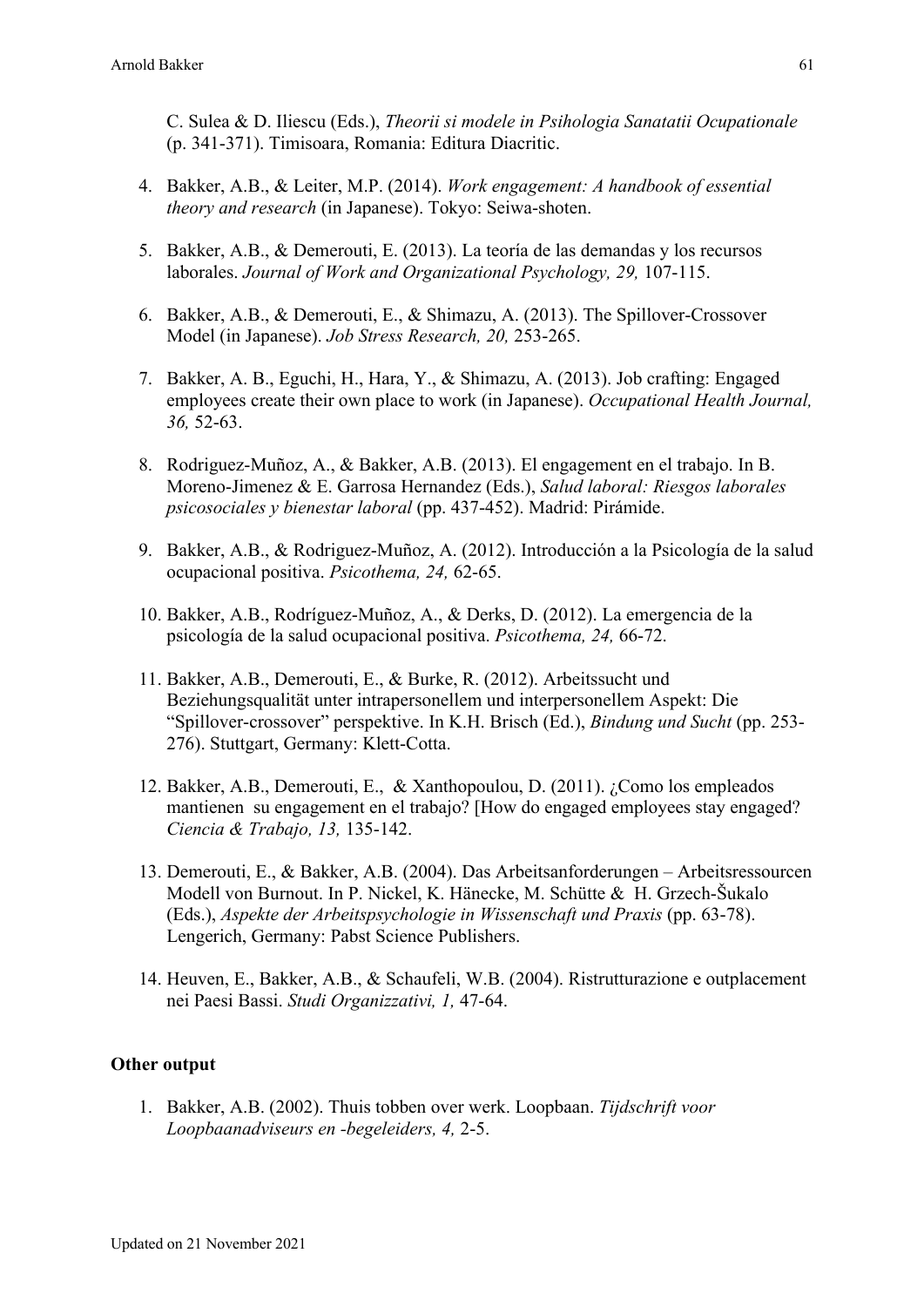C. Sulea & D. Iliescu (Eds.), *Theorii si modele in Psihologia Sanatatii Ocupationale* (p. 341-371). Timisoara, Romania: Editura Diacritic.

- 4. Bakker, A.B., & Leiter, M.P. (2014). *Work engagement: A handbook of essential theory and research* (in Japanese). Tokyo: Seiwa-shoten.
- 5. Bakker, A.B., & Demerouti, E. (2013). La teoría de las demandas y los recursos laborales. *Journal of Work and Organizational Psychology, 29,* 107-115.
- 6. Bakker, A.B., & Demerouti, E., & Shimazu, A. (2013). The Spillover-Crossover Model (in Japanese). *Job Stress Research, 20,* 253-265.
- 7. Bakker, A. B., Eguchi, H., Hara, Y., & Shimazu, A. (2013). Job crafting: Engaged employees create their own place to work (in Japanese). *Occupational Health Journal, 36,* 52-63.
- 8. Rodriguez-Muñoz, A., & Bakker, A.B. (2013). El engagement en el trabajo. In B. Moreno-Jimenez & E. Garrosa Hernandez (Eds.), *Salud laboral: Riesgos laborales psicosociales y bienestar laboral* (pp. 437-452). Madrid: Pirámide.
- 9. Bakker, A.B., & Rodriguez-Muñoz, A. (2012). Introducción a la Psicología de la salud ocupacional positiva. *Psicothema, 24,* 62-65.
- 10. Bakker, A.B., Rodríguez-Muñoz, A., & Derks, D. (2012). La emergencia de la psicología de la salud ocupacional positiva. *Psicothema, 24,* 66-72.
- 11. Bakker, A.B., Demerouti, E., & Burke, R. (2012). Arbeitssucht und Beziehungsqualität unter intrapersonellem und interpersonellem Aspekt: Die "Spillover-crossover" perspektive. In K.H. Brisch (Ed.), *Bindung und Sucht* (pp. 253- 276). Stuttgart, Germany: Klett-Cotta.
- 12. Bakker, A.B., Demerouti, E., & Xanthopoulou, D. (2011). ¿Como los empleados mantienen su engagement en el trabajo? [How do engaged employees stay engaged? *Ciencia & Trabajo, 13,* 135-142.
- 13. Demerouti, E., & Bakker, A.B. (2004). Das Arbeitsanforderungen Arbeitsressourcen Modell von Burnout. In P. Nickel, K. Hänecke, M. Schütte & H. Grzech-Šukalo (Eds.), *Aspekte der Arbeitspsychologie in Wissenschaft und Praxis* (pp. 63-78). Lengerich, Germany: Pabst Science Publishers.
- 14. Heuven, E., Bakker, A.B., & Schaufeli, W.B. (2004). Ristrutturazione e outplacement nei Paesi Bassi. *Studi Organizzativi, 1,* 47-64.

### **Other output**

1. Bakker, A.B. (2002). Thuis tobben over werk. Loopbaan. *Tijdschrift voor Loopbaanadviseurs en -begeleiders, 4,* 2-5.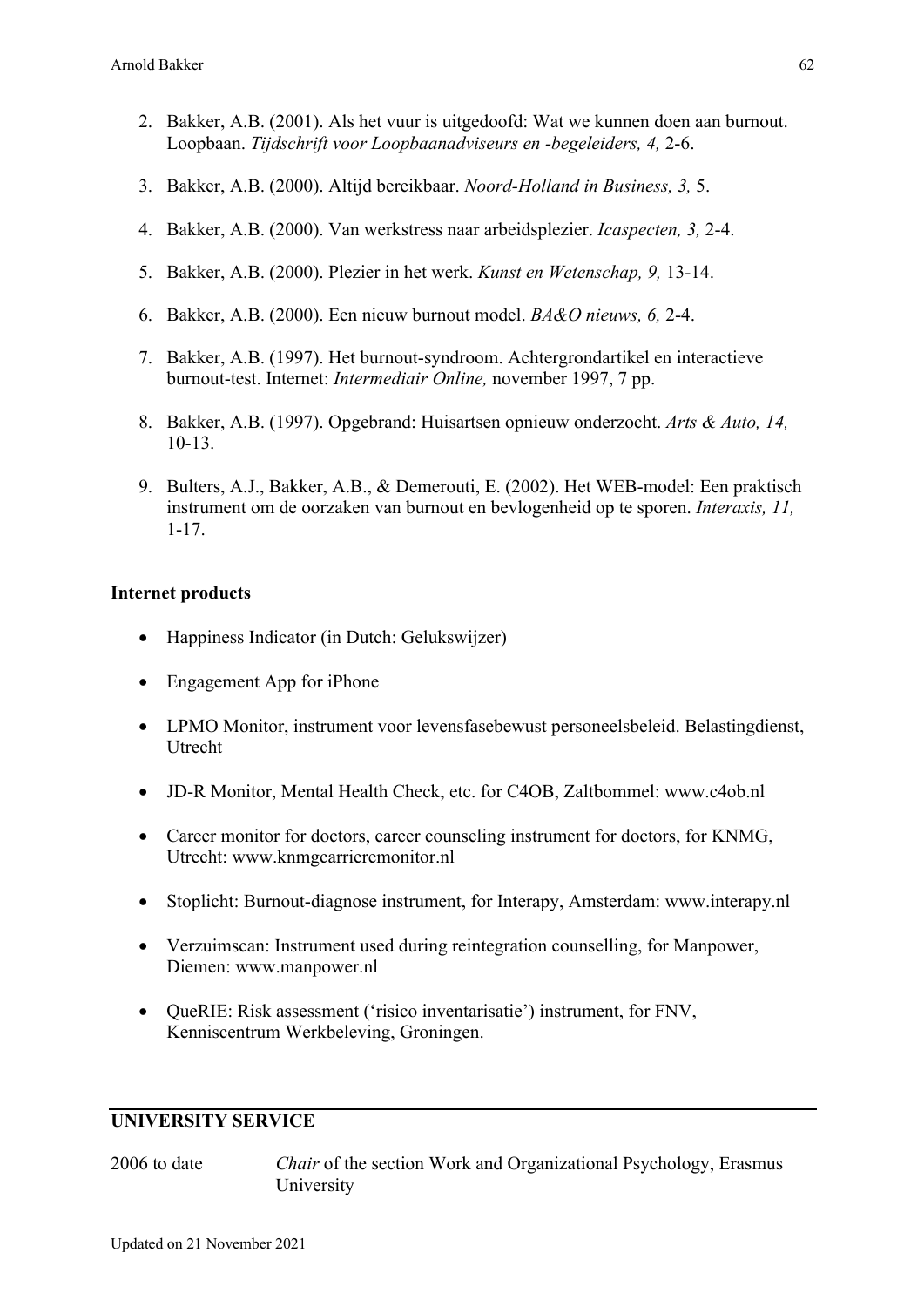- 2. Bakker, A.B. (2001). Als het vuur is uitgedoofd: Wat we kunnen doen aan burnout. Loopbaan. *Tijdschrift voor Loopbaanadviseurs en -begeleiders, 4,* 2-6.
- 3. Bakker, A.B. (2000). Altijd bereikbaar. *Noord-Holland in Business, 3,* 5.
- 4. Bakker, A.B. (2000). Van werkstress naar arbeidsplezier. *Icaspecten, 3,* 2-4.
- 5. Bakker, A.B. (2000). Plezier in het werk. *Kunst en Wetenschap, 9,* 13-14.
- 6. Bakker, A.B. (2000). Een nieuw burnout model. *BA&O nieuws, 6,* 2-4.
- 7. Bakker, A.B. (1997). Het burnout-syndroom. Achtergrondartikel en interactieve burnout-test. Internet: *Intermediair Online,* november 1997, 7 pp.
- 8. Bakker, A.B. (1997). Opgebrand: Huisartsen opnieuw onderzocht. *Arts & Auto, 14,* 10-13.
- 9. Bulters, A.J., Bakker, A.B., & Demerouti, E. (2002). Het WEB-model: Een praktisch instrument om de oorzaken van burnout en bevlogenheid op te sporen. *Interaxis, 11,* 1-17.

#### **Internet products**

- Happiness Indicator (in Dutch: Gelukswijzer)
- Engagement App for iPhone
- LPMO Monitor, instrument voor levensfasebewust personeelsbeleid. Belastingdienst, Utrecht
- JD-R Monitor, Mental Health Check, etc. for C4OB, Zaltbommel: www.c4ob.nl
- Career monitor for doctors, career counseling instrument for doctors, for KNMG, Utrecht: www.knmgcarrieremonitor.nl
- Stoplicht: Burnout-diagnose instrument, for Interapy, Amsterdam: www.interapy.nl
- Verzuimscan: Instrument used during reintegration counselling, for Manpower, Diemen: www.manpower.nl
- QueRIE: Risk assessment ('risico inventarisatie') instrument, for FNV, Kenniscentrum Werkbeleving, Groningen.

### **UNIVERSITY SERVICE**

2006 to date *Chair* of the section Work and Organizational Psychology, Erasmus University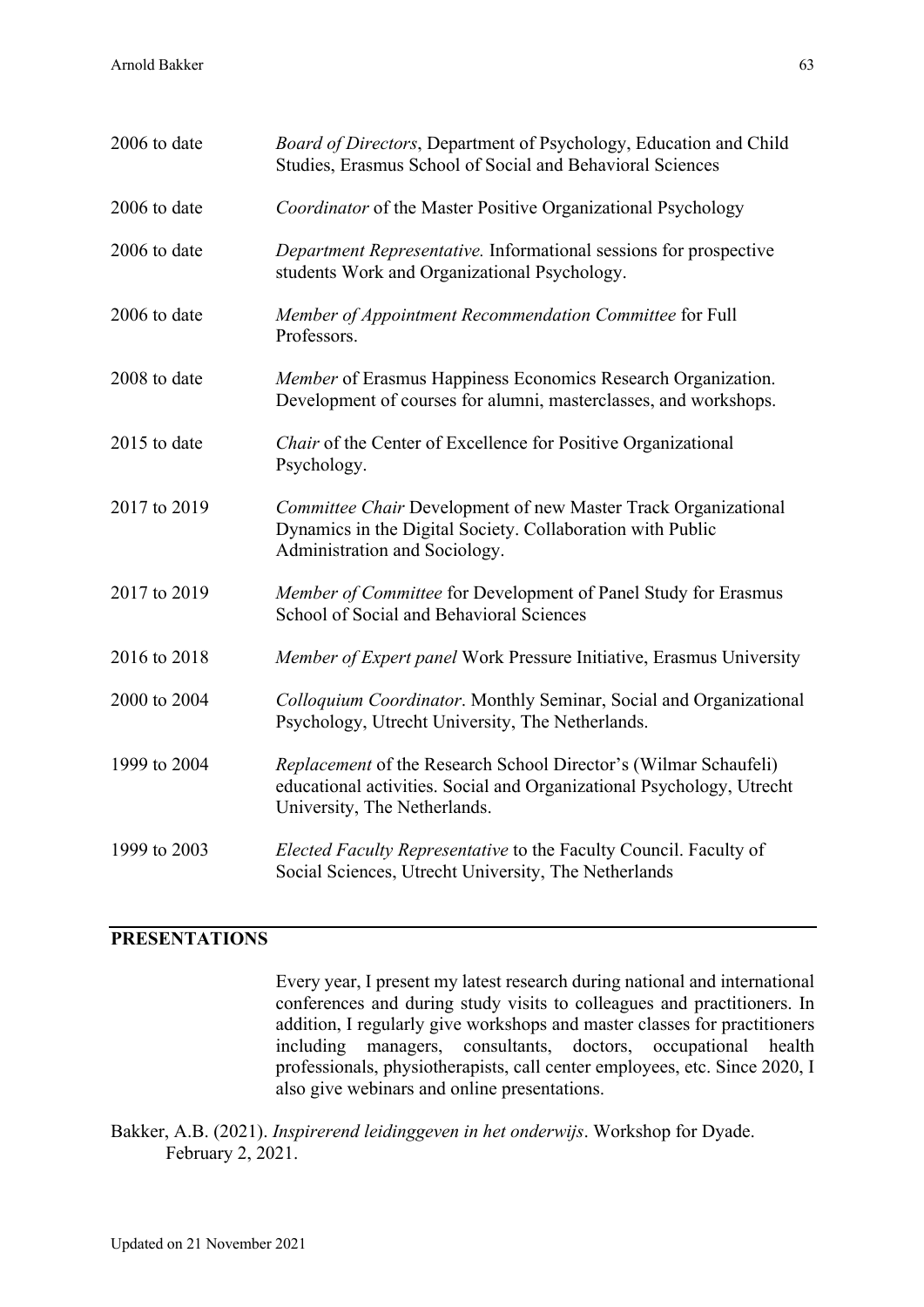| 2006 to date | Board of Directors, Department of Psychology, Education and Child<br>Studies, Erasmus School of Social and Behavioral Sciences                                            |
|--------------|---------------------------------------------------------------------------------------------------------------------------------------------------------------------------|
| 2006 to date | Coordinator of the Master Positive Organizational Psychology                                                                                                              |
| 2006 to date | Department Representative. Informational sessions for prospective<br>students Work and Organizational Psychology.                                                         |
| 2006 to date | Member of Appointment Recommendation Committee for Full<br>Professors.                                                                                                    |
| 2008 to date | Member of Erasmus Happiness Economics Research Organization.<br>Development of courses for alumni, masterclasses, and workshops.                                          |
| 2015 to date | Chair of the Center of Excellence for Positive Organizational<br>Psychology.                                                                                              |
| 2017 to 2019 | Committee Chair Development of new Master Track Organizational<br>Dynamics in the Digital Society. Collaboration with Public<br>Administration and Sociology.             |
| 2017 to 2019 | Member of Committee for Development of Panel Study for Erasmus<br>School of Social and Behavioral Sciences                                                                |
| 2016 to 2018 | Member of Expert panel Work Pressure Initiative, Erasmus University                                                                                                       |
| 2000 to 2004 | Colloquium Coordinator. Monthly Seminar, Social and Organizational<br>Psychology, Utrecht University, The Netherlands.                                                    |
| 1999 to 2004 | Replacement of the Research School Director's (Wilmar Schaufeli)<br>educational activities. Social and Organizational Psychology, Utrecht<br>University, The Netherlands. |
| 1999 to 2003 | Elected Faculty Representative to the Faculty Council. Faculty of<br>Social Sciences, Utrecht University, The Netherlands                                                 |

# **PRESENTATIONS**

Every year, I present my latest research during national and international conferences and during study visits to colleagues and practitioners. In addition, I regularly give workshops and master classes for practitioners including managers, consultants, doctors, occupational health professionals, physiotherapists, call center employees, etc. Since 2020, I also give webinars and online presentations.

Bakker, A.B. (2021). *Inspirerend leidinggeven in het onderwijs*. Workshop for Dyade. February 2, 2021.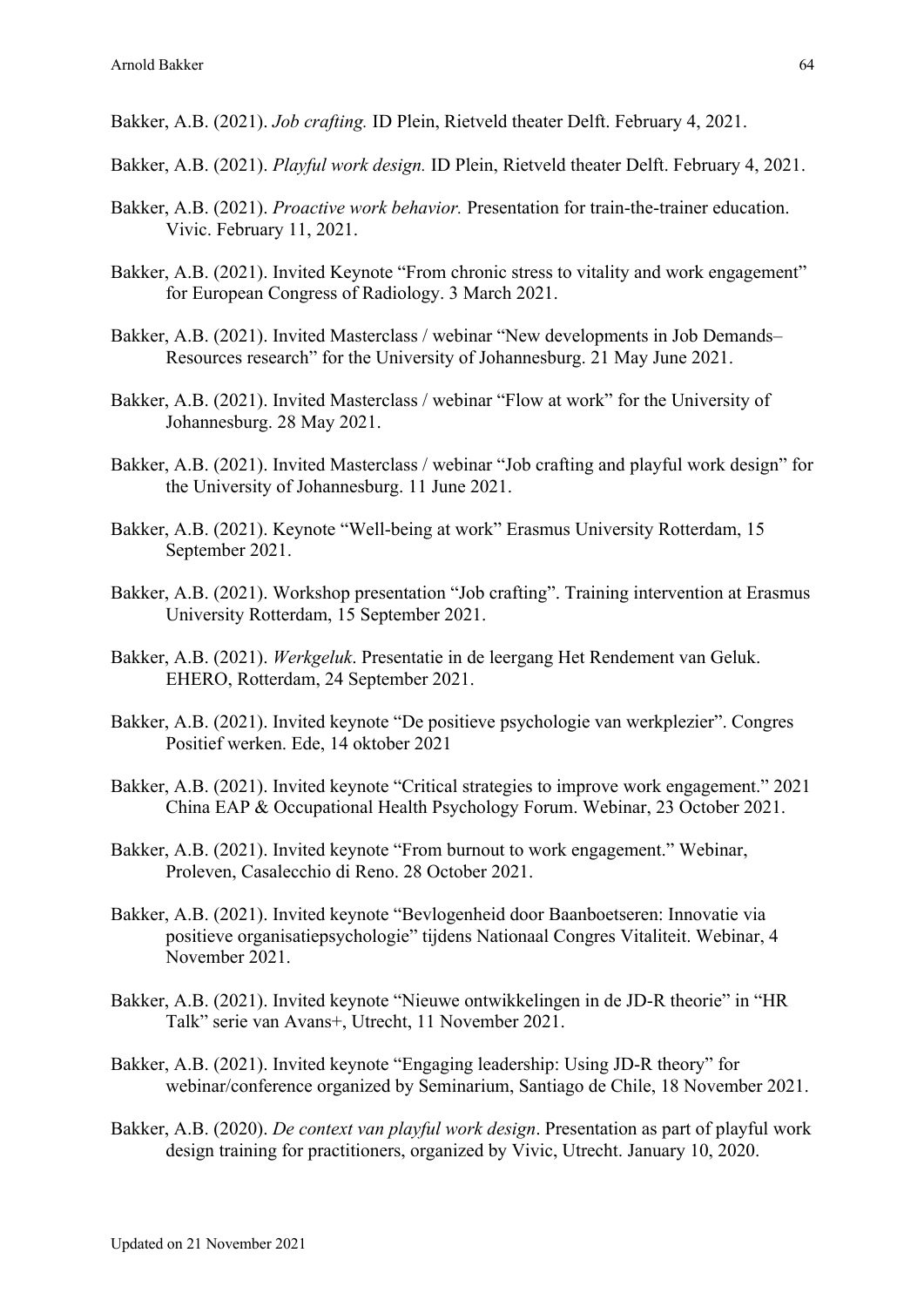Bakker, A.B. (2021). *Job crafting.* ID Plein, Rietveld theater Delft. February 4, 2021.

- Bakker, A.B. (2021). *Playful work design.* ID Plein, Rietveld theater Delft. February 4, 2021.
- Bakker, A.B. (2021). *Proactive work behavior.* Presentation for train-the-trainer education. Vivic. February 11, 2021.
- Bakker, A.B. (2021). Invited Keynote "From chronic stress to vitality and work engagement" for European Congress of Radiology. 3 March 2021.
- Bakker, A.B. (2021). Invited Masterclass / webinar "New developments in Job Demands– Resources research" for the University of Johannesburg. 21 May June 2021.
- Bakker, A.B. (2021). Invited Masterclass / webinar "Flow at work" for the University of Johannesburg. 28 May 2021.
- Bakker, A.B. (2021). Invited Masterclass / webinar "Job crafting and playful work design" for the University of Johannesburg. 11 June 2021.
- Bakker, A.B. (2021). Keynote "Well-being at work" Erasmus University Rotterdam, 15 September 2021.
- Bakker, A.B. (2021). Workshop presentation "Job crafting". Training intervention at Erasmus University Rotterdam, 15 September 2021.
- Bakker, A.B. (2021). *Werkgeluk*. Presentatie in de leergang Het Rendement van Geluk. EHERO, Rotterdam, 24 September 2021.
- Bakker, A.B. (2021). Invited keynote "De positieve psychologie van werkplezier". Congres Positief werken. Ede, 14 oktober 2021
- Bakker, A.B. (2021). Invited keynote "Critical strategies to improve work engagement." 2021 China EAP & Occupational Health Psychology Forum. Webinar, 23 October 2021.
- Bakker, A.B. (2021). Invited keynote "From burnout to work engagement." Webinar, Proleven, Casalecchio di Reno. 28 October 2021.
- Bakker, A.B. (2021). Invited keynote "Bevlogenheid door Baanboetseren: Innovatie via positieve organisatiepsychologie" tijdens Nationaal Congres Vitaliteit. Webinar, 4 November 2021.
- Bakker, A.B. (2021). Invited keynote "Nieuwe ontwikkelingen in de JD-R theorie" in "HR Talk" serie van Avans+, Utrecht, 11 November 2021.
- Bakker, A.B. (2021). Invited keynote "Engaging leadership: Using JD-R theory" for webinar/conference organized by Seminarium, Santiago de Chile, 18 November 2021.
- Bakker, A.B. (2020). *De context van playful work design*. Presentation as part of playful work design training for practitioners, organized by Vivic, Utrecht. January 10, 2020.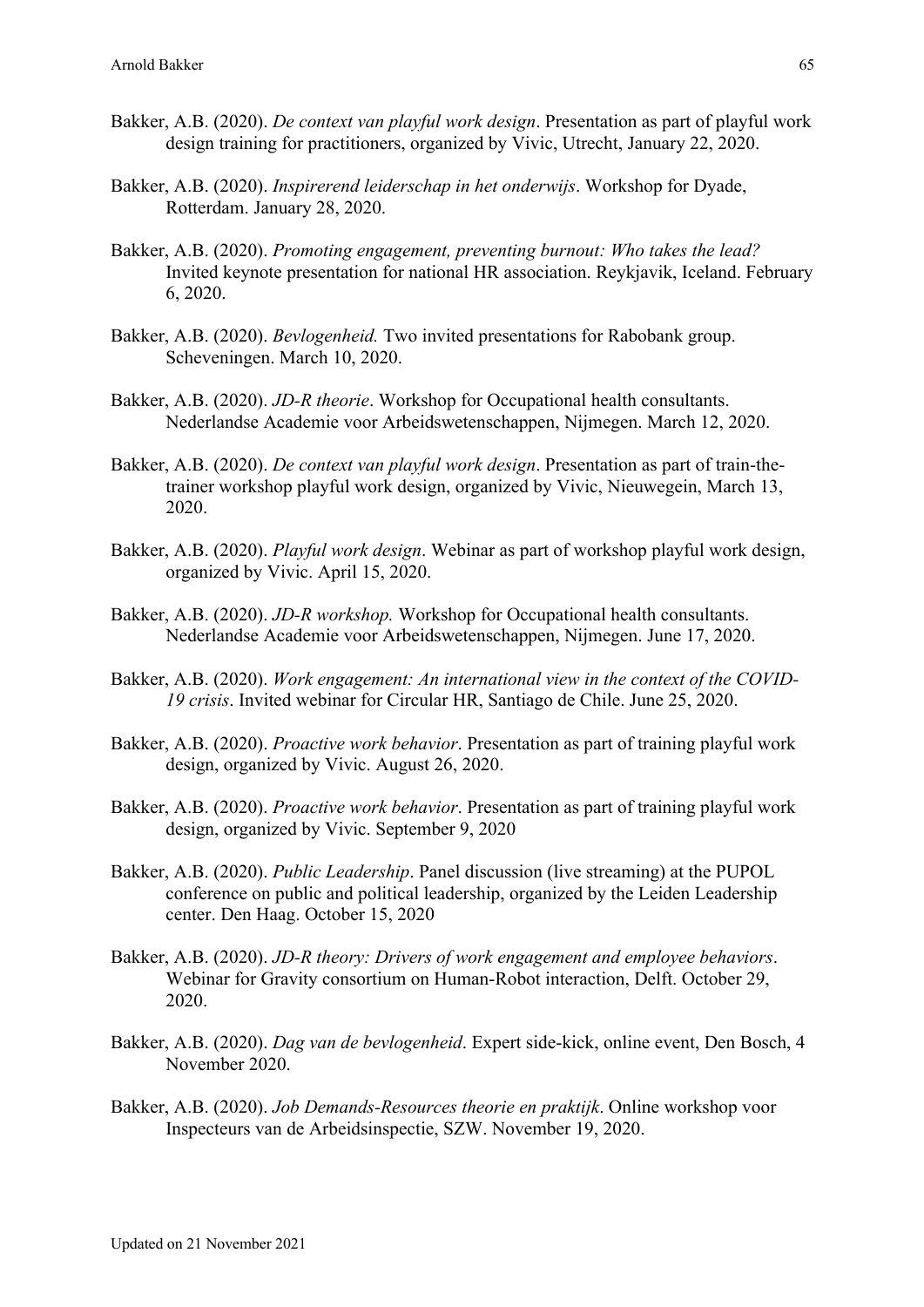- Bakker, A.B. (2020). *De context van playful work design*. Presentation as part of playful work design training for practitioners, organized by Vivic, Utrecht, January 22, 2020.
- Bakker, A.B. (2020). *Inspirerend leiderschap in het onderwijs*. Workshop for Dyade, Rotterdam. January 28, 2020.
- Bakker, A.B. (2020). *Promoting engagement, preventing burnout: Who takes the lead?* Invited keynote presentation for national HR association. Reykjavik, Iceland. February 6, 2020.
- Bakker, A.B. (2020). *Bevlogenheid.* Two invited presentations for Rabobank group. Scheveningen. March 10, 2020.
- Bakker, A.B. (2020). *JD-R theorie*. Workshop for Occupational health consultants. Nederlandse Academie voor Arbeidswetenschappen, Nijmegen. March 12, 2020.
- Bakker, A.B. (2020). *De context van playful work design*. Presentation as part of train-thetrainer workshop playful work design, organized by Vivic, Nieuwegein, March 13, 2020.
- Bakker, A.B. (2020). *Playful work design*. Webinar as part of workshop playful work design, organized by Vivic. April 15, 2020.
- Bakker, A.B. (2020). *JD-R workshop.* Workshop for Occupational health consultants. Nederlandse Academie voor Arbeidswetenschappen, Nijmegen. June 17, 2020.
- Bakker, A.B. (2020). *Work engagement: An international view in the context of the COVID-19 crisis*. Invited webinar for Circular HR, Santiago de Chile. June 25, 2020.
- Bakker, A.B. (2020). *Proactive work behavior*. Presentation as part of training playful work design, organized by Vivic. August 26, 2020.
- Bakker, A.B. (2020). *Proactive work behavior*. Presentation as part of training playful work design, organized by Vivic. September 9, 2020
- Bakker, A.B. (2020). *Public Leadership*. Panel discussion (live streaming) at the PUPOL conference on public and political leadership, organized by the Leiden Leadership center. Den Haag. October 15, 2020
- Bakker, A.B. (2020). *JD-R theory: Drivers of work engagement and employee behaviors*. Webinar for Gravity consortium on Human-Robot interaction, Delft. October 29, 2020.
- Bakker, A.B. (2020). *Dag van de bevlogenheid*. Expert side-kick, online event, Den Bosch, 4 November 2020.
- Bakker, A.B. (2020). *Job Demands-Resources theorie en praktijk*. Online workshop voor Inspecteurs van de Arbeidsinspectie, SZW. November 19, 2020.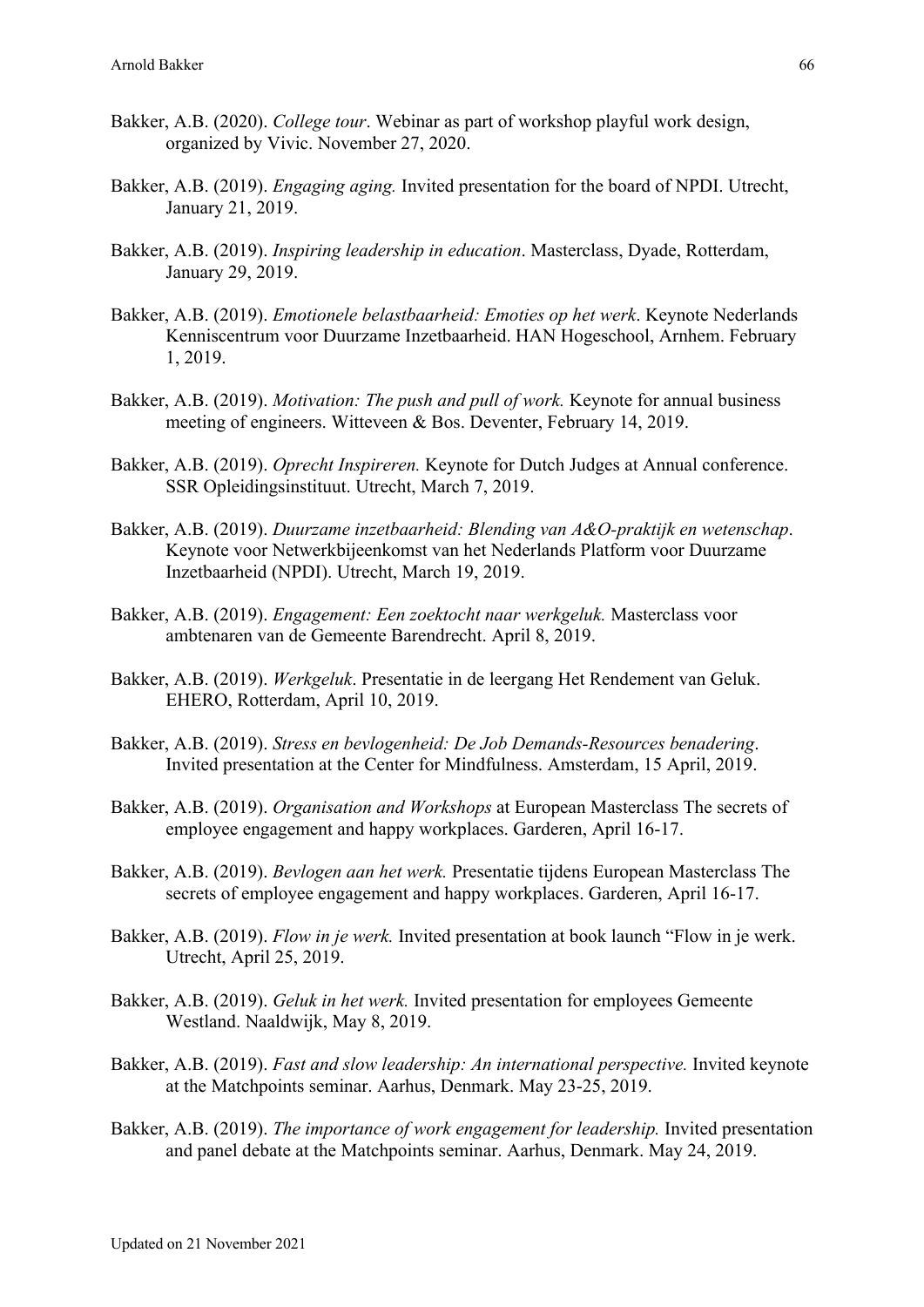- Bakker, A.B. (2020). *College tour*. Webinar as part of workshop playful work design, organized by Vivic. November 27, 2020.
- Bakker, A.B. (2019). *Engaging aging.* Invited presentation for the board of NPDI. Utrecht, January 21, 2019.
- Bakker, A.B. (2019). *Inspiring leadership in education*. Masterclass, Dyade, Rotterdam, January 29, 2019.
- Bakker, A.B. (2019). *Emotionele belastbaarheid: Emoties op het werk*. Keynote Nederlands Kenniscentrum voor Duurzame Inzetbaarheid. HAN Hogeschool, Arnhem. February 1, 2019.
- Bakker, A.B. (2019). *Motivation: The push and pull of work.* Keynote for annual business meeting of engineers. Witteveen & Bos. Deventer, February 14, 2019.
- Bakker, A.B. (2019). *Oprecht Inspireren.* Keynote for Dutch Judges at Annual conference. SSR Opleidingsinstituut. Utrecht, March 7, 2019.
- Bakker, A.B. (2019). *Duurzame inzetbaarheid: Blending van A&O-praktijk en wetenschap*. Keynote voor Netwerkbijeenkomst van het Nederlands Platform voor Duurzame Inzetbaarheid (NPDI). Utrecht, March 19, 2019.
- Bakker, A.B. (2019). *Engagement: Een zoektocht naar werkgeluk.* Masterclass voor ambtenaren van de Gemeente Barendrecht. April 8, 2019.
- Bakker, A.B. (2019). *Werkgeluk*. Presentatie in de leergang Het Rendement van Geluk. EHERO, Rotterdam, April 10, 2019.
- Bakker, A.B. (2019). *Stress en bevlogenheid: De Job Demands-Resources benadering*. Invited presentation at the Center for Mindfulness. Amsterdam, 15 April, 2019.
- Bakker, A.B. (2019). *Organisation and Workshops* at European Masterclass The secrets of employee engagement and happy workplaces. Garderen, April 16-17.
- Bakker, A.B. (2019). *Bevlogen aan het werk.* Presentatie tijdens European Masterclass The secrets of employee engagement and happy workplaces. Garderen, April 16-17.
- Bakker, A.B. (2019). *Flow in je werk.* Invited presentation at book launch "Flow in je werk. Utrecht, April 25, 2019.
- Bakker, A.B. (2019). *Geluk in het werk.* Invited presentation for employees Gemeente Westland. Naaldwijk, May 8, 2019.
- Bakker, A.B. (2019). *Fast and slow leadership: An international perspective*. Invited keynote at the Matchpoints seminar. Aarhus, Denmark. May 23-25, 2019.
- Bakker, A.B. (2019). *The importance of work engagement for leadership.* Invited presentation and panel debate at the Matchpoints seminar. Aarhus, Denmark. May 24, 2019.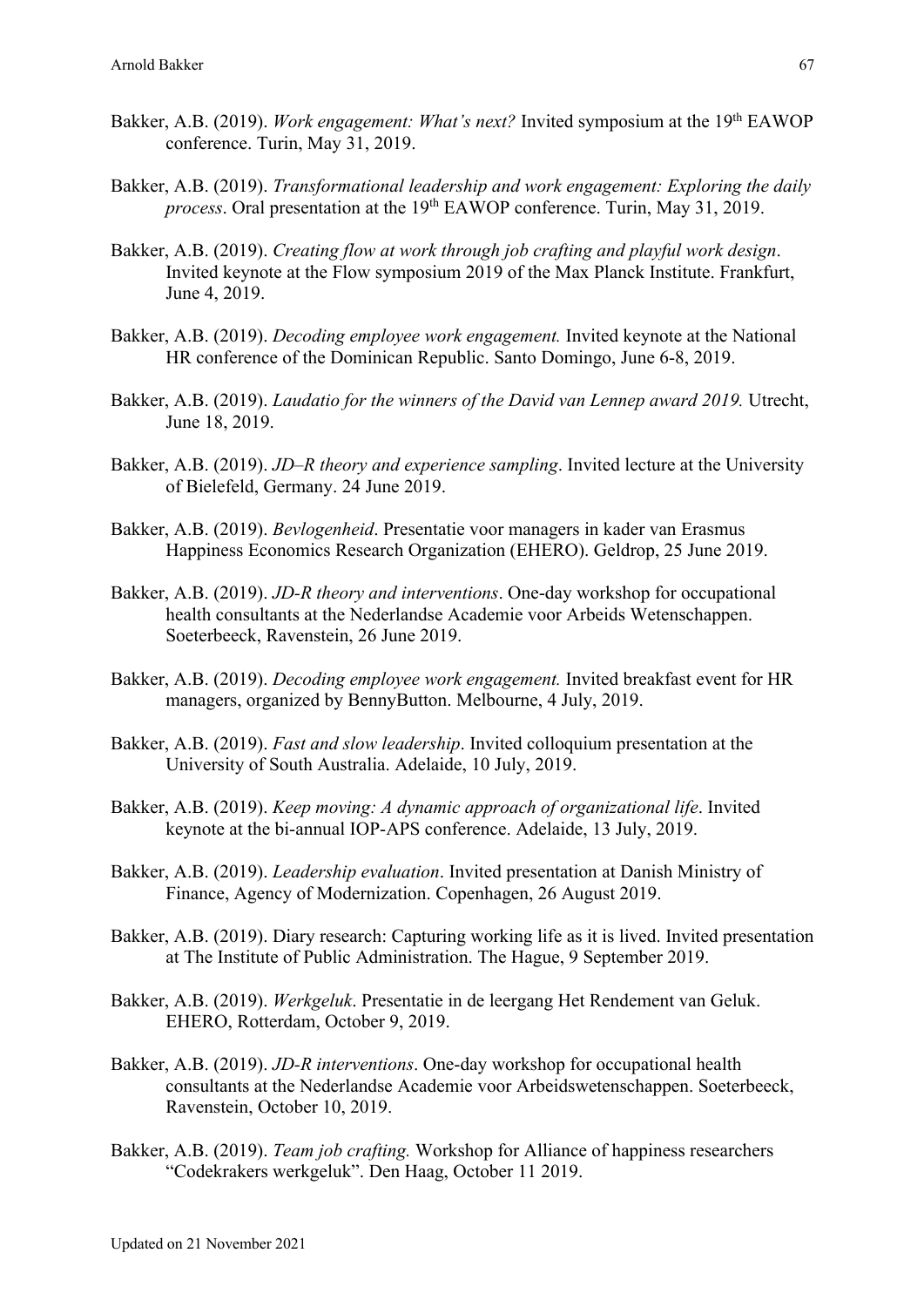- Bakker, A.B. (2019). *Work engagement: What's next?* Invited symposium at the 19<sup>th</sup> EAWOP conference. Turin, May 31, 2019.
- Bakker, A.B. (2019). *Transformational leadership and work engagement: Exploring the daily process*. Oral presentation at the 19<sup>th</sup> EAWOP conference. Turin, May 31, 2019.
- Bakker, A.B. (2019). *Creating flow at work through job crafting and playful work design*. Invited keynote at the Flow symposium 2019 of the Max Planck Institute. Frankfurt, June 4, 2019.
- Bakker, A.B. (2019). *Decoding employee work engagement.* Invited keynote at the National HR conference of the Dominican Republic. Santo Domingo, June 6-8, 2019.
- Bakker, A.B. (2019). *Laudatio for the winners of the David van Lennep award 2019.* Utrecht, June 18, 2019.
- Bakker, A.B. (2019). *JD–R theory and experience sampling*. Invited lecture at the University of Bielefeld, Germany. 24 June 2019.
- Bakker, A.B. (2019). *Bevlogenheid*. Presentatie voor managers in kader van Erasmus Happiness Economics Research Organization (EHERO). Geldrop, 25 June 2019.
- Bakker, A.B. (2019). *JD-R theory and interventions*. One-day workshop for occupational health consultants at the Nederlandse Academie voor Arbeids Wetenschappen. Soeterbeeck, Ravenstein, 26 June 2019.
- Bakker, A.B. (2019). *Decoding employee work engagement.* Invited breakfast event for HR managers, organized by BennyButton. Melbourne, 4 July, 2019.
- Bakker, A.B. (2019). *Fast and slow leadership*. Invited colloquium presentation at the University of South Australia. Adelaide, 10 July, 2019.
- Bakker, A.B. (2019). *Keep moving: A dynamic approach of organizational life*. Invited keynote at the bi-annual IOP-APS conference. Adelaide, 13 July, 2019.
- Bakker, A.B. (2019). *Leadership evaluation*. Invited presentation at Danish Ministry of Finance, Agency of Modernization. Copenhagen, 26 August 2019.
- Bakker, A.B. (2019). Diary research: Capturing working life as it is lived. Invited presentation at The Institute of Public Administration. The Hague, 9 September 2019.
- Bakker, A.B. (2019). *Werkgeluk*. Presentatie in de leergang Het Rendement van Geluk. EHERO, Rotterdam, October 9, 2019.
- Bakker, A.B. (2019). *JD-R interventions*. One-day workshop for occupational health consultants at the Nederlandse Academie voor Arbeidswetenschappen. Soeterbeeck, Ravenstein, October 10, 2019.
- Bakker, A.B. (2019). *Team job crafting.* Workshop for Alliance of happiness researchers "Codekrakers werkgeluk". Den Haag, October 11 2019.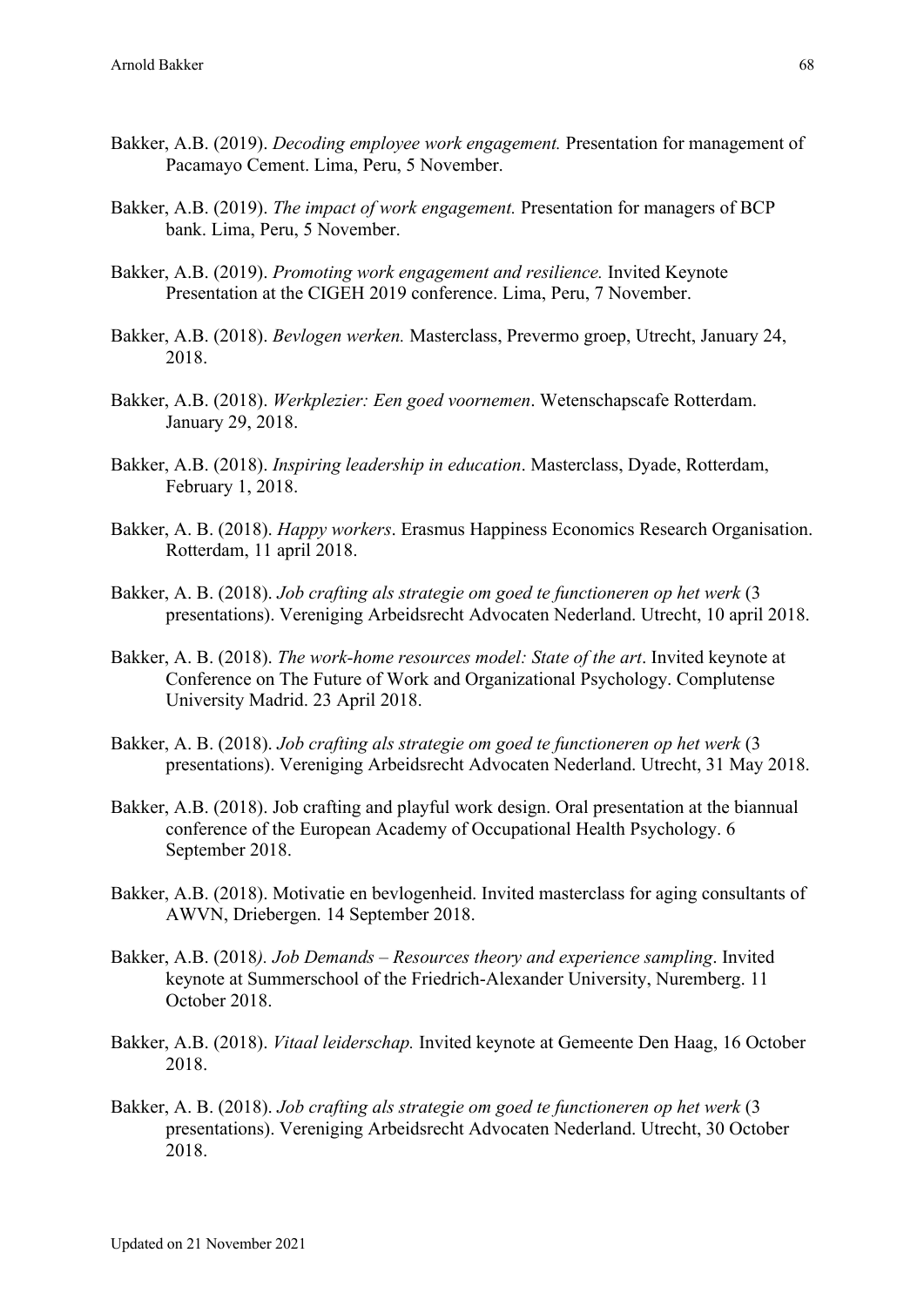- Bakker, A.B. (2019). *Decoding employee work engagement.* Presentation for management of Pacamayo Cement. Lima, Peru, 5 November.
- Bakker, A.B. (2019). *The impact of work engagement.* Presentation for managers of BCP bank. Lima, Peru, 5 November.
- Bakker, A.B. (2019). *Promoting work engagement and resilience.* Invited Keynote Presentation at the CIGEH 2019 conference. Lima, Peru, 7 November.
- Bakker, A.B. (2018). *Bevlogen werken.* Masterclass, Prevermo groep, Utrecht, January 24, 2018.
- Bakker, A.B. (2018). *Werkplezier: Een goed voornemen*. Wetenschapscafe Rotterdam. January 29, 2018.
- Bakker, A.B. (2018). *Inspiring leadership in education*. Masterclass, Dyade, Rotterdam, February 1, 2018.
- Bakker, A. B. (2018). *Happy workers*. Erasmus Happiness Economics Research Organisation. Rotterdam, 11 april 2018.
- Bakker, A. B. (2018). *Job crafting als strategie om goed te functioneren op het werk* (3 presentations). Vereniging Arbeidsrecht Advocaten Nederland. Utrecht, 10 april 2018.
- Bakker, A. B. (2018). *The work-home resources model: State of the art*. Invited keynote at Conference on The Future of Work and Organizational Psychology. Complutense University Madrid. 23 April 2018.
- Bakker, A. B. (2018). *Job crafting als strategie om goed te functioneren op het werk* (3 presentations). Vereniging Arbeidsrecht Advocaten Nederland. Utrecht, 31 May 2018.
- Bakker, A.B. (2018). Job crafting and playful work design. Oral presentation at the biannual conference of the European Academy of Occupational Health Psychology. 6 September 2018.
- Bakker, A.B. (2018). Motivatie en bevlogenheid. Invited masterclass for aging consultants of AWVN, Driebergen. 14 September 2018.
- Bakker, A.B. (2018*). Job Demands – Resources theory and experience sampling*. Invited keynote at Summerschool of the Friedrich-Alexander University, Nuremberg. 11 October 2018.
- Bakker, A.B. (2018). *Vitaal leiderschap.* Invited keynote at Gemeente Den Haag, 16 October 2018.
- Bakker, A. B. (2018). *Job crafting als strategie om goed te functioneren op het werk* (3 presentations). Vereniging Arbeidsrecht Advocaten Nederland. Utrecht, 30 October 2018.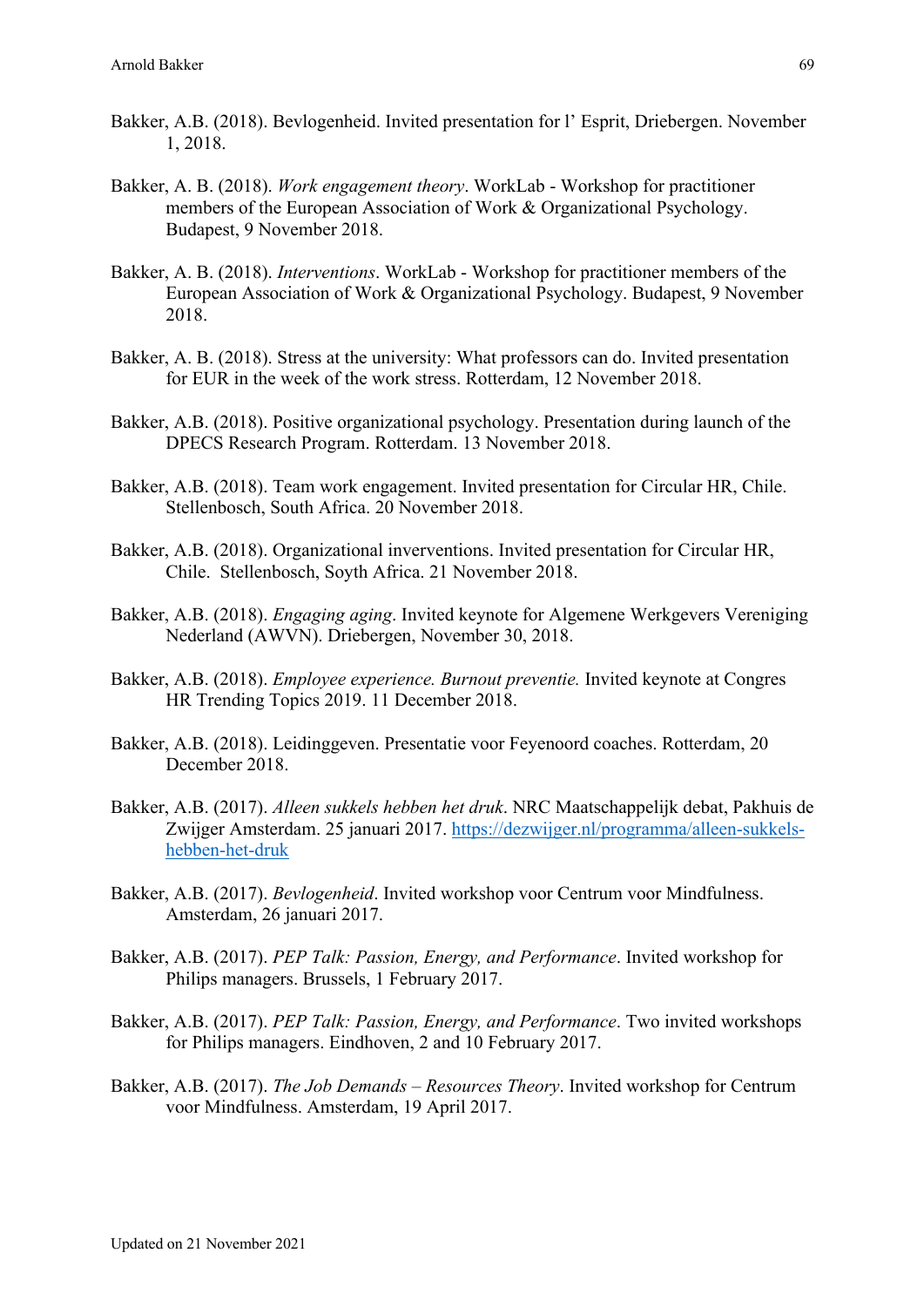- Bakker, A.B. (2018). Bevlogenheid. Invited presentation for l' Esprit, Driebergen. November 1, 2018.
- Bakker, A. B. (2018). *Work engagement theory*. WorkLab Workshop for practitioner members of the European Association of Work & Organizational Psychology. Budapest, 9 November 2018.
- Bakker, A. B. (2018). *Interventions*. WorkLab Workshop for practitioner members of the European Association of Work & Organizational Psychology. Budapest, 9 November 2018.
- Bakker, A. B. (2018). Stress at the university: What professors can do. Invited presentation for EUR in the week of the work stress. Rotterdam, 12 November 2018.
- Bakker, A.B. (2018). Positive organizational psychology. Presentation during launch of the DPECS Research Program. Rotterdam. 13 November 2018.
- Bakker, A.B. (2018). Team work engagement. Invited presentation for Circular HR, Chile. Stellenbosch, South Africa. 20 November 2018.
- Bakker, A.B. (2018). Organizational inverventions. Invited presentation for Circular HR, Chile. Stellenbosch, Soyth Africa. 21 November 2018.
- Bakker, A.B. (2018). *Engaging aging*. Invited keynote for Algemene Werkgevers Vereniging Nederland (AWVN). Driebergen, November 30, 2018.
- Bakker, A.B. (2018). *Employee experience. Burnout preventie.* Invited keynote at Congres HR Trending Topics 2019. 11 December 2018.
- Bakker, A.B. (2018). Leidinggeven. Presentatie voor Feyenoord coaches. Rotterdam, 20 December 2018.
- Bakker, A.B. (2017). *Alleen sukkels hebben het druk*. NRC Maatschappelijk debat, Pakhuis de Zwijger Amsterdam. 25 januari 2017. https://dezwijger.nl/programma/alleen-sukkelshebben-het-druk
- Bakker, A.B. (2017). *Bevlogenheid*. Invited workshop voor Centrum voor Mindfulness. Amsterdam, 26 januari 2017.
- Bakker, A.B. (2017). *PEP Talk: Passion, Energy, and Performance*. Invited workshop for Philips managers. Brussels, 1 February 2017.
- Bakker, A.B. (2017). *PEP Talk: Passion, Energy, and Performance*. Two invited workshops for Philips managers. Eindhoven, 2 and 10 February 2017.
- Bakker, A.B. (2017). *The Job Demands – Resources Theory*. Invited workshop for Centrum voor Mindfulness. Amsterdam, 19 April 2017.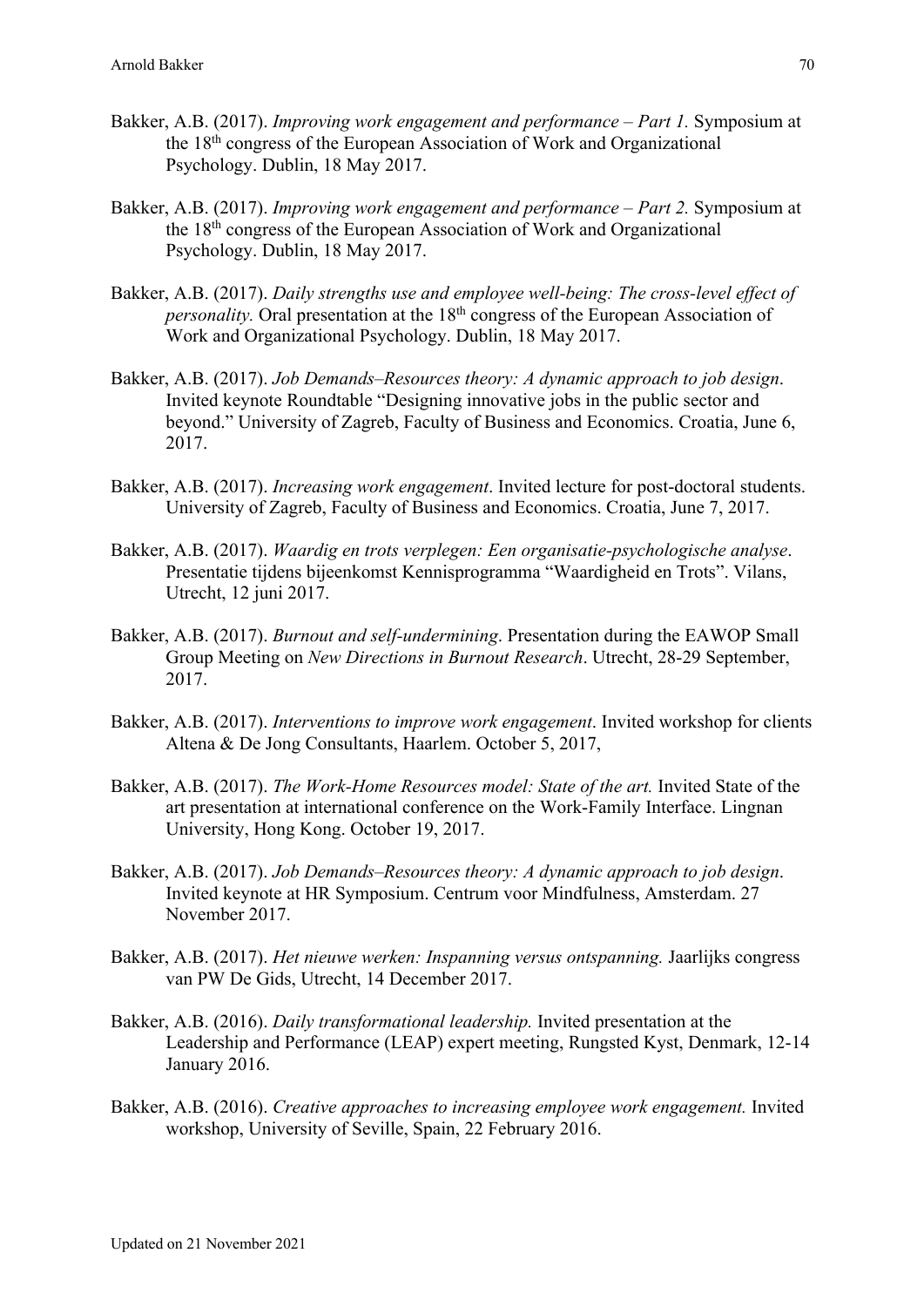- Bakker, A.B. (2017). *Improving work engagement and performance – Part 1.* Symposium at the 18th congress of the European Association of Work and Organizational Psychology. Dublin, 18 May 2017.
- Bakker, A.B. (2017). *Improving work engagement and performance – Part 2.* Symposium at the 18th congress of the European Association of Work and Organizational Psychology. Dublin, 18 May 2017.
- Bakker, A.B. (2017). *Daily strengths use and employee well-being: The cross-level effect of personality.* Oral presentation at the 18<sup>th</sup> congress of the European Association of Work and Organizational Psychology. Dublin, 18 May 2017.
- Bakker, A.B. (2017). *Job Demands–Resources theory: A dynamic approach to job design*. Invited keynote Roundtable "Designing innovative jobs in the public sector and beyond." University of Zagreb, Faculty of Business and Economics. Croatia, June 6, 2017.
- Bakker, A.B. (2017). *Increasing work engagement*. Invited lecture for post-doctoral students. University of Zagreb, Faculty of Business and Economics. Croatia, June 7, 2017.
- Bakker, A.B. (2017). *Waardig en trots verplegen: Een organisatie-psychologische analyse*. Presentatie tijdens bijeenkomst Kennisprogramma "Waardigheid en Trots". Vilans, Utrecht, 12 juni 2017.
- Bakker, A.B. (2017). *Burnout and self-undermining*. Presentation during the EAWOP Small Group Meeting on *New Directions in Burnout Research*. Utrecht, 28-29 September, 2017.
- Bakker, A.B. (2017). *Interventions to improve work engagement*. Invited workshop for clients Altena & De Jong Consultants, Haarlem. October 5, 2017,
- Bakker, A.B. (2017). *The Work-Home Resources model: State of the art.* Invited State of the art presentation at international conference on the Work-Family Interface. Lingnan University, Hong Kong. October 19, 2017.
- Bakker, A.B. (2017). *Job Demands–Resources theory: A dynamic approach to job design*. Invited keynote at HR Symposium. Centrum voor Mindfulness, Amsterdam. 27 November 2017.
- Bakker, A.B. (2017). *Het nieuwe werken: Inspanning versus ontspanning.* Jaarlijks congress van PW De Gids, Utrecht, 14 December 2017.
- Bakker, A.B. (2016). *Daily transformational leadership.* Invited presentation at the Leadership and Performance (LEAP) expert meeting, Rungsted Kyst, Denmark, 12-14 January 2016.
- Bakker, A.B. (2016). *Creative approaches to increasing employee work engagement.* Invited workshop, University of Seville, Spain, 22 February 2016.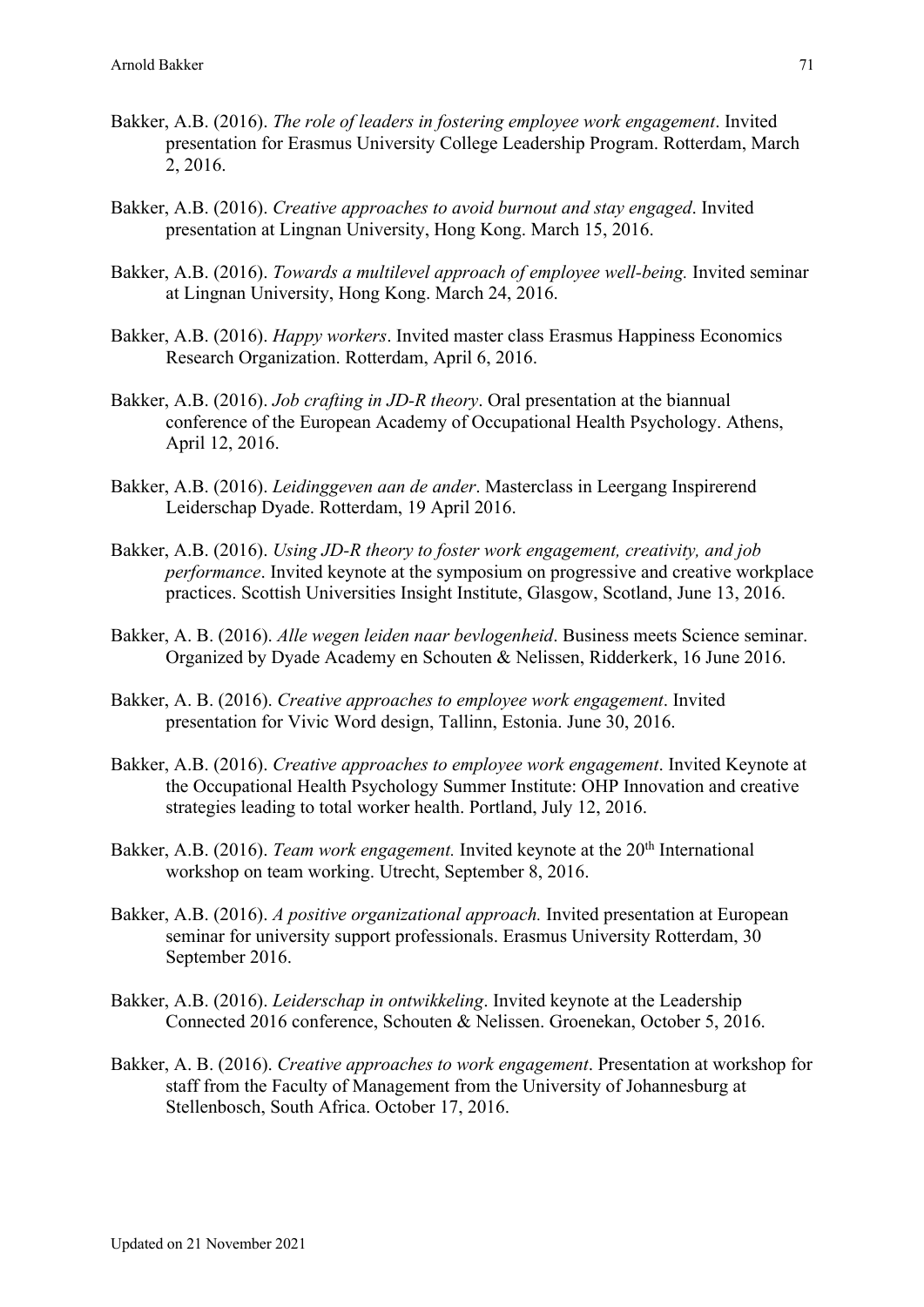- Bakker, A.B. (2016). *The role of leaders in fostering employee work engagement*. Invited presentation for Erasmus University College Leadership Program. Rotterdam, March 2, 2016.
- Bakker, A.B. (2016). *Creative approaches to avoid burnout and stay engaged*. Invited presentation at Lingnan University, Hong Kong. March 15, 2016.
- Bakker, A.B. (2016). *Towards a multilevel approach of employee well-being.* Invited seminar at Lingnan University, Hong Kong. March 24, 2016.
- Bakker, A.B. (2016). *Happy workers*. Invited master class Erasmus Happiness Economics Research Organization. Rotterdam, April 6, 2016.
- Bakker, A.B. (2016). *Job crafting in JD-R theory*. Oral presentation at the biannual conference of the European Academy of Occupational Health Psychology. Athens, April 12, 2016.
- Bakker, A.B. (2016). *Leidinggeven aan de ander*. Masterclass in Leergang Inspirerend Leiderschap Dyade. Rotterdam, 19 April 2016.
- Bakker, A.B. (2016). *Using JD-R theory to foster work engagement, creativity, and job performance*. Invited keynote at the symposium on progressive and creative workplace practices. Scottish Universities Insight Institute, Glasgow, Scotland, June 13, 2016.
- Bakker, A. B. (2016). *Alle wegen leiden naar bevlogenheid*. Business meets Science seminar. Organized by Dyade Academy en Schouten & Nelissen, Ridderkerk, 16 June 2016.
- Bakker, A. B. (2016). *Creative approaches to employee work engagement*. Invited presentation for Vivic Word design, Tallinn, Estonia. June 30, 2016.
- Bakker, A.B. (2016). *Creative approaches to employee work engagement*. Invited Keynote at the Occupational Health Psychology Summer Institute: OHP Innovation and creative strategies leading to total worker health. Portland, July 12, 2016.
- Bakker, A.B. (2016). *Team work engagement*. Invited keynote at the 20<sup>th</sup> International workshop on team working. Utrecht, September 8, 2016.
- Bakker, A.B. (2016). *A positive organizational approach.* Invited presentation at European seminar for university support professionals. Erasmus University Rotterdam, 30 September 2016.
- Bakker, A.B. (2016). *Leiderschap in ontwikkeling*. Invited keynote at the Leadership Connected 2016 conference, Schouten & Nelissen. Groenekan, October 5, 2016.
- Bakker, A. B. (2016). *Creative approaches to work engagement*. Presentation at workshop for staff from the Faculty of Management from the University of Johannesburg at Stellenbosch, South Africa. October 17, 2016.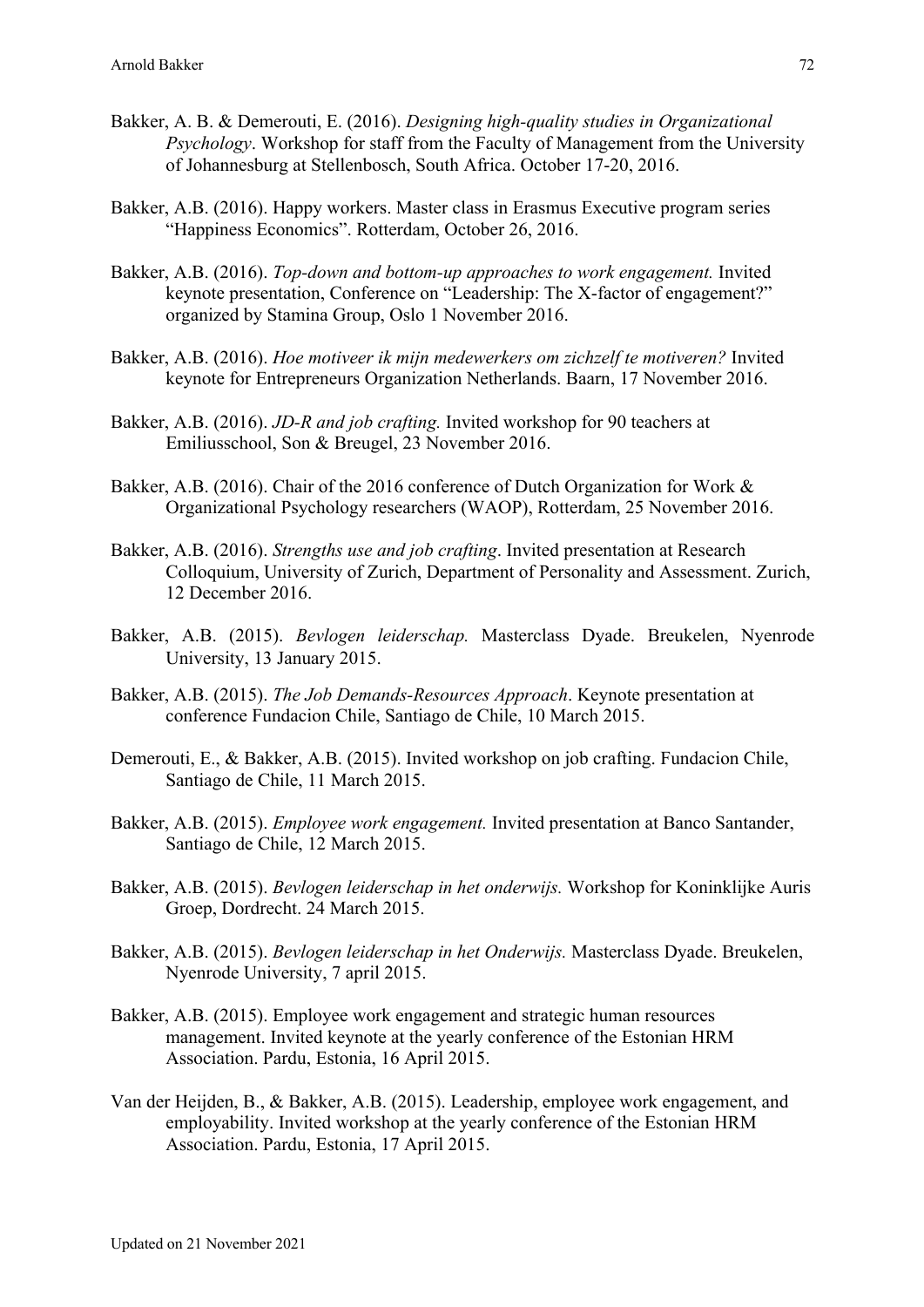- Bakker, A. B. & Demerouti, E. (2016). *Designing high-quality studies in Organizational Psychology*. Workshop for staff from the Faculty of Management from the University of Johannesburg at Stellenbosch, South Africa. October 17-20, 2016.
- Bakker, A.B. (2016). Happy workers. Master class in Erasmus Executive program series "Happiness Economics". Rotterdam, October 26, 2016.
- Bakker, A.B. (2016). *Top-down and bottom-up approaches to work engagement.* Invited keynote presentation, Conference on "Leadership: The X-factor of engagement?" organized by Stamina Group, Oslo 1 November 2016.
- Bakker, A.B. (2016). *Hoe motiveer ik mijn medewerkers om zichzelf te motiveren?* Invited keynote for Entrepreneurs Organization Netherlands. Baarn, 17 November 2016.
- Bakker, A.B. (2016). *JD-R and job crafting.* Invited workshop for 90 teachers at Emiliusschool, Son & Breugel, 23 November 2016.
- Bakker, A.B. (2016). Chair of the 2016 conference of Dutch Organization for Work & Organizational Psychology researchers (WAOP), Rotterdam, 25 November 2016.
- Bakker, A.B. (2016). *Strengths use and job crafting*. Invited presentation at Research Colloquium, University of Zurich, Department of Personality and Assessment. Zurich, 12 December 2016.
- Bakker, A.B. (2015). *Bevlogen leiderschap.* Masterclass Dyade. Breukelen, Nyenrode University, 13 January 2015.
- Bakker, A.B. (2015). *The Job Demands-Resources Approach*. Keynote presentation at conference Fundacion Chile, Santiago de Chile, 10 March 2015.
- Demerouti, E., & Bakker, A.B. (2015). Invited workshop on job crafting. Fundacion Chile, Santiago de Chile, 11 March 2015.
- Bakker, A.B. (2015). *Employee work engagement.* Invited presentation at Banco Santander, Santiago de Chile, 12 March 2015.
- Bakker, A.B. (2015). *Bevlogen leiderschap in het onderwijs.* Workshop for Koninklijke Auris Groep, Dordrecht. 24 March 2015.
- Bakker, A.B. (2015). *Bevlogen leiderschap in het Onderwijs.* Masterclass Dyade. Breukelen, Nyenrode University, 7 april 2015.
- Bakker, A.B. (2015). Employee work engagement and strategic human resources management. Invited keynote at the yearly conference of the Estonian HRM Association. Pardu, Estonia, 16 April 2015.
- Van der Heijden, B., & Bakker, A.B. (2015). Leadership, employee work engagement, and employability. Invited workshop at the yearly conference of the Estonian HRM Association. Pardu, Estonia, 17 April 2015.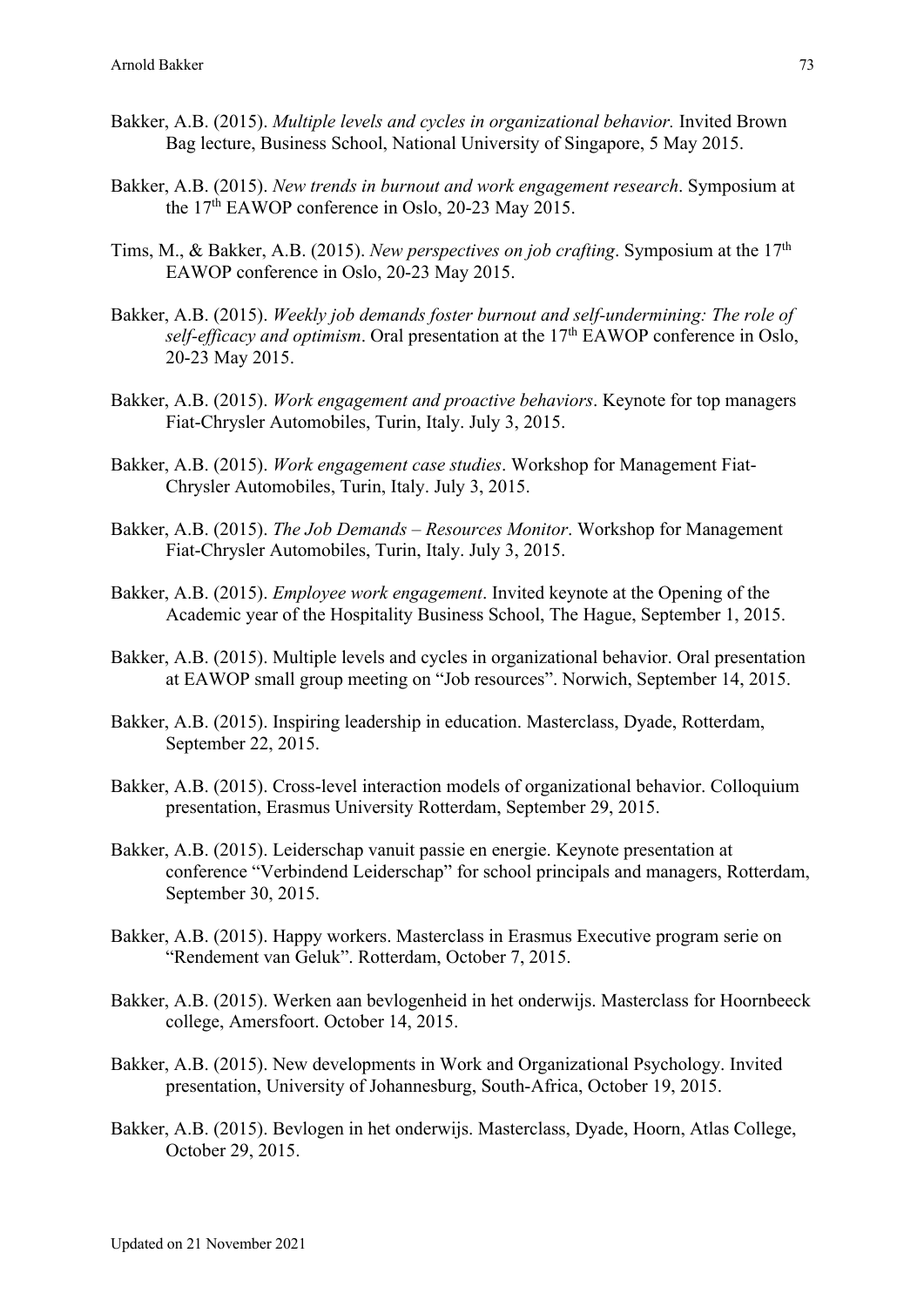- Bakker, A.B. (2015). *Multiple levels and cycles in organizational behavior.* Invited Brown Bag lecture, Business School, National University of Singapore, 5 May 2015.
- Bakker, A.B. (2015). *New trends in burnout and work engagement research*. Symposium at the 17th EAWOP conference in Oslo, 20-23 May 2015.
- Tims, M., & Bakker, A.B. (2015). *New perspectives on job crafting*. Symposium at the 17th EAWOP conference in Oslo, 20-23 May 2015.
- Bakker, A.B. (2015). *Weekly job demands foster burnout and self-undermining: The role of self-efficacy and optimism.* Oral presentation at the 17<sup>th</sup> EAWOP conference in Oslo, 20-23 May 2015.
- Bakker, A.B. (2015). *Work engagement and proactive behaviors*. Keynote for top managers Fiat-Chrysler Automobiles, Turin, Italy. July 3, 2015.
- Bakker, A.B. (2015). *Work engagement case studies*. Workshop for Management Fiat-Chrysler Automobiles, Turin, Italy. July 3, 2015.
- Bakker, A.B. (2015). *The Job Demands – Resources Monitor*. Workshop for Management Fiat-Chrysler Automobiles, Turin, Italy. July 3, 2015.
- Bakker, A.B. (2015). *Employee work engagement*. Invited keynote at the Opening of the Academic year of the Hospitality Business School, The Hague, September 1, 2015.
- Bakker, A.B. (2015). Multiple levels and cycles in organizational behavior. Oral presentation at EAWOP small group meeting on "Job resources". Norwich, September 14, 2015.
- Bakker, A.B. (2015). Inspiring leadership in education. Masterclass, Dyade, Rotterdam, September 22, 2015.
- Bakker, A.B. (2015). Cross-level interaction models of organizational behavior. Colloquium presentation, Erasmus University Rotterdam, September 29, 2015.
- Bakker, A.B. (2015). Leiderschap vanuit passie en energie. Keynote presentation at conference "Verbindend Leiderschap" for school principals and managers, Rotterdam, September 30, 2015.
- Bakker, A.B. (2015). Happy workers. Masterclass in Erasmus Executive program serie on "Rendement van Geluk". Rotterdam, October 7, 2015.
- Bakker, A.B. (2015). Werken aan bevlogenheid in het onderwijs. Masterclass for Hoornbeeck college, Amersfoort. October 14, 2015.
- Bakker, A.B. (2015). New developments in Work and Organizational Psychology. Invited presentation, University of Johannesburg, South-Africa, October 19, 2015.
- Bakker, A.B. (2015). Bevlogen in het onderwijs. Masterclass, Dyade, Hoorn, Atlas College, October 29, 2015.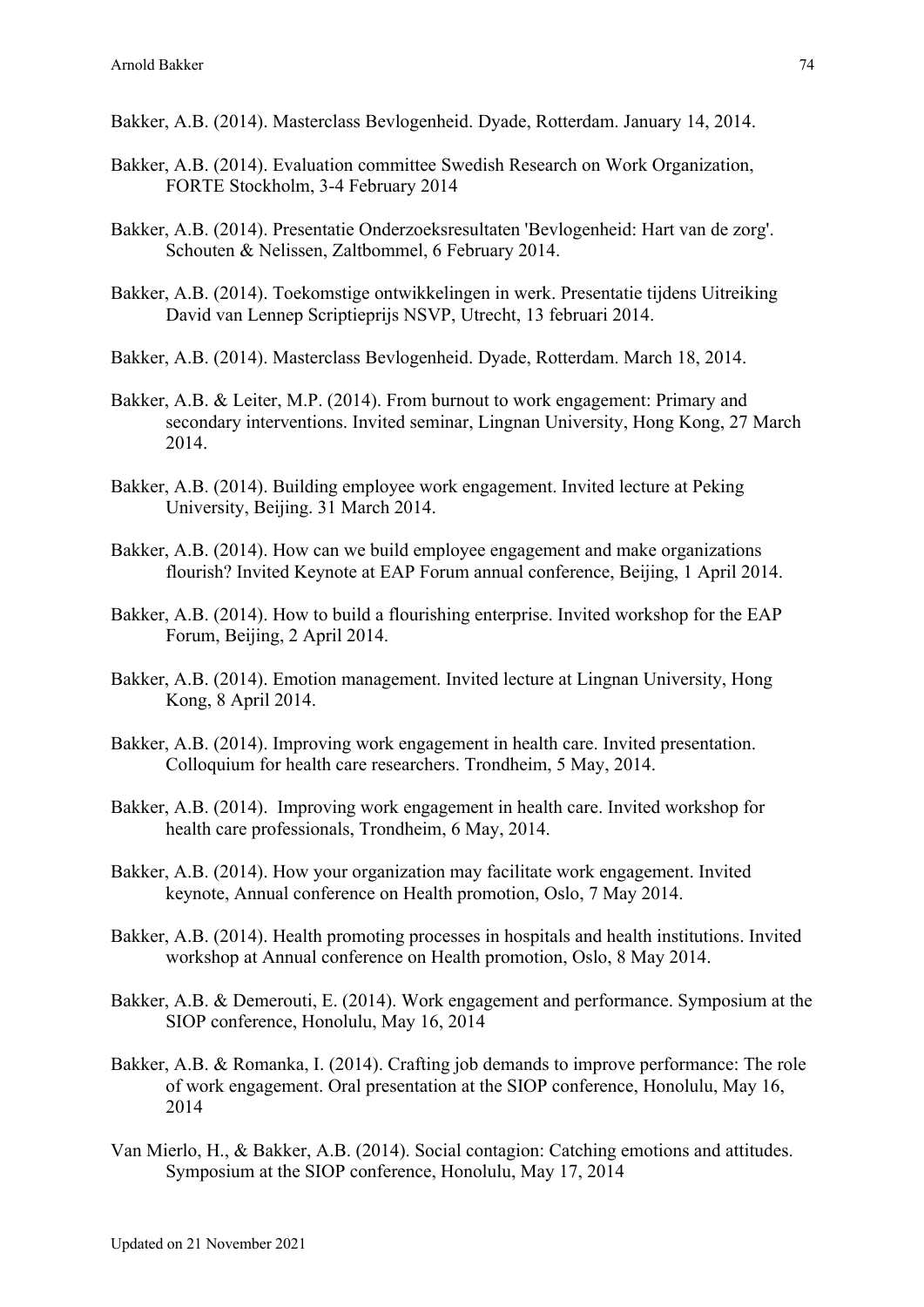- Bakker, A.B. (2014). Masterclass Bevlogenheid. Dyade, Rotterdam. January 14, 2014.
- Bakker, A.B. (2014). Evaluation committee Swedish Research on Work Organization, FORTE Stockholm, 3-4 February 2014
- Bakker, A.B. (2014). Presentatie Onderzoeksresultaten 'Bevlogenheid: Hart van de zorg'. Schouten & Nelissen, Zaltbommel, 6 February 2014.
- Bakker, A.B. (2014). Toekomstige ontwikkelingen in werk. Presentatie tijdens Uitreiking David van Lennep Scriptieprijs NSVP, Utrecht, 13 februari 2014.
- Bakker, A.B. (2014). Masterclass Bevlogenheid. Dyade, Rotterdam. March 18, 2014.
- Bakker, A.B. & Leiter, M.P. (2014). From burnout to work engagement: Primary and secondary interventions. Invited seminar, Lingnan University, Hong Kong, 27 March 2014.
- Bakker, A.B. (2014). Building employee work engagement. Invited lecture at Peking University, Beijing. 31 March 2014.
- Bakker, A.B. (2014). How can we build employee engagement and make organizations flourish? Invited Keynote at EAP Forum annual conference, Beijing, 1 April 2014.
- Bakker, A.B. (2014). How to build a flourishing enterprise. Invited workshop for the EAP Forum, Beijing, 2 April 2014.
- Bakker, A.B. (2014). Emotion management. Invited lecture at Lingnan University, Hong Kong, 8 April 2014.
- Bakker, A.B. (2014). Improving work engagement in health care. Invited presentation. Colloquium for health care researchers. Trondheim, 5 May, 2014.
- Bakker, A.B. (2014). Improving work engagement in health care. Invited workshop for health care professionals, Trondheim, 6 May, 2014.
- Bakker, A.B. (2014). How your organization may facilitate work engagement. Invited keynote, Annual conference on Health promotion, Oslo, 7 May 2014.
- Bakker, A.B. (2014). Health promoting processes in hospitals and health institutions. Invited workshop at Annual conference on Health promotion, Oslo, 8 May 2014.
- Bakker, A.B. & Demerouti, E. (2014). Work engagement and performance. Symposium at the SIOP conference, Honolulu, May 16, 2014
- Bakker, A.B. & Romanka, I. (2014). Crafting job demands to improve performance: The role of work engagement. Oral presentation at the SIOP conference, Honolulu, May 16, 2014
- Van Mierlo, H., & Bakker, A.B. (2014). Social contagion: Catching emotions and attitudes. Symposium at the SIOP conference, Honolulu, May 17, 2014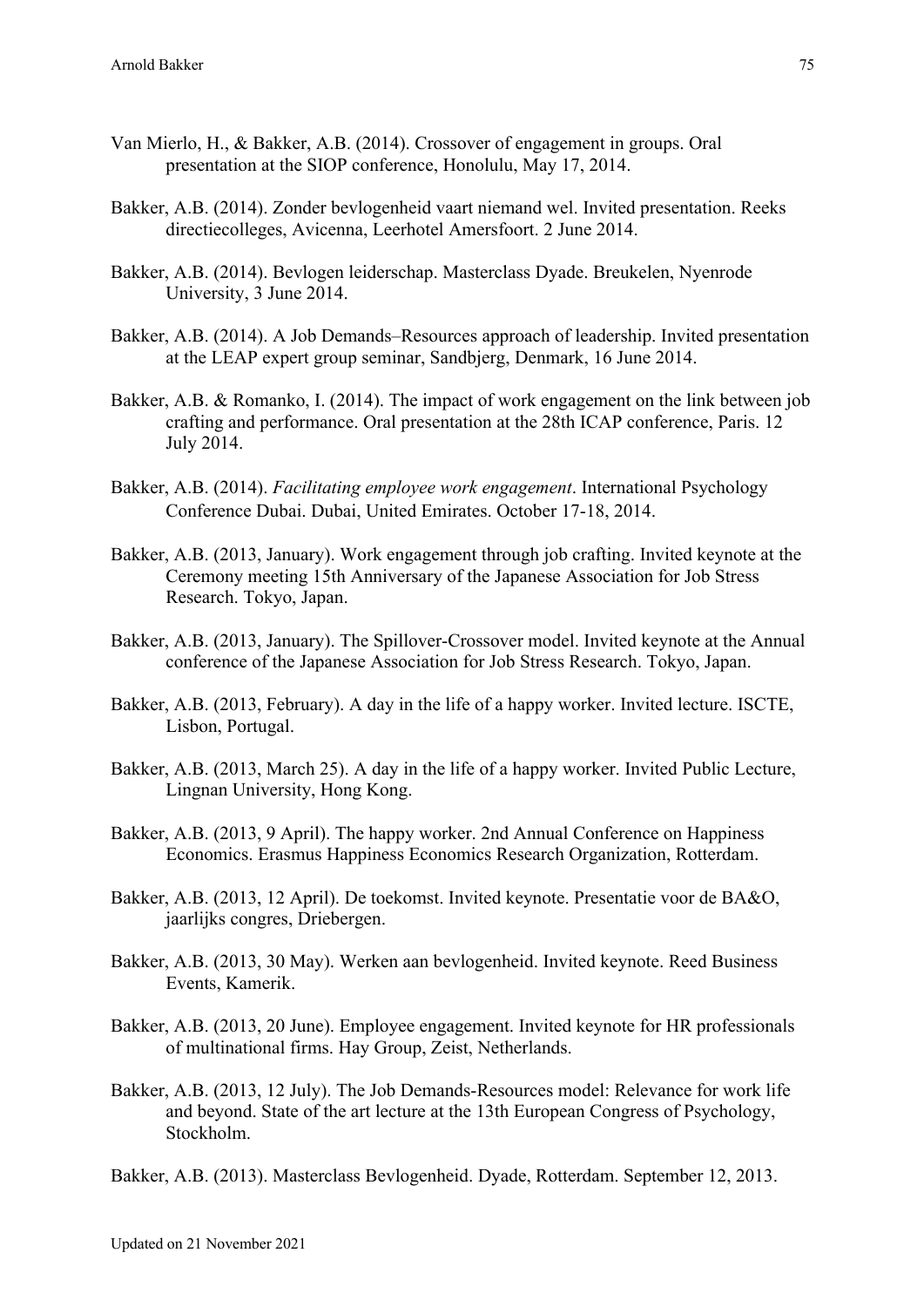- Van Mierlo, H., & Bakker, A.B. (2014). Crossover of engagement in groups. Oral presentation at the SIOP conference, Honolulu, May 17, 2014.
- Bakker, A.B. (2014). Zonder bevlogenheid vaart niemand wel. Invited presentation. Reeks directiecolleges, Avicenna, Leerhotel Amersfoort. 2 June 2014.
- Bakker, A.B. (2014). Bevlogen leiderschap. Masterclass Dyade. Breukelen, Nyenrode University, 3 June 2014.
- Bakker, A.B. (2014). A Job Demands–Resources approach of leadership. Invited presentation at the LEAP expert group seminar, Sandbjerg, Denmark, 16 June 2014.
- Bakker, A.B. & Romanko, I. (2014). The impact of work engagement on the link between job crafting and performance. Oral presentation at the 28th ICAP conference, Paris. 12 July 2014.
- Bakker, A.B. (2014). *Facilitating employee work engagement*. International Psychology Conference Dubai. Dubai, United Emirates. October 17-18, 2014.
- Bakker, A.B. (2013, January). Work engagement through job crafting. Invited keynote at the Ceremony meeting 15th Anniversary of the Japanese Association for Job Stress Research. Tokyo, Japan.
- Bakker, A.B. (2013, January). The Spillover-Crossover model. Invited keynote at the Annual conference of the Japanese Association for Job Stress Research. Tokyo, Japan.
- Bakker, A.B. (2013, February). A day in the life of a happy worker. Invited lecture. ISCTE, Lisbon, Portugal.
- Bakker, A.B. (2013, March 25). A day in the life of a happy worker. Invited Public Lecture, Lingnan University, Hong Kong.
- Bakker, A.B. (2013, 9 April). The happy worker. 2nd Annual Conference on Happiness Economics. Erasmus Happiness Economics Research Organization, Rotterdam.
- Bakker, A.B. (2013, 12 April). De toekomst. Invited keynote. Presentatie voor de BA&O, jaarlijks congres, Driebergen.
- Bakker, A.B. (2013, 30 May). Werken aan bevlogenheid. Invited keynote. Reed Business Events, Kamerik.
- Bakker, A.B. (2013, 20 June). Employee engagement. Invited keynote for HR professionals of multinational firms. Hay Group, Zeist, Netherlands.
- Bakker, A.B. (2013, 12 July). The Job Demands-Resources model: Relevance for work life and beyond. State of the art lecture at the 13th European Congress of Psychology, Stockholm.

Bakker, A.B. (2013). Masterclass Bevlogenheid. Dyade, Rotterdam. September 12, 2013.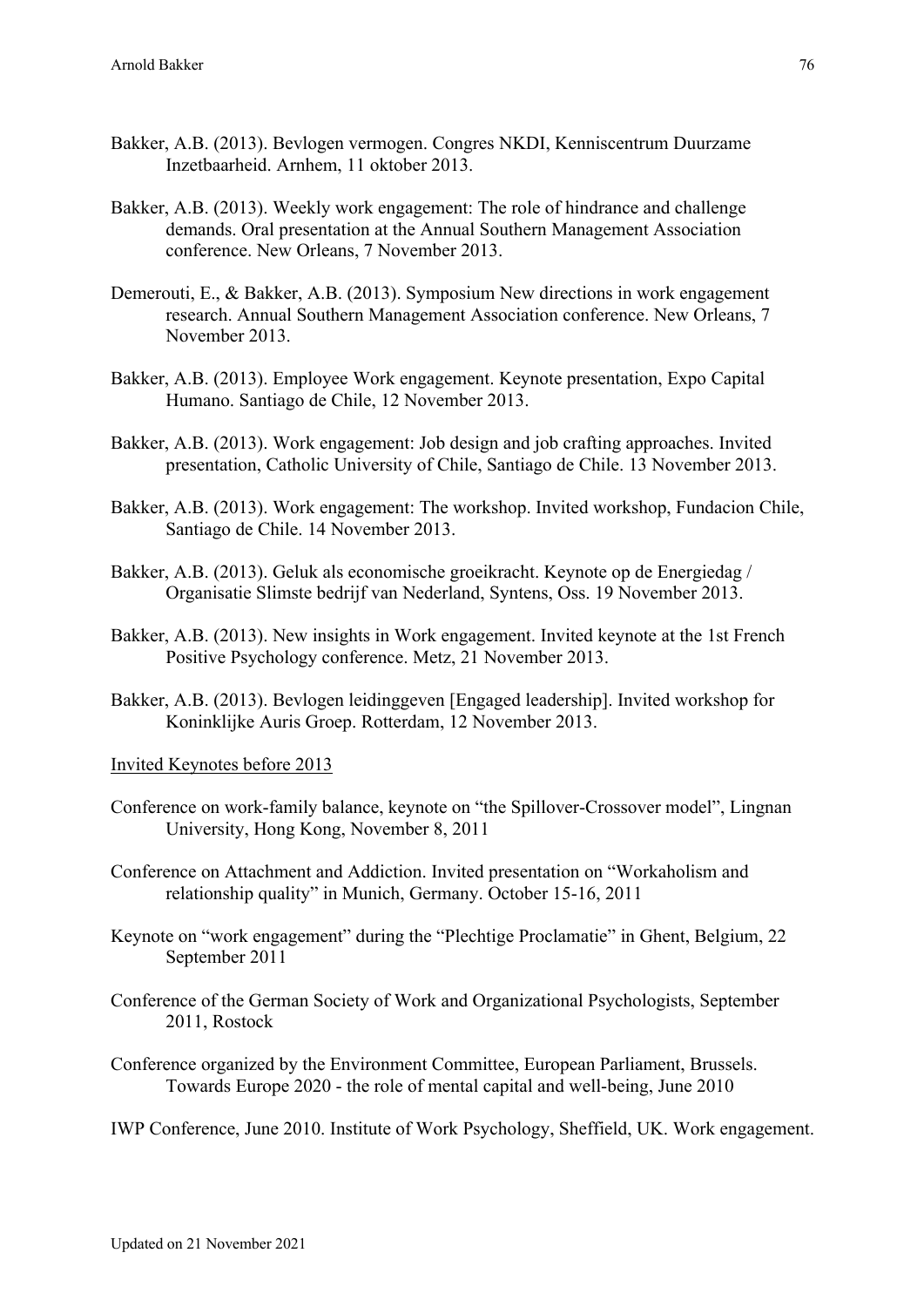- Bakker, A.B. (2013). Bevlogen vermogen. Congres NKDI, Kenniscentrum Duurzame Inzetbaarheid. Arnhem, 11 oktober 2013.
- Bakker, A.B. (2013). Weekly work engagement: The role of hindrance and challenge demands. Oral presentation at the Annual Southern Management Association conference. New Orleans, 7 November 2013.
- Demerouti, E., & Bakker, A.B. (2013). Symposium New directions in work engagement research. Annual Southern Management Association conference. New Orleans, 7 November 2013.
- Bakker, A.B. (2013). Employee Work engagement. Keynote presentation, Expo Capital Humano. Santiago de Chile, 12 November 2013.
- Bakker, A.B. (2013). Work engagement: Job design and job crafting approaches. Invited presentation, Catholic University of Chile, Santiago de Chile. 13 November 2013.
- Bakker, A.B. (2013). Work engagement: The workshop. Invited workshop, Fundacion Chile, Santiago de Chile. 14 November 2013.
- Bakker, A.B. (2013). Geluk als economische groeikracht. Keynote op de Energiedag / Organisatie Slimste bedrijf van Nederland, Syntens, Oss. 19 November 2013.
- Bakker, A.B. (2013). New insights in Work engagement. Invited keynote at the 1st French Positive Psychology conference. Metz, 21 November 2013.
- Bakker, A.B. (2013). Bevlogen leidinggeven [Engaged leadership]. Invited workshop for Koninklijke Auris Groep. Rotterdam, 12 November 2013.

Invited Keynotes before 2013

- Conference on work-family balance, keynote on "the Spillover-Crossover model", Lingnan University, Hong Kong, November 8, 2011
- Conference on Attachment and Addiction. Invited presentation on "Workaholism and relationship quality" in Munich, Germany. October 15-16, 2011
- Keynote on "work engagement" during the "Plechtige Proclamatie" in Ghent, Belgium, 22 September 2011
- Conference of the German Society of Work and Organizational Psychologists, September 2011, Rostock
- Conference organized by the Environment Committee, European Parliament, Brussels. Towards Europe 2020 - the role of mental capital and well-being, June 2010
- IWP Conference, June 2010. Institute of Work Psychology, Sheffield, UK. Work engagement.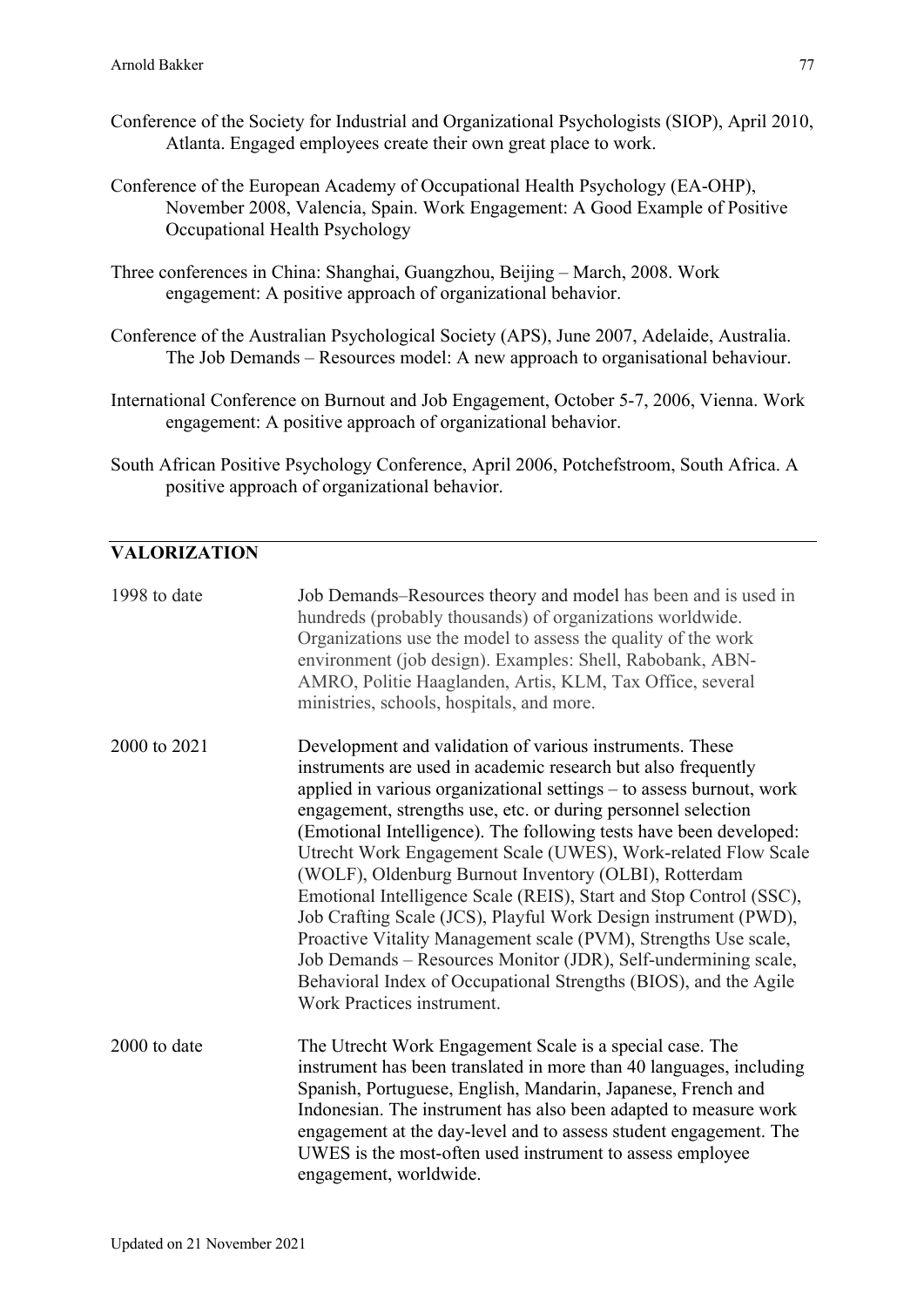- Conference of the Society for Industrial and Organizational Psychologists (SIOP), April 2010, Atlanta. Engaged employees create their own great place to work.
- Conference of the European Academy of Occupational Health Psychology (EA-OHP), November 2008, Valencia, Spain. Work Engagement: A Good Example of Positive Occupational Health Psychology
- Three conferences in China: Shanghai, Guangzhou, Beijing March, 2008. Work engagement: A positive approach of organizational behavior.
- Conference of the Australian Psychological Society (APS), June 2007, Adelaide, Australia. The Job Demands – Resources model: A new approach to organisational behaviour.
- International Conference on Burnout and Job Engagement, October 5-7, 2006, Vienna. Work engagement: A positive approach of organizational behavior.
- South African Positive Psychology Conference, April 2006, Potchefstroom, South Africa. A positive approach of organizational behavior.

## **VALORIZATION**

| 1998 to date | Job Demands–Resources theory and model has been and is used in<br>hundreds (probably thousands) of organizations worldwide.<br>Organizations use the model to assess the quality of the work<br>environment (job design). Examples: Shell, Rabobank, ABN-<br>AMRO, Politie Haaglanden, Artis, KLM, Tax Office, several<br>ministries, schools, hospitals, and more.                                                                                                                                                                                                                                                                                                                                                                                                                                                                                |
|--------------|----------------------------------------------------------------------------------------------------------------------------------------------------------------------------------------------------------------------------------------------------------------------------------------------------------------------------------------------------------------------------------------------------------------------------------------------------------------------------------------------------------------------------------------------------------------------------------------------------------------------------------------------------------------------------------------------------------------------------------------------------------------------------------------------------------------------------------------------------|
| 2000 to 2021 | Development and validation of various instruments. These<br>instruments are used in academic research but also frequently<br>applied in various organizational settings - to assess burnout, work<br>engagement, strengths use, etc. or during personnel selection<br>(Emotional Intelligence). The following tests have been developed:<br>Utrecht Work Engagement Scale (UWES), Work-related Flow Scale<br>(WOLF), Oldenburg Burnout Inventory (OLBI), Rotterdam<br>Emotional Intelligence Scale (REIS), Start and Stop Control (SSC),<br>Job Crafting Scale (JCS), Playful Work Design instrument (PWD),<br>Proactive Vitality Management scale (PVM), Strengths Use scale,<br>Job Demands – Resources Monitor (JDR), Self-undermining scale,<br>Behavioral Index of Occupational Strengths (BIOS), and the Agile<br>Work Practices instrument. |
| 2000 to date | The Utrecht Work Engagement Scale is a special case. The<br>instrument has been translated in more than 40 languages, including<br>Spanish, Portuguese, English, Mandarin, Japanese, French and<br>Indonesian. The instrument has also been adapted to measure work<br>engagement at the day-level and to assess student engagement. The<br>UWES is the most-often used instrument to assess employee<br>engagement, worldwide.                                                                                                                                                                                                                                                                                                                                                                                                                    |